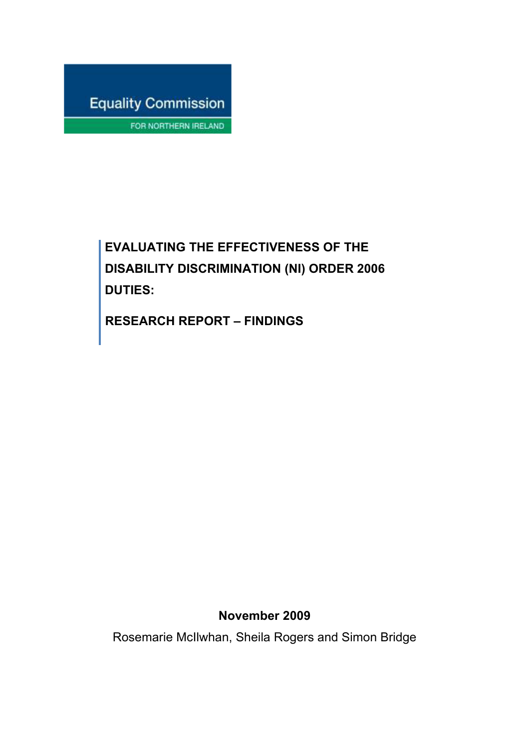

**EVALUATING THE EFFECTIVENESS OF THE DISABILITY DISCRIMINATION (NI) ORDER 2006 DUTIES:** 

**RESEARCH REPORT – FINDINGS** 

**November 2009** 

Rosemarie McIlwhan, Sheila Rogers and Simon Bridge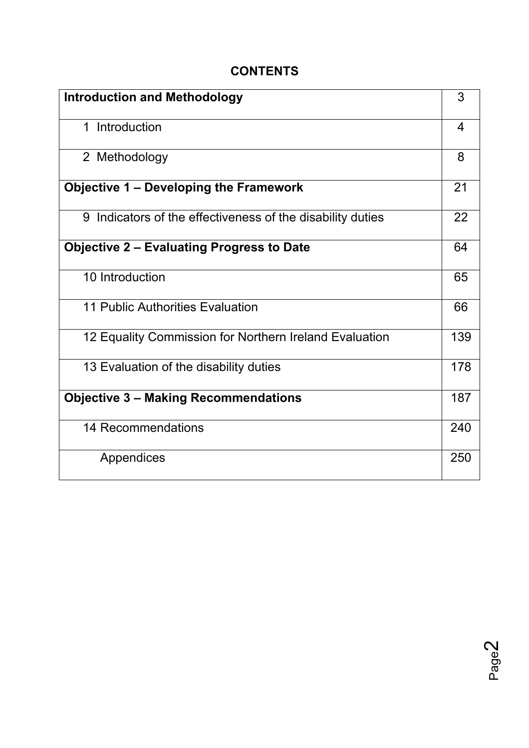| <b>Introduction and Methodology</b>                        | 3   |
|------------------------------------------------------------|-----|
| 1 Introduction                                             | 4   |
| 2 Methodology                                              | 8   |
| <b>Objective 1 - Developing the Framework</b>              | 21  |
| 9 Indicators of the effectiveness of the disability duties | 22  |
| <b>Objective 2 - Evaluating Progress to Date</b>           | 64  |
| 10 Introduction                                            | 65  |
| <b>11 Public Authorities Evaluation</b>                    | 66  |
| 12 Equality Commission for Northern Ireland Evaluation     | 139 |
| 13 Evaluation of the disability duties                     | 178 |
| <b>Objective 3 - Making Recommendations</b>                | 187 |
| 14 Recommendations                                         | 240 |
| Appendices                                                 | 250 |

## **CONTENTS**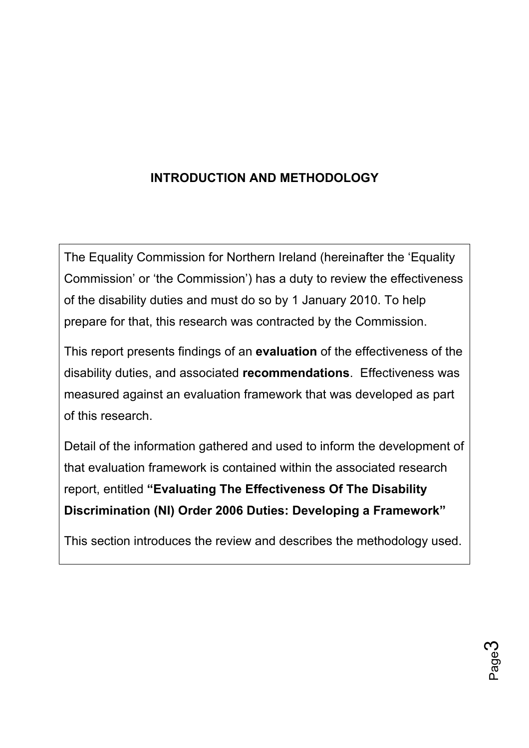# **INTRODUCTION AND METHODOLOGY**

The Equality Commission for Northern Ireland (hereinafter the 'Equality Commission' or 'the Commission') has a duty to review the effectiveness of the disability duties and must do so by 1 January 2010. To help prepare for that, this research was contracted by the Commission.

This report presents findings of an **evaluation** of the effectiveness of the disability duties, and associated **recommendations**. Effectiveness was measured against an evaluation framework that was developed as part of this research.

Detail of the information gathered and used to inform the development of that evaluation framework is contained within the associated research report, entitled **"Evaluating The Effectiveness Of The Disability Discrimination (NI) Order 2006 Duties: Developing a Framework"** 

This section introduces the review and describes the methodology used.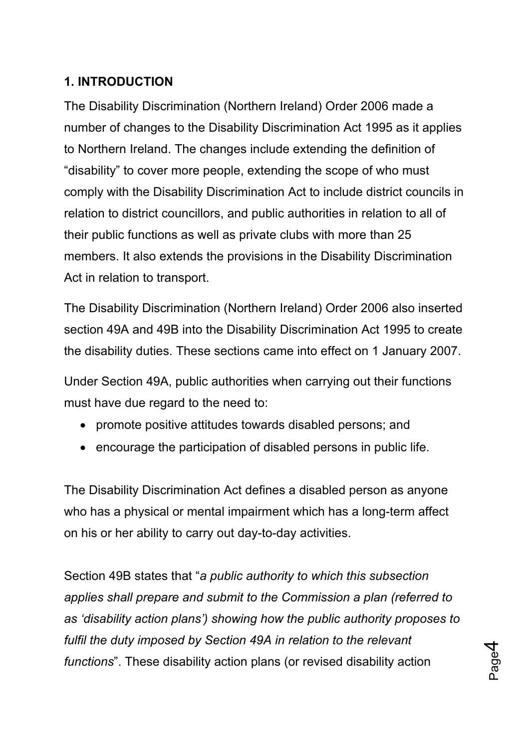### **1. INTRODUCTION**

The Disability Discrimination (Northern Ireland) Order 2006 made a number of changes to the Disability Discrimination Act 1995 as it applies to Northern Ireland. The changes include extending the definition of "disability" to cover more people, extending the scope of who must comply with the Disability Discrimination Act to include district councils in relation to district councillors, and public authorities in relation to all of their public functions as well as private clubs with more than 25 members. It also extends the provisions in the Disability Discrimination Act in relation to transport.

The Disability Discrimination (Northern Ireland) Order 2006 also inserted section 49A and 49B into the Disability Discrimination Act 1995 to create the disability duties. These sections came into effect on 1 January 2007.

Under Section 49A, public authorities when carrying out their functions must have due regard to the need to:

- promote positive attitudes towards disabled persons; and
- encourage the participation of disabled persons in public life.

The Disability Discrimination Act defines a disabled person as anyone who has a physical or mental impairment which has a long-term affect on his or her ability to carry out day-to-day activities.

Section 49B states that "*a public authority to which this subsection applies shall prepare and submit to the Commission a plan (referred to as 'disability action plans') showing how the public authority proposes to fulfil the duty imposed by Section 49A in relation to the relevant functions*". These disability action plans (or revised disability action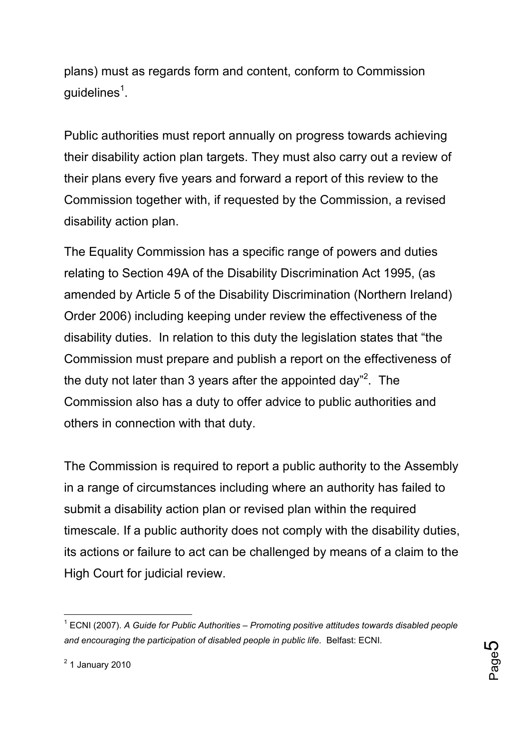plans) must as regards form and content, conform to Commission guidelines $^{\rm 1}$ .

Public authorities must report annually on progress towards achieving their disability action plan targets. They must also carry out a review of their plans every five years and forward a report of this review to the Commission together with, if requested by the Commission, a revised disability action plan.

The Equality Commission has a specific range of powers and duties relating to Section 49A of the Disability Discrimination Act 1995, (as amended by Article 5 of the Disability Discrimination (Northern Ireland) Order 2006) including keeping under review the effectiveness of the disability duties. In relation to this duty the legislation states that "the Commission must prepare and publish a report on the effectiveness of the duty not later than 3 years after the appointed day"<sup>2</sup>. The Commission also has a duty to offer advice to public authorities and others in connection with that duty.

The Commission is required to report a public authority to the Assembly in a range of circumstances including where an authority has failed to submit a disability action plan or revised plan within the required timescale. If a public authority does not comply with the disability duties, its actions or failure to act can be challenged by means of a claim to the High Court for judicial review.

 1 ECNI (2007). *A Guide for Public Authorities – Promoting positive attitudes towards disabled people and encouraging the participation of disabled people in public life*. Belfast: ECNI.

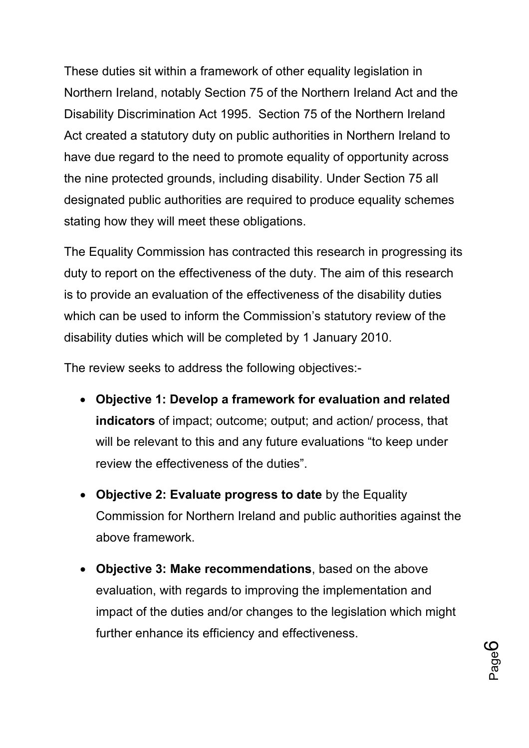These duties sit within a framework of other equality legislation in Northern Ireland, notably Section 75 of the Northern Ireland Act and the Disability Discrimination Act 1995. Section 75 of the Northern Ireland Act created a statutory duty on public authorities in Northern Ireland to have due regard to the need to promote equality of opportunity across the nine protected grounds, including disability. Under Section 75 all designated public authorities are required to produce equality schemes stating how they will meet these obligations.

The Equality Commission has contracted this research in progressing its duty to report on the effectiveness of the duty. The aim of this research is to provide an evaluation of the effectiveness of the disability duties which can be used to inform the Commission's statutory review of the disability duties which will be completed by 1 January 2010.

The review seeks to address the following objectives:-

- **Objective 1: Develop a framework for evaluation and related indicators** of impact; outcome; output; and action/ process, that will be relevant to this and any future evaluations "to keep under review the effectiveness of the duties".
- **Objective 2: Evaluate progress to date** by the Equality Commission for Northern Ireland and public authorities against the above framework.
- **Objective 3: Make recommendations**, based on the above evaluation, with regards to improving the implementation and impact of the duties and/or changes to the legislation which might further enhance its efficiency and effectiveness.

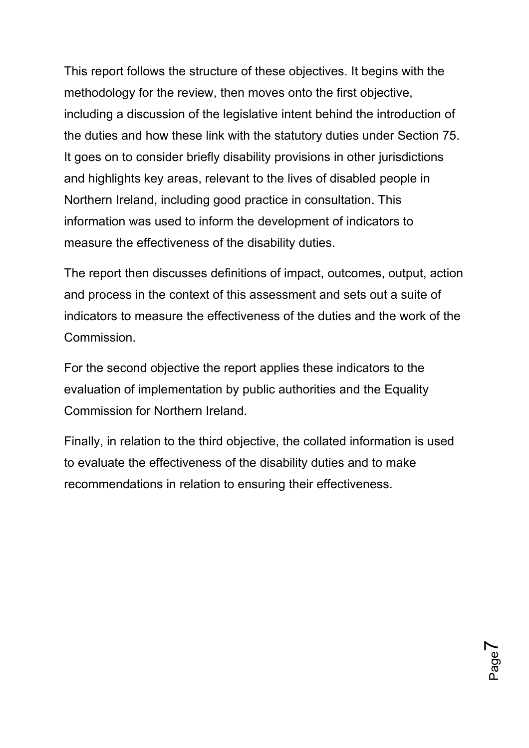This report follows the structure of these objectives. It begins with the methodology for the review, then moves onto the first objective, including a discussion of the legislative intent behind the introduction of the duties and how these link with the statutory duties under Section 75. It goes on to consider briefly disability provisions in other jurisdictions and highlights key areas, relevant to the lives of disabled people in Northern Ireland, including good practice in consultation. This information was used to inform the development of indicators to measure the effectiveness of the disability duties.

The report then discusses definitions of impact, outcomes, output, action and process in the context of this assessment and sets out a suite of indicators to measure the effectiveness of the duties and the work of the **Commission** 

For the second objective the report applies these indicators to the evaluation of implementation by public authorities and the Equality Commission for Northern Ireland.

Finally, in relation to the third objective, the collated information is used to evaluate the effectiveness of the disability duties and to make recommendations in relation to ensuring their effectiveness.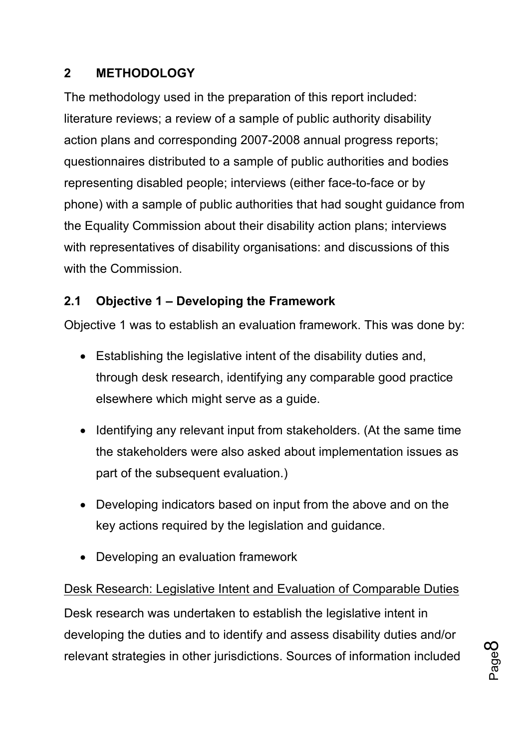### **2 METHODOLOGY**

The methodology used in the preparation of this report included: literature reviews; a review of a sample of public authority disability action plans and corresponding 2007-2008 annual progress reports; questionnaires distributed to a sample of public authorities and bodies representing disabled people; interviews (either face-to-face or by phone) with a sample of public authorities that had sought guidance from the Equality Commission about their disability action plans; interviews with representatives of disability organisations: and discussions of this with the Commission.

#### **2.1 Objective 1 – Developing the Framework**

Objective 1 was to establish an evaluation framework. This was done by:

- Establishing the legislative intent of the disability duties and, through desk research, identifying any comparable good practice elsewhere which might serve as a guide.
- Identifying any relevant input from stakeholders. (At the same time the stakeholders were also asked about implementation issues as part of the subsequent evaluation.)
- Developing indicators based on input from the above and on the key actions required by the legislation and guidance.
- Developing an evaluation framework

Desk Research: Legislative Intent and Evaluation of Comparable Duties Desk research was undertaken to establish the legislative intent in developing the duties and to identify and assess disability duties and/or relevant strategies in other jurisdictions. Sources of information included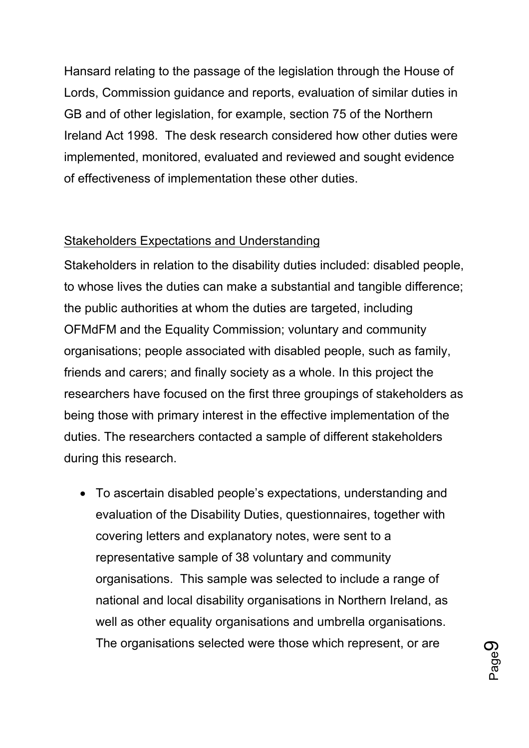Hansard relating to the passage of the legislation through the House of Lords, Commission guidance and reports, evaluation of similar duties in GB and of other legislation, for example, section 75 of the Northern Ireland Act 1998. The desk research considered how other duties were implemented, monitored, evaluated and reviewed and sought evidence of effectiveness of implementation these other duties.

#### Stakeholders Expectations and Understanding

Stakeholders in relation to the disability duties included: disabled people, to whose lives the duties can make a substantial and tangible difference; the public authorities at whom the duties are targeted, including OFMdFM and the Equality Commission; voluntary and community organisations; people associated with disabled people, such as family, friends and carers; and finally society as a whole. In this project the researchers have focused on the first three groupings of stakeholders as being those with primary interest in the effective implementation of the duties. The researchers contacted a sample of different stakeholders during this research.

• To ascertain disabled people's expectations, understanding and evaluation of the Disability Duties, questionnaires, together with covering letters and explanatory notes, were sent to a representative sample of 38 voluntary and community organisations. This sample was selected to include a range of national and local disability organisations in Northern Ireland, as well as other equality organisations and umbrella organisations. The organisations selected were those which represent, or are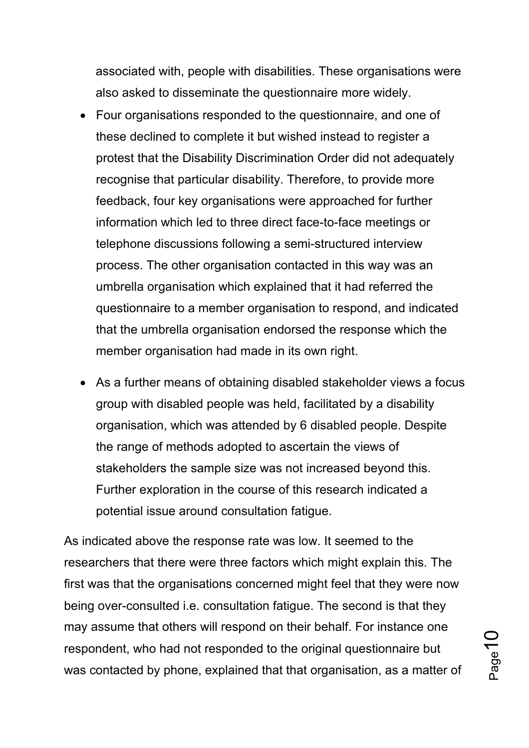associated with, people with disabilities. These organisations were also asked to disseminate the questionnaire more widely.

- Four organisations responded to the questionnaire, and one of these declined to complete it but wished instead to register a protest that the Disability Discrimination Order did not adequately recognise that particular disability. Therefore, to provide more feedback, four key organisations were approached for further information which led to three direct face-to-face meetings or telephone discussions following a semi-structured interview process. The other organisation contacted in this way was an umbrella organisation which explained that it had referred the questionnaire to a member organisation to respond, and indicated that the umbrella organisation endorsed the response which the member organisation had made in its own right.
- As a further means of obtaining disabled stakeholder views a focus group with disabled people was held, facilitated by a disability organisation, which was attended by 6 disabled people. Despite the range of methods adopted to ascertain the views of stakeholders the sample size was not increased beyond this. Further exploration in the course of this research indicated a potential issue around consultation fatigue.

As indicated above the response rate was low. It seemed to the researchers that there were three factors which might explain this. The first was that the organisations concerned might feel that they were now being over-consulted i.e. consultation fatigue. The second is that they may assume that others will respond on their behalf. For instance one respondent, who had not responded to the original questionnaire but was contacted by phone, explained that that organisation, as a matter of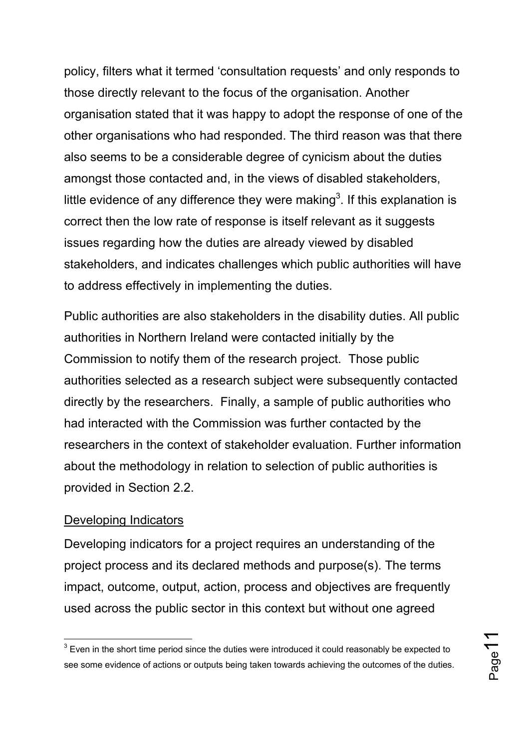policy, filters what it termed 'consultation requests' and only responds to those directly relevant to the focus of the organisation. Another organisation stated that it was happy to adopt the response of one of the other organisations who had responded. The third reason was that there also seems to be a considerable degree of cynicism about the duties amongst those contacted and, in the views of disabled stakeholders, little evidence of any difference they were making<sup>3</sup>. If this explanation is correct then the low rate of response is itself relevant as it suggests issues regarding how the duties are already viewed by disabled stakeholders, and indicates challenges which public authorities will have to address effectively in implementing the duties.

Public authorities are also stakeholders in the disability duties. All public authorities in Northern Ireland were contacted initially by the Commission to notify them of the research project. Those public authorities selected as a research subject were subsequently contacted directly by the researchers. Finally, a sample of public authorities who had interacted with the Commission was further contacted by the researchers in the context of stakeholder evaluation. Further information about the methodology in relation to selection of public authorities is provided in Section 2.2.

#### Developing Indicators

 $\overline{a}$ 

Developing indicators for a project requires an understanding of the project process and its declared methods and purpose(s). The terms impact, outcome, output, action, process and objectives are frequently used across the public sector in this context but without one agreed

 $3$  Even in the short time period since the duties were introduced it could reasonably be expected to see some evidence of actions or outputs being taken towards achieving the outcomes of the duties.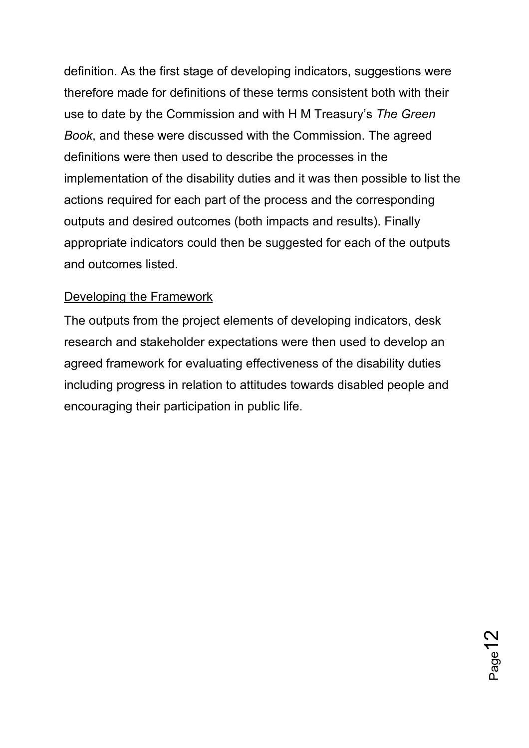definition. As the first stage of developing indicators, suggestions were therefore made for definitions of these terms consistent both with their use to date by the Commission and with H M Treasury's *The Green Book*, and these were discussed with the Commission. The agreed definitions were then used to describe the processes in the implementation of the disability duties and it was then possible to list the actions required for each part of the process and the corresponding outputs and desired outcomes (both impacts and results). Finally appropriate indicators could then be suggested for each of the outputs and outcomes listed.

#### Developing the Framework

The outputs from the project elements of developing indicators, desk research and stakeholder expectations were then used to develop an agreed framework for evaluating effectiveness of the disability duties including progress in relation to attitudes towards disabled people and encouraging their participation in public life.

Page12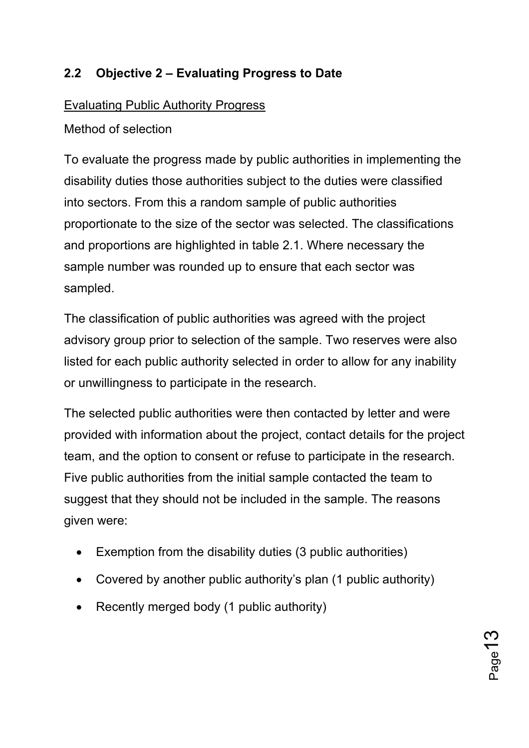### **2.2 Objective 2 – Evaluating Progress to Date**

#### Evaluating Public Authority Progress

Method of selection

To evaluate the progress made by public authorities in implementing the disability duties those authorities subject to the duties were classified into sectors. From this a random sample of public authorities proportionate to the size of the sector was selected. The classifications and proportions are highlighted in table 2.1. Where necessary the sample number was rounded up to ensure that each sector was sampled.

The classification of public authorities was agreed with the project advisory group prior to selection of the sample. Two reserves were also listed for each public authority selected in order to allow for any inability or unwillingness to participate in the research.

The selected public authorities were then contacted by letter and were provided with information about the project, contact details for the project team, and the option to consent or refuse to participate in the research. Five public authorities from the initial sample contacted the team to suggest that they should not be included in the sample. The reasons given were:

- Exemption from the disability duties (3 public authorities)
- Covered by another public authority's plan (1 public authority)
- Recently merged body (1 public authority)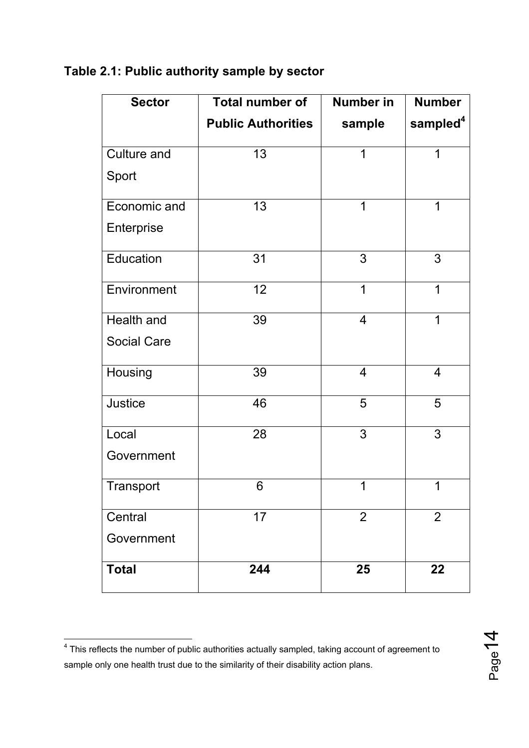### **Table 2.1: Public authority sample by sector**

| <b>Sector</b>      | Total number of           | <b>Number in</b> | <b>Number</b>        |
|--------------------|---------------------------|------------------|----------------------|
|                    | <b>Public Authorities</b> | sample           | sampled <sup>4</sup> |
| Culture and        | 13                        | 1                | 1                    |
| Sport              |                           |                  |                      |
| Economic and       | 13                        | 1                | 1                    |
| Enterprise         |                           |                  |                      |
| Education          | 31                        | 3                | 3                    |
| Environment        | 12                        | $\overline{1}$   | 1                    |
| Health and         | 39                        | $\overline{4}$   | 1                    |
| <b>Social Care</b> |                           |                  |                      |
| Housing            | 39                        | $\overline{4}$   | 4                    |
| <b>Justice</b>     | 46                        | 5                | 5                    |
| Local              | 28                        | 3                | 3                    |
| Government         |                           |                  |                      |
| Transport          | 6                         | 1                | 1                    |
| Central            | 17                        | $\overline{2}$   | $\overline{2}$       |
| Government         |                           |                  |                      |
| <b>Total</b>       | 244                       | 25               | 22                   |

 $\frac{4}{1}$  This reflects the number of public authorities actually sampled, taking account of agreement to sample only one health trust due to the similarity of their disability action plans.

Page14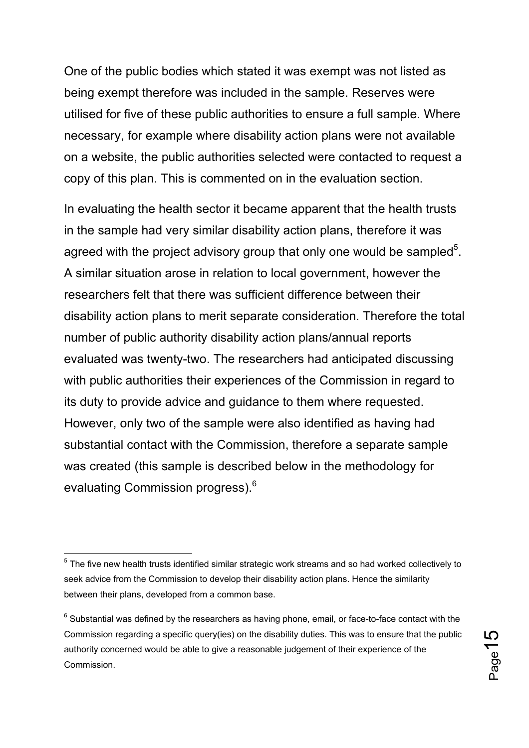One of the public bodies which stated it was exempt was not listed as being exempt therefore was included in the sample. Reserves were utilised for five of these public authorities to ensure a full sample. Where necessary, for example where disability action plans were not available on a website, the public authorities selected were contacted to request a copy of this plan. This is commented on in the evaluation section.

In evaluating the health sector it became apparent that the health trusts in the sample had very similar disability action plans, therefore it was agreed with the project advisory group that only one would be sampled<sup>5</sup>. A similar situation arose in relation to local government, however the researchers felt that there was sufficient difference between their disability action plans to merit separate consideration. Therefore the total number of public authority disability action plans/annual reports evaluated was twenty-two. The researchers had anticipated discussing with public authorities their experiences of the Commission in regard to its duty to provide advice and guidance to them where requested. However, only two of the sample were also identified as having had substantial contact with the Commission, therefore a separate sample was created (this sample is described below in the methodology for evaluating Commission progress).<sup>6</sup>

l  $5$  The five new health trusts identified similar strategic work streams and so had worked collectively to seek advice from the Commission to develop their disability action plans. Hence the similarity between their plans, developed from a common base.

 $^6$  Substantial was defined by the researchers as having phone, email, or face-to-face contact with the Commission regarding a specific query(ies) on the disability duties. This was to ensure that the public authority concerned would be able to give a reasonable judgement of their experience of the Commission.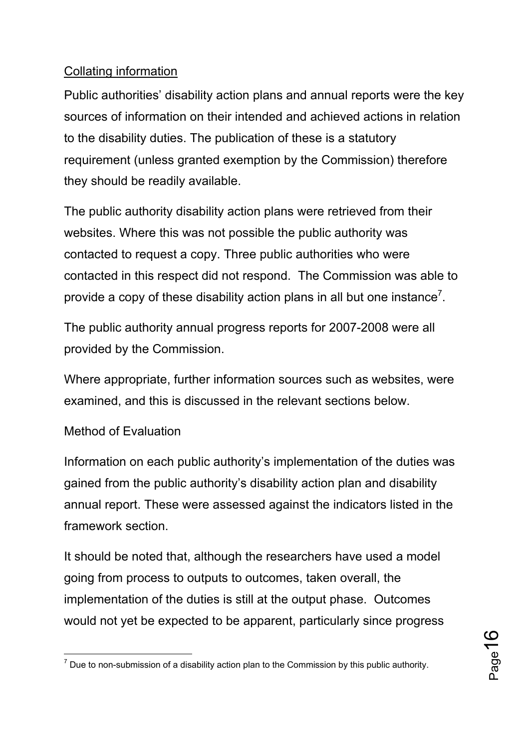#### Collating information

Public authorities' disability action plans and annual reports were the key sources of information on their intended and achieved actions in relation to the disability duties. The publication of these is a statutory requirement (unless granted exemption by the Commission) therefore they should be readily available.

The public authority disability action plans were retrieved from their websites. Where this was not possible the public authority was contacted to request a copy. Three public authorities who were contacted in this respect did not respond. The Commission was able to provide a copy of these disability action plans in all but one instance<sup>7</sup>.

The public authority annual progress reports for 2007-2008 were all provided by the Commission.

Where appropriate, further information sources such as websites, were examined, and this is discussed in the relevant sections below.

#### Method of Evaluation

Information on each public authority's implementation of the duties was gained from the public authority's disability action plan and disability annual report. These were assessed against the indicators listed in the framework section.

It should be noted that, although the researchers have used a model going from process to outputs to outcomes, taken overall, the implementation of the duties is still at the output phase. Outcomes would not yet be expected to be apparent, particularly since progress

 $\overline{a}^7$  Due to non-submission of a disability action plan to the Commission by this public authority.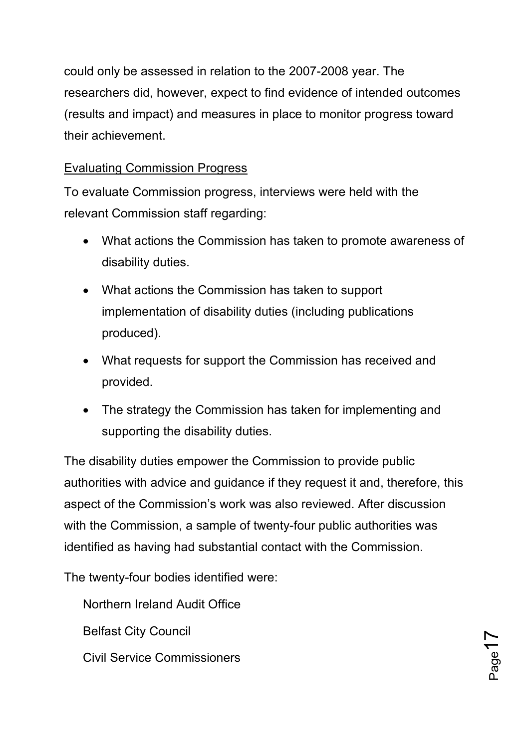could only be assessed in relation to the 2007-2008 year. The researchers did, however, expect to find evidence of intended outcomes (results and impact) and measures in place to monitor progress toward their achievement.

### Evaluating Commission Progress

To evaluate Commission progress, interviews were held with the relevant Commission staff regarding:

- What actions the Commission has taken to promote awareness of disability duties.
- What actions the Commission has taken to support implementation of disability duties (including publications produced).
- What requests for support the Commission has received and provided.
- The strategy the Commission has taken for implementing and supporting the disability duties.

The disability duties empower the Commission to provide public authorities with advice and guidance if they request it and, therefore, this aspect of the Commission's work was also reviewed. After discussion with the Commission, a sample of twenty-four public authorities was identified as having had substantial contact with the Commission.

The twenty-four bodies identified were:

Northern Ireland Audit Office Belfast City Council Civil Service Commissioners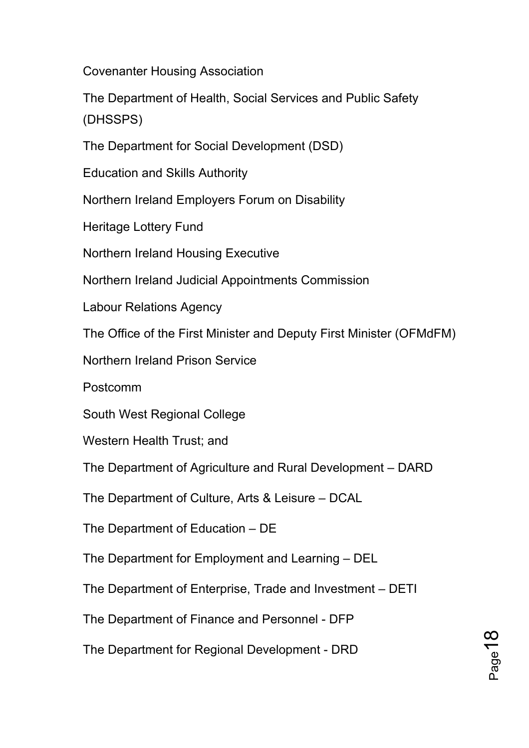Covenanter Housing Association

The Department of Health, Social Services and Public Safety (DHSSPS)

The Department for Social Development (DSD)

Education and Skills Authority

Northern Ireland Employers Forum on Disability

Heritage Lottery Fund

Northern Ireland Housing Executive

Northern Ireland Judicial Appointments Commission

Labour Relations Agency

The Office of the First Minister and Deputy First Minister (OFMdFM)

Northern Ireland Prison Service

Postcomm

South West Regional College

Western Health Trust; and

The Department of Agriculture and Rural Development – DARD

The Department of Culture, Arts & Leisure – DCAL

The Department of Education – DE

The Department for Employment and Learning – DEL

The Department of Enterprise, Trade and Investment – DETI

The Department of Finance and Personnel - DFP

The Department for Regional Development - DRD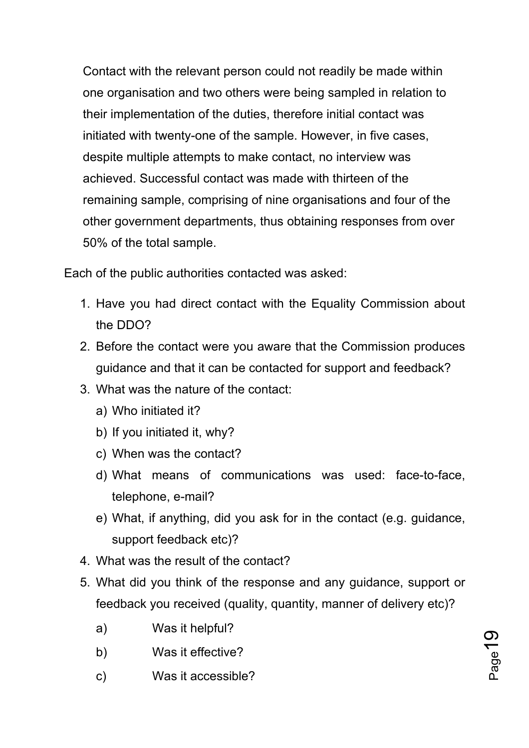Contact with the relevant person could not readily be made within one organisation and two others were being sampled in relation to their implementation of the duties, therefore initial contact was initiated with twenty-one of the sample. However, in five cases, despite multiple attempts to make contact, no interview was achieved. Successful contact was made with thirteen of the remaining sample, comprising of nine organisations and four of the other government departments, thus obtaining responses from over 50% of the total sample.

Each of the public authorities contacted was asked:

- 1. Have you had direct contact with the Equality Commission about the DDO?
- 2. Before the contact were you aware that the Commission produces guidance and that it can be contacted for support and feedback?
- 3. What was the nature of the contact:
	- a) Who initiated it?
	- b) If you initiated it, why?
	- c) When was the contact?
	- d) What means of communications was used: face-to-face, telephone, e-mail?
	- e) What, if anything, did you ask for in the contact (e.g. guidance, support feedback etc)?
- 4. What was the result of the contact?
- 5. What did you think of the response and any guidance, support or feedback you received (quality, quantity, manner of delivery etc)?
	- a) Was it helpful?
	- b) Was it effective?
	- c) Was it accessible?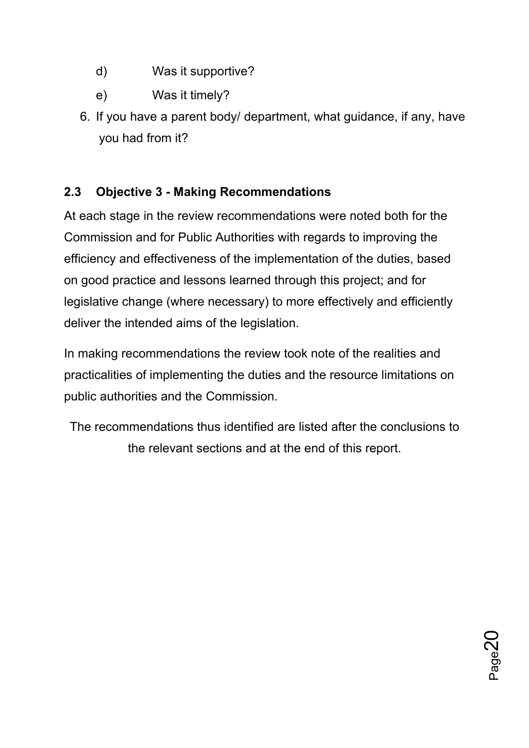- d) Was it supportive?
- e) Was it timely?
- 6. If you have a parent body/ department, what guidance, if any, have you had from it?

### **2.3 Objective 3 - Making Recommendations**

At each stage in the review recommendations were noted both for the Commission and for Public Authorities with regards to improving the efficiency and effectiveness of the implementation of the duties, based on good practice and lessons learned through this project; and for legislative change (where necessary) to more effectively and efficiently deliver the intended aims of the legislation.

In making recommendations the review took note of the realities and practicalities of implementing the duties and the resource limitations on public authorities and the Commission.

The recommendations thus identified are listed after the conclusions to the relevant sections and at the end of this report.

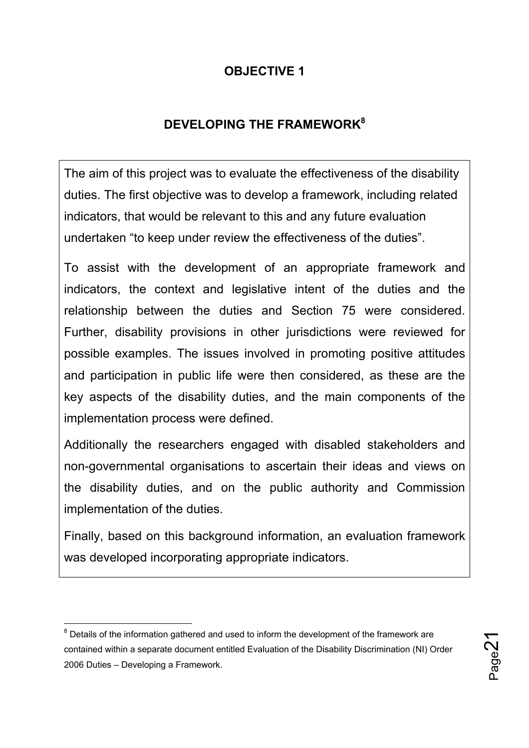### **OBJECTIVE 1**

### **DEVELOPING THE FRAMEWORK<sup>8</sup>**

The aim of this project was to evaluate the effectiveness of the disability duties. The first objective was to develop a framework, including related indicators, that would be relevant to this and any future evaluation undertaken "to keep under review the effectiveness of the duties".

To assist with the development of an appropriate framework and indicators, the context and legislative intent of the duties and the relationship between the duties and Section 75 were considered. Further, disability provisions in other jurisdictions were reviewed for possible examples. The issues involved in promoting positive attitudes and participation in public life were then considered, as these are the key aspects of the disability duties, and the main components of the implementation process were defined.

Additionally the researchers engaged with disabled stakeholders and non-governmental organisations to ascertain their ideas and views on the disability duties, and on the public authority and Commission implementation of the duties.

Finally, based on this background information, an evaluation framework was developed incorporating appropriate indicators.

l  $8$  Details of the information gathered and used to inform the development of the framework are contained within a separate document entitled Evaluation of the Disability Discrimination (NI) Order 2006 Duties – Developing a Framework.

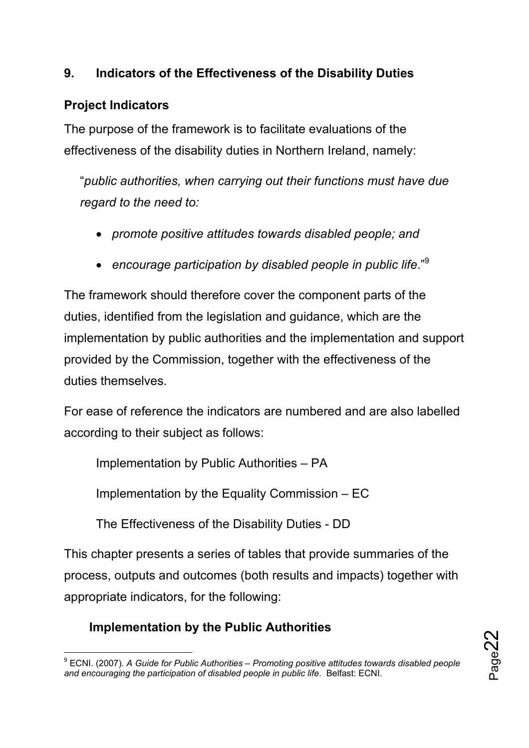#### **9. Indicators of the Effectiveness of the Disability Duties**

#### **Project Indicators**

The purpose of the framework is to facilitate evaluations of the effectiveness of the disability duties in Northern Ireland, namely:

"*public authorities, when carrying out their functions must have due regard to the need to:* 

- *promote positive attitudes towards disabled people; and*
- *encourage participation by disabled people in public life*."9

The framework should therefore cover the component parts of the duties, identified from the legislation and guidance, which are the implementation by public authorities and the implementation and support provided by the Commission, together with the effectiveness of the duties themselves.

For ease of reference the indicators are numbered and are also labelled according to their subject as follows:

Implementation by Public Authorities – PA

Implementation by the Equality Commission – EC

The Effectiveness of the Disability Duties - DD

This chapter presents a series of tables that provide summaries of the process, outputs and outcomes (both results and impacts) together with appropriate indicators, for the following:

### **Implementation by the Public Authorities**

Page22

l 9 ECNI. (2007). *A Guide for Public Authorities – Promoting positive attitudes towards disabled people and encouraging the participation of disabled people in public life*. Belfast: ECNI.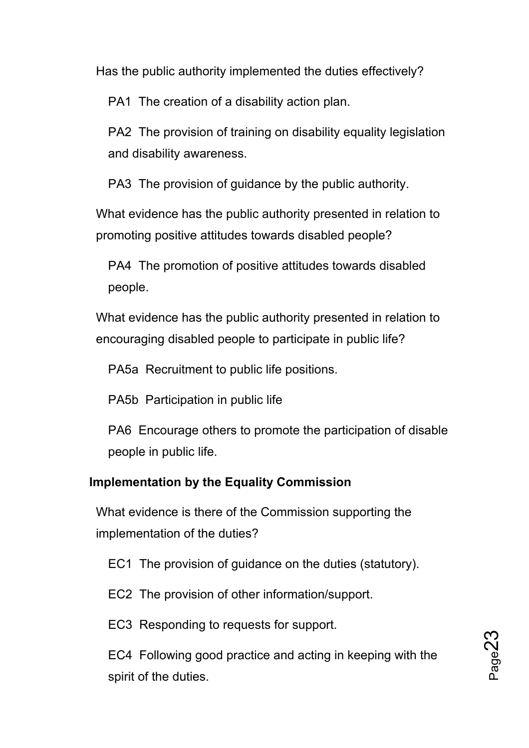Has the public authority implemented the duties effectively?

PA1 The creation of a disability action plan.

PA2 The provision of training on disability equality legislation and disability awareness.

PA3 The provision of guidance by the public authority.

What evidence has the public authority presented in relation to promoting positive attitudes towards disabled people?

PA4 The promotion of positive attitudes towards disabled people.

What evidence has the public authority presented in relation to encouraging disabled people to participate in public life?

PA5a Recruitment to public life positions.

PA5b Participation in public life

PA6 Encourage others to promote the participation of disable people in public life.

### **Implementation by the Equality Commission**

What evidence is there of the Commission supporting the implementation of the duties?

EC1 The provision of guidance on the duties (statutory).

EC2 The provision of other information/support.

EC3 Responding to requests for support.

EC4 Following good practice and acting in keeping with the spirit of the duties.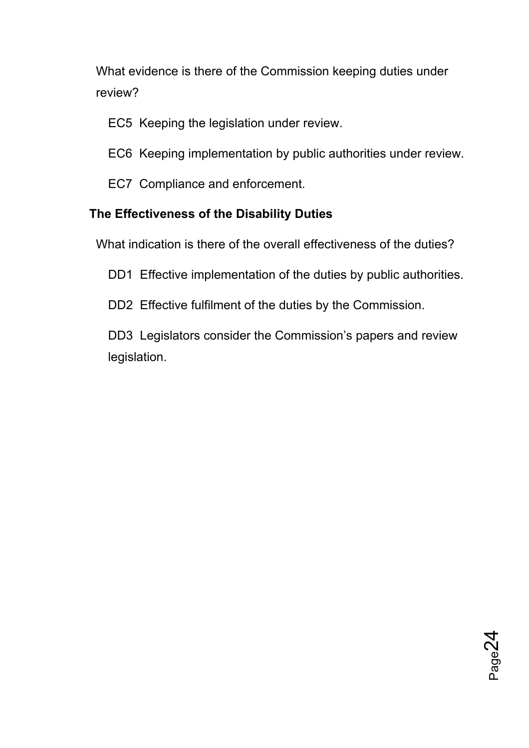What evidence is there of the Commission keeping duties under review?

EC5 Keeping the legislation under review.

EC6 Keeping implementation by public authorities under review.

EC7 Compliance and enforcement.

### **The Effectiveness of the Disability Duties**

What indication is there of the overall effectiveness of the duties?

DD1 Effective implementation of the duties by public authorities.

DD2 Effective fulfilment of the duties by the Commission.

DD3 Legislators consider the Commission's papers and review legislation.

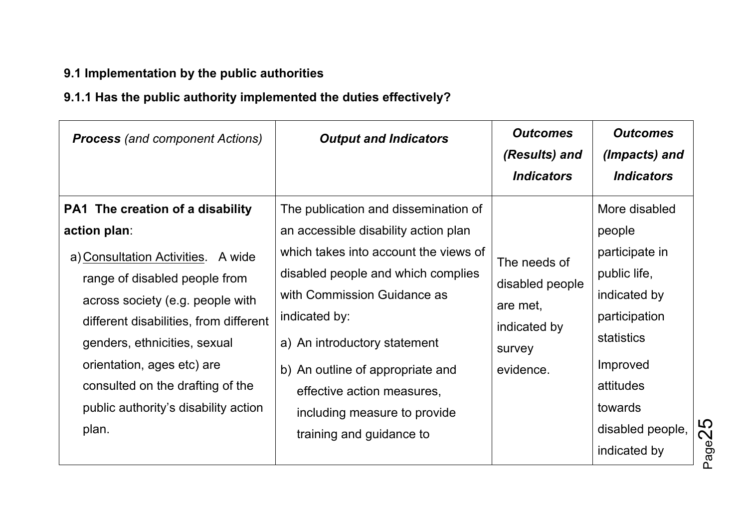# **9.1 Implementation by the public authorities**

### **9.1.1 Has the public authority implemented the duties effectively?**

| <b>Process</b> (and component Actions)                                                                                                                                                                                                                                                                                                                             | <b>Output and Indicators</b>                                                                                                                                                                                                                                                                                                                                              | <b>Outcomes</b><br>(Results) and<br><i><b>Indicators</b></i>                       | <b>Outcomes</b><br>(Impacts) and<br><i><b>Indicators</b></i>                                                                                                     |
|--------------------------------------------------------------------------------------------------------------------------------------------------------------------------------------------------------------------------------------------------------------------------------------------------------------------------------------------------------------------|---------------------------------------------------------------------------------------------------------------------------------------------------------------------------------------------------------------------------------------------------------------------------------------------------------------------------------------------------------------------------|------------------------------------------------------------------------------------|------------------------------------------------------------------------------------------------------------------------------------------------------------------|
| <b>PA1</b> The creation of a disability<br>action plan:<br>a) Consultation Activities.<br>A wide<br>range of disabled people from<br>across society (e.g. people with<br>different disabilities, from different<br>genders, ethnicities, sexual<br>orientation, ages etc) are<br>consulted on the drafting of the<br>public authority's disability action<br>plan. | The publication and dissemination of<br>an accessible disability action plan<br>which takes into account the views of<br>disabled people and which complies<br>with Commission Guidance as<br>indicated by:<br>a) An introductory statement<br>b) An outline of appropriate and<br>effective action measures,<br>including measure to provide<br>training and guidance to | The needs of<br>disabled people<br>are met,<br>indicated by<br>survey<br>evidence. | More disabled<br>people<br>participate in<br>public life,<br>indicated by<br>participation<br>statistics<br>Improved<br>attitudes<br>towards<br>disabled people, |
|                                                                                                                                                                                                                                                                                                                                                                    |                                                                                                                                                                                                                                                                                                                                                                           |                                                                                    | indicated by                                                                                                                                                     |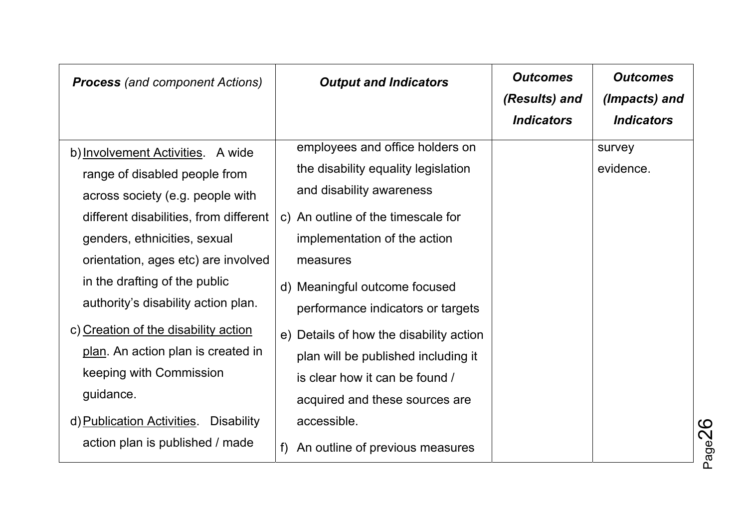| <b>Process</b> (and component Actions)                                                                                                                                                                                                                                                                                                                                                                                | <b>Output and Indicators</b>                                                                                                                                                                                                                                                                                                                                                                                     | <b>Outcomes</b><br>(Results) and<br><i><b>Indicators</b></i> | <b>Outcomes</b><br>(Impacts) and<br><i><b>Indicators</b></i> |                                |
|-----------------------------------------------------------------------------------------------------------------------------------------------------------------------------------------------------------------------------------------------------------------------------------------------------------------------------------------------------------------------------------------------------------------------|------------------------------------------------------------------------------------------------------------------------------------------------------------------------------------------------------------------------------------------------------------------------------------------------------------------------------------------------------------------------------------------------------------------|--------------------------------------------------------------|--------------------------------------------------------------|--------------------------------|
| b) Involvement Activities. A wide<br>range of disabled people from<br>across society (e.g. people with<br>different disabilities, from different<br>genders, ethnicities, sexual<br>orientation, ages etc) are involved<br>in the drafting of the public<br>authority's disability action plan.<br>c) Creation of the disability action<br>plan. An action plan is created in<br>keeping with Commission<br>guidance. | employees and office holders on<br>the disability equality legislation<br>and disability awareness<br>c) An outline of the timescale for<br>implementation of the action<br>measures<br>d) Meaningful outcome focused<br>performance indicators or targets<br>e) Details of how the disability action<br>plan will be published including it<br>is clear how it can be found /<br>acquired and these sources are |                                                              | survey<br>evidence.                                          |                                |
| d) Publication Activities. Disability<br>action plan is published / made                                                                                                                                                                                                                                                                                                                                              | accessible.<br>An outline of previous measures<br>f                                                                                                                                                                                                                                                                                                                                                              |                                                              |                                                              | $\boldsymbol{\omega}$<br>Page2 |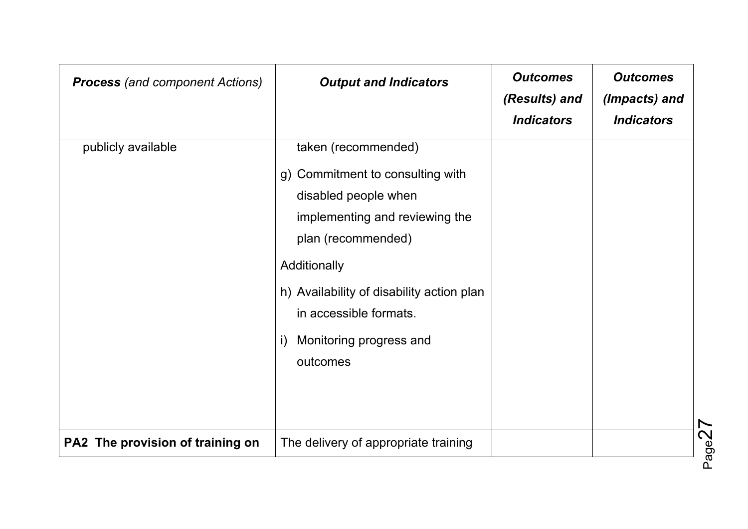| <b>Process</b> (and component Actions) | <b>Output and Indicators</b>                                                                                                                                                                                                                                                | <b>Outcomes</b><br>(Results) and<br><b>Indicators</b> | <b>Outcomes</b><br>(Impacts) and<br><b>Indicators</b> |
|----------------------------------------|-----------------------------------------------------------------------------------------------------------------------------------------------------------------------------------------------------------------------------------------------------------------------------|-------------------------------------------------------|-------------------------------------------------------|
| publicly available                     | taken (recommended)<br>g) Commitment to consulting with<br>disabled people when<br>implementing and reviewing the<br>plan (recommended)<br>Additionally<br>h) Availability of disability action plan<br>in accessible formats.<br>Monitoring progress and<br>i)<br>outcomes |                                                       |                                                       |
| PA2 The provision of training on       | The delivery of appropriate training                                                                                                                                                                                                                                        |                                                       |                                                       |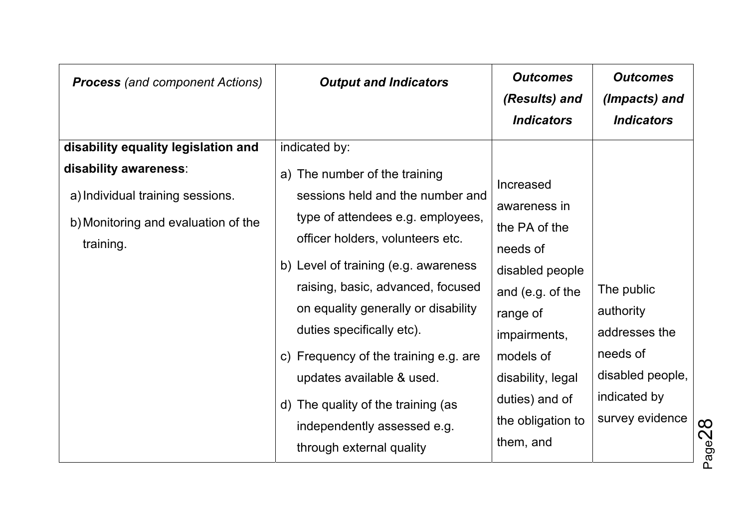| <b>Process</b> (and component Actions)                                                                                                               | <b>Output and Indicators</b>                                                                                                                                                                                                                                                                                                                                                                                                                            | <b>Outcomes</b><br>(Results) and<br><b>Indicators</b>                                                                                                                                              | <b>Outcomes</b><br>(Impacts) and<br><b>Indicators</b>                                                       |
|------------------------------------------------------------------------------------------------------------------------------------------------------|---------------------------------------------------------------------------------------------------------------------------------------------------------------------------------------------------------------------------------------------------------------------------------------------------------------------------------------------------------------------------------------------------------------------------------------------------------|----------------------------------------------------------------------------------------------------------------------------------------------------------------------------------------------------|-------------------------------------------------------------------------------------------------------------|
| disability equality legislation and<br>disability awareness:<br>a) Individual training sessions.<br>b) Monitoring and evaluation of the<br>training. | indicated by:<br>a) The number of the training<br>sessions held and the number and<br>type of attendees e.g. employees,<br>officer holders, volunteers etc.<br>b) Level of training (e.g. awareness<br>raising, basic, advanced, focused<br>on equality generally or disability<br>duties specifically etc).<br>c) Frequency of the training e.g. are<br>updates available & used.<br>d) The quality of the training (as<br>independently assessed e.g. | Increased<br>awareness in<br>the PA of the<br>needs of<br>disabled people<br>and (e.g. of the<br>range of<br>impairments,<br>models of<br>disability, legal<br>duties) and of<br>the obligation to | The public<br>authority<br>addresses the<br>needs of<br>disabled people,<br>indicated by<br>survey evidence |
|                                                                                                                                                      | through external quality                                                                                                                                                                                                                                                                                                                                                                                                                                | them, and                                                                                                                                                                                          |                                                                                                             |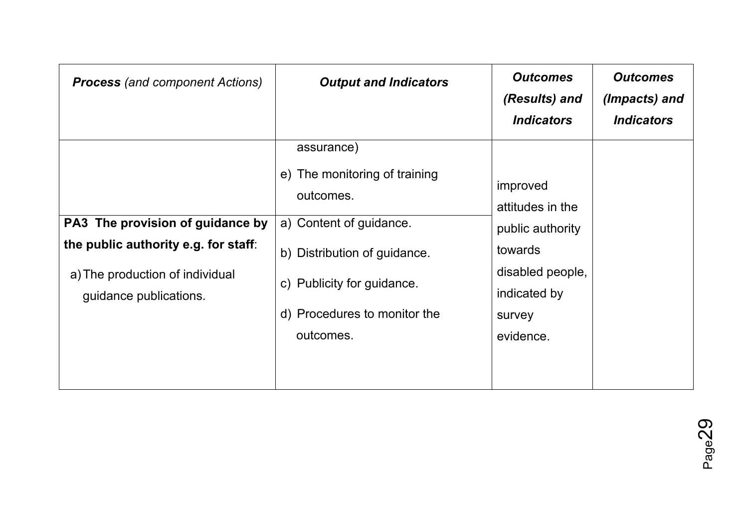| <b>Process</b> (and component Actions)                    | <b>Output and Indicators</b>               | <b>Outcomes</b><br>(Results) and<br><b>Indicators</b>                                           | <b>Outcomes</b><br>(Impacts) and<br><b>Indicators</b> |
|-----------------------------------------------------------|--------------------------------------------|-------------------------------------------------------------------------------------------------|-------------------------------------------------------|
|                                                           | assurance)                                 |                                                                                                 |                                                       |
|                                                           | e) The monitoring of training<br>outcomes. | improved<br>attitudes in the<br>public authority<br>towards<br>disabled people,<br>indicated by |                                                       |
| PA3 The provision of guidance by                          | a) Content of guidance.                    |                                                                                                 |                                                       |
| the public authority e.g. for staff:                      | b) Distribution of guidance.               |                                                                                                 |                                                       |
| a) The production of individual<br>guidance publications. | c) Publicity for guidance.                 |                                                                                                 |                                                       |
|                                                           | d) Procedures to monitor the               | survey                                                                                          |                                                       |
|                                                           | outcomes.                                  | evidence.                                                                                       |                                                       |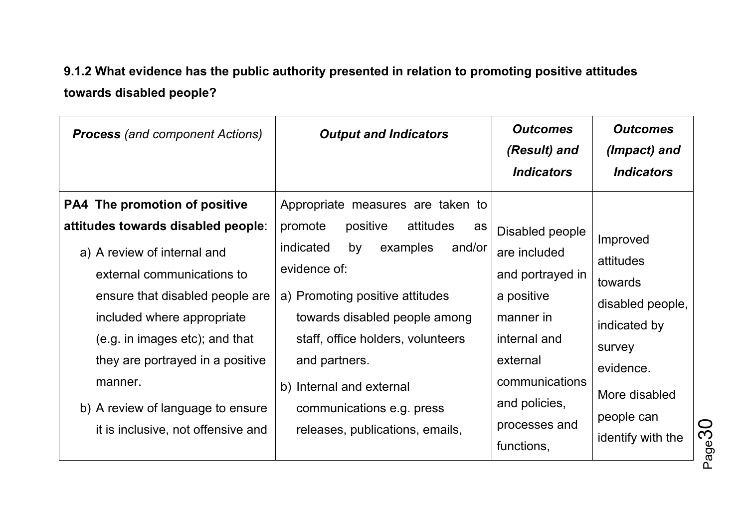# **9.1.2 What evidence has the public authority presented in relation to promoting positive attitudes towards disabled people?**

| <b>Process</b> (and component Actions)                                                                                                                                                                                                                                                                                                                               | <b>Output and Indicators</b>                                                                                                                                                                                                                                                                                                                               | <b>Outcomes</b><br>(Result) and<br><b>Indicators</b>                                                                                                                         | <b>Outcomes</b><br>(Impact) and<br><b>Indicators</b>                                                                                            |
|----------------------------------------------------------------------------------------------------------------------------------------------------------------------------------------------------------------------------------------------------------------------------------------------------------------------------------------------------------------------|------------------------------------------------------------------------------------------------------------------------------------------------------------------------------------------------------------------------------------------------------------------------------------------------------------------------------------------------------------|------------------------------------------------------------------------------------------------------------------------------------------------------------------------------|-------------------------------------------------------------------------------------------------------------------------------------------------|
| <b>PA4 The promotion of positive</b><br>attitudes towards disabled people:<br>a) A review of internal and<br>external communications to<br>ensure that disabled people are<br>included where appropriate<br>(e.g. in images etc); and that<br>they are portrayed in a positive<br>manner.<br>b) A review of language to ensure<br>it is inclusive, not offensive and | Appropriate measures are taken to<br>positive<br>attitudes<br>promote<br>as<br>indicated<br>by<br>examples<br>and/or<br>evidence of:<br>a) Promoting positive attitudes<br>towards disabled people among<br>staff, office holders, volunteers<br>and partners.<br>b) Internal and external<br>communications e.g. press<br>releases, publications, emails, | Disabled people<br>are included<br>and portrayed in<br>a positive<br>manner in<br>internal and<br>external<br>communications<br>and policies,<br>processes and<br>functions, | Improved<br>attitudes<br>towards<br>disabled people,<br>indicated by<br>survey<br>evidence.<br>More disabled<br>people can<br>identify with the |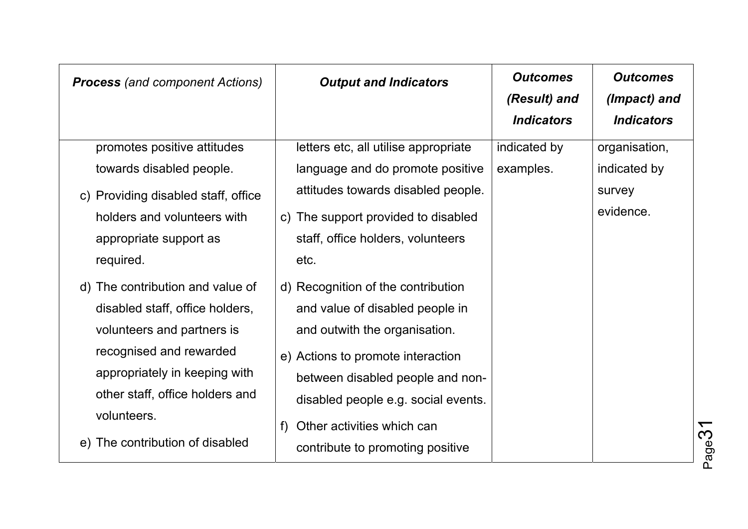| <b>Process</b> (and component Actions) | <b>Output and Indicators</b>         | <b>Outcomes</b><br>(Result) and | <b>Outcomes</b><br>(Impact) and |
|----------------------------------------|--------------------------------------|---------------------------------|---------------------------------|
|                                        |                                      | <b>Indicators</b>               | <b>Indicators</b>               |
| promotes positive attitudes            | letters etc, all utilise appropriate | indicated by                    | organisation,                   |
| towards disabled people.               | language and do promote positive     | examples.                       | indicated by                    |
| c) Providing disabled staff, office    | attitudes towards disabled people.   |                                 | survey                          |
| holders and volunteers with            | c) The support provided to disabled  |                                 | evidence.                       |
| appropriate support as                 | staff, office holders, volunteers    |                                 |                                 |
| required.                              | etc.                                 |                                 |                                 |
| d) The contribution and value of       | d) Recognition of the contribution   |                                 |                                 |
| disabled staff, office holders,        | and value of disabled people in      |                                 |                                 |
| volunteers and partners is             | and outwith the organisation.        |                                 |                                 |
| recognised and rewarded                | e) Actions to promote interaction    |                                 |                                 |
| appropriately in keeping with          | between disabled people and non-     |                                 |                                 |
| other staff, office holders and        | disabled people e.g. social events.  |                                 |                                 |
| volunteers.                            | Other activities which can<br>f      |                                 |                                 |
| e) The contribution of disabled        | contribute to promoting positive     |                                 |                                 |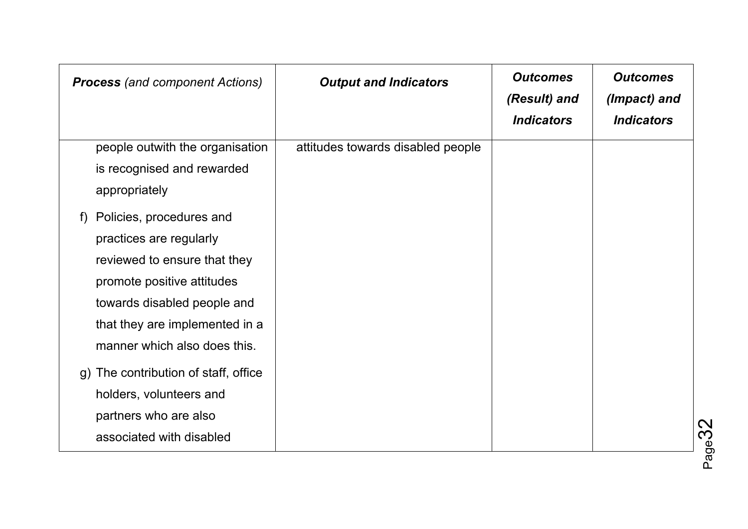| <b>Process</b> (and component Actions)                                                                                                                                                                                  | <b>Output and Indicators</b>      | <b>Outcomes</b><br>(Result) and<br><b>Indicators</b> | <b>Outcomes</b><br>(Impact) and<br><b>Indicators</b> |
|-------------------------------------------------------------------------------------------------------------------------------------------------------------------------------------------------------------------------|-----------------------------------|------------------------------------------------------|------------------------------------------------------|
| people outwith the organisation<br>is recognised and rewarded<br>appropriately                                                                                                                                          | attitudes towards disabled people |                                                      |                                                      |
| Policies, procedures and<br>f<br>practices are regularly<br>reviewed to ensure that they<br>promote positive attitudes<br>towards disabled people and<br>that they are implemented in a<br>manner which also does this. |                                   |                                                      |                                                      |
| g) The contribution of staff, office<br>holders, volunteers and<br>partners who are also<br>associated with disabled                                                                                                    |                                   |                                                      |                                                      |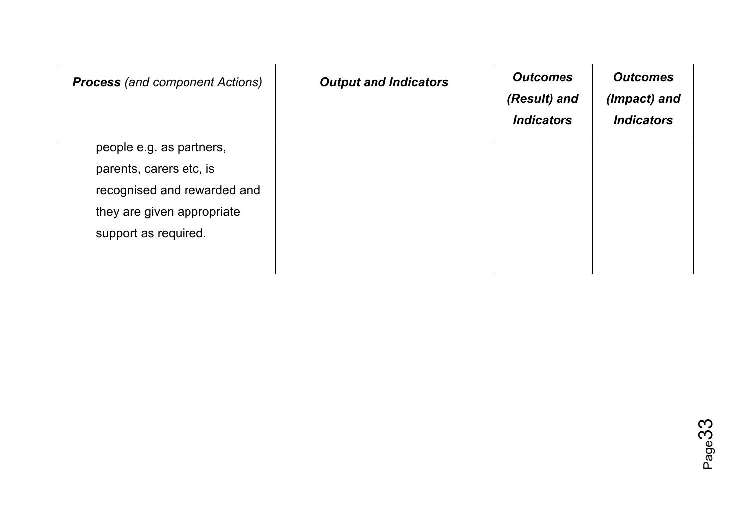| <b>Process</b> (and component Actions) | <b>Output and Indicators</b> | <b>Outcomes</b><br>(Result) and<br><b>Indicators</b> | <b>Outcomes</b><br>(Impact) and<br><b>Indicators</b> |
|----------------------------------------|------------------------------|------------------------------------------------------|------------------------------------------------------|
| people e.g. as partners,               |                              |                                                      |                                                      |
| parents, carers etc, is                |                              |                                                      |                                                      |
| recognised and rewarded and            |                              |                                                      |                                                      |
| they are given appropriate             |                              |                                                      |                                                      |
| support as required.                   |                              |                                                      |                                                      |
|                                        |                              |                                                      |                                                      |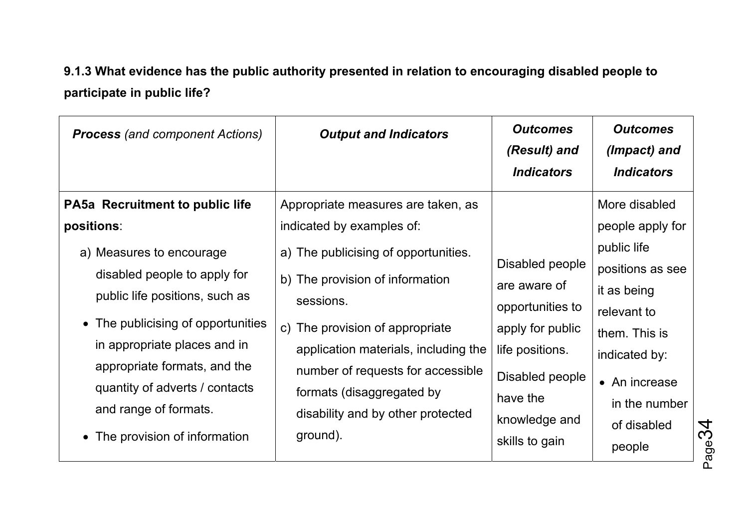# **9.1.3 What evidence has the public authority presented in relation to encouraging disabled people to participate in public life?**

| <b>Process</b> (and component Actions)                                                                                                                                                                                                                                                        | <b>Output and Indicators</b>                                                                                                                                                                                                                                                       | <b>Outcomes</b><br>(Result) and<br><i><b>Indicators</b></i>                                                                                                  | <b>Outcomes</b><br>(Impact) and<br><i><b>Indicators</b></i>                                                                                                |
|-----------------------------------------------------------------------------------------------------------------------------------------------------------------------------------------------------------------------------------------------------------------------------------------------|------------------------------------------------------------------------------------------------------------------------------------------------------------------------------------------------------------------------------------------------------------------------------------|--------------------------------------------------------------------------------------------------------------------------------------------------------------|------------------------------------------------------------------------------------------------------------------------------------------------------------|
| PA5a Recruitment to public life<br>positions:                                                                                                                                                                                                                                                 | Appropriate measures are taken, as<br>indicated by examples of:                                                                                                                                                                                                                    |                                                                                                                                                              | More disabled<br>people apply for                                                                                                                          |
| a) Measures to encourage<br>disabled people to apply for<br>public life positions, such as<br>• The publicising of opportunities<br>in appropriate places and in<br>appropriate formats, and the<br>quantity of adverts / contacts<br>and range of formats.<br>• The provision of information | a) The publicising of opportunities.<br>b) The provision of information<br>sessions.<br>c) The provision of appropriate<br>application materials, including the<br>number of requests for accessible<br>formats (disaggregated by<br>disability and by other protected<br>ground). | Disabled people<br>are aware of<br>opportunities to<br>apply for public<br>life positions.<br>Disabled people<br>have the<br>knowledge and<br>skills to gain | public life<br>positions as see<br>it as being<br>relevant to<br>them. This is<br>indicated by:<br>• An increase<br>in the number<br>of disabled<br>people |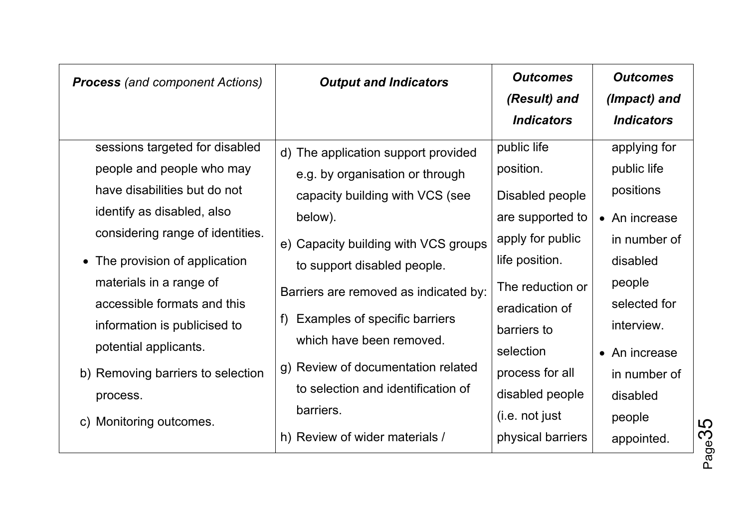| <b>Process</b> (and component Actions)                                                                                                                                                                                                                                                                                                                                                              | <b>Output and Indicators</b>                                                                                                                                                                                                                                                                                                                                                                                                 | <b>Outcomes</b><br>(Result) and<br><b>Indicators</b>                                                                                                                                                                                                 | <b>Outcomes</b><br>(Impact) and<br><i><b>Indicators</b></i>                                                                                                                                        |
|-----------------------------------------------------------------------------------------------------------------------------------------------------------------------------------------------------------------------------------------------------------------------------------------------------------------------------------------------------------------------------------------------------|------------------------------------------------------------------------------------------------------------------------------------------------------------------------------------------------------------------------------------------------------------------------------------------------------------------------------------------------------------------------------------------------------------------------------|------------------------------------------------------------------------------------------------------------------------------------------------------------------------------------------------------------------------------------------------------|----------------------------------------------------------------------------------------------------------------------------------------------------------------------------------------------------|
| sessions targeted for disabled<br>people and people who may<br>have disabilities but do not<br>identify as disabled, also<br>considering range of identities.<br>• The provision of application<br>materials in a range of<br>accessible formats and this<br>f<br>information is publicised to<br>potential applicants.<br>b) Removing barriers to selection<br>process.<br>c) Monitoring outcomes. | d) The application support provided<br>e.g. by organisation or through<br>capacity building with VCS (see<br>below).<br>e) Capacity building with VCS groups<br>to support disabled people.<br>Barriers are removed as indicated by:<br>Examples of specific barriers<br>which have been removed.<br>g) Review of documentation related<br>to selection and identification of<br>barriers.<br>h) Review of wider materials / | public life<br>position.<br>Disabled people<br>are supported to<br>apply for public<br>life position.<br>The reduction or<br>eradication of<br>barriers to<br>selection<br>process for all<br>disabled people<br>(i.e. not just<br>physical barriers | applying for<br>public life<br>positions<br>• An increase<br>in number of<br>disabled<br>people<br>selected for<br>interview.<br>• An increase<br>in number of<br>disabled<br>people<br>appointed. |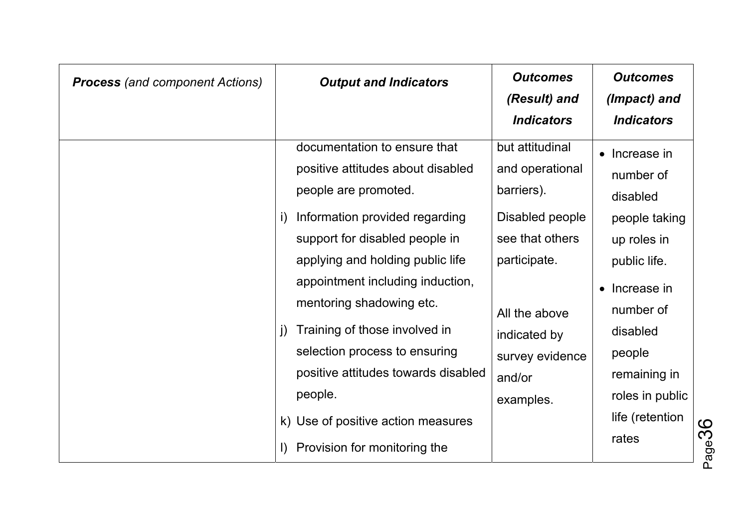| <b>Process</b> (and component Actions) | <b>Output and Indicators</b>                                                                                                                                                                                                                                                                                                                                                                                                                                      | <b>Outcomes</b><br>(Result) and<br><b>Indicators</b>                                                                                                                              | <b>Outcomes</b><br>(Impact) and<br><b>Indicators</b>                                                                                                                                                                 |        |
|----------------------------------------|-------------------------------------------------------------------------------------------------------------------------------------------------------------------------------------------------------------------------------------------------------------------------------------------------------------------------------------------------------------------------------------------------------------------------------------------------------------------|-----------------------------------------------------------------------------------------------------------------------------------------------------------------------------------|----------------------------------------------------------------------------------------------------------------------------------------------------------------------------------------------------------------------|--------|
|                                        | documentation to ensure that<br>positive attitudes about disabled<br>people are promoted.<br>Information provided regarding<br>i)<br>support for disabled people in<br>applying and holding public life<br>appointment including induction,<br>mentoring shadowing etc.<br>Training of those involved in<br>selection process to ensuring<br>positive attitudes towards disabled<br>people.<br>k) Use of positive action measures<br>Provision for monitoring the | but attitudinal<br>and operational<br>barriers).<br>Disabled people<br>see that others<br>participate.<br>All the above<br>indicated by<br>survey evidence<br>and/or<br>examples. | • Increase in<br>number of<br>disabled<br>people taking<br>up roles in<br>public life.<br>Increase in<br>$\bullet$<br>number of<br>disabled<br>people<br>remaining in<br>roles in public<br>life (retention<br>rates | Page36 |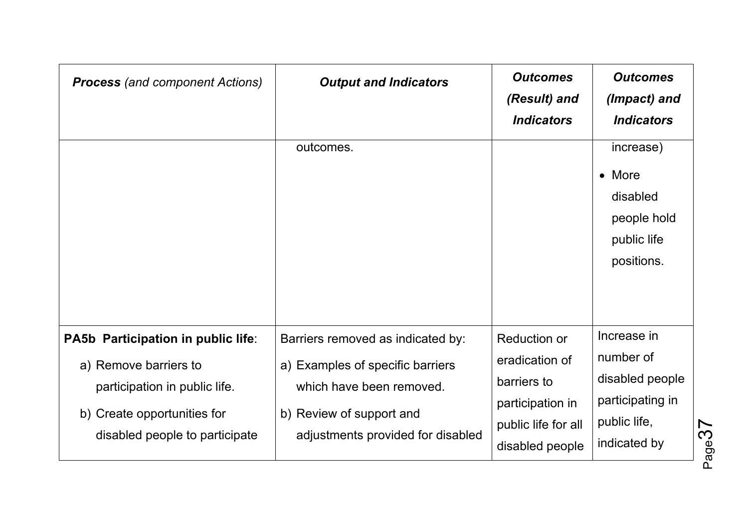| <b>Process</b> (and component Actions)                                                                                                                        | <b>Output and Indicators</b>                                                                                                                                       | <b>Outcomes</b><br>(Result) and<br><b>Indicators</b>                                                               | <b>Outcomes</b><br>(Impact) and<br><b>Indicators</b>                                            |
|---------------------------------------------------------------------------------------------------------------------------------------------------------------|--------------------------------------------------------------------------------------------------------------------------------------------------------------------|--------------------------------------------------------------------------------------------------------------------|-------------------------------------------------------------------------------------------------|
|                                                                                                                                                               | outcomes.                                                                                                                                                          |                                                                                                                    | increase)<br>$\bullet$ More<br>disabled<br>people hold<br>public life<br>positions.             |
| PA5b Participation in public life:<br>a) Remove barriers to<br>participation in public life.<br>b) Create opportunities for<br>disabled people to participate | Barriers removed as indicated by:<br>a) Examples of specific barriers<br>which have been removed.<br>b) Review of support and<br>adjustments provided for disabled | <b>Reduction or</b><br>eradication of<br>barriers to<br>participation in<br>public life for all<br>disabled people | Increase in<br>number of<br>disabled people<br>participating in<br>public life,<br>indicated by |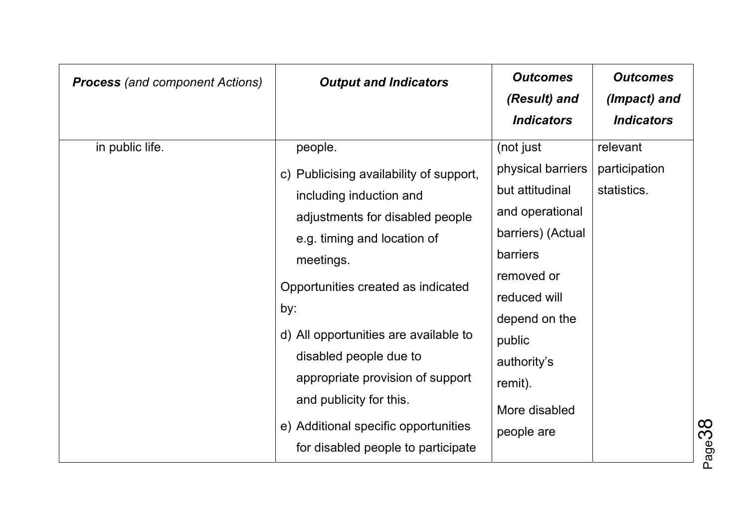| <b>Process</b> (and component Actions) | <b>Output and Indicators</b>                                                                                                                                                                                                                                                                                                                                                                                              | <b>Outcomes</b><br>(Result) and<br><b>Indicators</b>                                                                                                                                                                           | <b>Outcomes</b><br>(Impact) and<br><i><b>Indicators</b></i> |
|----------------------------------------|---------------------------------------------------------------------------------------------------------------------------------------------------------------------------------------------------------------------------------------------------------------------------------------------------------------------------------------------------------------------------------------------------------------------------|--------------------------------------------------------------------------------------------------------------------------------------------------------------------------------------------------------------------------------|-------------------------------------------------------------|
| in public life.                        | people.<br>c) Publicising availability of support,<br>including induction and<br>adjustments for disabled people<br>e.g. timing and location of<br>meetings.<br>Opportunities created as indicated<br>by:<br>d) All opportunities are available to<br>disabled people due to<br>appropriate provision of support<br>and publicity for this.<br>e) Additional specific opportunities<br>for disabled people to participate | (not just<br>physical barriers<br>but attitudinal<br>and operational<br>barriers) (Actual<br><b>barriers</b><br>removed or<br>reduced will<br>depend on the<br>public<br>authority's<br>remit).<br>More disabled<br>people are | relevant<br>participation<br>statistics.                    |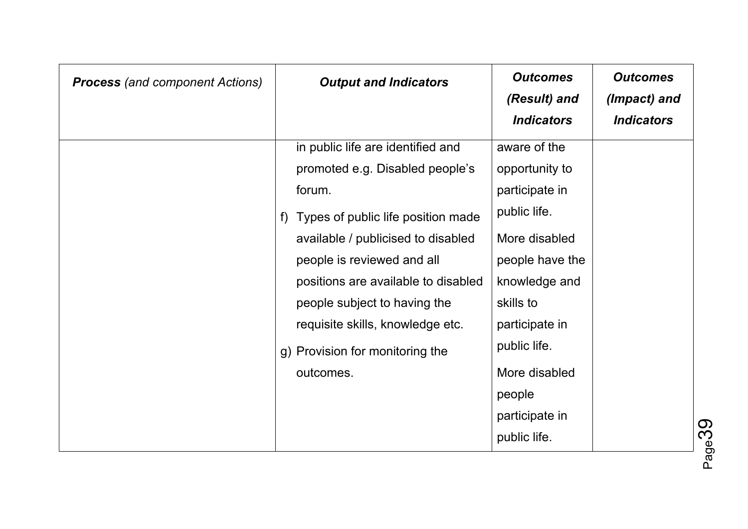| in public life are identified and<br>aware of the<br>promoted e.g. Disabled people's<br>opportunity to<br>forum.<br>participate in<br>public life.<br>Types of public life position made<br>f<br>More disabled<br>available / publicised to disabled<br>people is reviewed and all<br>people have the<br>positions are available to disabled<br>knowledge and<br>people subject to having the<br>skills to<br>requisite skills, knowledge etc.<br>participate in<br>public life.<br>g) Provision for monitoring the<br>More disabled<br>outcomes. | <b>Process</b> (and component Actions) | <b>Output and Indicators</b> | <b>Outcomes</b><br>(Result) and<br><b>Indicators</b> | <b>Outcomes</b><br>(Impact) and<br><b>Indicators</b> |  |
|---------------------------------------------------------------------------------------------------------------------------------------------------------------------------------------------------------------------------------------------------------------------------------------------------------------------------------------------------------------------------------------------------------------------------------------------------------------------------------------------------------------------------------------------------|----------------------------------------|------------------------------|------------------------------------------------------|------------------------------------------------------|--|
|                                                                                                                                                                                                                                                                                                                                                                                                                                                                                                                                                   |                                        |                              |                                                      |                                                      |  |
| people<br>participate in                                                                                                                                                                                                                                                                                                                                                                                                                                                                                                                          |                                        |                              |                                                      |                                                      |  |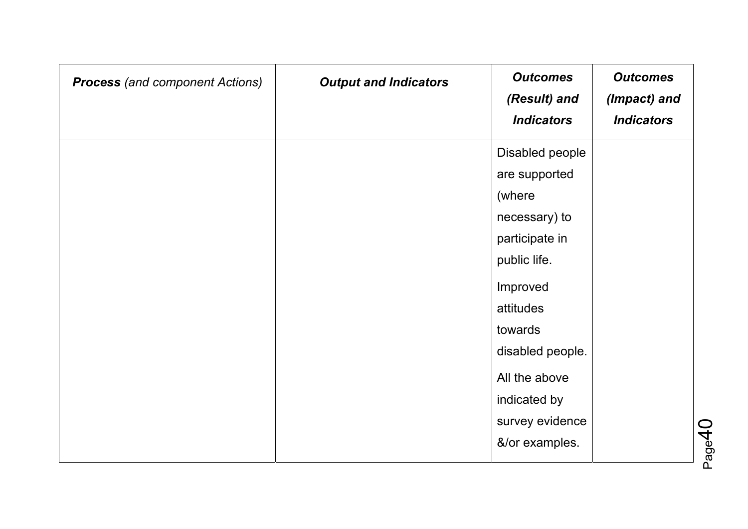| <b>Process</b> (and component Actions) | <b>Output and Indicators</b> | <b>Outcomes</b><br>(Result) and<br><b>Indicators</b> | <b>Outcomes</b><br>(Impact) and<br><b>Indicators</b> |
|----------------------------------------|------------------------------|------------------------------------------------------|------------------------------------------------------|
|                                        |                              | Disabled people                                      |                                                      |
|                                        |                              | are supported                                        |                                                      |
|                                        |                              | (where                                               |                                                      |
|                                        |                              | necessary) to                                        |                                                      |
|                                        |                              | participate in                                       |                                                      |
|                                        |                              | public life.                                         |                                                      |
|                                        |                              | Improved                                             |                                                      |
|                                        |                              | attitudes                                            |                                                      |
|                                        |                              | towards                                              |                                                      |
|                                        |                              | disabled people.                                     |                                                      |
|                                        |                              | All the above                                        |                                                      |
|                                        |                              | indicated by                                         |                                                      |
|                                        |                              | survey evidence                                      |                                                      |
|                                        |                              | &/or examples.                                       | Page40                                               |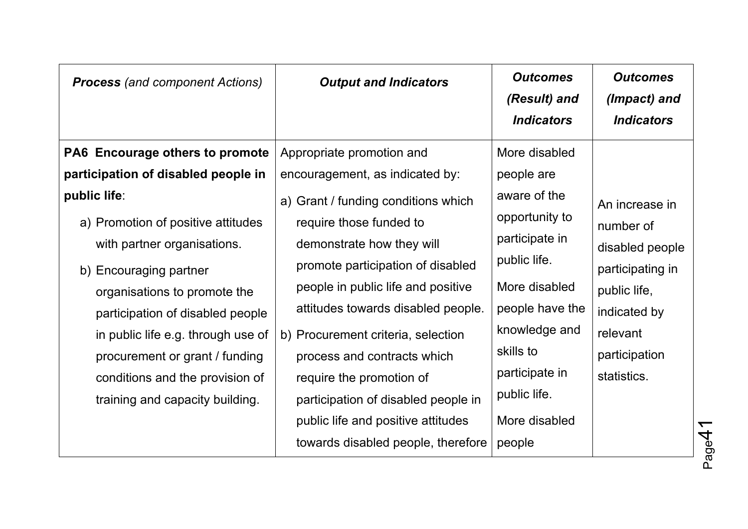| <b>Process</b> (and component Actions)                                                                                                                                                                                                                                                                                        | <b>Output and Indicators</b>                                                                                                                                                                                                                                                                                                                                                                                                     | <b>Outcomes</b><br>(Result) and<br><b>Indicators</b>                                                                                                                                            | <b>Outcomes</b><br>(Impact) and<br><b>Indicators</b>                                                                                           |
|-------------------------------------------------------------------------------------------------------------------------------------------------------------------------------------------------------------------------------------------------------------------------------------------------------------------------------|----------------------------------------------------------------------------------------------------------------------------------------------------------------------------------------------------------------------------------------------------------------------------------------------------------------------------------------------------------------------------------------------------------------------------------|-------------------------------------------------------------------------------------------------------------------------------------------------------------------------------------------------|------------------------------------------------------------------------------------------------------------------------------------------------|
| PA6 Encourage others to promote                                                                                                                                                                                                                                                                                               | Appropriate promotion and                                                                                                                                                                                                                                                                                                                                                                                                        | More disabled                                                                                                                                                                                   |                                                                                                                                                |
| participation of disabled people in                                                                                                                                                                                                                                                                                           | encouragement, as indicated by:                                                                                                                                                                                                                                                                                                                                                                                                  | people are                                                                                                                                                                                      |                                                                                                                                                |
| public life:<br>a) Promotion of positive attitudes<br>with partner organisations.<br>b) Encouraging partner<br>organisations to promote the<br>participation of disabled people<br>in public life e.g. through use of<br>procurement or grant / funding<br>conditions and the provision of<br>training and capacity building. | a) Grant / funding conditions which<br>require those funded to<br>demonstrate how they will<br>promote participation of disabled<br>people in public life and positive<br>attitudes towards disabled people.<br>b) Procurement criteria, selection<br>process and contracts which<br>require the promotion of<br>participation of disabled people in<br>public life and positive attitudes<br>towards disabled people, therefore | aware of the<br>opportunity to<br>participate in<br>public life.<br>More disabled<br>people have the<br>knowledge and<br>skills to<br>participate in<br>public life.<br>More disabled<br>people | An increase in<br>number of<br>disabled people<br>participating in<br>public life,<br>indicated by<br>relevant<br>participation<br>statistics. |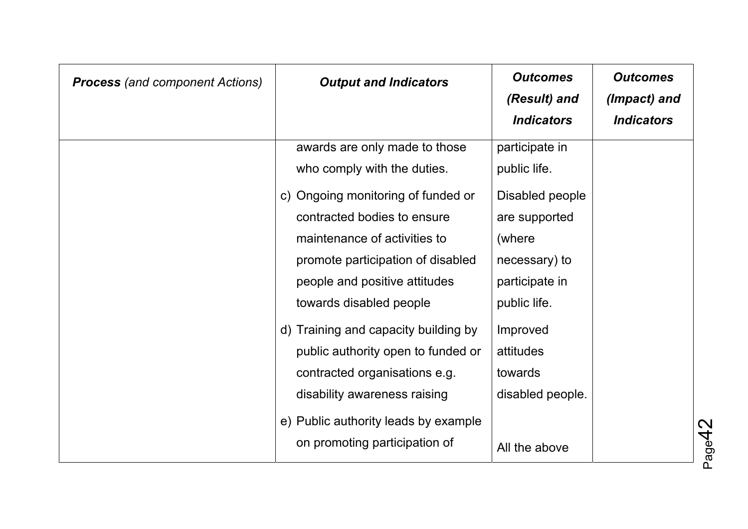| <b>Process</b> (and component Actions) | <b>Output and Indicators</b>         | <b>Outcomes</b><br>(Result) and | <b>Outcomes</b><br>(Impact) and |
|----------------------------------------|--------------------------------------|---------------------------------|---------------------------------|
|                                        |                                      | <b>Indicators</b>               | <i><b>Indicators</b></i>        |
|                                        | awards are only made to those        | participate in                  |                                 |
|                                        | who comply with the duties.          | public life.                    |                                 |
|                                        | c) Ongoing monitoring of funded or   | Disabled people                 |                                 |
|                                        | contracted bodies to ensure          | are supported                   |                                 |
|                                        | maintenance of activities to         | (where                          |                                 |
|                                        | promote participation of disabled    | necessary) to                   |                                 |
|                                        | people and positive attitudes        | participate in                  |                                 |
|                                        | towards disabled people              | public life.                    |                                 |
|                                        | d) Training and capacity building by | Improved                        |                                 |
|                                        | public authority open to funded or   | attitudes                       |                                 |
|                                        | contracted organisations e.g.        | towards                         |                                 |
|                                        | disability awareness raising         | disabled people.                |                                 |
|                                        | e) Public authority leads by example |                                 |                                 |
|                                        | on promoting participation of        | All the above                   |                                 |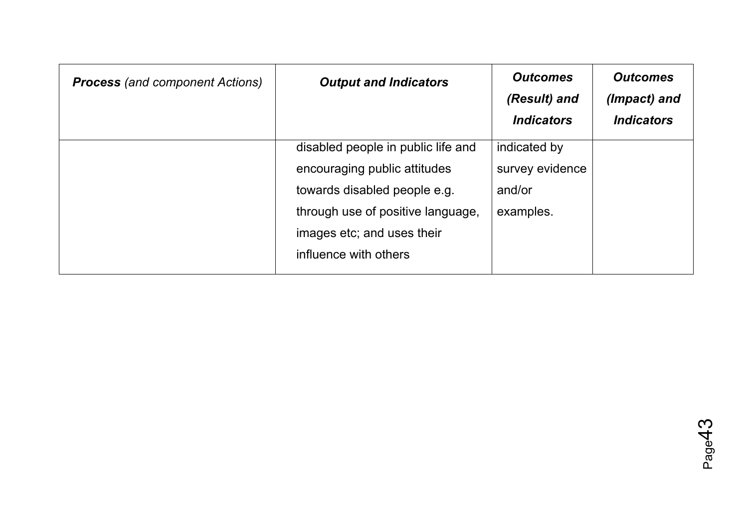| <b>Process</b> (and component Actions) | <b>Output and Indicators</b>       | <b>Outcomes</b><br>(Result) and<br><b>Indicators</b> | <b>Outcomes</b><br>(Impact) and<br><b>Indicators</b> |
|----------------------------------------|------------------------------------|------------------------------------------------------|------------------------------------------------------|
|                                        | disabled people in public life and | indicated by                                         |                                                      |
|                                        | encouraging public attitudes       | survey evidence                                      |                                                      |
|                                        | towards disabled people e.g.       | and/or                                               |                                                      |
|                                        | through use of positive language,  | examples.                                            |                                                      |
|                                        | images etc; and uses their         |                                                      |                                                      |
|                                        | influence with others              |                                                      |                                                      |
|                                        |                                    |                                                      |                                                      |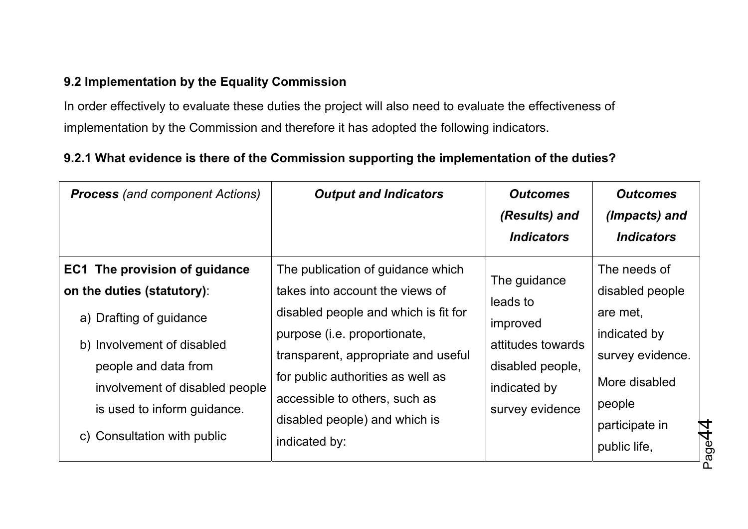#### **9.2 Implementation by the Equality Commission**

In order effectively to evaluate these duties the project will also need to evaluate the effectiveness of implementation by the Commission and therefore it has adopted the following indicators.

#### **9.2.1 What evidence is there of the Commission supporting the implementation of the duties?**

| <b>Process</b> (and component Actions)                                                                                                                                                                                                              | <b>Output and Indicators</b>                                                                                                                                                                                                                                                                                | <b>Outcomes</b><br>(Results) and<br><i><u><b>Indicators</b></u></i>                                              | <b>Outcomes</b><br>(Impacts) and<br><i><b>Indicators</b></i>                                                                                 |
|-----------------------------------------------------------------------------------------------------------------------------------------------------------------------------------------------------------------------------------------------------|-------------------------------------------------------------------------------------------------------------------------------------------------------------------------------------------------------------------------------------------------------------------------------------------------------------|------------------------------------------------------------------------------------------------------------------|----------------------------------------------------------------------------------------------------------------------------------------------|
| <b>EC1 The provision of guidance</b><br>on the duties (statutory):<br>a) Drafting of guidance<br>b) Involvement of disabled<br>people and data from<br>involvement of disabled people<br>is used to inform guidance.<br>c) Consultation with public | The publication of guidance which<br>takes into account the views of<br>disabled people and which is fit for<br>purpose (i.e. proportionate,<br>transparent, appropriate and useful<br>for public authorities as well as<br>accessible to others, such as<br>disabled people) and which is<br>indicated by: | The guidance<br>leads to<br>improved<br>attitudes towards<br>disabled people,<br>indicated by<br>survey evidence | The needs of<br>disabled people<br>are met.<br>indicated by<br>survey evidence.<br>More disabled<br>people<br>participate in<br>public life, |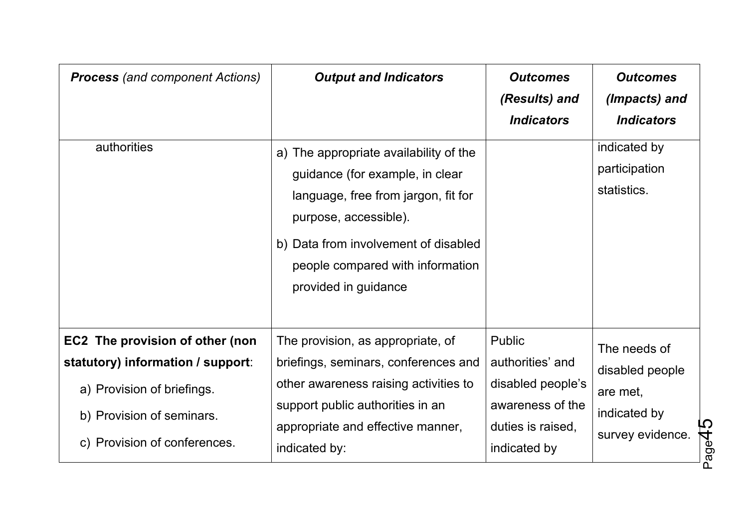| <b>Process</b> (and component Actions)                                                                                                                          | <b>Output and Indicators</b>                                                                                                                                                                                                                  | <b>Outcomes</b><br>(Results) and<br><b>Indicators</b>                                                    | <b>Outcomes</b><br>(Impacts) and<br><b>Indicators</b>                           |                    |
|-----------------------------------------------------------------------------------------------------------------------------------------------------------------|-----------------------------------------------------------------------------------------------------------------------------------------------------------------------------------------------------------------------------------------------|----------------------------------------------------------------------------------------------------------|---------------------------------------------------------------------------------|--------------------|
| authorities                                                                                                                                                     | a) The appropriate availability of the<br>guidance (for example, in clear<br>language, free from jargon, fit for<br>purpose, accessible).<br>b) Data from involvement of disabled<br>people compared with information<br>provided in guidance |                                                                                                          | indicated by<br>participation<br>statistics.                                    |                    |
| EC2 The provision of other (non<br>statutory) information / support:<br>a) Provision of briefings.<br>b) Provision of seminars.<br>c) Provision of conferences. | The provision, as appropriate, of<br>briefings, seminars, conferences and<br>other awareness raising activities to<br>support public authorities in an<br>appropriate and effective manner,<br>indicated by:                                  | Public<br>authorities' and<br>disabled people's<br>awareness of the<br>duties is raised,<br>indicated by | The needs of<br>disabled people<br>are met.<br>indicated by<br>survey evidence. | $P_{\text{age}}45$ |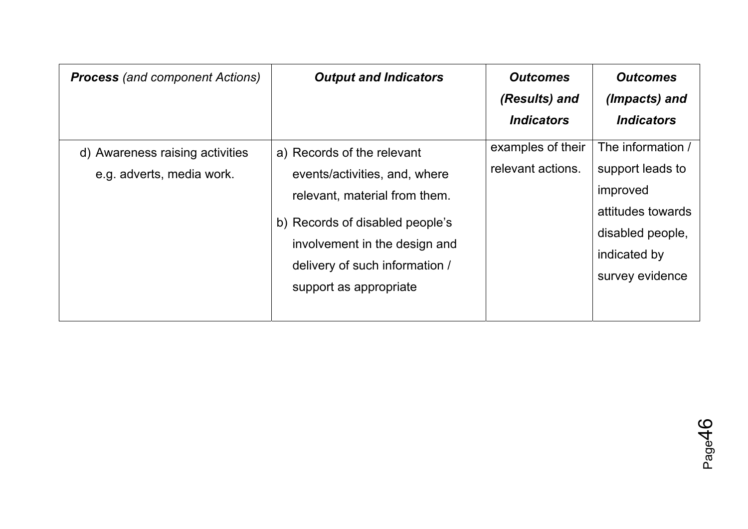| <b>Process</b> (and component Actions)                       | <b>Output and Indicators</b>                                                                                                                                                                                                 | <b>Outcomes</b><br>(Results) and<br><i><u><b>Indicators</b></u></i> | <b>Outcomes</b><br>(Impacts) and<br><i><b>Indicators</b></i>                                                                  |
|--------------------------------------------------------------|------------------------------------------------------------------------------------------------------------------------------------------------------------------------------------------------------------------------------|---------------------------------------------------------------------|-------------------------------------------------------------------------------------------------------------------------------|
| d) Awareness raising activities<br>e.g. adverts, media work. | a) Records of the relevant<br>events/activities, and, where<br>relevant, material from them.<br>b) Records of disabled people's<br>involvement in the design and<br>delivery of such information /<br>support as appropriate | examples of their<br>relevant actions.                              | The information /<br>support leads to<br>improved<br>attitudes towards<br>disabled people,<br>indicated by<br>survey evidence |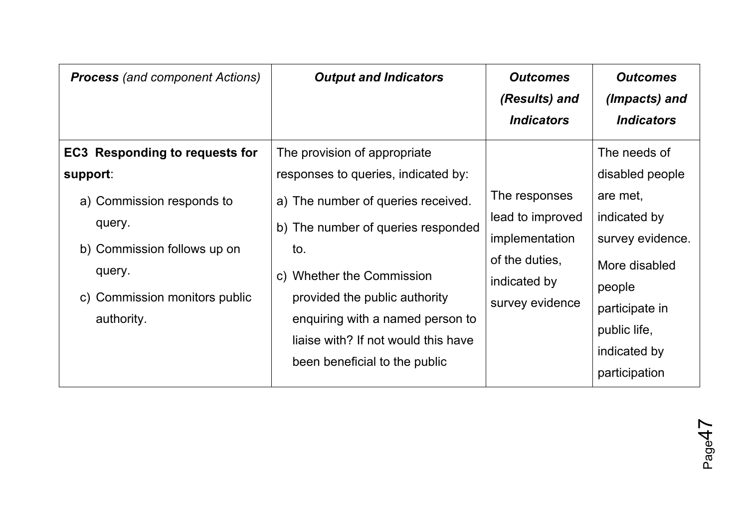| <b>Process</b> (and component Actions)                                                                                                                                           | <b>Output and Indicators</b>                                                                                                                                                                                                                             | <b>Outcomes</b><br>(Results) and<br><i><b>Indicators</b></i>                                             | <b>Outcomes</b><br>(Impacts) and<br><i><b>Indicators</b></i>                                                                 |
|----------------------------------------------------------------------------------------------------------------------------------------------------------------------------------|----------------------------------------------------------------------------------------------------------------------------------------------------------------------------------------------------------------------------------------------------------|----------------------------------------------------------------------------------------------------------|------------------------------------------------------------------------------------------------------------------------------|
| <b>EC3</b> Responding to requests for<br>support:<br>a) Commission responds to<br>query.<br>b) Commission follows up on<br>query.<br>c) Commission monitors public<br>authority. | The provision of appropriate<br>responses to queries, indicated by:<br>a) The number of queries received.<br>b) The number of queries responded<br>to.<br>c) Whether the Commission<br>provided the public authority<br>enquiring with a named person to | The responses<br>lead to improved<br>implementation<br>of the duties,<br>indicated by<br>survey evidence | The needs of<br>disabled people<br>are met,<br>indicated by<br>survey evidence.<br>More disabled<br>people<br>participate in |
|                                                                                                                                                                                  | liaise with? If not would this have<br>been beneficial to the public                                                                                                                                                                                     |                                                                                                          | public life,<br>indicated by<br>participation                                                                                |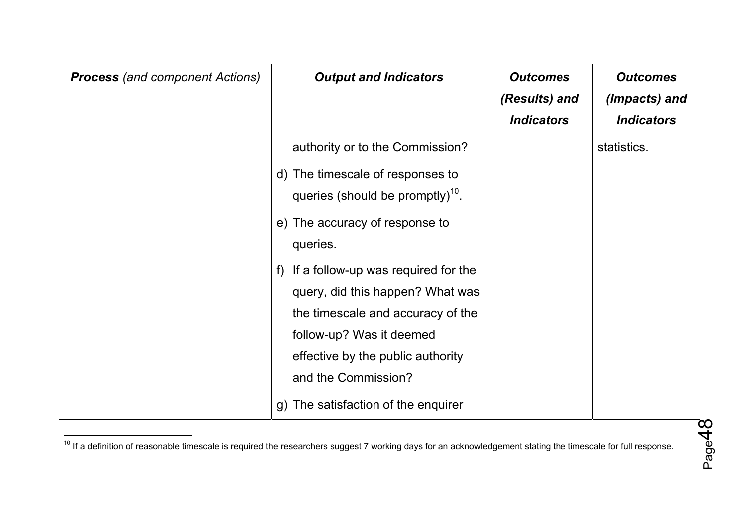| <b>Process</b> (and component Actions) | <b>Output and Indicators</b>                                                                                                                                                                                                                                                                                                                                                                                    | <b>Outcomes</b><br>(Results) and<br><b>Indicators</b> | <b>Outcomes</b><br>(Impacts) and<br><b>Indicators</b> |
|----------------------------------------|-----------------------------------------------------------------------------------------------------------------------------------------------------------------------------------------------------------------------------------------------------------------------------------------------------------------------------------------------------------------------------------------------------------------|-------------------------------------------------------|-------------------------------------------------------|
|                                        | authority or to the Commission?<br>d) The timescale of responses to<br>queries (should be promptly) $^{10}$ .<br>e) The accuracy of response to<br>queries.<br>If a follow-up was required for the<br>f<br>query, did this happen? What was<br>the timescale and accuracy of the<br>follow-up? Was it deemed<br>effective by the public authority<br>and the Commission?<br>g) The satisfaction of the enquirer |                                                       | statistics.                                           |

 $\frac{10}{10}$  If a definition of reasonable timescale is required the researchers suggest 7 working days for an acknowledgement stating the timescale for full response.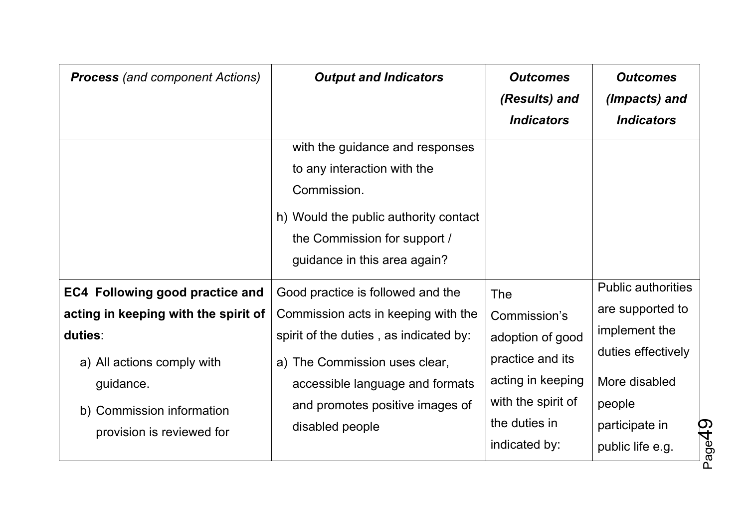| <b>Process</b> (and component Actions)                                                                                                                                                         | <b>Output and Indicators</b>                                                                                                                                                                                                                 | <b>Outcomes</b><br>(Results) and<br><b>Indicators</b>                                                                                           | <b>Outcomes</b><br>(Impacts) and<br><b>Indicators</b>                                                                                                                         |
|------------------------------------------------------------------------------------------------------------------------------------------------------------------------------------------------|----------------------------------------------------------------------------------------------------------------------------------------------------------------------------------------------------------------------------------------------|-------------------------------------------------------------------------------------------------------------------------------------------------|-------------------------------------------------------------------------------------------------------------------------------------------------------------------------------|
|                                                                                                                                                                                                | with the guidance and responses<br>to any interaction with the<br>Commission.<br>h) Would the public authority contact<br>the Commission for support /<br>guidance in this area again?                                                       |                                                                                                                                                 |                                                                                                                                                                               |
| <b>EC4 Following good practice and</b><br>acting in keeping with the spirit of<br>duties:<br>a) All actions comply with<br>guidance.<br>b) Commission information<br>provision is reviewed for | Good practice is followed and the<br>Commission acts in keeping with the<br>spirit of the duties, as indicated by:<br>a) The Commission uses clear,<br>accessible language and formats<br>and promotes positive images of<br>disabled people | <b>The</b><br>Commission's<br>adoption of good<br>practice and its<br>acting in keeping<br>with the spirit of<br>the duties in<br>indicated by: | <b>Public authorities</b><br>are supported to<br>implement the<br>duties effectively<br>More disabled<br>people<br>participate in<br>Page $\overline{49}$<br>public life e.g. |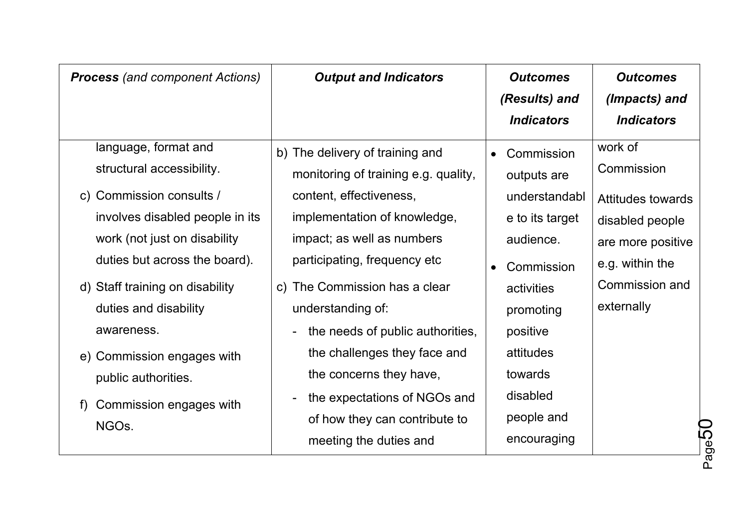| <b>Process</b> (and component Actions)                                                                                                                                                                                                                                                                                                                                 | <b>Output and Indicators</b>                                                                                                                                                                                                                                                                                                                                                                                                                                                         | <b>Outcomes</b><br>(Results) and<br><i><b>Indicators</b></i>                                                                                                                                                  | <b>Outcomes</b><br>(Impacts) and<br><b>Indicators</b>                                                                                        |
|------------------------------------------------------------------------------------------------------------------------------------------------------------------------------------------------------------------------------------------------------------------------------------------------------------------------------------------------------------------------|--------------------------------------------------------------------------------------------------------------------------------------------------------------------------------------------------------------------------------------------------------------------------------------------------------------------------------------------------------------------------------------------------------------------------------------------------------------------------------------|---------------------------------------------------------------------------------------------------------------------------------------------------------------------------------------------------------------|----------------------------------------------------------------------------------------------------------------------------------------------|
| language, format and<br>structural accessibility.<br>c) Commission consults /<br>involves disabled people in its<br>work (not just on disability)<br>duties but across the board).<br>d) Staff training on disability<br>duties and disability<br>awareness.<br>e) Commission engages with<br>public authorities.<br>Commission engages with<br>f<br>NGO <sub>s.</sub> | b) The delivery of training and<br>monitoring of training e.g. quality,<br>content, effectiveness,<br>implementation of knowledge,<br>impact; as well as numbers<br>participating, frequency etc<br>c) The Commission has a clear<br>understanding of:<br>the needs of public authorities,<br>$\blacksquare$<br>the challenges they face and<br>the concerns they have,<br>the expectations of NGOs and<br>$\blacksquare$<br>of how they can contribute to<br>meeting the duties and | Commission<br>$\bullet$<br>outputs are<br>understandabl<br>e to its target<br>audience.<br>Commission<br>activities<br>promoting<br>positive<br>attitudes<br>towards<br>disabled<br>people and<br>encouraging | work of<br>Commission<br><b>Attitudes towards</b><br>disabled people<br>are more positive<br>e.g. within the<br>Commission and<br>externally |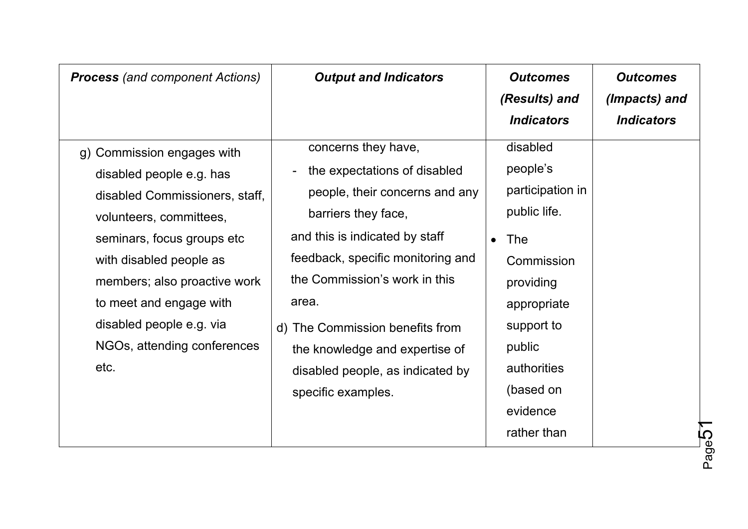| <b>Process</b> (and component Actions)                                                                                                                                                                                                                                                                     | <b>Output and Indicators</b>                                                                                                                                                                                                                                                                                                                                 | <b>Outcomes</b><br>(Results) and<br><b>Indicators</b>                                                                                                                                         | <b>Outcomes</b><br>(Impacts) and<br><b>Indicators</b> |
|------------------------------------------------------------------------------------------------------------------------------------------------------------------------------------------------------------------------------------------------------------------------------------------------------------|--------------------------------------------------------------------------------------------------------------------------------------------------------------------------------------------------------------------------------------------------------------------------------------------------------------------------------------------------------------|-----------------------------------------------------------------------------------------------------------------------------------------------------------------------------------------------|-------------------------------------------------------|
| g) Commission engages with<br>disabled people e.g. has<br>disabled Commissioners, staff,<br>volunteers, committees,<br>seminars, focus groups etc<br>with disabled people as<br>members; also proactive work<br>to meet and engage with<br>disabled people e.g. via<br>NGOs, attending conferences<br>etc. | concerns they have,<br>the expectations of disabled<br>people, their concerns and any<br>barriers they face,<br>and this is indicated by staff<br>feedback, specific monitoring and<br>the Commission's work in this<br>area.<br>d) The Commission benefits from<br>the knowledge and expertise of<br>disabled people, as indicated by<br>specific examples. | disabled<br>people's<br>participation in<br>public life.<br><b>The</b><br>$\bullet$<br>Commission<br>providing<br>appropriate<br>support to<br>public<br>authorities<br>(based on<br>evidence |                                                       |
|                                                                                                                                                                                                                                                                                                            |                                                                                                                                                                                                                                                                                                                                                              | rather than                                                                                                                                                                                   |                                                       |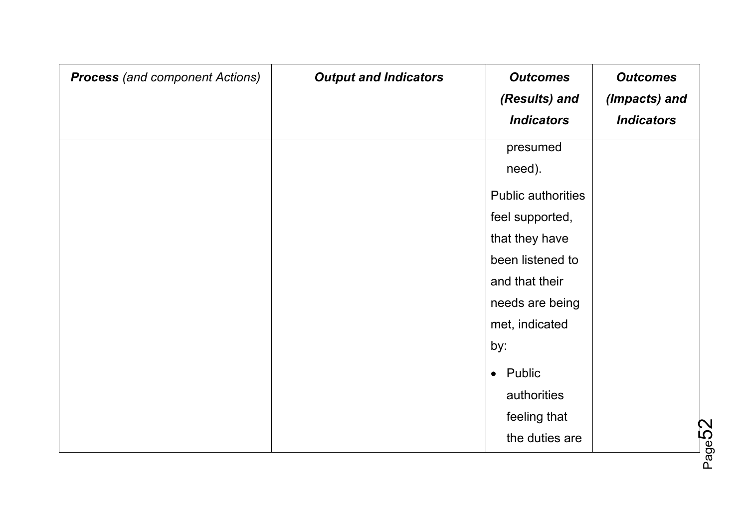| <b>Process</b> (and component Actions) | <b>Output and Indicators</b> | <b>Outcomes</b><br>(Results) and | <b>Outcomes</b><br>(Impacts) and |
|----------------------------------------|------------------------------|----------------------------------|----------------------------------|
|                                        |                              | <b>Indicators</b>                | <b>Indicators</b>                |
|                                        |                              | presumed                         |                                  |
|                                        |                              | need).                           |                                  |
|                                        |                              | <b>Public authorities</b>        |                                  |
|                                        |                              | feel supported,                  |                                  |
|                                        |                              | that they have                   |                                  |
|                                        |                              | been listened to                 |                                  |
|                                        |                              | and that their                   |                                  |
|                                        |                              | needs are being                  |                                  |
|                                        |                              | met, indicated                   |                                  |
|                                        |                              | by:                              |                                  |
|                                        |                              | Public<br>$\bullet$              |                                  |
|                                        |                              | authorities                      |                                  |
|                                        |                              | feeling that                     |                                  |
|                                        |                              | the duties are                   | $P$ age $52$                     |
|                                        |                              |                                  |                                  |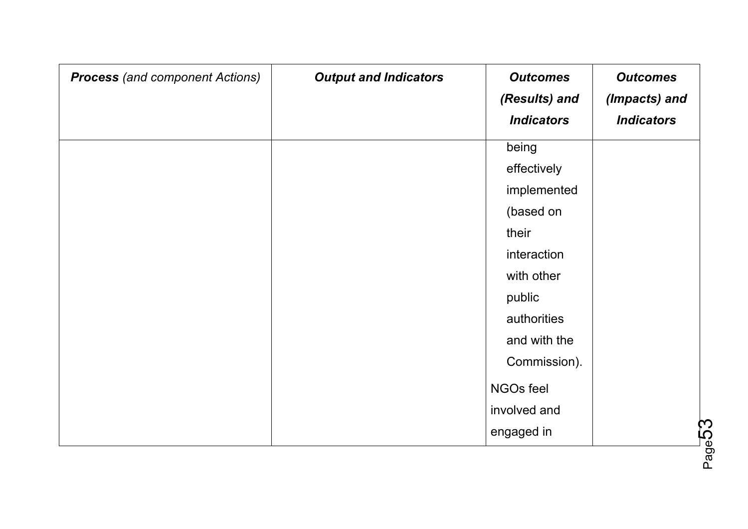| <b>Process</b> (and component Actions) | <b>Output and Indicators</b> | <b>Outcomes</b><br>(Results) and<br><b>Indicators</b> | <b>Outcomes</b><br>(Impacts) and<br><b>Indicators</b> |
|----------------------------------------|------------------------------|-------------------------------------------------------|-------------------------------------------------------|
|                                        |                              | being                                                 |                                                       |
|                                        |                              | effectively                                           |                                                       |
|                                        |                              | implemented                                           |                                                       |
|                                        |                              | (based on                                             |                                                       |
|                                        |                              | their                                                 |                                                       |
|                                        |                              | interaction                                           |                                                       |
|                                        |                              | with other                                            |                                                       |
|                                        |                              | public                                                |                                                       |
|                                        |                              | authorities                                           |                                                       |
|                                        |                              | and with the                                          |                                                       |
|                                        |                              | Commission).                                          |                                                       |
|                                        |                              | NGOs feel                                             |                                                       |
|                                        |                              | involved and                                          |                                                       |
|                                        |                              | engaged in                                            |                                                       |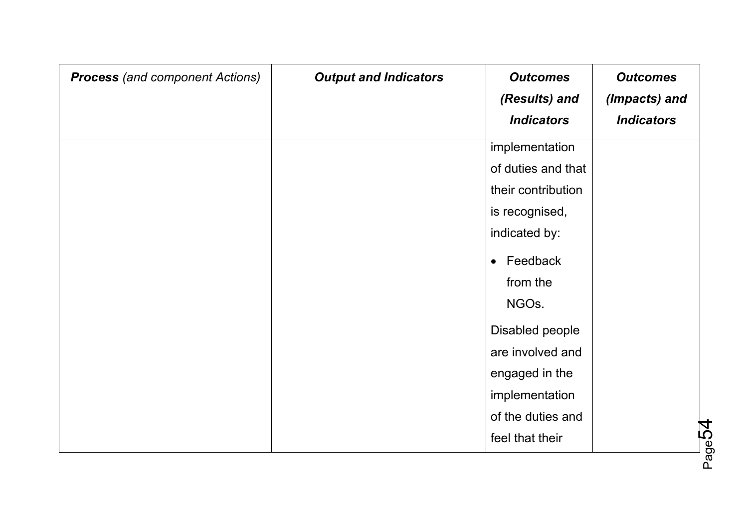| <b>Process</b> (and component Actions) | <b>Output and Indicators</b> | <b>Outcomes</b>       | <b>Outcomes</b>   |
|----------------------------------------|------------------------------|-----------------------|-------------------|
|                                        |                              | (Results) and         | (Impacts) and     |
|                                        |                              | <b>Indicators</b>     | <b>Indicators</b> |
|                                        |                              | implementation        |                   |
|                                        |                              | of duties and that    |                   |
|                                        |                              | their contribution    |                   |
|                                        |                              | is recognised,        |                   |
|                                        |                              | indicated by:         |                   |
|                                        |                              | Feedback<br>$\bullet$ |                   |
|                                        |                              | from the              |                   |
|                                        |                              | NGOs.                 |                   |
|                                        |                              | Disabled people       |                   |
|                                        |                              | are involved and      |                   |
|                                        |                              | engaged in the        |                   |
|                                        |                              | implementation        |                   |
|                                        |                              | of the duties and     |                   |
|                                        |                              | feel that their       |                   |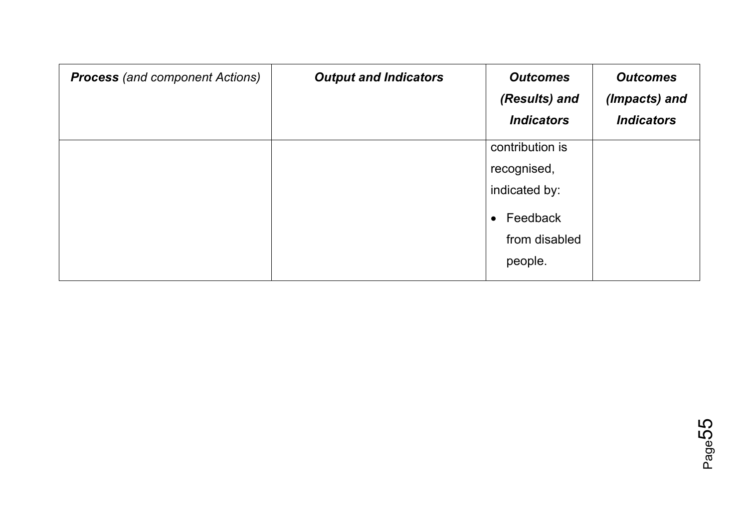| <b>Process</b> (and component Actions) | <b>Output and Indicators</b> | <b>Outcomes</b><br>(Results) and<br><b>Indicators</b>                                                | <b>Outcomes</b><br>(Impacts) and<br><b>Indicators</b> |
|----------------------------------------|------------------------------|------------------------------------------------------------------------------------------------------|-------------------------------------------------------|
|                                        |                              | contribution is<br>recognised,<br>indicated by:<br>Feedback<br>$\bullet$<br>from disabled<br>people. |                                                       |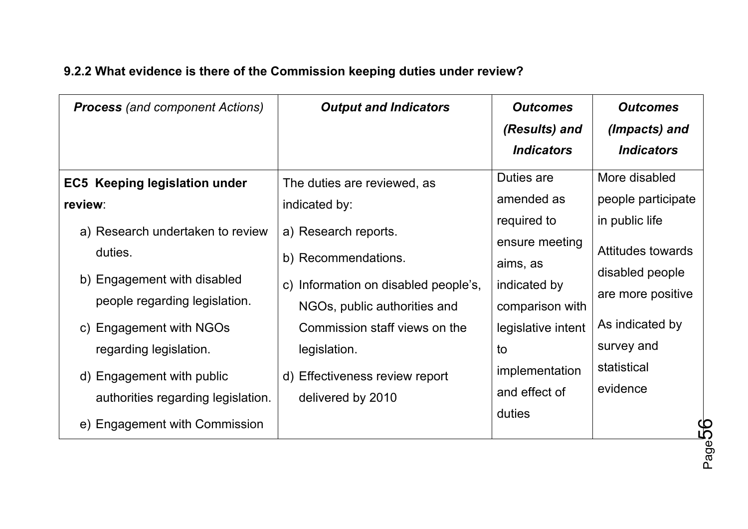# **9.2.2 What evidence is there of the Commission keeping duties under review?**

| <b>Process</b> (and component Actions)                                                           | <b>Output and Indicators</b>                                         | <b>Outcomes</b>                             | <b>Outcomes</b>                      |
|--------------------------------------------------------------------------------------------------|----------------------------------------------------------------------|---------------------------------------------|--------------------------------------|
|                                                                                                  |                                                                      | (Results) and                               | (Impacts) and                        |
|                                                                                                  |                                                                      | <i><u><b>Indicators</b></u></i>             | <i><u><b>Indicators</b></u></i>      |
| <b>EC5 Keeping legislation under</b>                                                             | The duties are reviewed, as                                          | Duties are                                  | More disabled                        |
| review:                                                                                          | indicated by:                                                        | amended as                                  | people participate                   |
| a) Research undertaken to review                                                                 | a) Research reports.                                                 | required to                                 | in public life                       |
| duties.                                                                                          | b) Recommendations.                                                  | ensure meeting                              | <b>Attitudes towards</b>             |
| b) Engagement with disabled<br>people regarding legislation.                                     | c) Information on disabled people's,<br>NGOs, public authorities and | aims, as<br>indicated by<br>comparison with | disabled people<br>are more positive |
| c) Engagement with NGOs<br>regarding legislation.                                                | Commission staff views on the<br>legislation.                        | legislative intent<br>to                    | As indicated by<br>survey and        |
| d) Engagement with public<br>authorities regarding legislation.<br>e) Engagement with Commission | d) Effectiveness review report<br>delivered by 2010                  | implementation<br>and effect of<br>duties   | statistical<br>evidence              |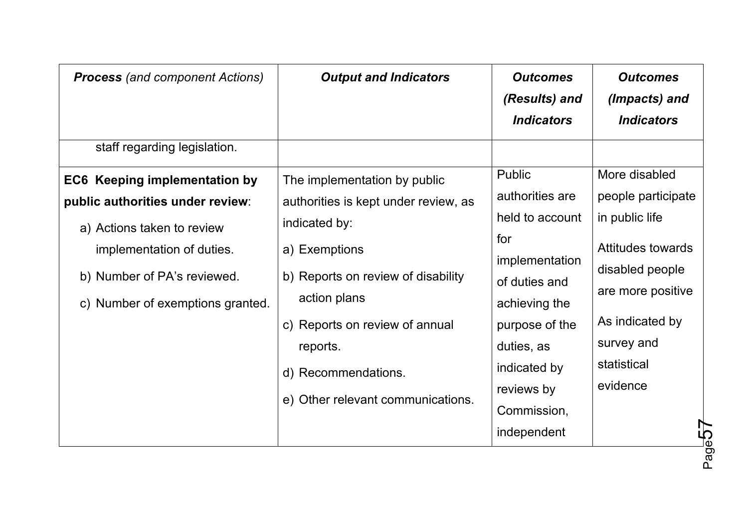| <b>Process</b> (and component Actions)                                                                                                                                                                 | <b>Output and Indicators</b>                                                                                                                                                                                                                                           | <b>Outcomes</b><br>(Results) and<br><b>Indicators</b>                                                                                                                                                      | <b>Outcomes</b><br>(Impacts) and<br><b>Indicators</b>                                                                                                                                          |
|--------------------------------------------------------------------------------------------------------------------------------------------------------------------------------------------------------|------------------------------------------------------------------------------------------------------------------------------------------------------------------------------------------------------------------------------------------------------------------------|------------------------------------------------------------------------------------------------------------------------------------------------------------------------------------------------------------|------------------------------------------------------------------------------------------------------------------------------------------------------------------------------------------------|
| staff regarding legislation.                                                                                                                                                                           |                                                                                                                                                                                                                                                                        |                                                                                                                                                                                                            |                                                                                                                                                                                                |
| <b>EC6 Keeping implementation by</b><br>public authorities under review:<br>a) Actions taken to review<br>implementation of duties.<br>b) Number of PA's reviewed.<br>c) Number of exemptions granted. | The implementation by public<br>authorities is kept under review, as<br>indicated by:<br>a) Exemptions<br>b) Reports on review of disability<br>action plans<br>c) Reports on review of annual<br>reports.<br>d) Recommendations.<br>e) Other relevant communications. | <b>Public</b><br>authorities are<br>held to account<br>for<br>implementation<br>of duties and<br>achieving the<br>purpose of the<br>duties, as<br>indicated by<br>reviews by<br>Commission,<br>independent | More disabled<br>people participate<br>in public life<br><b>Attitudes towards</b><br>disabled people<br>are more positive<br>As indicated by<br>survey and<br>statistical<br>evidence<br>Page5 |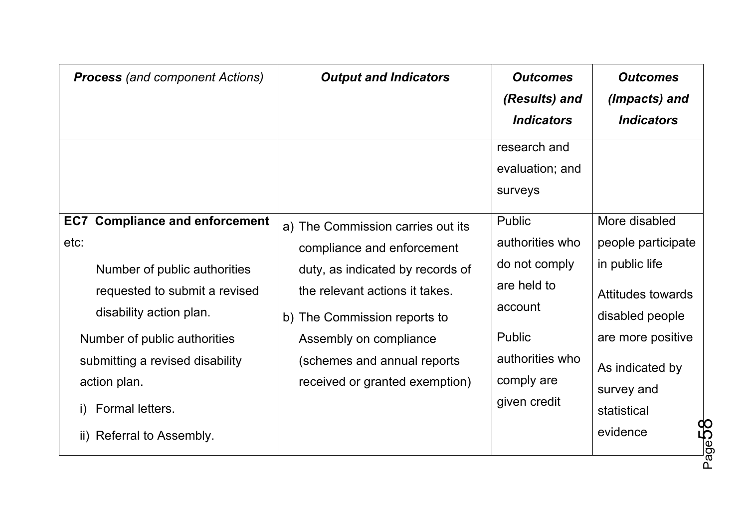| <b>Process</b> (and component Actions)                                                                                                                                                                                                                                                       | <b>Output and Indicators</b>                                                                                                                                                                                                                                     | <b>Outcomes</b><br>(Results) and<br><b>Indicators</b><br>research and<br>evaluation; and<br>surveys                             | <b>Outcomes</b><br>(Impacts) and<br><b>Indicators</b>                                                                                                                                              |
|----------------------------------------------------------------------------------------------------------------------------------------------------------------------------------------------------------------------------------------------------------------------------------------------|------------------------------------------------------------------------------------------------------------------------------------------------------------------------------------------------------------------------------------------------------------------|---------------------------------------------------------------------------------------------------------------------------------|----------------------------------------------------------------------------------------------------------------------------------------------------------------------------------------------------|
| <b>EC7 Compliance and enforcement</b><br>etc:<br>Number of public authorities<br>requested to submit a revised<br>disability action plan.<br>Number of public authorities<br>submitting a revised disability<br>action plan.<br>Formal letters.<br>$\mathsf{i}$<br>ii) Referral to Assembly. | a) The Commission carries out its<br>compliance and enforcement<br>duty, as indicated by records of<br>the relevant actions it takes.<br>b) The Commission reports to<br>Assembly on compliance<br>(schemes and annual reports<br>received or granted exemption) | Public<br>authorities who<br>do not comply<br>are held to<br>account<br>Public<br>authorities who<br>comply are<br>given credit | More disabled<br>people participate<br>in public life<br>Attitudes towards<br>disabled people<br>are more positive<br>As indicated by<br>survey and<br>statistical<br>evidence<br><b>Cebe</b><br>മ |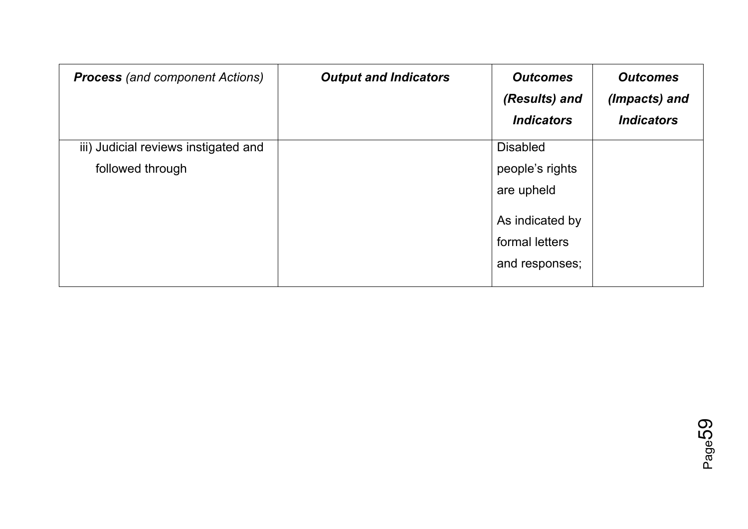| <b>Process</b> (and component Actions)                   | <b>Output and Indicators</b> | <b>Outcomes</b><br>(Results) and<br><b>Indicators</b>                                                   | <b>Outcomes</b><br>(Impacts) and<br><b>Indicators</b> |
|----------------------------------------------------------|------------------------------|---------------------------------------------------------------------------------------------------------|-------------------------------------------------------|
| iii) Judicial reviews instigated and<br>followed through |                              | <b>Disabled</b><br>people's rights<br>are upheld<br>As indicated by<br>formal letters<br>and responses; |                                                       |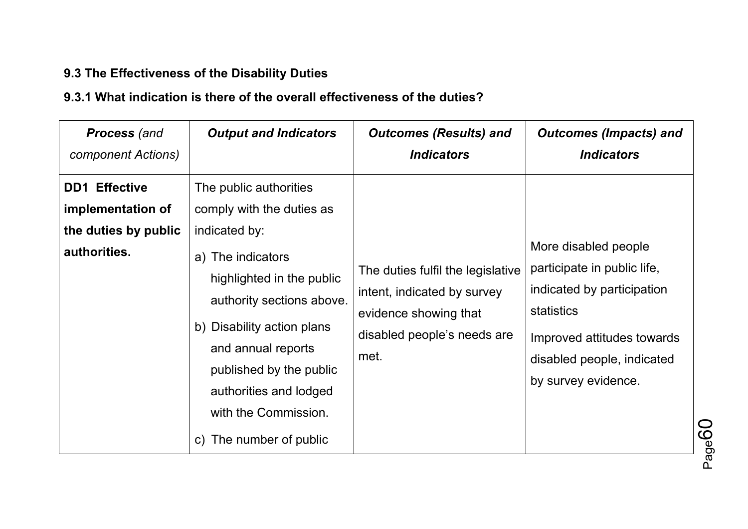# **9.3 The Effectiveness of the Disability Duties**

**9.3.1 What indication is there of the overall effectiveness of the duties?** 

| <b>Process (and</b><br>component Actions)                                         | <b>Output and Indicators</b>                                                                                                                                                                                                                                                         | <b>Outcomes (Results) and</b><br><b>Indicators</b>                                                                               | <b>Outcomes (Impacts) and</b><br><i><b>Indicators</b></i>                                                                                                                          |
|-----------------------------------------------------------------------------------|--------------------------------------------------------------------------------------------------------------------------------------------------------------------------------------------------------------------------------------------------------------------------------------|----------------------------------------------------------------------------------------------------------------------------------|------------------------------------------------------------------------------------------------------------------------------------------------------------------------------------|
| <b>DD1</b> Effective<br>implementation of<br>the duties by public<br>authorities. | The public authorities<br>comply with the duties as<br>indicated by:<br>a) The indicators<br>highlighted in the public<br>authority sections above.<br>b) Disability action plans<br>and annual reports<br>published by the public<br>authorities and lodged<br>with the Commission. | The duties fulfil the legislative<br>intent, indicated by survey<br>evidence showing that<br>disabled people's needs are<br>met. | More disabled people<br>participate in public life,<br>indicated by participation<br>statistics<br>Improved attitudes towards<br>disabled people, indicated<br>by survey evidence. |
|                                                                                   | The number of public<br>$\mathsf{C}$                                                                                                                                                                                                                                                 |                                                                                                                                  |                                                                                                                                                                                    |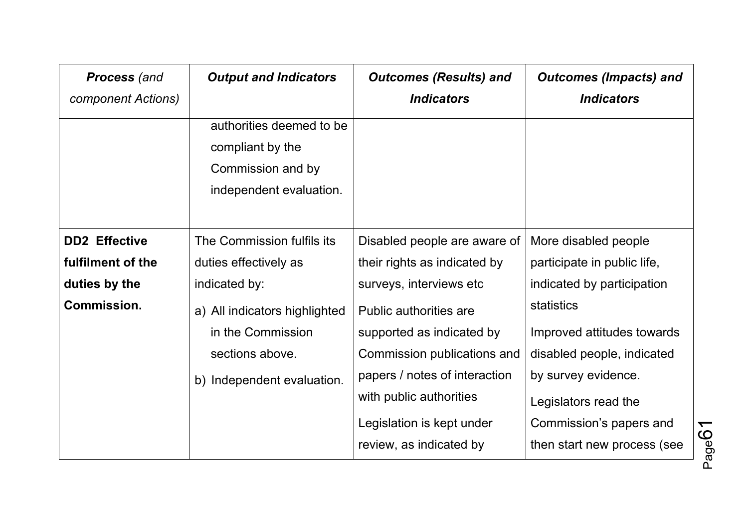| <b>Process (and</b><br>component Actions) | <b>Output and Indicators</b>                                                                 | <b>Outcomes (Results) and</b><br><b>Indicators</b> | <b>Outcomes (Impacts) and</b><br><b>Indicators</b> |
|-------------------------------------------|----------------------------------------------------------------------------------------------|----------------------------------------------------|----------------------------------------------------|
|                                           | authorities deemed to be<br>compliant by the<br>Commission and by<br>independent evaluation. |                                                    |                                                    |
| <b>DD2 Effective</b>                      | The Commission fulfils its                                                                   | Disabled people are aware of                       | More disabled people                               |
| fulfilment of the                         | duties effectively as                                                                        | their rights as indicated by                       | participate in public life,                        |
| duties by the                             | indicated by:                                                                                | surveys, interviews etc                            | indicated by participation                         |
| <b>Commission.</b>                        | a) All indicators highlighted                                                                | Public authorities are                             | statistics                                         |
|                                           | in the Commission                                                                            | supported as indicated by                          | Improved attitudes towards                         |
|                                           | sections above.                                                                              | Commission publications and                        | disabled people, indicated                         |
|                                           | b) Independent evaluation.                                                                   | papers / notes of interaction                      | by survey evidence.                                |
|                                           |                                                                                              | with public authorities                            | Legislators read the                               |
|                                           |                                                                                              | Legislation is kept under                          | Commission's papers and                            |
|                                           |                                                                                              | review, as indicated by                            | then start new process (see                        |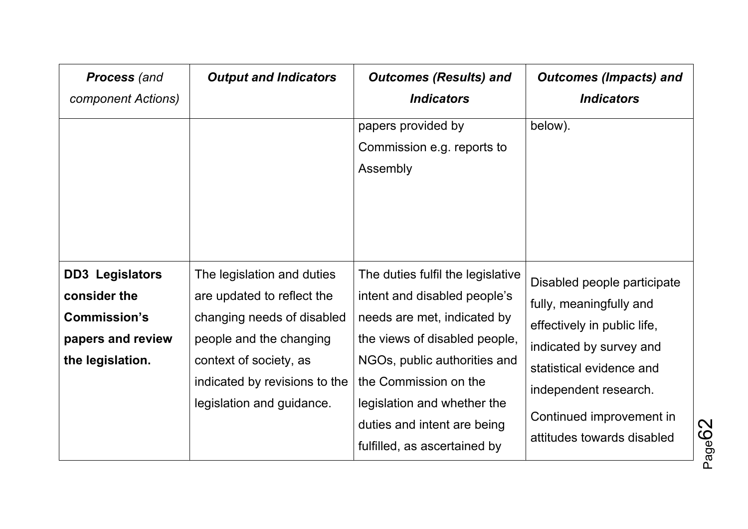| <b>Process (and</b><br>component Actions)                                                              | <b>Output and Indicators</b>                                                                                                                                                                              | <b>Outcomes (Results) and</b><br><b>Indicators</b>                                                                                                                                                                                                                                       | <b>Outcomes (Impacts) and</b><br><b>Indicators</b>                                                                                                                                                                              |
|--------------------------------------------------------------------------------------------------------|-----------------------------------------------------------------------------------------------------------------------------------------------------------------------------------------------------------|------------------------------------------------------------------------------------------------------------------------------------------------------------------------------------------------------------------------------------------------------------------------------------------|---------------------------------------------------------------------------------------------------------------------------------------------------------------------------------------------------------------------------------|
|                                                                                                        |                                                                                                                                                                                                           | papers provided by<br>Commission e.g. reports to<br>Assembly                                                                                                                                                                                                                             | below).                                                                                                                                                                                                                         |
| <b>DD3 Legislators</b><br>consider the<br><b>Commission's</b><br>papers and review<br>the legislation. | The legislation and duties<br>are updated to reflect the<br>changing needs of disabled<br>people and the changing<br>context of society, as<br>indicated by revisions to the<br>legislation and guidance. | The duties fulfil the legislative<br>intent and disabled people's<br>needs are met, indicated by<br>the views of disabled people,<br>NGOs, public authorities and<br>the Commission on the<br>legislation and whether the<br>duties and intent are being<br>fulfilled, as ascertained by | Disabled people participate<br>fully, meaningfully and<br>effectively in public life,<br>indicated by survey and<br>statistical evidence and<br>independent research.<br>Continued improvement in<br>attitudes towards disabled |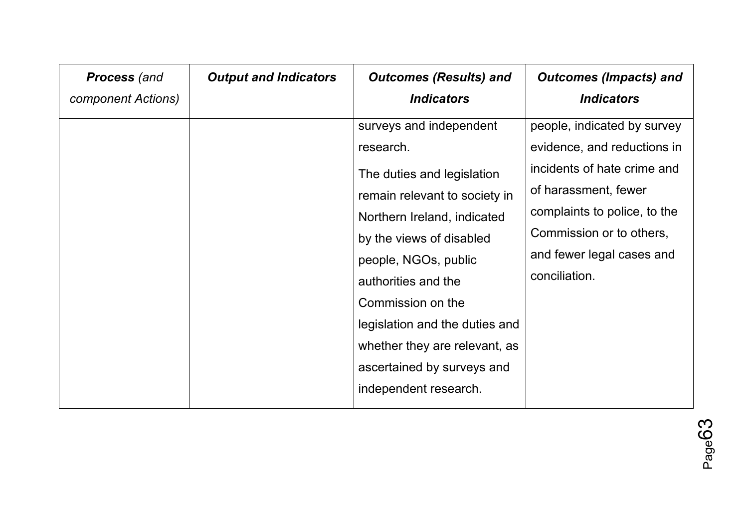| <b>Process</b> (and | <b>Output and Indicators</b> | <b>Outcomes (Results) and</b>  | <b>Outcomes (Impacts) and</b> |
|---------------------|------------------------------|--------------------------------|-------------------------------|
| component Actions)  |                              | <b>Indicators</b>              | <i><b>Indicators</b></i>      |
|                     |                              | surveys and independent        | people, indicated by survey   |
|                     |                              | research.                      | evidence, and reductions in   |
|                     |                              | The duties and legislation     | incidents of hate crime and   |
|                     |                              | remain relevant to society in  | of harassment, fewer          |
|                     |                              | Northern Ireland, indicated    | complaints to police, to the  |
|                     |                              | by the views of disabled       | Commission or to others,      |
|                     |                              | people, NGOs, public           | and fewer legal cases and     |
|                     |                              | authorities and the            | conciliation.                 |
|                     |                              | Commission on the              |                               |
|                     |                              | legislation and the duties and |                               |
|                     |                              | whether they are relevant, as  |                               |
|                     |                              | ascertained by surveys and     |                               |
|                     |                              | independent research.          |                               |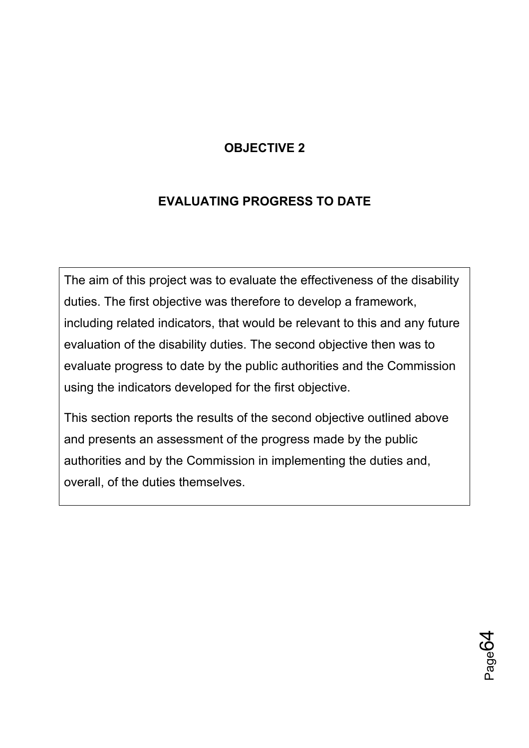# **OBJECTIVE 2**

## **EVALUATING PROGRESS TO DATE**

The aim of this project was to evaluate the effectiveness of the disability duties. The first objective was therefore to develop a framework, including related indicators, that would be relevant to this and any future evaluation of the disability duties. The second objective then was to evaluate progress to date by the public authorities and the Commission using the indicators developed for the first objective.

This section reports the results of the second objective outlined above and presents an assessment of the progress made by the public authorities and by the Commission in implementing the duties and, overall, of the duties themselves.

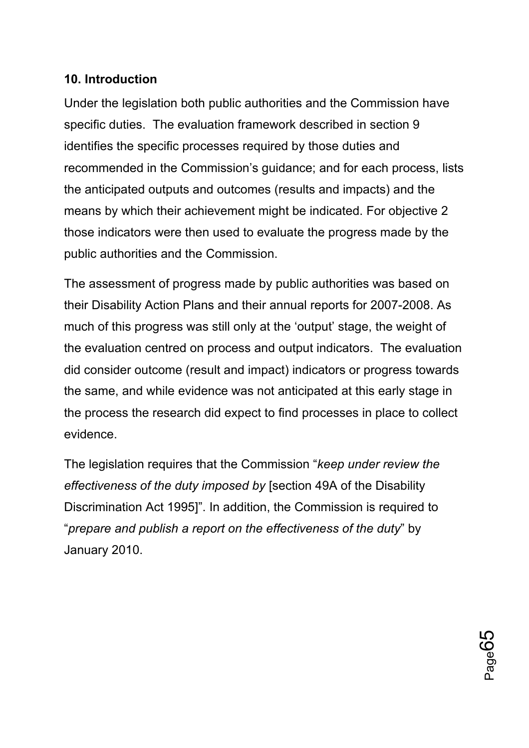### **10. Introduction**

Under the legislation both public authorities and the Commission have specific duties. The evaluation framework described in section 9 identifies the specific processes required by those duties and recommended in the Commission's guidance; and for each process, lists the anticipated outputs and outcomes (results and impacts) and the means by which their achievement might be indicated. For objective 2 those indicators were then used to evaluate the progress made by the public authorities and the Commission.

The assessment of progress made by public authorities was based on their Disability Action Plans and their annual reports for 2007-2008. As much of this progress was still only at the 'output' stage, the weight of the evaluation centred on process and output indicators. The evaluation did consider outcome (result and impact) indicators or progress towards the same, and while evidence was not anticipated at this early stage in the process the research did expect to find processes in place to collect evidence.

The legislation requires that the Commission "*keep under review the effectiveness of the duty imposed by* [section 49A of the Disability Discrimination Act 1995]". In addition, the Commission is required to "*prepare and publish a report on the effectiveness of the duty*" by January 2010.

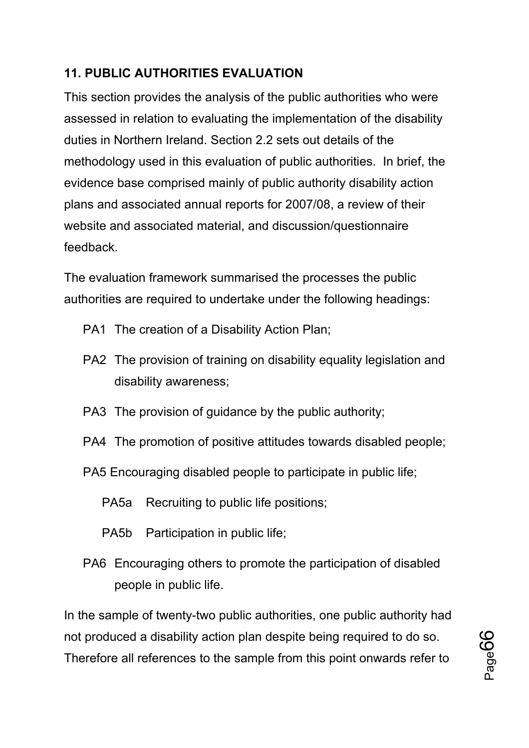## **11. PUBLIC AUTHORITIES EVALUATION**

This section provides the analysis of the public authorities who were assessed in relation to evaluating the implementation of the disability duties in Northern Ireland. Section 2.2 sets out details of the methodology used in this evaluation of public authorities. In brief, the evidence base comprised mainly of public authority disability action plans and associated annual reports for 2007/08, a review of their website and associated material, and discussion/questionnaire feedback.

The evaluation framework summarised the processes the public authorities are required to undertake under the following headings:

- PA1 The creation of a Disability Action Plan;
- PA2 The provision of training on disability equality legislation and disability awareness;
- PA3 The provision of guidance by the public authority;
- PA4 The promotion of positive attitudes towards disabled people;
- PA5 Encouraging disabled people to participate in public life;
	- PA5a Recruiting to public life positions;
	- PA5b Participation in public life;
- PA6 Encouraging others to promote the participation of disabled people in public life.

In the sample of twenty-two public authorities, one public authority had not produced a disability action plan despite being required to do so. Therefore all references to the sample from this point onwards refer to

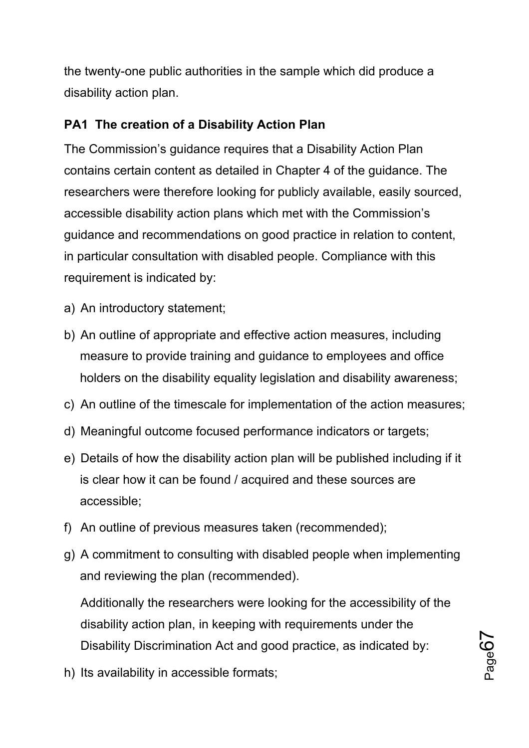the twenty-one public authorities in the sample which did produce a disability action plan.

### **PA1 The creation of a Disability Action Plan**

The Commission's guidance requires that a Disability Action Plan contains certain content as detailed in Chapter 4 of the guidance. The researchers were therefore looking for publicly available, easily sourced, accessible disability action plans which met with the Commission's guidance and recommendations on good practice in relation to content, in particular consultation with disabled people. Compliance with this requirement is indicated by:

- a) An introductory statement;
- b) An outline of appropriate and effective action measures, including measure to provide training and guidance to employees and office holders on the disability equality legislation and disability awareness;
- c) An outline of the timescale for implementation of the action measures;
- d) Meaningful outcome focused performance indicators or targets;
- e) Details of how the disability action plan will be published including if it is clear how it can be found / acquired and these sources are accessible;
- f) An outline of previous measures taken (recommended);
- g) A commitment to consulting with disabled people when implementing and reviewing the plan (recommended).

Additionally the researchers were looking for the accessibility of the disability action plan, in keeping with requirements under the Disability Discrimination Act and good practice, as indicated by:

h) Its availability in accessible formats;

Page**G**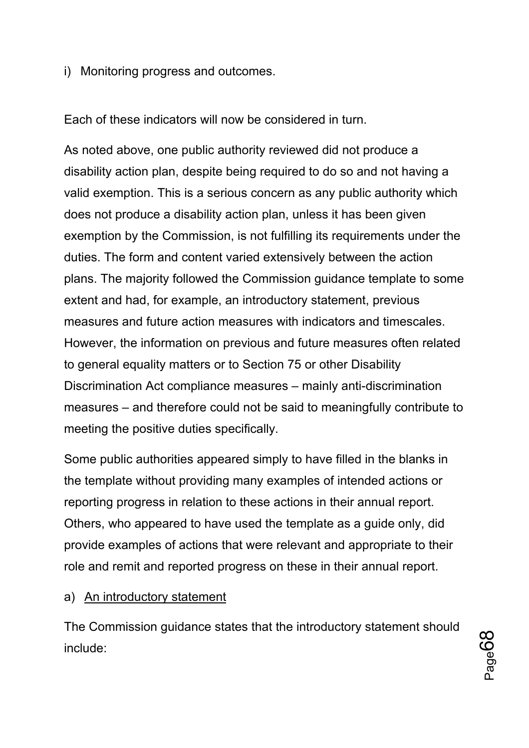#### i) Monitoring progress and outcomes.

Each of these indicators will now be considered in turn.

As noted above, one public authority reviewed did not produce a disability action plan, despite being required to do so and not having a valid exemption. This is a serious concern as any public authority which does not produce a disability action plan, unless it has been given exemption by the Commission, is not fulfilling its requirements under the duties. The form and content varied extensively between the action plans. The majority followed the Commission guidance template to some extent and had, for example, an introductory statement, previous measures and future action measures with indicators and timescales. However, the information on previous and future measures often related to general equality matters or to Section 75 or other Disability Discrimination Act compliance measures – mainly anti-discrimination measures – and therefore could not be said to meaningfully contribute to meeting the positive duties specifically.

Some public authorities appeared simply to have filled in the blanks in the template without providing many examples of intended actions or reporting progress in relation to these actions in their annual report. Others, who appeared to have used the template as a guide only, did provide examples of actions that were relevant and appropriate to their role and remit and reported progress on these in their annual report.

#### a) An introductory statement

The Commission guidance states that the introductory statement should include:

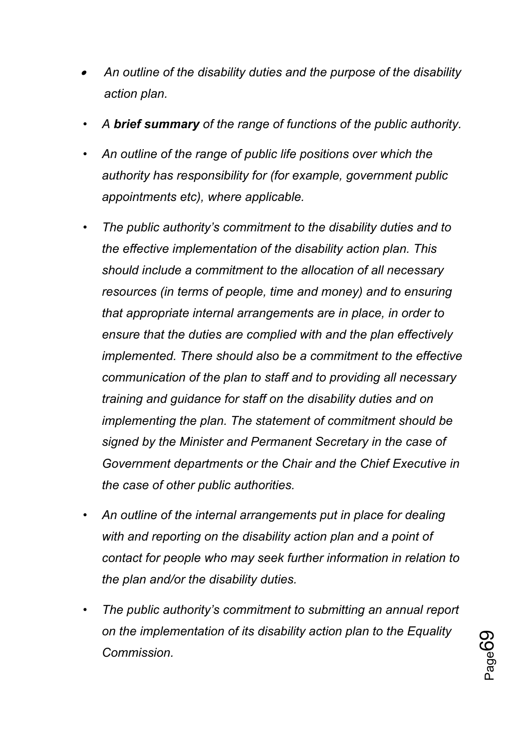- • *An outline of the disability duties and the purpose of the disability action plan.*
- *A brief summary of the range of functions of the public authority.*
- An outline of the range of public life positions over which the *authority has responsibility for (for example, government public appointments etc), where applicable.*
- *The public authority's commitment to the disability duties and to the effective implementation of the disability action plan. This should include a commitment to the allocation of all necessary resources (in terms of people, time and money) and to ensuring that appropriate internal arrangements are in place, in order to ensure that the duties are complied with and the plan effectively implemented. There should also be a commitment to the effective communication of the plan to staff and to providing all necessary training and guidance for staff on the disability duties and on implementing the plan. The statement of commitment should be signed by the Minister and Permanent Secretary in the case of Government departments or the Chair and the Chief Executive in the case of other public authorities.*
- *An outline of the internal arrangements put in place for dealing with and reporting on the disability action plan and a point of contact for people who may seek further information in relation to the plan and/or the disability duties.*
- *The public authority's commitment to submitting an annual report on the implementation of its disability action plan to the Equality Commission.*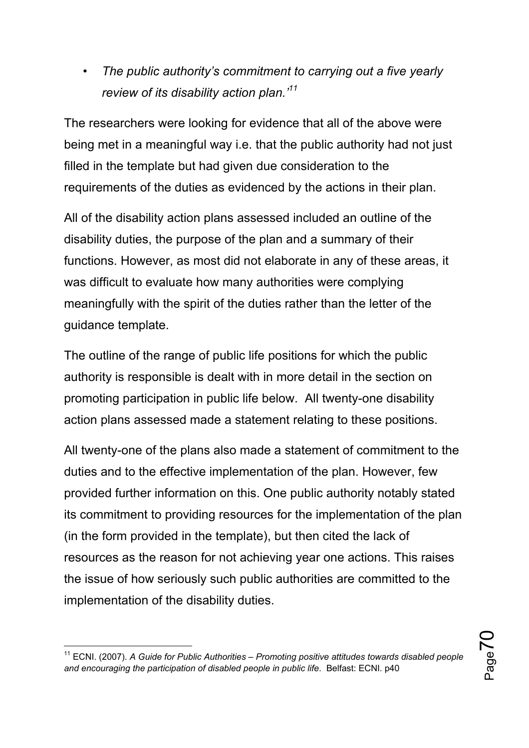*• The public authority's commitment to carrying out a five yearly review of its disability action plan.'<sup>11</sup>*

The researchers were looking for evidence that all of the above were being met in a meaningful way i.e. that the public authority had not just filled in the template but had given due consideration to the requirements of the duties as evidenced by the actions in their plan.

All of the disability action plans assessed included an outline of the disability duties, the purpose of the plan and a summary of their functions. However, as most did not elaborate in any of these areas, it was difficult to evaluate how many authorities were complying meaningfully with the spirit of the duties rather than the letter of the guidance template.

The outline of the range of public life positions for which the public authority is responsible is dealt with in more detail in the section on promoting participation in public life below. All twenty-one disability action plans assessed made a statement relating to these positions.

All twenty-one of the plans also made a statement of commitment to the duties and to the effective implementation of the plan. However, few provided further information on this. One public authority notably stated its commitment to providing resources for the implementation of the plan (in the form provided in the template), but then cited the lack of resources as the reason for not achieving year one actions. This raises the issue of how seriously such public authorities are committed to the implementation of the disability duties.



l <sup>11</sup> ECNI. (2007). A Guide for Public Authorities – Promoting positive attitudes towards disabled people *and encouraging the participation of disabled people in public life*. Belfast: ECNI. p40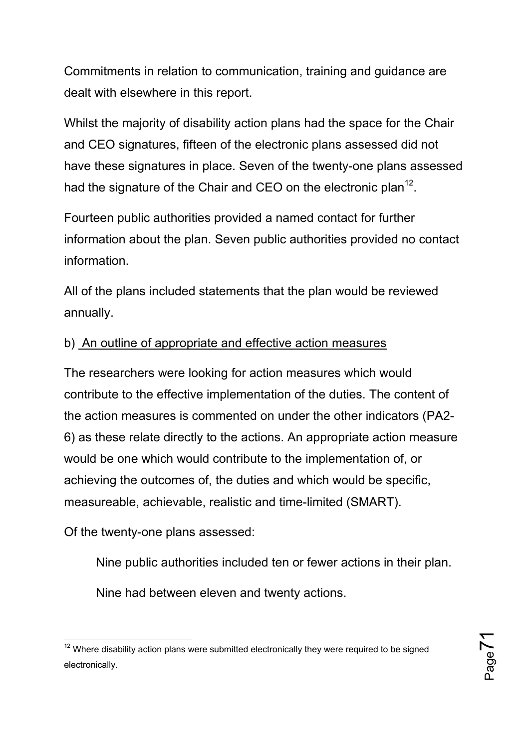Commitments in relation to communication, training and guidance are dealt with elsewhere in this report.

Whilst the majority of disability action plans had the space for the Chair and CEO signatures, fifteen of the electronic plans assessed did not have these signatures in place. Seven of the twenty-one plans assessed had the signature of the Chair and CEO on the electronic plan<sup>12</sup>.

Fourteen public authorities provided a named contact for further information about the plan. Seven public authorities provided no contact information.

All of the plans included statements that the plan would be reviewed annually.

#### b) An outline of appropriate and effective action measures

The researchers were looking for action measures which would contribute to the effective implementation of the duties. The content of the action measures is commented on under the other indicators (PA2- 6) as these relate directly to the actions. An appropriate action measure would be one which would contribute to the implementation of, or achieving the outcomes of, the duties and which would be specific, measureable, achievable, realistic and time-limited (SMART).

Of the twenty-one plans assessed:

Nine public authorities included ten or fewer actions in their plan.

Nine had between eleven and twenty actions.

Page71

 $\overline{a}$  $12$  Where disability action plans were submitted electronically they were required to be signed electronically.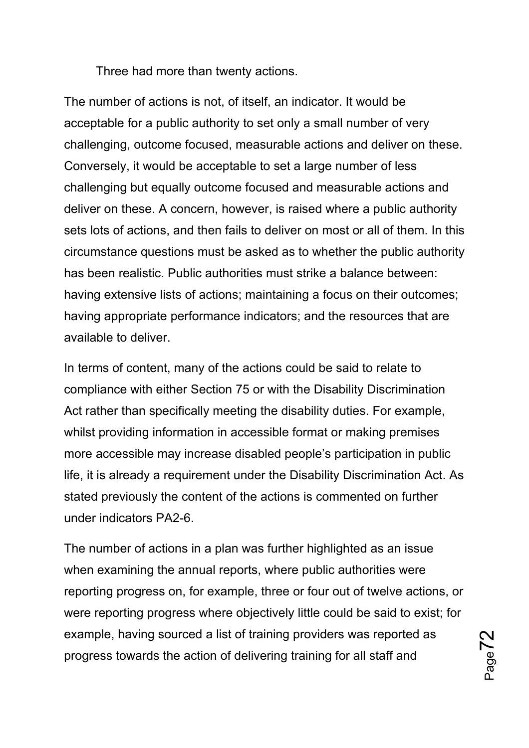Three had more than twenty actions.

The number of actions is not, of itself, an indicator. It would be acceptable for a public authority to set only a small number of very challenging, outcome focused, measurable actions and deliver on these. Conversely, it would be acceptable to set a large number of less challenging but equally outcome focused and measurable actions and deliver on these. A concern, however, is raised where a public authority sets lots of actions, and then fails to deliver on most or all of them. In this circumstance questions must be asked as to whether the public authority has been realistic. Public authorities must strike a balance between: having extensive lists of actions; maintaining a focus on their outcomes; having appropriate performance indicators; and the resources that are available to deliver.

In terms of content, many of the actions could be said to relate to compliance with either Section 75 or with the Disability Discrimination Act rather than specifically meeting the disability duties. For example, whilst providing information in accessible format or making premises more accessible may increase disabled people's participation in public life, it is already a requirement under the Disability Discrimination Act. As stated previously the content of the actions is commented on further under indicators PA2-6.

The number of actions in a plan was further highlighted as an issue when examining the annual reports, where public authorities were reporting progress on, for example, three or four out of twelve actions, or were reporting progress where objectively little could be said to exist; for example, having sourced a list of training providers was reported as progress towards the action of delivering training for all staff and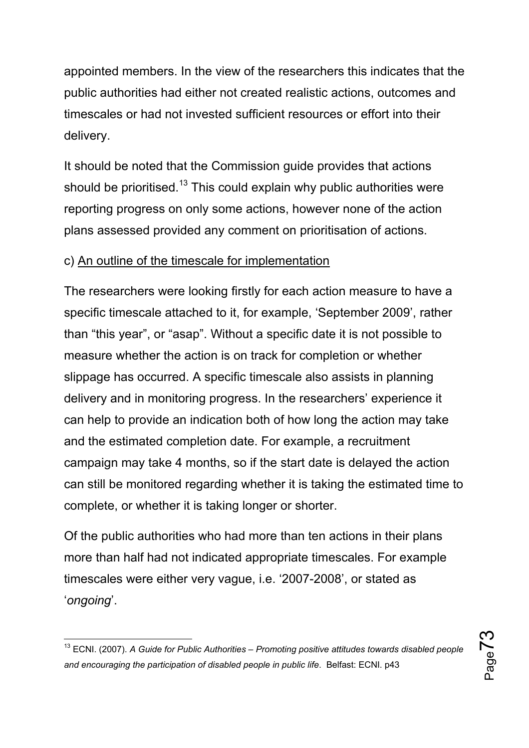appointed members. In the view of the researchers this indicates that the public authorities had either not created realistic actions, outcomes and timescales or had not invested sufficient resources or effort into their delivery.

It should be noted that the Commission guide provides that actions should be prioritised.<sup>13</sup> This could explain why public authorities were reporting progress on only some actions, however none of the action plans assessed provided any comment on prioritisation of actions.

## c) An outline of the timescale for implementation

The researchers were looking firstly for each action measure to have a specific timescale attached to it, for example, 'September 2009', rather than "this year", or "asap". Without a specific date it is not possible to measure whether the action is on track for completion or whether slippage has occurred. A specific timescale also assists in planning delivery and in monitoring progress. In the researchers' experience it can help to provide an indication both of how long the action may take and the estimated completion date. For example, a recruitment campaign may take 4 months, so if the start date is delayed the action can still be monitored regarding whether it is taking the estimated time to complete, or whether it is taking longer or shorter.

Of the public authorities who had more than ten actions in their plans more than half had not indicated appropriate timescales. For example timescales were either very vague, i.e. '2007-2008', or stated as '*ongoing*'.

 $\overline{a}$ 13 ECNI. (2007). *A Guide for Public Authorities – Promoting positive attitudes towards disabled people and encouraging the participation of disabled people in public life*. Belfast: ECNI. p43

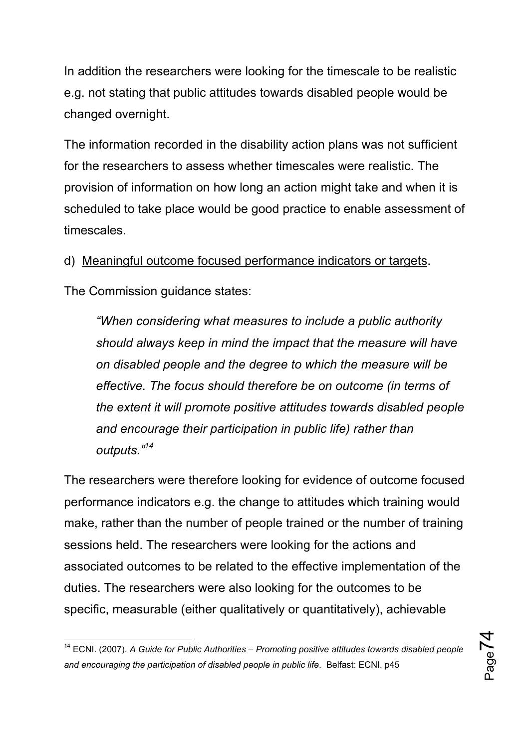In addition the researchers were looking for the timescale to be realistic e.g. not stating that public attitudes towards disabled people would be changed overnight.

The information recorded in the disability action plans was not sufficient for the researchers to assess whether timescales were realistic. The provision of information on how long an action might take and when it is scheduled to take place would be good practice to enable assessment of timescales.

### d) Meaningful outcome focused performance indicators or targets.

The Commission guidance states:

*"When considering what measures to include a public authority should always keep in mind the impact that the measure will have on disabled people and the degree to which the measure will be effective. The focus should therefore be on outcome (in terms of the extent it will promote positive attitudes towards disabled people and encourage their participation in public life) rather than outputs."14*

The researchers were therefore looking for evidence of outcome focused performance indicators e.g. the change to attitudes which training would make, rather than the number of people trained or the number of training sessions held. The researchers were looking for the actions and associated outcomes to be related to the effective implementation of the duties. The researchers were also looking for the outcomes to be specific, measurable (either qualitatively or quantitatively), achievable

 $\overline{a}$ 14 ECNI. (2007). *A Guide for Public Authorities – Promoting positive attitudes towards disabled people and encouraging the participation of disabled people in public life*. Belfast: ECNI. p45

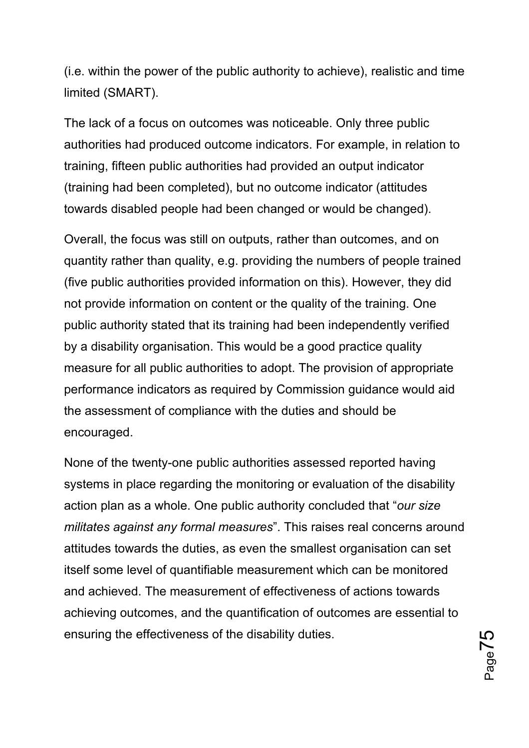(i.e. within the power of the public authority to achieve), realistic and time limited (SMART).

The lack of a focus on outcomes was noticeable. Only three public authorities had produced outcome indicators. For example, in relation to training, fifteen public authorities had provided an output indicator (training had been completed), but no outcome indicator (attitudes towards disabled people had been changed or would be changed).

Overall, the focus was still on outputs, rather than outcomes, and on quantity rather than quality, e.g. providing the numbers of people trained (five public authorities provided information on this). However, they did not provide information on content or the quality of the training. One public authority stated that its training had been independently verified by a disability organisation. This would be a good practice quality measure for all public authorities to adopt. The provision of appropriate performance indicators as required by Commission guidance would aid the assessment of compliance with the duties and should be encouraged.

None of the twenty-one public authorities assessed reported having systems in place regarding the monitoring or evaluation of the disability action plan as a whole. One public authority concluded that "*our size militates against any formal measures*". This raises real concerns around attitudes towards the duties, as even the smallest organisation can set itself some level of quantifiable measurement which can be monitored and achieved. The measurement of effectiveness of actions towards achieving outcomes, and the quantification of outcomes are essential to ensuring the effectiveness of the disability duties.

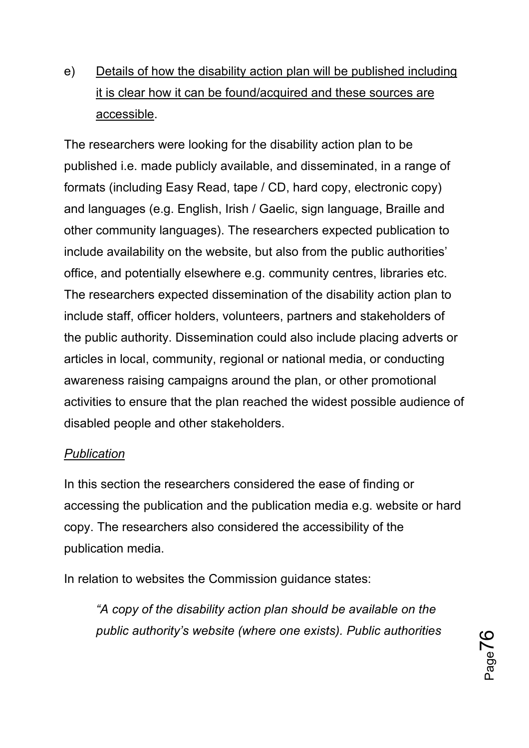# e) Details of how the disability action plan will be published including it is clear how it can be found/acquired and these sources are accessible.

The researchers were looking for the disability action plan to be published i.e. made publicly available, and disseminated, in a range of formats (including Easy Read, tape / CD, hard copy, electronic copy) and languages (e.g. English, Irish / Gaelic, sign language, Braille and other community languages). The researchers expected publication to include availability on the website, but also from the public authorities' office, and potentially elsewhere e.g. community centres, libraries etc. The researchers expected dissemination of the disability action plan to include staff, officer holders, volunteers, partners and stakeholders of the public authority. Dissemination could also include placing adverts or articles in local, community, regional or national media, or conducting awareness raising campaigns around the plan, or other promotional activities to ensure that the plan reached the widest possible audience of disabled people and other stakeholders.

#### *Publication*

In this section the researchers considered the ease of finding or accessing the publication and the publication media e.g. website or hard copy. The researchers also considered the accessibility of the publication media.

In relation to websites the Commission guidance states:

*"A copy of the disability action plan should be available on the public authority's website (where one exists). Public authorities*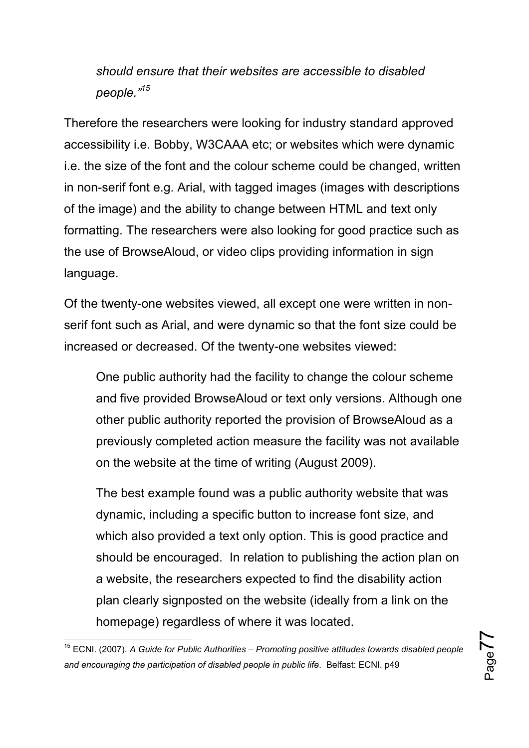*should ensure that their websites are accessible to disabled people."15*

Therefore the researchers were looking for industry standard approved accessibility i.e. Bobby, W3CAAA etc; or websites which were dynamic i.e. the size of the font and the colour scheme could be changed, written in non-serif font e.g. Arial, with tagged images (images with descriptions of the image) and the ability to change between HTML and text only formatting. The researchers were also looking for good practice such as the use of BrowseAloud, or video clips providing information in sign language.

Of the twenty-one websites viewed, all except one were written in nonserif font such as Arial, and were dynamic so that the font size could be increased or decreased. Of the twenty-one websites viewed:

One public authority had the facility to change the colour scheme and five provided BrowseAloud or text only versions. Although one other public authority reported the provision of BrowseAloud as a previously completed action measure the facility was not available on the website at the time of writing (August 2009).

The best example found was a public authority website that was dynamic, including a specific button to increase font size, and which also provided a text only option. This is good practice and should be encouraged. In relation to publishing the action plan on a website, the researchers expected to find the disability action plan clearly signposted on the website (ideally from a link on the homepage) regardless of where it was located.

 $\overline{a}$ 15 ECNI. (2007). *A Guide for Public Authorities – Promoting positive attitudes towards disabled people and encouraging the participation of disabled people in public life*. Belfast: ECNI. p49

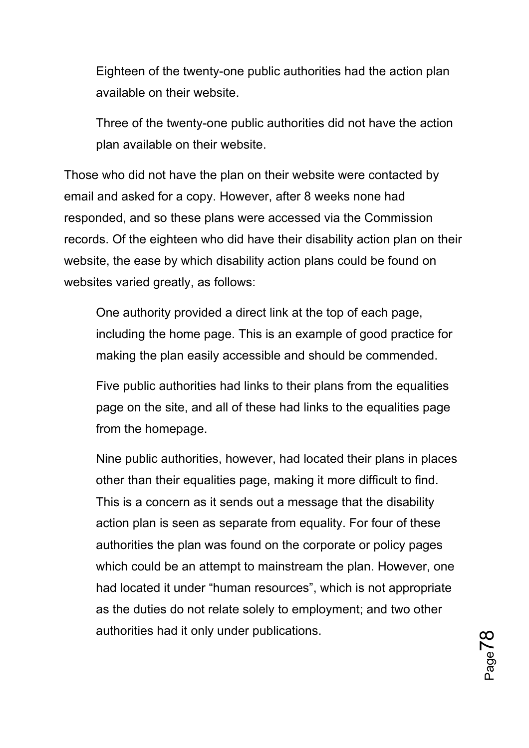Eighteen of the twenty-one public authorities had the action plan available on their website.

Three of the twenty-one public authorities did not have the action plan available on their website.

Those who did not have the plan on their website were contacted by email and asked for a copy. However, after 8 weeks none had responded, and so these plans were accessed via the Commission records. Of the eighteen who did have their disability action plan on their website, the ease by which disability action plans could be found on websites varied greatly, as follows:

One authority provided a direct link at the top of each page, including the home page. This is an example of good practice for making the plan easily accessible and should be commended.

Five public authorities had links to their plans from the equalities page on the site, and all of these had links to the equalities page from the homepage.

Nine public authorities, however, had located their plans in places other than their equalities page, making it more difficult to find. This is a concern as it sends out a message that the disability action plan is seen as separate from equality. For four of these authorities the plan was found on the corporate or policy pages which could be an attempt to mainstream the plan. However, one had located it under "human resources", which is not appropriate as the duties do not relate solely to employment; and two other authorities had it only under publications.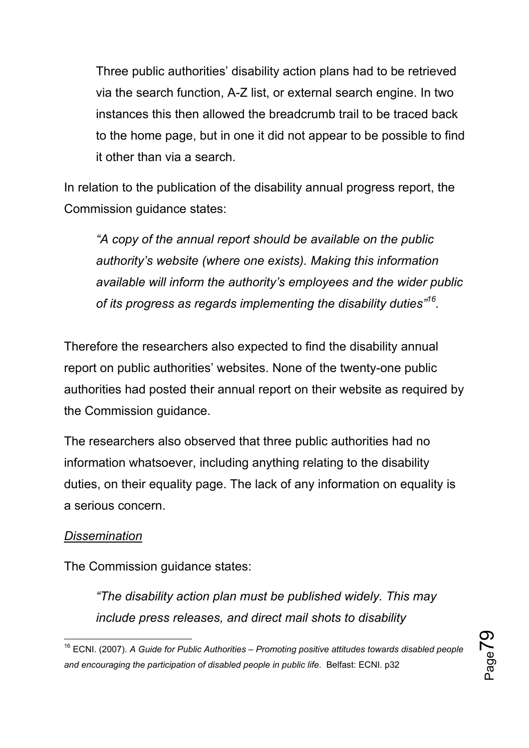Three public authorities' disability action plans had to be retrieved via the search function, A-Z list, or external search engine. In two instances this then allowed the breadcrumb trail to be traced back to the home page, but in one it did not appear to be possible to find it other than via a search.

In relation to the publication of the disability annual progress report, the Commission guidance states:

*"A copy of the annual report should be available on the public authority's website (where one exists). Making this information available will inform the authority's employees and the wider public of its progress as regards implementing the disability duties"16.* 

Therefore the researchers also expected to find the disability annual report on public authorities' websites. None of the twenty-one public authorities had posted their annual report on their website as required by the Commission guidance.

The researchers also observed that three public authorities had no information whatsoever, including anything relating to the disability duties, on their equality page. The lack of any information on equality is a serious concern.

#### *Dissemination*

The Commission guidance states:

*"The disability action plan must be published widely. This may include press releases, and direct mail shots to disability* 

 $\overline{a}$ 16 ECNI. (2007). *A Guide for Public Authorities – Promoting positive attitudes towards disabled people and encouraging the participation of disabled people in public life*. Belfast: ECNI. p32

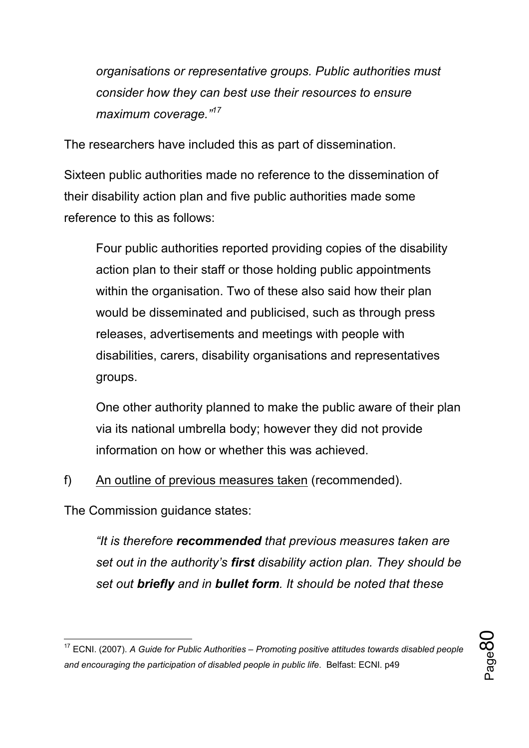*organisations or representative groups. Public authorities must consider how they can best use their resources to ensure maximum coverage."<sup>17</sup>*

The researchers have included this as part of dissemination.

Sixteen public authorities made no reference to the dissemination of their disability action plan and five public authorities made some reference to this as follows:

Four public authorities reported providing copies of the disability action plan to their staff or those holding public appointments within the organisation. Two of these also said how their plan would be disseminated and publicised, such as through press releases, advertisements and meetings with people with disabilities, carers, disability organisations and representatives groups.

One other authority planned to make the public aware of their plan via its national umbrella body; however they did not provide information on how or whether this was achieved.

f) An outline of previous measures taken (recommended).

The Commission guidance states:

*"It is therefore recommended that previous measures taken are set out in the authority's first disability action plan. They should be set out briefly and in bullet form. It should be noted that these* 

 $\overline{a}$ <sup>17</sup> ECNI. (2007). A Guide for Public Authorities – Promoting positive attitudes towards disabled people *and encouraging the participation of disabled people in public life*. Belfast: ECNI. p49

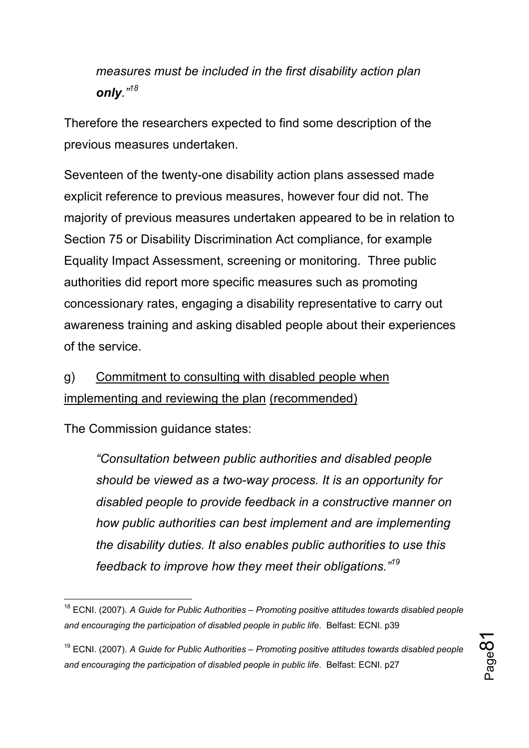*measures must be included in the first disability action plan only."<sup>18</sup>*

Therefore the researchers expected to find some description of the previous measures undertaken.

Seventeen of the twenty-one disability action plans assessed made explicit reference to previous measures, however four did not. The majority of previous measures undertaken appeared to be in relation to Section 75 or Disability Discrimination Act compliance, for example Equality Impact Assessment, screening or monitoring. Three public authorities did report more specific measures such as promoting concessionary rates, engaging a disability representative to carry out awareness training and asking disabled people about their experiences of the service.

## g) Commitment to consulting with disabled people when implementing and reviewing the plan (recommended)

The Commission guidance states:

*"Consultation between public authorities and disabled people should be viewed as a two-way process. It is an opportunity for disabled people to provide feedback in a constructive manner on how public authorities can best implement and are implementing the disability duties. It also enables public authorities to use this feedback to improve how they meet their obligations."19*

<sup>19</sup> ECNI. (2007). *A Guide for Public Authorities – Promoting positive attitudes towards disabled people and encouraging the participation of disabled people in public life*. Belfast: ECNI. p27



 18 ECNI. (2007). *A Guide for Public Authorities – Promoting positive attitudes towards disabled people and encouraging the participation of disabled people in public life*. Belfast: ECNI. p39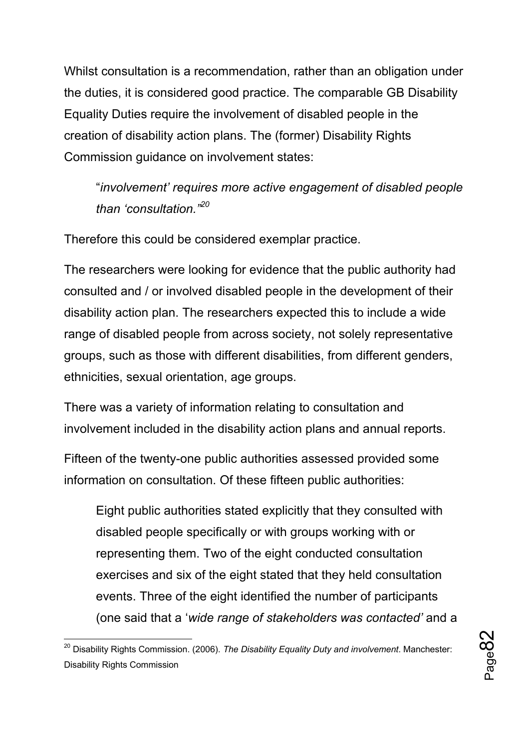Whilst consultation is a recommendation, rather than an obligation under the duties, it is considered good practice. The comparable GB Disability Equality Duties require the involvement of disabled people in the creation of disability action plans. The (former) Disability Rights Commission guidance on involvement states:

"*involvement' requires more active engagement of disabled people than 'consultation."20*

Therefore this could be considered exemplar practice.

The researchers were looking for evidence that the public authority had consulted and / or involved disabled people in the development of their disability action plan. The researchers expected this to include a wide range of disabled people from across society, not solely representative groups, such as those with different disabilities, from different genders, ethnicities, sexual orientation, age groups.

There was a variety of information relating to consultation and involvement included in the disability action plans and annual reports.

Fifteen of the twenty-one public authorities assessed provided some information on consultation. Of these fifteen public authorities:

Eight public authorities stated explicitly that they consulted with disabled people specifically or with groups working with or representing them. Two of the eight conducted consultation exercises and six of the eight stated that they held consultation events. Three of the eight identified the number of participants (one said that a '*wide range of stakeholders was contacted'* and a

 $\overline{a}$ <sup>20</sup> Disability Rights Commission. (2006). *The Disability Equality Duty and involvement*. Manchester: Disability Rights Commission

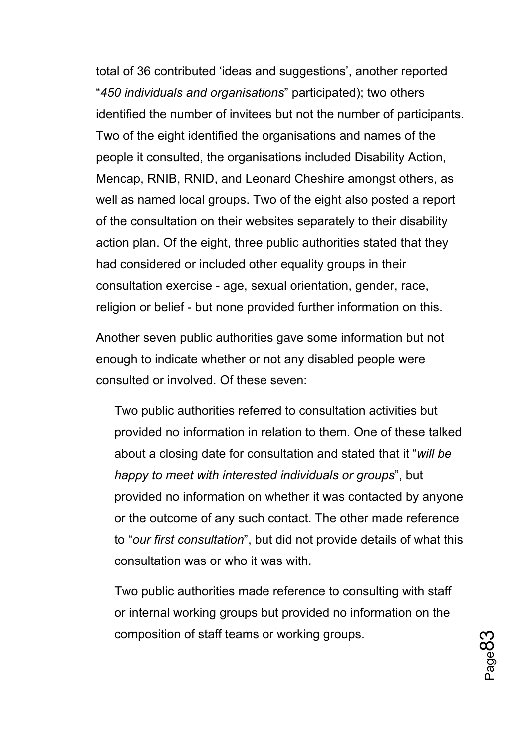total of 36 contributed 'ideas and suggestions', another reported "*450 individuals and organisations*" participated); two others identified the number of invitees but not the number of participants. Two of the eight identified the organisations and names of the people it consulted, the organisations included Disability Action, Mencap, RNIB, RNID, and Leonard Cheshire amongst others, as well as named local groups. Two of the eight also posted a report of the consultation on their websites separately to their disability action plan. Of the eight, three public authorities stated that they had considered or included other equality groups in their consultation exercise - age, sexual orientation, gender, race, religion or belief - but none provided further information on this.

Another seven public authorities gave some information but not enough to indicate whether or not any disabled people were consulted or involved. Of these seven:

Two public authorities referred to consultation activities but provided no information in relation to them. One of these talked about a closing date for consultation and stated that it "*will be happy to meet with interested individuals or groups*", but provided no information on whether it was contacted by anyone or the outcome of any such contact. The other made reference to "*our first consultation*", but did not provide details of what this consultation was or who it was with.

Two public authorities made reference to consulting with staff or internal working groups but provided no information on the composition of staff teams or working groups.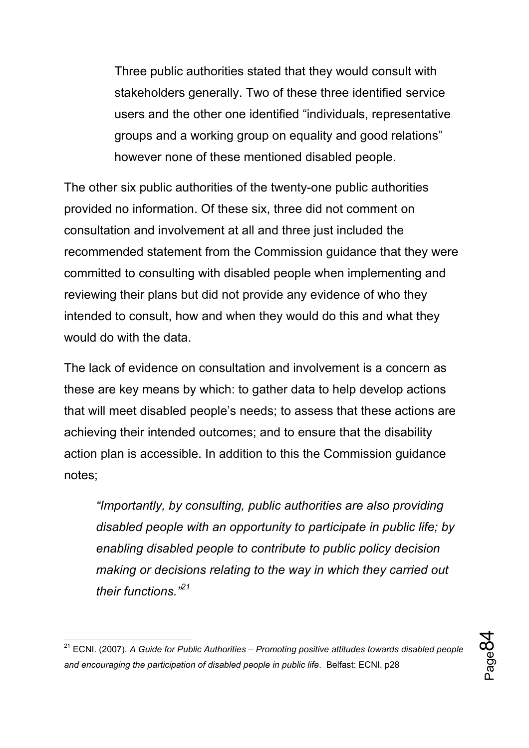Three public authorities stated that they would consult with stakeholders generally. Two of these three identified service users and the other one identified "individuals, representative groups and a working group on equality and good relations" however none of these mentioned disabled people.

The other six public authorities of the twenty-one public authorities provided no information. Of these six, three did not comment on consultation and involvement at all and three just included the recommended statement from the Commission guidance that they were committed to consulting with disabled people when implementing and reviewing their plans but did not provide any evidence of who they intended to consult, how and when they would do this and what they would do with the data.

The lack of evidence on consultation and involvement is a concern as these are key means by which: to gather data to help develop actions that will meet disabled people's needs; to assess that these actions are achieving their intended outcomes; and to ensure that the disability action plan is accessible. In addition to this the Commission guidance notes;

*"Importantly, by consulting, public authorities are also providing disabled people with an opportunity to participate in public life; by enabling disabled people to contribute to public policy decision making or decisions relating to the way in which they carried out their functions."<sup>21</sup>*

 $\overline{a}$ 21 ECNI. (2007). *A Guide for Public Authorities – Promoting positive attitudes towards disabled people and encouraging the participation of disabled people in public life*. Belfast: ECNI. p28

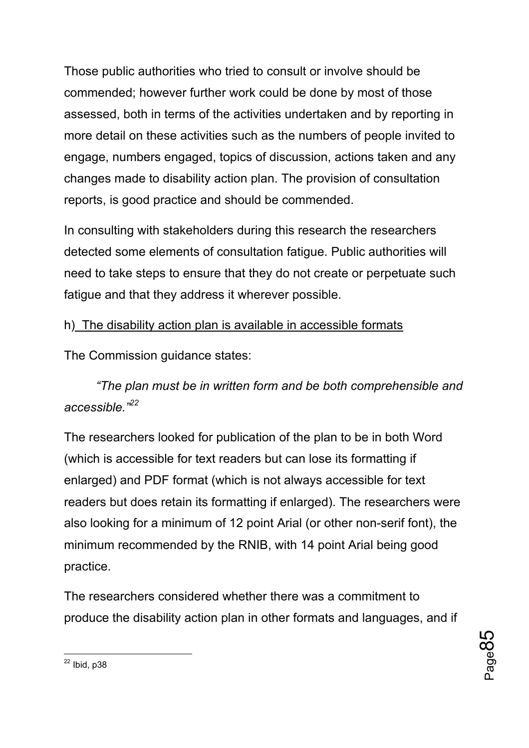Those public authorities who tried to consult or involve should be commended; however further work could be done by most of those assessed, both in terms of the activities undertaken and by reporting in more detail on these activities such as the numbers of people invited to engage, numbers engaged, topics of discussion, actions taken and any changes made to disability action plan. The provision of consultation reports, is good practice and should be commended.

In consulting with stakeholders during this research the researchers detected some elements of consultation fatigue. Public authorities will need to take steps to ensure that they do not create or perpetuate such fatigue and that they address it wherever possible.

## h) The disability action plan is available in accessible formats

The Commission guidance states:

*"The plan must be in written form and be both comprehensible and accessible."22*

The researchers looked for publication of the plan to be in both Word (which is accessible for text readers but can lose its formatting if enlarged) and PDF format (which is not always accessible for text readers but does retain its formatting if enlarged). The researchers were also looking for a minimum of 12 point Arial (or other non-serif font), the minimum recommended by the RNIB, with 14 point Arial being good practice.

The researchers considered whether there was a commitment to produce the disability action plan in other formats and languages, and if



l <sup>22</sup> Ibid, p38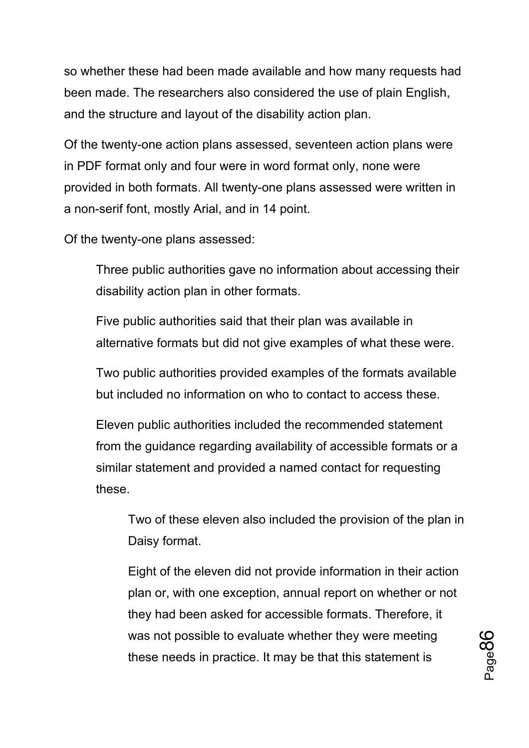so whether these had been made available and how many requests had been made. The researchers also considered the use of plain English, and the structure and layout of the disability action plan.

Of the twenty-one action plans assessed, seventeen action plans were in PDF format only and four were in word format only, none were provided in both formats. All twenty-one plans assessed were written in a non-serif font, mostly Arial, and in 14 point.

Of the twenty-one plans assessed:

Three public authorities gave no information about accessing their disability action plan in other formats.

Five public authorities said that their plan was available in alternative formats but did not give examples of what these were.

Two public authorities provided examples of the formats available but included no information on who to contact to access these.

Eleven public authorities included the recommended statement from the guidance regarding availability of accessible formats or a similar statement and provided a named contact for requesting these.

Two of these eleven also included the provision of the plan in Daisy format.

Eight of the eleven did not provide information in their action plan or, with one exception, annual report on whether or not they had been asked for accessible formats. Therefore, it was not possible to evaluate whether they were meeting these needs in practice. It may be that this statement is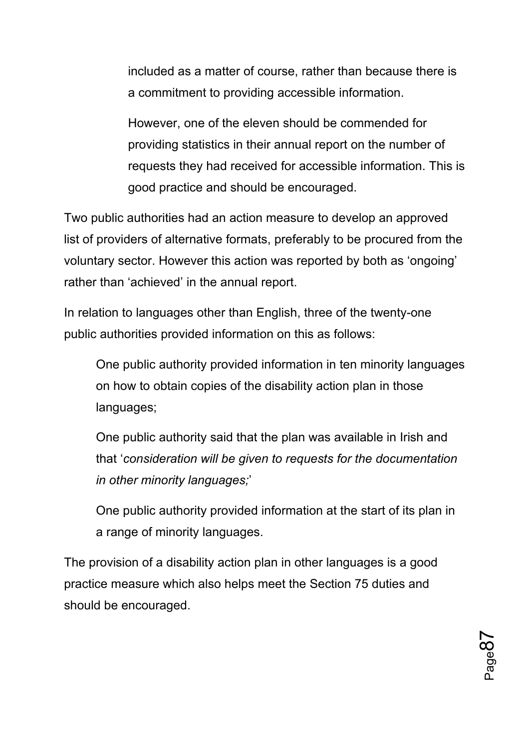included as a matter of course, rather than because there is a commitment to providing accessible information.

However, one of the eleven should be commended for providing statistics in their annual report on the number of requests they had received for accessible information. This is good practice and should be encouraged.

Two public authorities had an action measure to develop an approved list of providers of alternative formats, preferably to be procured from the voluntary sector. However this action was reported by both as 'ongoing' rather than 'achieved' in the annual report.

In relation to languages other than English, three of the twenty-one public authorities provided information on this as follows:

One public authority provided information in ten minority languages on how to obtain copies of the disability action plan in those languages;

One public authority said that the plan was available in Irish and that '*consideration will be given to requests for the documentation in other minority languages;*'

One public authority provided information at the start of its plan in a range of minority languages.

The provision of a disability action plan in other languages is a good practice measure which also helps meet the Section 75 duties and should be encouraged.

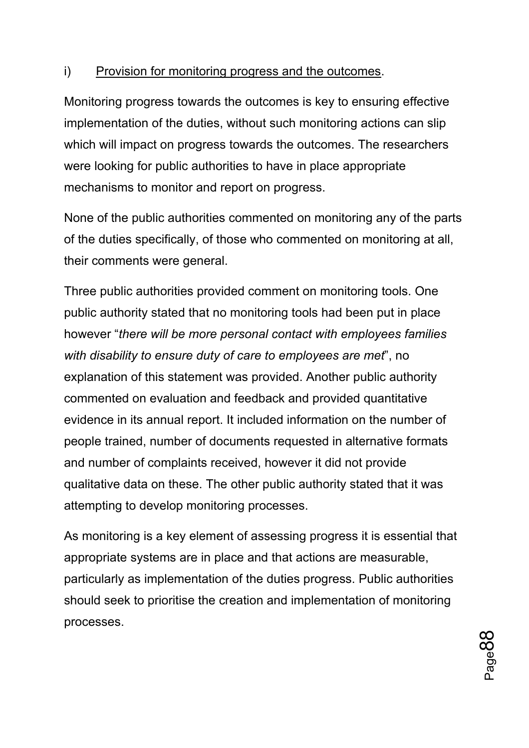### i) Provision for monitoring progress and the outcomes.

Monitoring progress towards the outcomes is key to ensuring effective implementation of the duties, without such monitoring actions can slip which will impact on progress towards the outcomes. The researchers were looking for public authorities to have in place appropriate mechanisms to monitor and report on progress.

None of the public authorities commented on monitoring any of the parts of the duties specifically, of those who commented on monitoring at all, their comments were general.

Three public authorities provided comment on monitoring tools. One public authority stated that no monitoring tools had been put in place however "*there will be more personal contact with employees families with disability to ensure duty of care to employees are met*", no explanation of this statement was provided. Another public authority commented on evaluation and feedback and provided quantitative evidence in its annual report. It included information on the number of people trained, number of documents requested in alternative formats and number of complaints received, however it did not provide qualitative data on these. The other public authority stated that it was attempting to develop monitoring processes.

As monitoring is a key element of assessing progress it is essential that appropriate systems are in place and that actions are measurable, particularly as implementation of the duties progress. Public authorities should seek to prioritise the creation and implementation of monitoring processes.

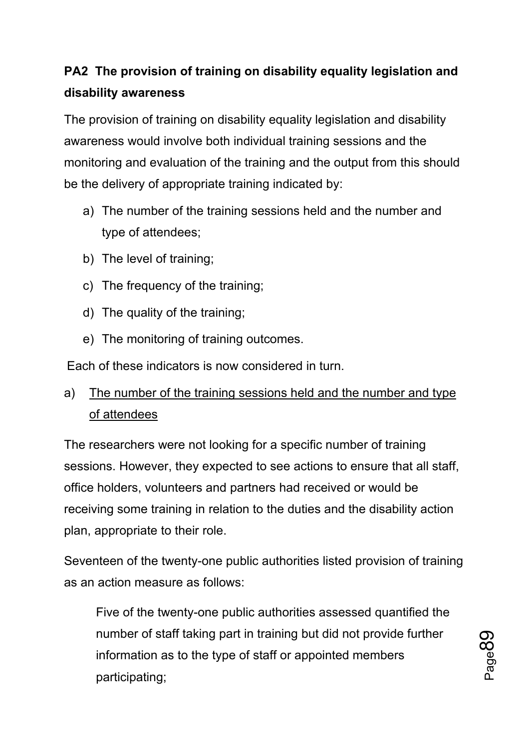# **PA2 The provision of training on disability equality legislation and disability awareness**

The provision of training on disability equality legislation and disability awareness would involve both individual training sessions and the monitoring and evaluation of the training and the output from this should be the delivery of appropriate training indicated by:

- a) The number of the training sessions held and the number and type of attendees;
- b) The level of training;
- c) The frequency of the training;
- d) The quality of the training;
- e) The monitoring of training outcomes.

Each of these indicators is now considered in turn.

## a) The number of the training sessions held and the number and type of attendees

The researchers were not looking for a specific number of training sessions. However, they expected to see actions to ensure that all staff, office holders, volunteers and partners had received or would be receiving some training in relation to the duties and the disability action plan, appropriate to their role.

Seventeen of the twenty-one public authorities listed provision of training as an action measure as follows:

Five of the twenty-one public authorities assessed quantified the number of staff taking part in training but did not provide further information as to the type of staff or appointed members participating;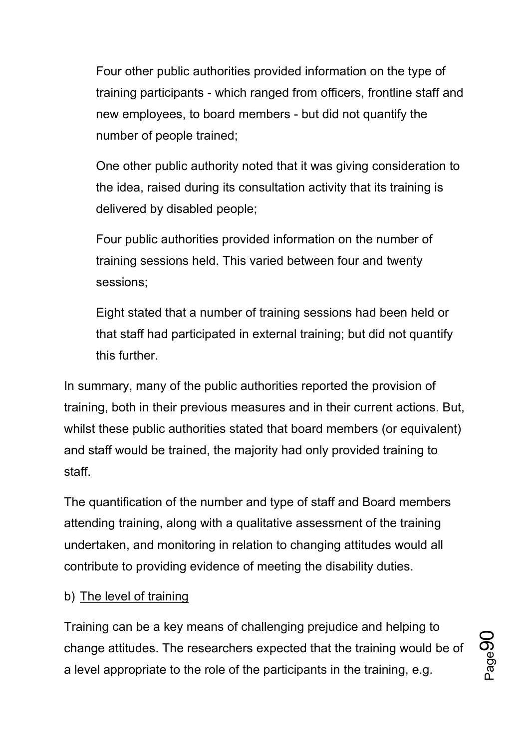Four other public authorities provided information on the type of training participants - which ranged from officers, frontline staff and new employees, to board members - but did not quantify the number of people trained;

One other public authority noted that it was giving consideration to the idea, raised during its consultation activity that its training is delivered by disabled people;

Four public authorities provided information on the number of training sessions held. This varied between four and twenty sessions;

Eight stated that a number of training sessions had been held or that staff had participated in external training; but did not quantify this further.

In summary, many of the public authorities reported the provision of training, both in their previous measures and in their current actions. But, whilst these public authorities stated that board members (or equivalent) and staff would be trained, the majority had only provided training to staff.

The quantification of the number and type of staff and Board members attending training, along with a qualitative assessment of the training undertaken, and monitoring in relation to changing attitudes would all contribute to providing evidence of meeting the disability duties.

## b) The level of training

Training can be a key means of challenging prejudice and helping to change attitudes. The researchers expected that the training would be of a level appropriate to the role of the participants in the training, e.g.

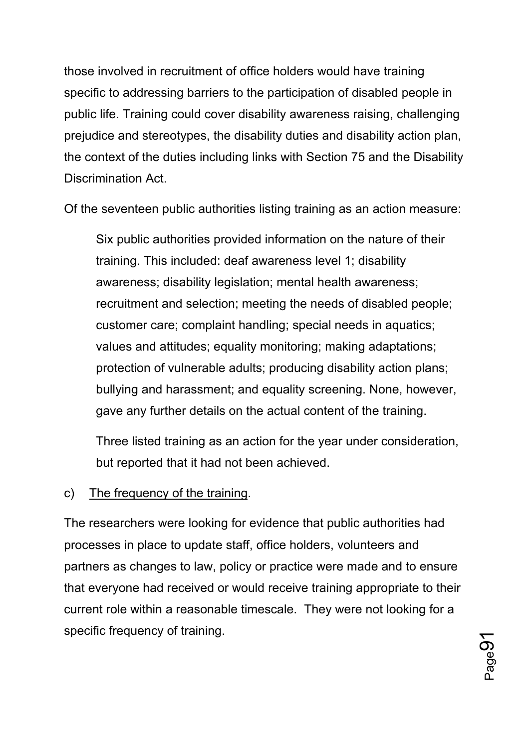those involved in recruitment of office holders would have training specific to addressing barriers to the participation of disabled people in public life. Training could cover disability awareness raising, challenging prejudice and stereotypes, the disability duties and disability action plan, the context of the duties including links with Section 75 and the Disability Discrimination Act.

Of the seventeen public authorities listing training as an action measure:

Six public authorities provided information on the nature of their training. This included: deaf awareness level 1; disability awareness; disability legislation; mental health awareness; recruitment and selection; meeting the needs of disabled people; customer care; complaint handling; special needs in aquatics; values and attitudes; equality monitoring; making adaptations; protection of vulnerable adults; producing disability action plans; bullying and harassment; and equality screening. None, however, gave any further details on the actual content of the training.

Three listed training as an action for the year under consideration, but reported that it had not been achieved.

## c) The frequency of the training.

The researchers were looking for evidence that public authorities had processes in place to update staff, office holders, volunteers and partners as changes to law, policy or practice were made and to ensure that everyone had received or would receive training appropriate to their current role within a reasonable timescale. They were not looking for a specific frequency of training.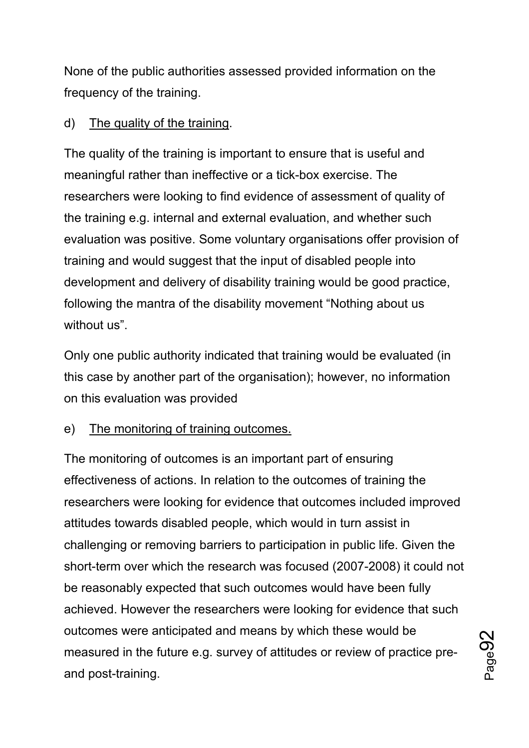None of the public authorities assessed provided information on the frequency of the training.

### d) The quality of the training.

The quality of the training is important to ensure that is useful and meaningful rather than ineffective or a tick-box exercise. The researchers were looking to find evidence of assessment of quality of the training e.g. internal and external evaluation, and whether such evaluation was positive. Some voluntary organisations offer provision of training and would suggest that the input of disabled people into development and delivery of disability training would be good practice, following the mantra of the disability movement "Nothing about us without us".

Only one public authority indicated that training would be evaluated (in this case by another part of the organisation); however, no information on this evaluation was provided

#### e) The monitoring of training outcomes.

The monitoring of outcomes is an important part of ensuring effectiveness of actions. In relation to the outcomes of training the researchers were looking for evidence that outcomes included improved attitudes towards disabled people, which would in turn assist in challenging or removing barriers to participation in public life. Given the short-term over which the research was focused (2007-2008) it could not be reasonably expected that such outcomes would have been fully achieved. However the researchers were looking for evidence that such outcomes were anticipated and means by which these would be measured in the future e.g. survey of attitudes or review of practice preand post-training.

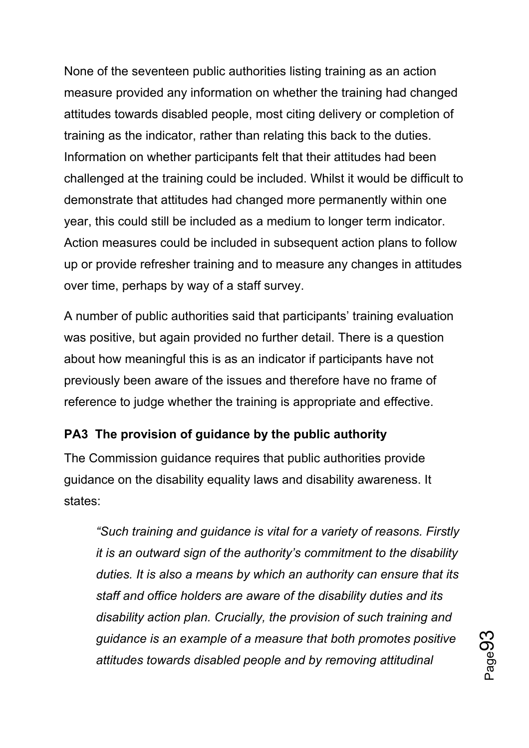None of the seventeen public authorities listing training as an action measure provided any information on whether the training had changed attitudes towards disabled people, most citing delivery or completion of training as the indicator, rather than relating this back to the duties. Information on whether participants felt that their attitudes had been challenged at the training could be included. Whilst it would be difficult to demonstrate that attitudes had changed more permanently within one year, this could still be included as a medium to longer term indicator. Action measures could be included in subsequent action plans to follow up or provide refresher training and to measure any changes in attitudes over time, perhaps by way of a staff survey.

A number of public authorities said that participants' training evaluation was positive, but again provided no further detail. There is a question about how meaningful this is as an indicator if participants have not previously been aware of the issues and therefore have no frame of reference to judge whether the training is appropriate and effective.

## **PA3 The provision of guidance by the public authority**

The Commission guidance requires that public authorities provide guidance on the disability equality laws and disability awareness. It states:

*"Such training and guidance is vital for a variety of reasons. Firstly it is an outward sign of the authority's commitment to the disability duties. It is also a means by which an authority can ensure that its staff and office holders are aware of the disability duties and its disability action plan. Crucially, the provision of such training and guidance is an example of a measure that both promotes positive attitudes towards disabled people and by removing attitudinal*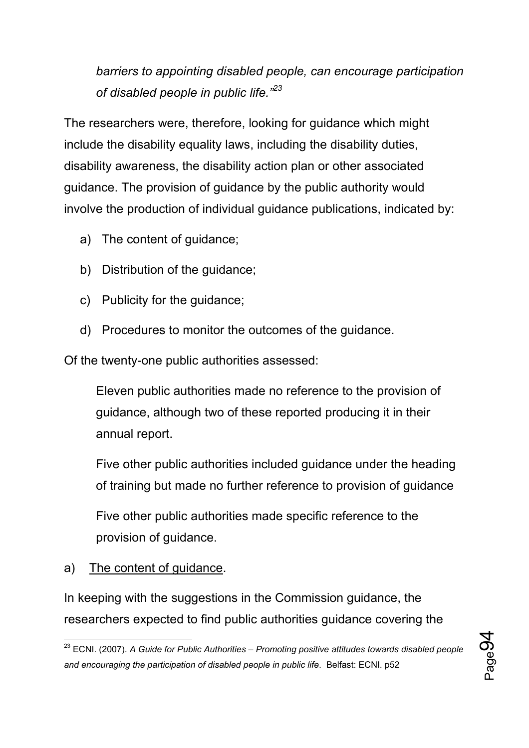*barriers to appointing disabled people, can encourage participation of disabled people in public life."23*

The researchers were, therefore, looking for guidance which might include the disability equality laws, including the disability duties, disability awareness, the disability action plan or other associated guidance. The provision of guidance by the public authority would involve the production of individual guidance publications, indicated by:

- a) The content of guidance;
- b) Distribution of the guidance;
- c) Publicity for the guidance;
- d) Procedures to monitor the outcomes of the guidance.

Of the twenty-one public authorities assessed:

Eleven public authorities made no reference to the provision of guidance, although two of these reported producing it in their annual report.

Five other public authorities included guidance under the heading of training but made no further reference to provision of guidance

Five other public authorities made specific reference to the provision of guidance.

a) The content of guidance.

In keeping with the suggestions in the Commission guidance, the researchers expected to find public authorities guidance covering the

 $\overline{a}$ 23 ECNI. (2007). *A Guide for Public Authorities – Promoting positive attitudes towards disabled people and encouraging the participation of disabled people in public life*. Belfast: ECNI. p52

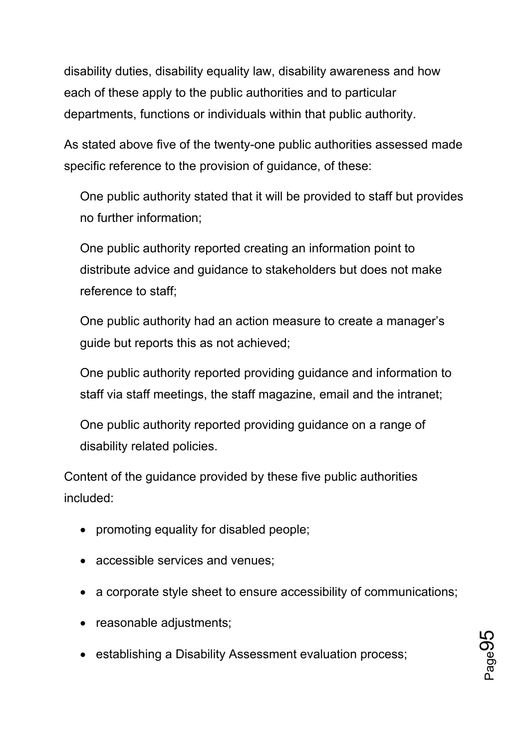disability duties, disability equality law, disability awareness and how each of these apply to the public authorities and to particular departments, functions or individuals within that public authority.

As stated above five of the twenty-one public authorities assessed made specific reference to the provision of guidance, of these:

One public authority stated that it will be provided to staff but provides no further information;

One public authority reported creating an information point to distribute advice and guidance to stakeholders but does not make reference to staff;

One public authority had an action measure to create a manager's guide but reports this as not achieved;

One public authority reported providing guidance and information to staff via staff meetings, the staff magazine, email and the intranet;

One public authority reported providing guidance on a range of disability related policies.

Content of the guidance provided by these five public authorities included:

- promoting equality for disabled people;
- accessible services and venues:
- a corporate style sheet to ensure accessibility of communications;
- reasonable adjustments;
- establishing a Disability Assessment evaluation process;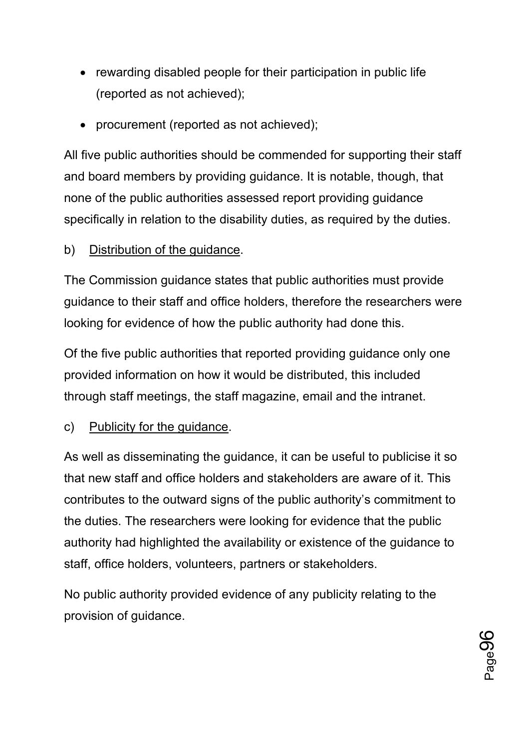- rewarding disabled people for their participation in public life (reported as not achieved);
- procurement (reported as not achieved);

All five public authorities should be commended for supporting their staff and board members by providing guidance. It is notable, though, that none of the public authorities assessed report providing guidance specifically in relation to the disability duties, as required by the duties.

b) Distribution of the guidance.

The Commission guidance states that public authorities must provide guidance to their staff and office holders, therefore the researchers were looking for evidence of how the public authority had done this.

Of the five public authorities that reported providing guidance only one provided information on how it would be distributed, this included through staff meetings, the staff magazine, email and the intranet.

## c) Publicity for the guidance.

As well as disseminating the guidance, it can be useful to publicise it so that new staff and office holders and stakeholders are aware of it. This contributes to the outward signs of the public authority's commitment to the duties. The researchers were looking for evidence that the public authority had highlighted the availability or existence of the guidance to staff, office holders, volunteers, partners or stakeholders.

No public authority provided evidence of any publicity relating to the provision of guidance.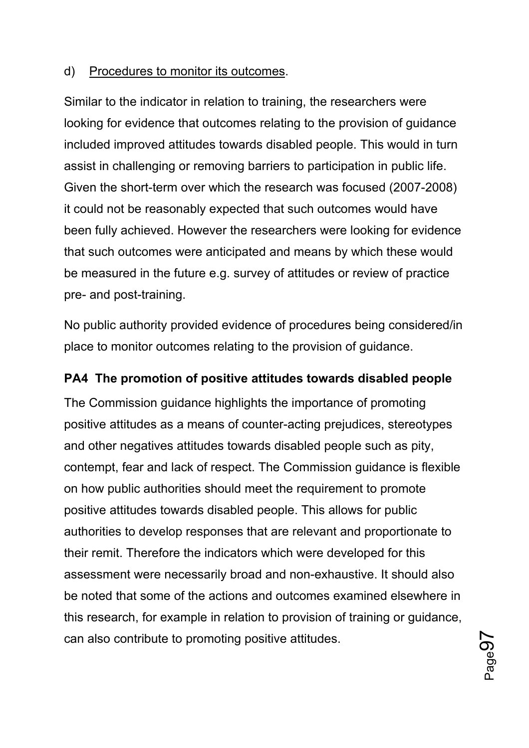#### d) Procedures to monitor its outcomes.

Similar to the indicator in relation to training, the researchers were looking for evidence that outcomes relating to the provision of guidance included improved attitudes towards disabled people. This would in turn assist in challenging or removing barriers to participation in public life. Given the short-term over which the research was focused (2007-2008) it could not be reasonably expected that such outcomes would have been fully achieved. However the researchers were looking for evidence that such outcomes were anticipated and means by which these would be measured in the future e.g. survey of attitudes or review of practice pre- and post-training.

No public authority provided evidence of procedures being considered/in place to monitor outcomes relating to the provision of guidance.

#### **PA4 The promotion of positive attitudes towards disabled people**

The Commission guidance highlights the importance of promoting positive attitudes as a means of counter-acting prejudices, stereotypes and other negatives attitudes towards disabled people such as pity, contempt, fear and lack of respect. The Commission guidance is flexible on how public authorities should meet the requirement to promote positive attitudes towards disabled people. This allows for public authorities to develop responses that are relevant and proportionate to their remit. Therefore the indicators which were developed for this assessment were necessarily broad and non-exhaustive. It should also be noted that some of the actions and outcomes examined elsewhere in this research, for example in relation to provision of training or guidance, can also contribute to promoting positive attitudes.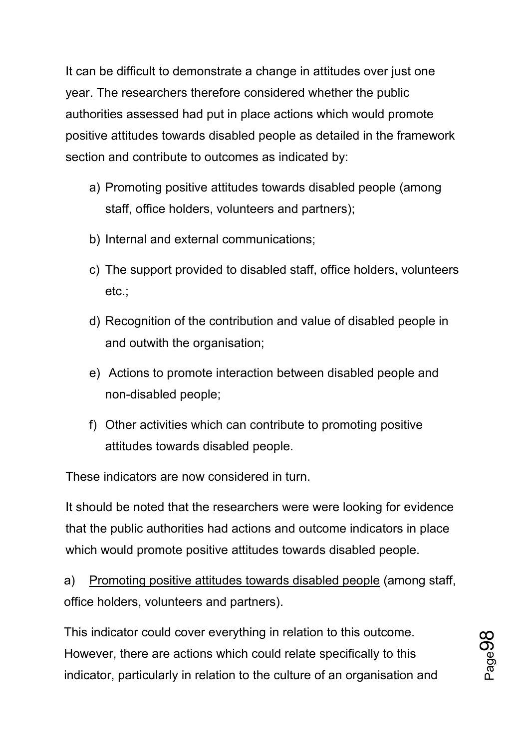It can be difficult to demonstrate a change in attitudes over just one year. The researchers therefore considered whether the public authorities assessed had put in place actions which would promote positive attitudes towards disabled people as detailed in the framework section and contribute to outcomes as indicated by:

- a) Promoting positive attitudes towards disabled people (among staff, office holders, volunteers and partners);
- b) Internal and external communications;
- c) The support provided to disabled staff, office holders, volunteers etc.;
- d) Recognition of the contribution and value of disabled people in and outwith the organisation;
- e) Actions to promote interaction between disabled people and non-disabled people;
- f) Other activities which can contribute to promoting positive attitudes towards disabled people.

These indicators are now considered in turn.

It should be noted that the researchers were were looking for evidence that the public authorities had actions and outcome indicators in place which would promote positive attitudes towards disabled people.

a) Promoting positive attitudes towards disabled people (among staff, office holders, volunteers and partners).

This indicator could cover everything in relation to this outcome. However, there are actions which could relate specifically to this indicator, particularly in relation to the culture of an organisation and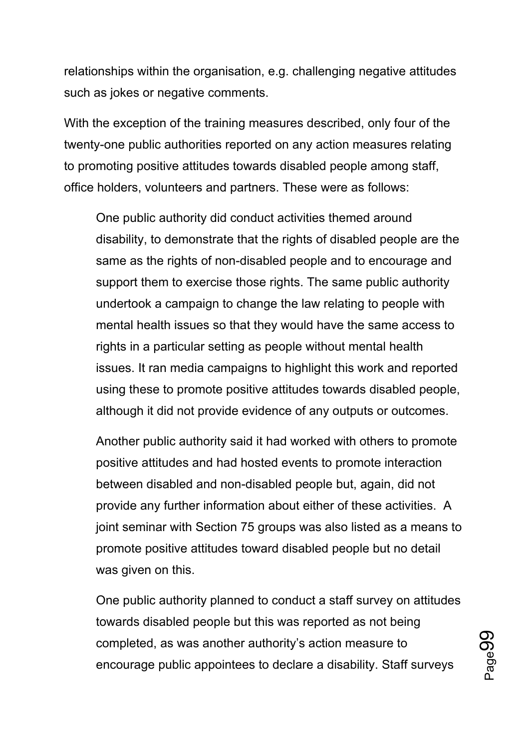relationships within the organisation, e.g. challenging negative attitudes such as jokes or negative comments.

With the exception of the training measures described, only four of the twenty-one public authorities reported on any action measures relating to promoting positive attitudes towards disabled people among staff, office holders, volunteers and partners. These were as follows:

One public authority did conduct activities themed around disability, to demonstrate that the rights of disabled people are the same as the rights of non-disabled people and to encourage and support them to exercise those rights. The same public authority undertook a campaign to change the law relating to people with mental health issues so that they would have the same access to rights in a particular setting as people without mental health issues. It ran media campaigns to highlight this work and reported using these to promote positive attitudes towards disabled people, although it did not provide evidence of any outputs or outcomes.

Another public authority said it had worked with others to promote positive attitudes and had hosted events to promote interaction between disabled and non-disabled people but, again, did not provide any further information about either of these activities. A joint seminar with Section 75 groups was also listed as a means to promote positive attitudes toward disabled people but no detail was given on this.

One public authority planned to conduct a staff survey on attitudes towards disabled people but this was reported as not being completed, as was another authority's action measure to encourage public appointees to declare a disability. Staff surveys

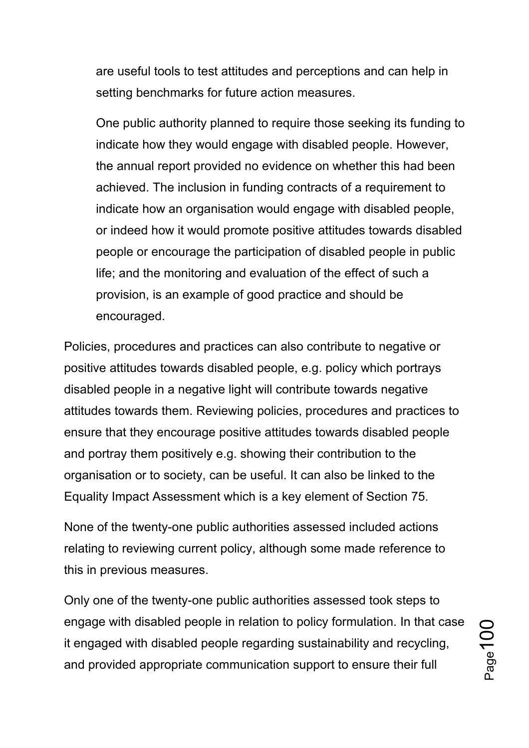are useful tools to test attitudes and perceptions and can help in setting benchmarks for future action measures.

One public authority planned to require those seeking its funding to indicate how they would engage with disabled people. However, the annual report provided no evidence on whether this had been achieved. The inclusion in funding contracts of a requirement to indicate how an organisation would engage with disabled people, or indeed how it would promote positive attitudes towards disabled people or encourage the participation of disabled people in public life; and the monitoring and evaluation of the effect of such a provision, is an example of good practice and should be encouraged.

Policies, procedures and practices can also contribute to negative or positive attitudes towards disabled people, e.g. policy which portrays disabled people in a negative light will contribute towards negative attitudes towards them. Reviewing policies, procedures and practices to ensure that they encourage positive attitudes towards disabled people and portray them positively e.g. showing their contribution to the organisation or to society, can be useful. It can also be linked to the Equality Impact Assessment which is a key element of Section 75.

None of the twenty-one public authorities assessed included actions relating to reviewing current policy, although some made reference to this in previous measures.

Only one of the twenty-one public authorities assessed took steps to engage with disabled people in relation to policy formulation. In that case it engaged with disabled people regarding sustainability and recycling, and provided appropriate communication support to ensure their full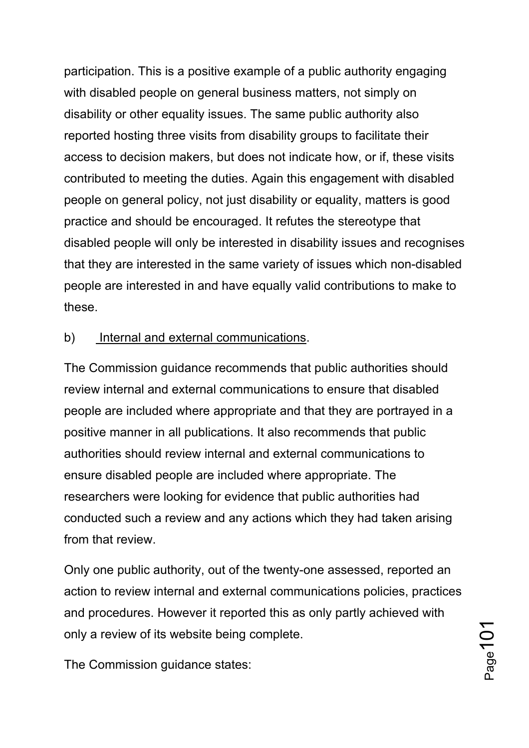participation. This is a positive example of a public authority engaging with disabled people on general business matters, not simply on disability or other equality issues. The same public authority also reported hosting three visits from disability groups to facilitate their access to decision makers, but does not indicate how, or if, these visits contributed to meeting the duties. Again this engagement with disabled people on general policy, not just disability or equality, matters is good practice and should be encouraged. It refutes the stereotype that disabled people will only be interested in disability issues and recognises that they are interested in the same variety of issues which non-disabled people are interested in and have equally valid contributions to make to these.

#### b) Internal and external communications.

The Commission guidance recommends that public authorities should review internal and external communications to ensure that disabled people are included where appropriate and that they are portrayed in a positive manner in all publications. It also recommends that public authorities should review internal and external communications to ensure disabled people are included where appropriate. The researchers were looking for evidence that public authorities had conducted such a review and any actions which they had taken arising from that review.

Only one public authority, out of the twenty-one assessed, reported an action to review internal and external communications policies, practices and procedures. However it reported this as only partly achieved with only a review of its website being complete.

The Commission guidance states: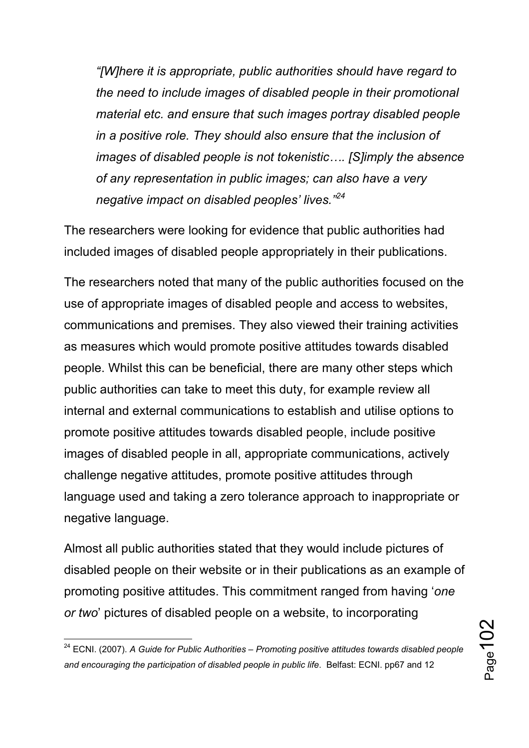*"[W]here it is appropriate, public authorities should have regard to the need to include images of disabled people in their promotional material etc. and ensure that such images portray disabled people in a positive role. They should also ensure that the inclusion of images of disabled people is not tokenistic…. [S]imply the absence of any representation in public images; can also have a very negative impact on disabled peoples' lives."<sup>24</sup>*

The researchers were looking for evidence that public authorities had included images of disabled people appropriately in their publications.

The researchers noted that many of the public authorities focused on the use of appropriate images of disabled people and access to websites, communications and premises. They also viewed their training activities as measures which would promote positive attitudes towards disabled people. Whilst this can be beneficial, there are many other steps which public authorities can take to meet this duty, for example review all internal and external communications to establish and utilise options to promote positive attitudes towards disabled people, include positive images of disabled people in all, appropriate communications, actively challenge negative attitudes, promote positive attitudes through language used and taking a zero tolerance approach to inappropriate or negative language.

Almost all public authorities stated that they would include pictures of disabled people on their website or in their publications as an example of promoting positive attitudes. This commitment ranged from having '*one or two*' pictures of disabled people on a website, to incorporating

 $\overline{a}$ 24 ECNI. (2007). *A Guide for Public Authorities – Promoting positive attitudes towards disabled people and encouraging the participation of disabled people in public life*. Belfast: ECNI. pp67 and 12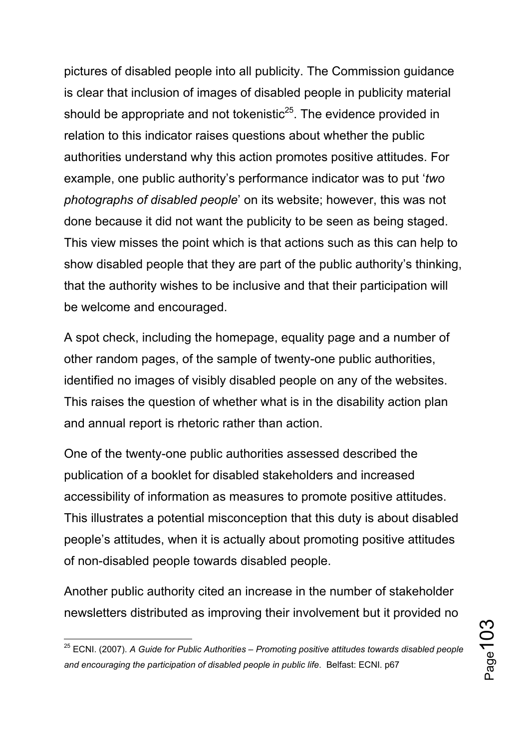pictures of disabled people into all publicity. The Commission guidance is clear that inclusion of images of disabled people in publicity material should be appropriate and not tokenistic<sup>25</sup>. The evidence provided in relation to this indicator raises questions about whether the public authorities understand why this action promotes positive attitudes. For example, one public authority's performance indicator was to put '*two photographs of disabled people*' on its website; however, this was not done because it did not want the publicity to be seen as being staged. This view misses the point which is that actions such as this can help to show disabled people that they are part of the public authority's thinking, that the authority wishes to be inclusive and that their participation will be welcome and encouraged.

A spot check, including the homepage, equality page and a number of other random pages, of the sample of twenty-one public authorities, identified no images of visibly disabled people on any of the websites. This raises the question of whether what is in the disability action plan and annual report is rhetoric rather than action.

One of the twenty-one public authorities assessed described the publication of a booklet for disabled stakeholders and increased accessibility of information as measures to promote positive attitudes. This illustrates a potential misconception that this duty is about disabled people's attitudes, when it is actually about promoting positive attitudes of non-disabled people towards disabled people.

Another public authority cited an increase in the number of stakeholder newsletters distributed as improving their involvement but it provided no

 $\overline{a}$ 25 ECNI. (2007). *A Guide for Public Authorities – Promoting positive attitudes towards disabled people and encouraging the participation of disabled people in public life*. Belfast: ECNI. p67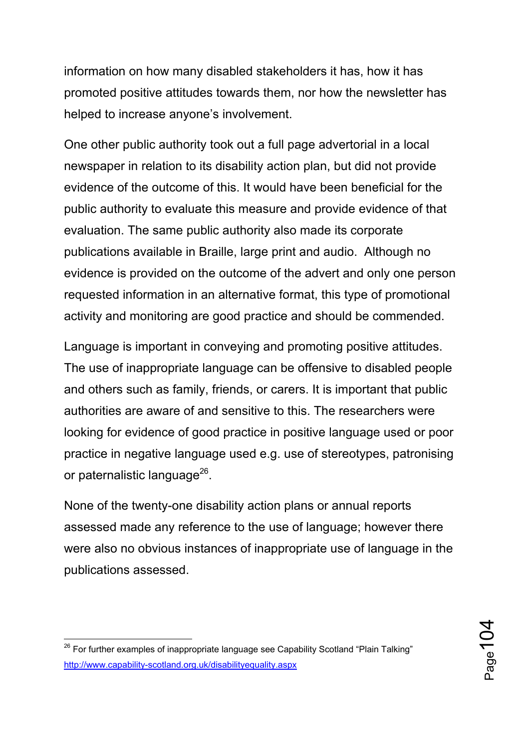information on how many disabled stakeholders it has, how it has promoted positive attitudes towards them, nor how the newsletter has helped to increase anyone's involvement.

One other public authority took out a full page advertorial in a local newspaper in relation to its disability action plan, but did not provide evidence of the outcome of this. It would have been beneficial for the public authority to evaluate this measure and provide evidence of that evaluation. The same public authority also made its corporate publications available in Braille, large print and audio. Although no evidence is provided on the outcome of the advert and only one person requested information in an alternative format, this type of promotional activity and monitoring are good practice and should be commended.

Language is important in conveying and promoting positive attitudes. The use of inappropriate language can be offensive to disabled people and others such as family, friends, or carers. It is important that public authorities are aware of and sensitive to this. The researchers were looking for evidence of good practice in positive language used or poor practice in negative language used e.g. use of stereotypes, patronising or paternalistic language<sup>26</sup>.

None of the twenty-one disability action plans or annual reports assessed made any reference to the use of language; however there were also no obvious instances of inappropriate use of language in the publications assessed.

 $\overline{a}$ 

 $^{26}$  For further examples of inappropriate language see Capability Scotland "Plain Talking" http://www.capability-scotland.org.uk/disabilityequality.aspx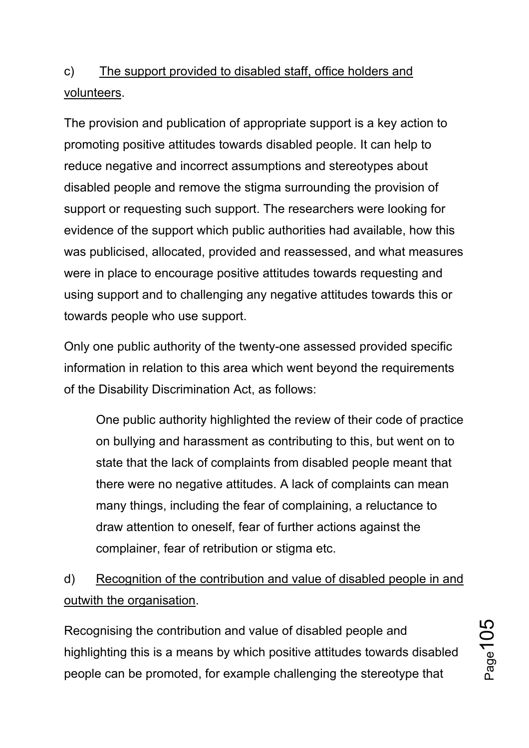# c) The support provided to disabled staff, office holders and volunteers.

The provision and publication of appropriate support is a key action to promoting positive attitudes towards disabled people. It can help to reduce negative and incorrect assumptions and stereotypes about disabled people and remove the stigma surrounding the provision of support or requesting such support. The researchers were looking for evidence of the support which public authorities had available, how this was publicised, allocated, provided and reassessed, and what measures were in place to encourage positive attitudes towards requesting and using support and to challenging any negative attitudes towards this or towards people who use support.

Only one public authority of the twenty-one assessed provided specific information in relation to this area which went beyond the requirements of the Disability Discrimination Act, as follows:

One public authority highlighted the review of their code of practice on bullying and harassment as contributing to this, but went on to state that the lack of complaints from disabled people meant that there were no negative attitudes. A lack of complaints can mean many things, including the fear of complaining, a reluctance to draw attention to oneself, fear of further actions against the complainer, fear of retribution or stigma etc.

d) Recognition of the contribution and value of disabled people in and outwith the organisation.

Recognising the contribution and value of disabled people and highlighting this is a means by which positive attitudes towards disabled people can be promoted, for example challenging the stereotype that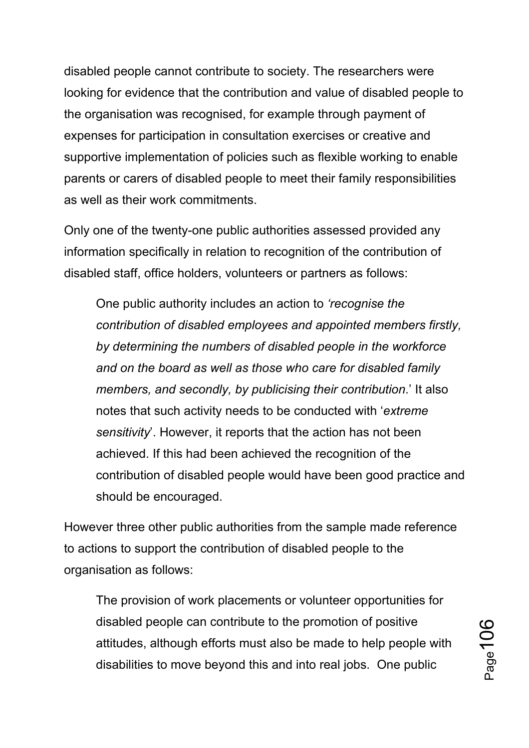disabled people cannot contribute to society. The researchers were looking for evidence that the contribution and value of disabled people to the organisation was recognised, for example through payment of expenses for participation in consultation exercises or creative and supportive implementation of policies such as flexible working to enable parents or carers of disabled people to meet their family responsibilities as well as their work commitments.

Only one of the twenty-one public authorities assessed provided any information specifically in relation to recognition of the contribution of disabled staff, office holders, volunteers or partners as follows:

One public authority includes an action to *'recognise the contribution of disabled employees and appointed members firstly, by determining the numbers of disabled people in the workforce and on the board as well as those who care for disabled family members, and secondly, by publicising their contribution*.' It also notes that such activity needs to be conducted with '*extreme sensitivity*'. However, it reports that the action has not been achieved. If this had been achieved the recognition of the contribution of disabled people would have been good practice and should be encouraged.

However three other public authorities from the sample made reference to actions to support the contribution of disabled people to the organisation as follows:

The provision of work placements or volunteer opportunities for disabled people can contribute to the promotion of positive attitudes, although efforts must also be made to help people with disabilities to move beyond this and into real jobs. One public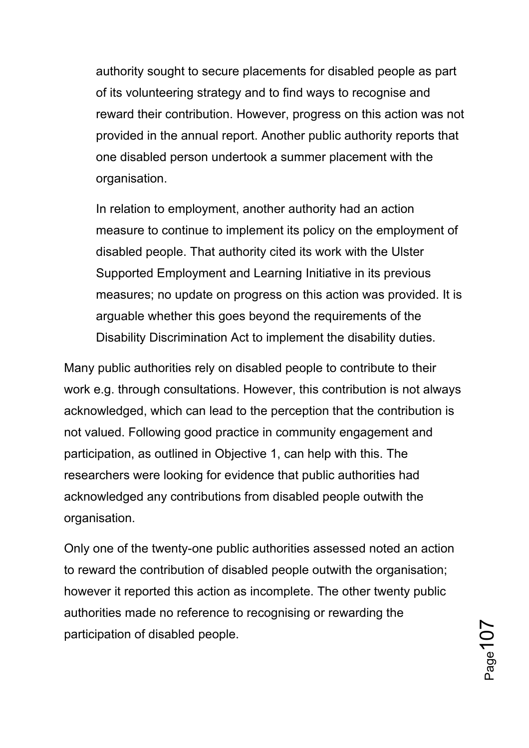authority sought to secure placements for disabled people as part of its volunteering strategy and to find ways to recognise and reward their contribution. However, progress on this action was not provided in the annual report. Another public authority reports that one disabled person undertook a summer placement with the organisation.

In relation to employment, another authority had an action measure to continue to implement its policy on the employment of disabled people. That authority cited its work with the Ulster Supported Employment and Learning Initiative in its previous measures; no update on progress on this action was provided. It is arguable whether this goes beyond the requirements of the Disability Discrimination Act to implement the disability duties.

Many public authorities rely on disabled people to contribute to their work e.g. through consultations. However, this contribution is not always acknowledged, which can lead to the perception that the contribution is not valued. Following good practice in community engagement and participation, as outlined in Objective 1, can help with this. The researchers were looking for evidence that public authorities had acknowledged any contributions from disabled people outwith the organisation.

Only one of the twenty-one public authorities assessed noted an action to reward the contribution of disabled people outwith the organisation; however it reported this action as incomplete. The other twenty public authorities made no reference to recognising or rewarding the participation of disabled people.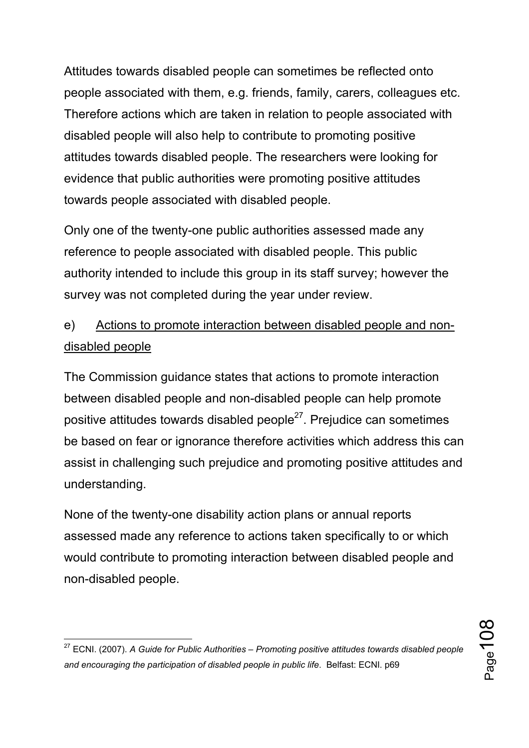Attitudes towards disabled people can sometimes be reflected onto people associated with them, e.g. friends, family, carers, colleagues etc. Therefore actions which are taken in relation to people associated with disabled people will also help to contribute to promoting positive attitudes towards disabled people. The researchers were looking for evidence that public authorities were promoting positive attitudes towards people associated with disabled people.

Only one of the twenty-one public authorities assessed made any reference to people associated with disabled people. This public authority intended to include this group in its staff survey; however the survey was not completed during the year under review.

## e) Actions to promote interaction between disabled people and nondisabled people

The Commission guidance states that actions to promote interaction between disabled people and non-disabled people can help promote positive attitudes towards disabled people $27$ . Prejudice can sometimes be based on fear or ignorance therefore activities which address this can assist in challenging such prejudice and promoting positive attitudes and understanding.

None of the twenty-one disability action plans or annual reports assessed made any reference to actions taken specifically to or which would contribute to promoting interaction between disabled people and non-disabled people.

 $\overline{a}$ 

<sup>27</sup> ECNI. (2007). *A Guide for Public Authorities – Promoting positive attitudes towards disabled people and encouraging the participation of disabled people in public life*. Belfast: ECNI. p69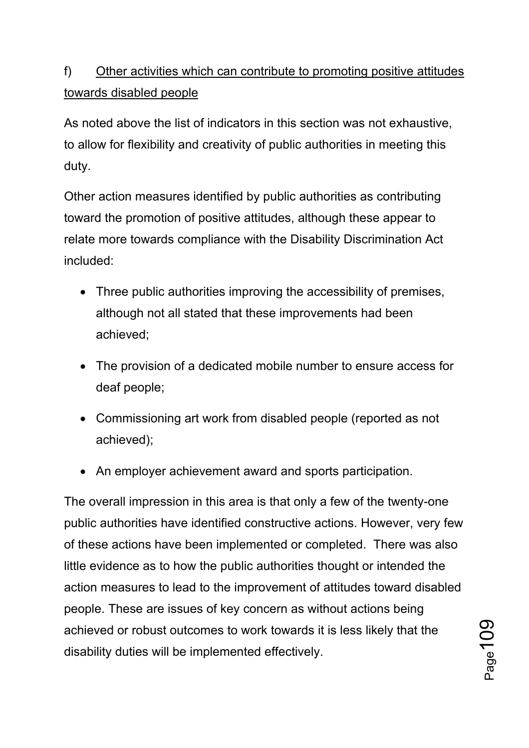# f) Other activities which can contribute to promoting positive attitudes towards disabled people

As noted above the list of indicators in this section was not exhaustive, to allow for flexibility and creativity of public authorities in meeting this duty.

Other action measures identified by public authorities as contributing toward the promotion of positive attitudes, although these appear to relate more towards compliance with the Disability Discrimination Act included:

- Three public authorities improving the accessibility of premises, although not all stated that these improvements had been achieved;
- The provision of a dedicated mobile number to ensure access for deaf people;
- Commissioning art work from disabled people (reported as not achieved);
- An employer achievement award and sports participation.

The overall impression in this area is that only a few of the twenty-one public authorities have identified constructive actions. However, very few of these actions have been implemented or completed. There was also little evidence as to how the public authorities thought or intended the action measures to lead to the improvement of attitudes toward disabled people. These are issues of key concern as without actions being achieved or robust outcomes to work towards it is less likely that the disability duties will be implemented effectively.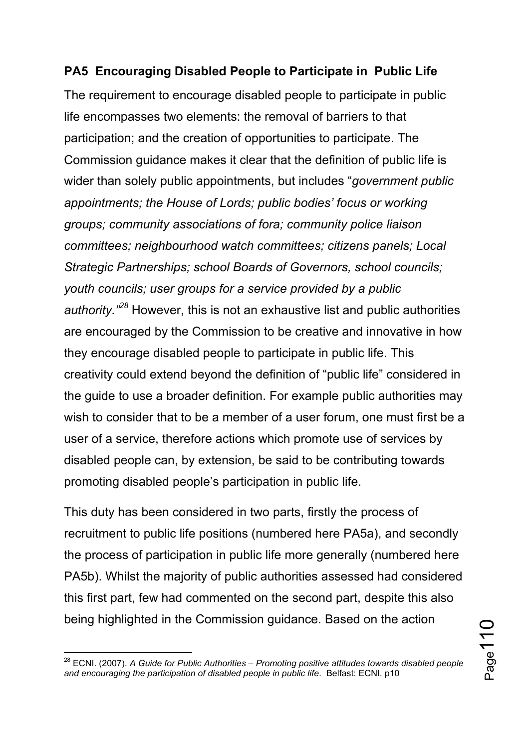#### **PA5 Encouraging Disabled People to Participate in Public Life**

The requirement to encourage disabled people to participate in public life encompasses two elements: the removal of barriers to that participation; and the creation of opportunities to participate. The Commission guidance makes it clear that the definition of public life is wider than solely public appointments, but includes "*government public appointments; the House of Lords; public bodies' focus or working groups; community associations of fora; community police liaison committees; neighbourhood watch committees; citizens panels; Local Strategic Partnerships; school Boards of Governors, school councils; youth councils; user groups for a service provided by a public authority."<sup>28</sup>* However, this is not an exhaustive list and public authorities are encouraged by the Commission to be creative and innovative in how they encourage disabled people to participate in public life. This creativity could extend beyond the definition of "public life" considered in the guide to use a broader definition. For example public authorities may wish to consider that to be a member of a user forum, one must first be a user of a service, therefore actions which promote use of services by disabled people can, by extension, be said to be contributing towards promoting disabled people's participation in public life.

This duty has been considered in two parts, firstly the process of recruitment to public life positions (numbered here PA5a), and secondly the process of participation in public life more generally (numbered here PA5b). Whilst the majority of public authorities assessed had considered this first part, few had commented on the second part, despite this also being highlighted in the Commission guidance. Based on the action

l 28 ECNI. (2007). *A Guide for Public Authorities – Promoting positive attitudes towards disabled people and encouraging the participation of disabled people in public life*. Belfast: ECNI. p10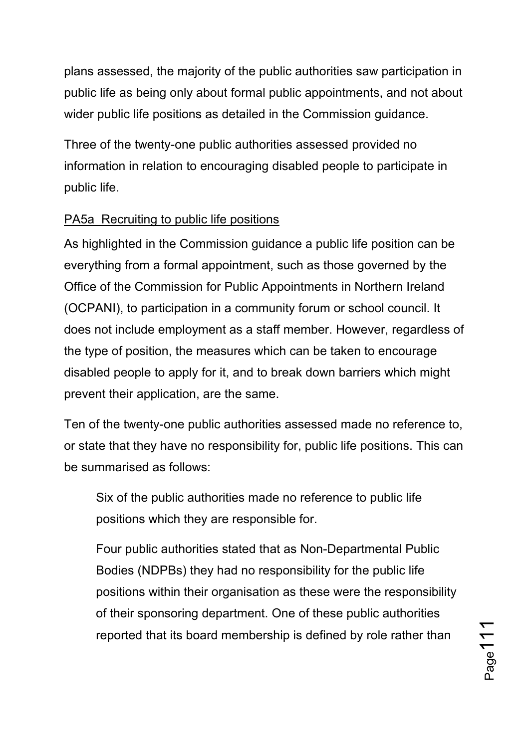plans assessed, the majority of the public authorities saw participation in public life as being only about formal public appointments, and not about wider public life positions as detailed in the Commission guidance.

Three of the twenty-one public authorities assessed provided no information in relation to encouraging disabled people to participate in public life.

### PA5a Recruiting to public life positions

As highlighted in the Commission guidance a public life position can be everything from a formal appointment, such as those governed by the Office of the Commission for Public Appointments in Northern Ireland (OCPANI), to participation in a community forum or school council. It does not include employment as a staff member. However, regardless of the type of position, the measures which can be taken to encourage disabled people to apply for it, and to break down barriers which might prevent their application, are the same.

Ten of the twenty-one public authorities assessed made no reference to, or state that they have no responsibility for, public life positions. This can be summarised as follows:

Six of the public authorities made no reference to public life positions which they are responsible for.

Four public authorities stated that as Non-Departmental Public Bodies (NDPBs) they had no responsibility for the public life positions within their organisation as these were the responsibility of their sponsoring department. One of these public authorities reported that its board membership is defined by role rather than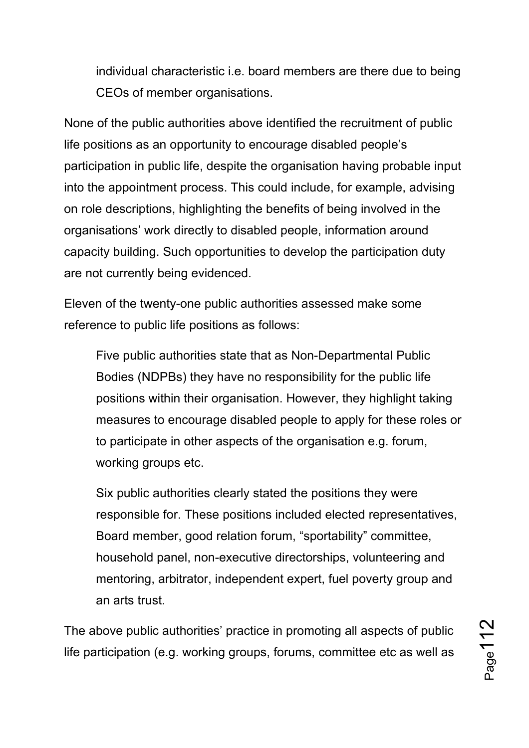individual characteristic i.e. board members are there due to being CEOs of member organisations.

None of the public authorities above identified the recruitment of public life positions as an opportunity to encourage disabled people's participation in public life, despite the organisation having probable input into the appointment process. This could include, for example, advising on role descriptions, highlighting the benefits of being involved in the organisations' work directly to disabled people, information around capacity building. Such opportunities to develop the participation duty are not currently being evidenced.

Eleven of the twenty-one public authorities assessed make some reference to public life positions as follows:

Five public authorities state that as Non-Departmental Public Bodies (NDPBs) they have no responsibility for the public life positions within their organisation. However, they highlight taking measures to encourage disabled people to apply for these roles or to participate in other aspects of the organisation e.g. forum, working groups etc.

Six public authorities clearly stated the positions they were responsible for. These positions included elected representatives, Board member, good relation forum, "sportability" committee, household panel, non-executive directorships, volunteering and mentoring, arbitrator, independent expert, fuel poverty group and an arts trust.

The above public authorities' practice in promoting all aspects of public life participation (e.g. working groups, forums, committee etc as well as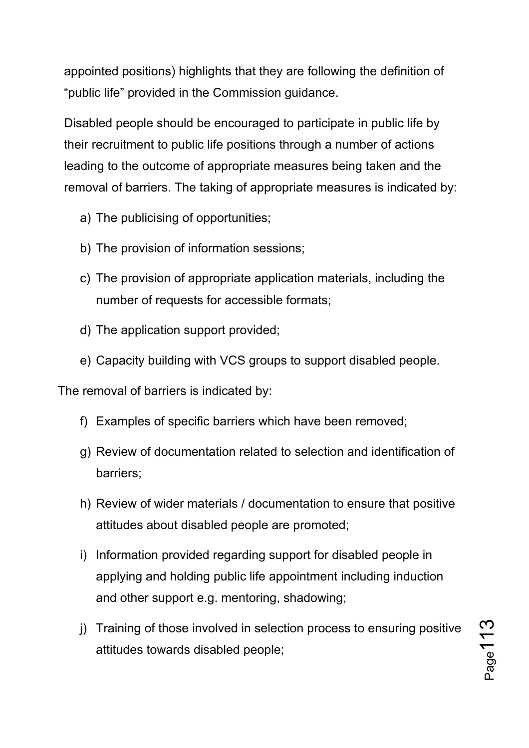appointed positions) highlights that they are following the definition of "public life" provided in the Commission guidance.

Disabled people should be encouraged to participate in public life by their recruitment to public life positions through a number of actions leading to the outcome of appropriate measures being taken and the removal of barriers. The taking of appropriate measures is indicated by:

- a) The publicising of opportunities;
- b) The provision of information sessions;
- c) The provision of appropriate application materials, including the number of requests for accessible formats;
- d) The application support provided;
- e) Capacity building with VCS groups to support disabled people.

The removal of barriers is indicated by:

- f) Examples of specific barriers which have been removed;
- g) Review of documentation related to selection and identification of barriers;
- h) Review of wider materials / documentation to ensure that positive attitudes about disabled people are promoted;
- i) Information provided regarding support for disabled people in applying and holding public life appointment including induction and other support e.g. mentoring, shadowing;
- j) Training of those involved in selection process to ensuring positive attitudes towards disabled people;

Page113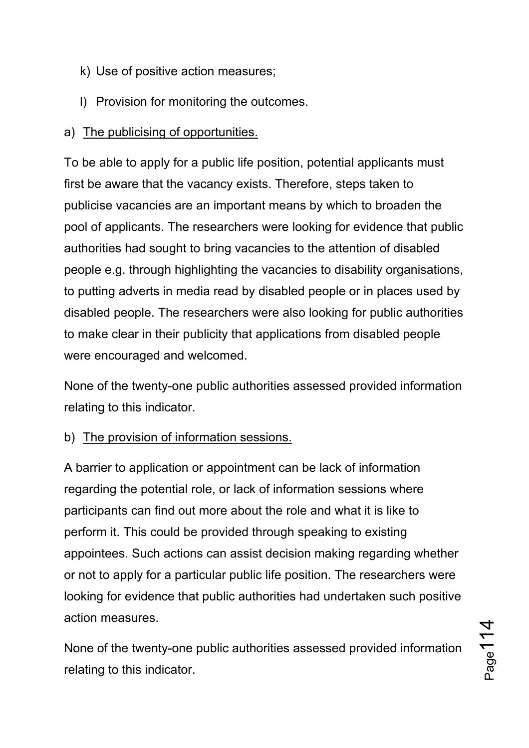- k) Use of positive action measures;
- l) Provision for monitoring the outcomes.

### a) The publicising of opportunities.

To be able to apply for a public life position, potential applicants must first be aware that the vacancy exists. Therefore, steps taken to publicise vacancies are an important means by which to broaden the pool of applicants. The researchers were looking for evidence that public authorities had sought to bring vacancies to the attention of disabled people e.g. through highlighting the vacancies to disability organisations, to putting adverts in media read by disabled people or in places used by disabled people. The researchers were also looking for public authorities to make clear in their publicity that applications from disabled people were encouraged and welcomed.

None of the twenty-one public authorities assessed provided information relating to this indicator.

b) The provision of information sessions.

A barrier to application or appointment can be lack of information regarding the potential role, or lack of information sessions where participants can find out more about the role and what it is like to perform it. This could be provided through speaking to existing appointees. Such actions can assist decision making regarding whether or not to apply for a particular public life position. The researchers were looking for evidence that public authorities had undertaken such positive action measures.

None of the twenty-one public authorities assessed provided information relating to this indicator.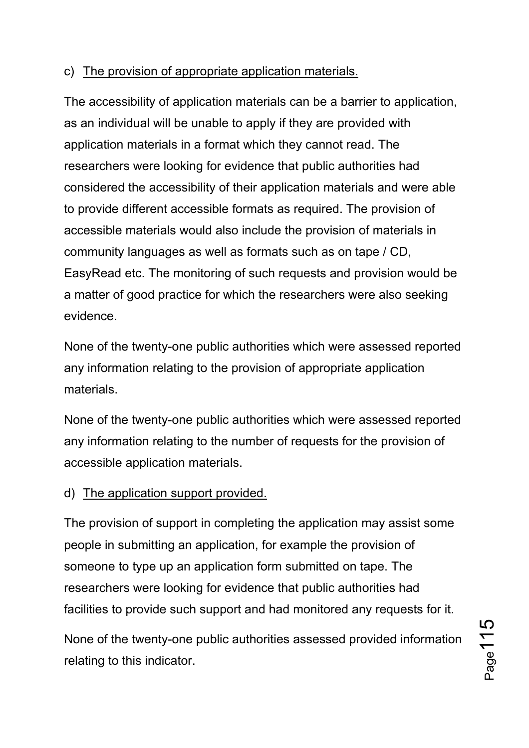### c) The provision of appropriate application materials.

The accessibility of application materials can be a barrier to application, as an individual will be unable to apply if they are provided with application materials in a format which they cannot read. The researchers were looking for evidence that public authorities had considered the accessibility of their application materials and were able to provide different accessible formats as required. The provision of accessible materials would also include the provision of materials in community languages as well as formats such as on tape / CD, EasyRead etc. The monitoring of such requests and provision would be a matter of good practice for which the researchers were also seeking evidence.

None of the twenty-one public authorities which were assessed reported any information relating to the provision of appropriate application materials.

None of the twenty-one public authorities which were assessed reported any information relating to the number of requests for the provision of accessible application materials.

### d) The application support provided.

The provision of support in completing the application may assist some people in submitting an application, for example the provision of someone to type up an application form submitted on tape. The researchers were looking for evidence that public authorities had facilities to provide such support and had monitored any requests for it.

None of the twenty-one public authorities assessed provided information relating to this indicator.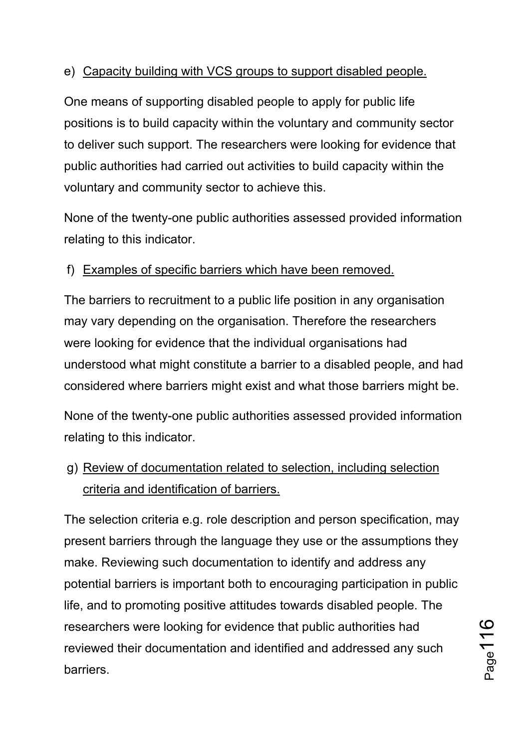### e) Capacity building with VCS groups to support disabled people.

One means of supporting disabled people to apply for public life positions is to build capacity within the voluntary and community sector to deliver such support. The researchers were looking for evidence that public authorities had carried out activities to build capacity within the voluntary and community sector to achieve this.

None of the twenty-one public authorities assessed provided information relating to this indicator.

### f) Examples of specific barriers which have been removed.

The barriers to recruitment to a public life position in any organisation may vary depending on the organisation. Therefore the researchers were looking for evidence that the individual organisations had understood what might constitute a barrier to a disabled people, and had considered where barriers might exist and what those barriers might be.

None of the twenty-one public authorities assessed provided information relating to this indicator.

g) Review of documentation related to selection, including selection criteria and identification of barriers.

The selection criteria e.g. role description and person specification, may present barriers through the language they use or the assumptions they make. Reviewing such documentation to identify and address any potential barriers is important both to encouraging participation in public life, and to promoting positive attitudes towards disabled people. The researchers were looking for evidence that public authorities had reviewed their documentation and identified and addressed any such barriers.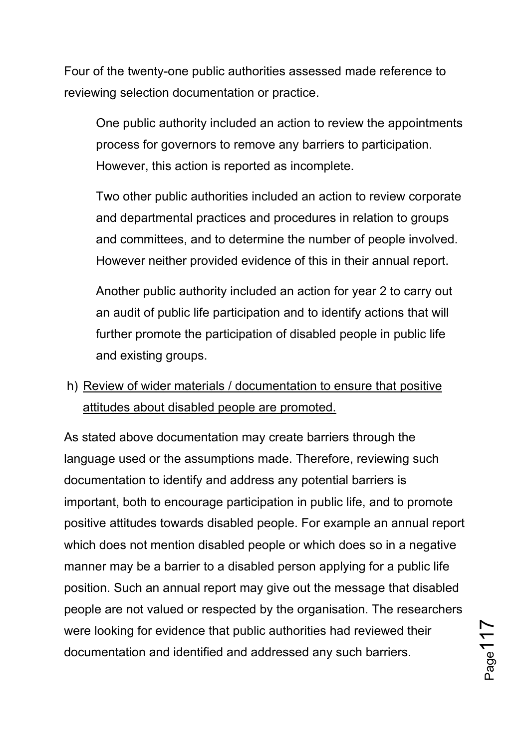Four of the twenty-one public authorities assessed made reference to reviewing selection documentation or practice.

One public authority included an action to review the appointments process for governors to remove any barriers to participation. However, this action is reported as incomplete.

Two other public authorities included an action to review corporate and departmental practices and procedures in relation to groups and committees, and to determine the number of people involved. However neither provided evidence of this in their annual report.

Another public authority included an action for year 2 to carry out an audit of public life participation and to identify actions that will further promote the participation of disabled people in public life and existing groups.

## h) Review of wider materials / documentation to ensure that positive attitudes about disabled people are promoted.

As stated above documentation may create barriers through the language used or the assumptions made. Therefore, reviewing such documentation to identify and address any potential barriers is important, both to encourage participation in public life, and to promote positive attitudes towards disabled people. For example an annual report which does not mention disabled people or which does so in a negative manner may be a barrier to a disabled person applying for a public life position. Such an annual report may give out the message that disabled people are not valued or respected by the organisation. The researchers were looking for evidence that public authorities had reviewed their documentation and identified and addressed any such barriers.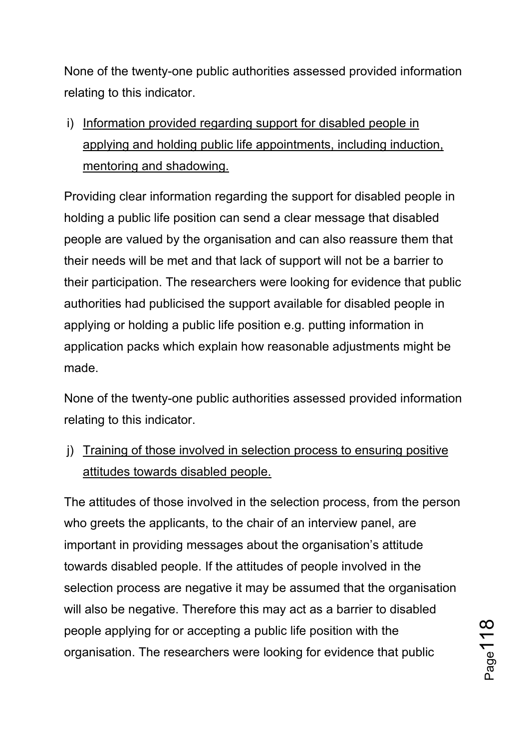None of the twenty-one public authorities assessed provided information relating to this indicator.

i) Information provided regarding support for disabled people in applying and holding public life appointments, including induction, mentoring and shadowing.

Providing clear information regarding the support for disabled people in holding a public life position can send a clear message that disabled people are valued by the organisation and can also reassure them that their needs will be met and that lack of support will not be a barrier to their participation. The researchers were looking for evidence that public authorities had publicised the support available for disabled people in applying or holding a public life position e.g. putting information in application packs which explain how reasonable adjustments might be made.

None of the twenty-one public authorities assessed provided information relating to this indicator.

j) Training of those involved in selection process to ensuring positive attitudes towards disabled people.

The attitudes of those involved in the selection process, from the person who greets the applicants, to the chair of an interview panel, are important in providing messages about the organisation's attitude towards disabled people. If the attitudes of people involved in the selection process are negative it may be assumed that the organisation will also be negative. Therefore this may act as a barrier to disabled people applying for or accepting a public life position with the organisation. The researchers were looking for evidence that public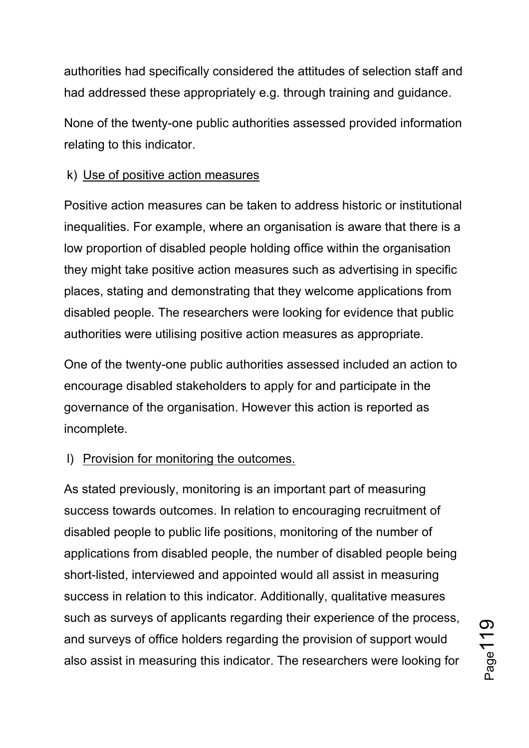authorities had specifically considered the attitudes of selection staff and had addressed these appropriately e.g. through training and guidance.

None of the twenty-one public authorities assessed provided information relating to this indicator.

### k) Use of positive action measures

Positive action measures can be taken to address historic or institutional inequalities. For example, where an organisation is aware that there is a low proportion of disabled people holding office within the organisation they might take positive action measures such as advertising in specific places, stating and demonstrating that they welcome applications from disabled people. The researchers were looking for evidence that public authorities were utilising positive action measures as appropriate.

One of the twenty-one public authorities assessed included an action to encourage disabled stakeholders to apply for and participate in the governance of the organisation. However this action is reported as incomplete.

### l) Provision for monitoring the outcomes.

As stated previously, monitoring is an important part of measuring success towards outcomes. In relation to encouraging recruitment of disabled people to public life positions, monitoring of the number of applications from disabled people, the number of disabled people being short-listed, interviewed and appointed would all assist in measuring success in relation to this indicator. Additionally, qualitative measures such as surveys of applicants regarding their experience of the process, and surveys of office holders regarding the provision of support would also assist in measuring this indicator. The researchers were looking for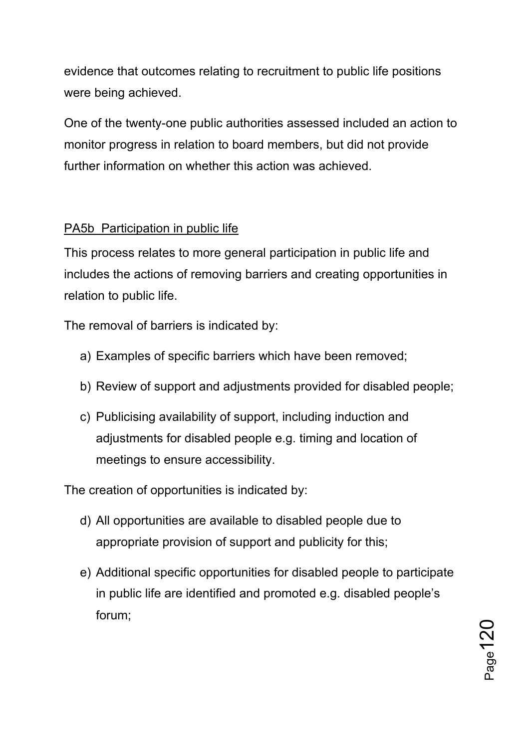evidence that outcomes relating to recruitment to public life positions were being achieved.

One of the twenty-one public authorities assessed included an action to monitor progress in relation to board members, but did not provide further information on whether this action was achieved.

## PA5b Participation in public life

This process relates to more general participation in public life and includes the actions of removing barriers and creating opportunities in relation to public life.

The removal of barriers is indicated by:

- a) Examples of specific barriers which have been removed;
- b) Review of support and adjustments provided for disabled people;
- c) Publicising availability of support, including induction and adjustments for disabled people e.g. timing and location of meetings to ensure accessibility.

The creation of opportunities is indicated by:

- d) All opportunities are available to disabled people due to appropriate provision of support and publicity for this;
- e) Additional specific opportunities for disabled people to participate in public life are identified and promoted e.g. disabled people's forum;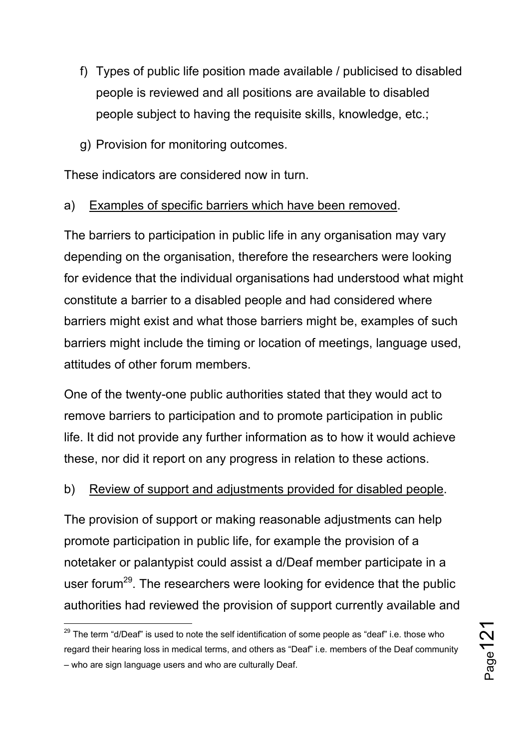- f) Types of public life position made available / publicised to disabled people is reviewed and all positions are available to disabled people subject to having the requisite skills, knowledge, etc.;
- g) Provision for monitoring outcomes.

These indicators are considered now in turn.

### a) Examples of specific barriers which have been removed.

The barriers to participation in public life in any organisation may vary depending on the organisation, therefore the researchers were looking for evidence that the individual organisations had understood what might constitute a barrier to a disabled people and had considered where barriers might exist and what those barriers might be, examples of such barriers might include the timing or location of meetings, language used, attitudes of other forum members.

One of the twenty-one public authorities stated that they would act to remove barriers to participation and to promote participation in public life. It did not provide any further information as to how it would achieve these, nor did it report on any progress in relation to these actions.

#### b) Review of support and adjustments provided for disabled people.

The provision of support or making reasonable adjustments can help promote participation in public life, for example the provision of a notetaker or palantypist could assist a d/Deaf member participate in a user forum<sup>29</sup>. The researchers were looking for evidence that the public authorities had reviewed the provision of support currently available and

l  $^{29}$  The term "d/Deaf" is used to note the self identification of some people as "deaf" i.e. those who regard their hearing loss in medical terms, and others as "Deaf" i.e. members of the Deaf community – who are sign language users and who are culturally Deaf.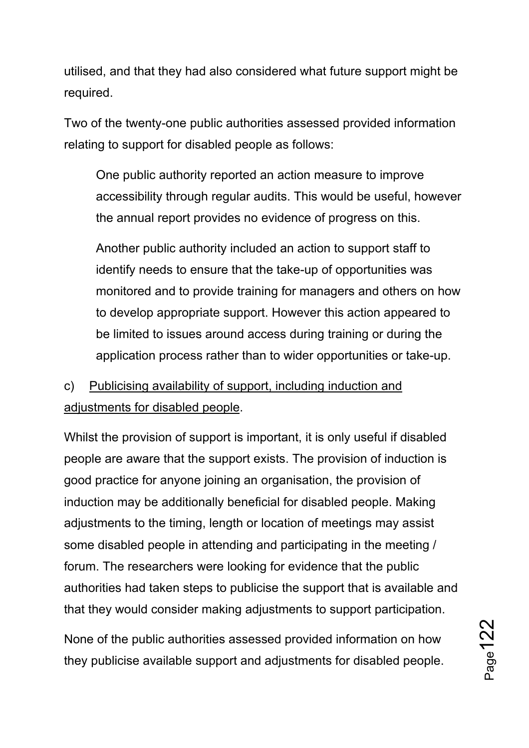utilised, and that they had also considered what future support might be required.

Two of the twenty-one public authorities assessed provided information relating to support for disabled people as follows:

One public authority reported an action measure to improve accessibility through regular audits. This would be useful, however the annual report provides no evidence of progress on this.

Another public authority included an action to support staff to identify needs to ensure that the take-up of opportunities was monitored and to provide training for managers and others on how to develop appropriate support. However this action appeared to be limited to issues around access during training or during the application process rather than to wider opportunities or take-up.

## c) Publicising availability of support, including induction and adjustments for disabled people.

Whilst the provision of support is important, it is only useful if disabled people are aware that the support exists. The provision of induction is good practice for anyone joining an organisation, the provision of induction may be additionally beneficial for disabled people. Making adjustments to the timing, length or location of meetings may assist some disabled people in attending and participating in the meeting / forum. The researchers were looking for evidence that the public authorities had taken steps to publicise the support that is available and that they would consider making adjustments to support participation.

None of the public authorities assessed provided information on how they publicise available support and adjustments for disabled people.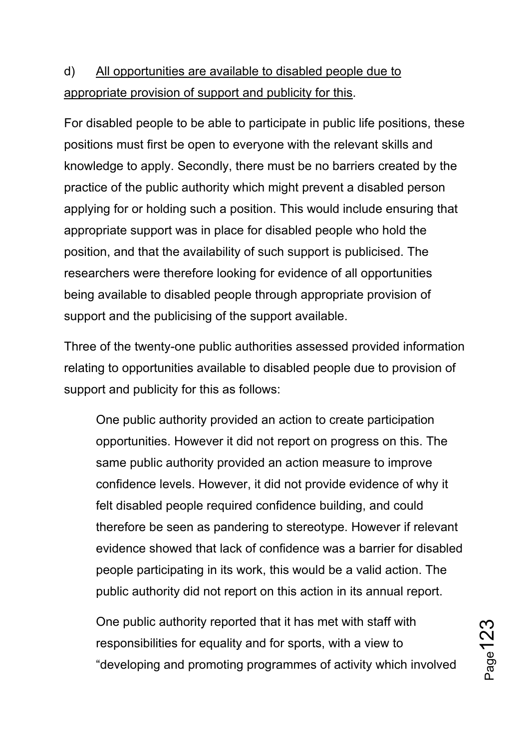## d) All opportunities are available to disabled people due to appropriate provision of support and publicity for this.

For disabled people to be able to participate in public life positions, these positions must first be open to everyone with the relevant skills and knowledge to apply. Secondly, there must be no barriers created by the practice of the public authority which might prevent a disabled person applying for or holding such a position. This would include ensuring that appropriate support was in place for disabled people who hold the position, and that the availability of such support is publicised. The researchers were therefore looking for evidence of all opportunities being available to disabled people through appropriate provision of support and the publicising of the support available.

Three of the twenty-one public authorities assessed provided information relating to opportunities available to disabled people due to provision of support and publicity for this as follows:

One public authority provided an action to create participation opportunities. However it did not report on progress on this. The same public authority provided an action measure to improve confidence levels. However, it did not provide evidence of why it felt disabled people required confidence building, and could therefore be seen as pandering to stereotype. However if relevant evidence showed that lack of confidence was a barrier for disabled people participating in its work, this would be a valid action. The public authority did not report on this action in its annual report.

One public authority reported that it has met with staff with responsibilities for equality and for sports, with a view to "developing and promoting programmes of activity which involved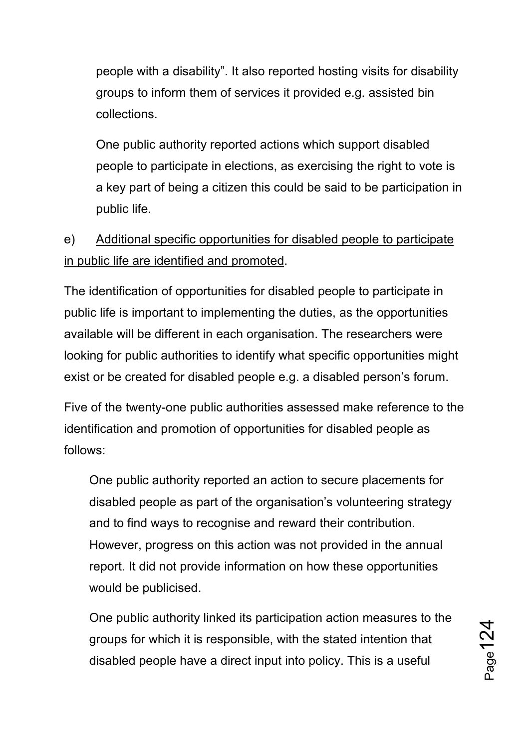people with a disability". It also reported hosting visits for disability groups to inform them of services it provided e.g. assisted bin collections.

One public authority reported actions which support disabled people to participate in elections, as exercising the right to vote is a key part of being a citizen this could be said to be participation in public life.

## e) Additional specific opportunities for disabled people to participate in public life are identified and promoted.

The identification of opportunities for disabled people to participate in public life is important to implementing the duties, as the opportunities available will be different in each organisation. The researchers were looking for public authorities to identify what specific opportunities might exist or be created for disabled people e.g. a disabled person's forum.

Five of the twenty-one public authorities assessed make reference to the identification and promotion of opportunities for disabled people as follows:

One public authority reported an action to secure placements for disabled people as part of the organisation's volunteering strategy and to find ways to recognise and reward their contribution. However, progress on this action was not provided in the annual report. It did not provide information on how these opportunities would be publicised.

One public authority linked its participation action measures to the groups for which it is responsible, with the stated intention that disabled people have a direct input into policy. This is a useful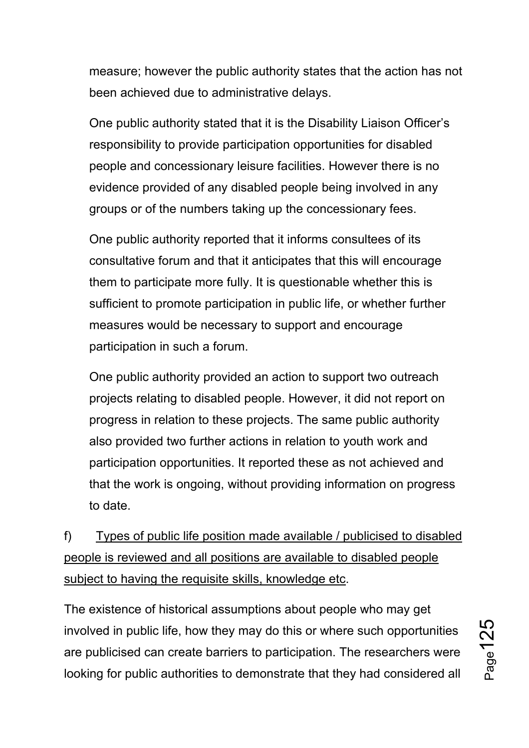measure; however the public authority states that the action has not been achieved due to administrative delays.

One public authority stated that it is the Disability Liaison Officer's responsibility to provide participation opportunities for disabled people and concessionary leisure facilities. However there is no evidence provided of any disabled people being involved in any groups or of the numbers taking up the concessionary fees.

One public authority reported that it informs consultees of its consultative forum and that it anticipates that this will encourage them to participate more fully. It is questionable whether this is sufficient to promote participation in public life, or whether further measures would be necessary to support and encourage participation in such a forum.

One public authority provided an action to support two outreach projects relating to disabled people. However, it did not report on progress in relation to these projects. The same public authority also provided two further actions in relation to youth work and participation opportunities. It reported these as not achieved and that the work is ongoing, without providing information on progress to date.

f) Types of public life position made available / publicised to disabled people is reviewed and all positions are available to disabled people subject to having the requisite skills, knowledge etc.

The existence of historical assumptions about people who may get involved in public life, how they may do this or where such opportunities are publicised can create barriers to participation. The researchers were looking for public authorities to demonstrate that they had considered all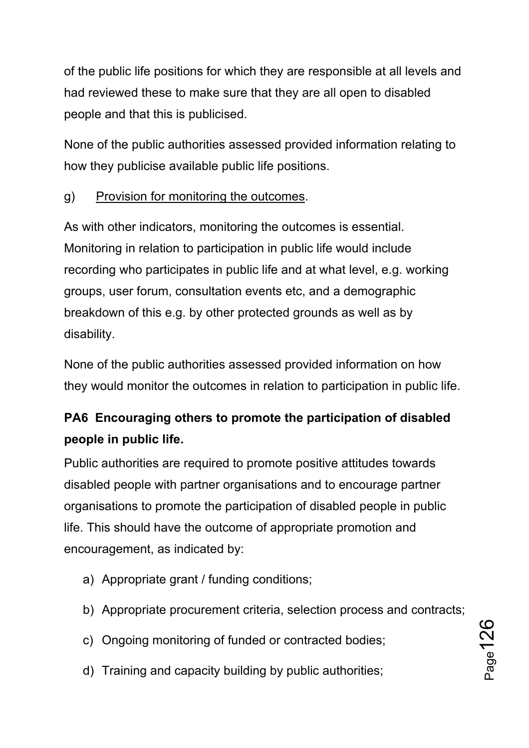of the public life positions for which they are responsible at all levels and had reviewed these to make sure that they are all open to disabled people and that this is publicised.

None of the public authorities assessed provided information relating to how they publicise available public life positions.

### g) Provision for monitoring the outcomes.

As with other indicators, monitoring the outcomes is essential. Monitoring in relation to participation in public life would include recording who participates in public life and at what level, e.g. working groups, user forum, consultation events etc, and a demographic breakdown of this e.g. by other protected grounds as well as by disability.

None of the public authorities assessed provided information on how they would monitor the outcomes in relation to participation in public life.

## **PA6 Encouraging others to promote the participation of disabled people in public life.**

Public authorities are required to promote positive attitudes towards disabled people with partner organisations and to encourage partner organisations to promote the participation of disabled people in public life. This should have the outcome of appropriate promotion and encouragement, as indicated by:

- a) Appropriate grant / funding conditions;
- b) Appropriate procurement criteria, selection process and contracts;
- c) Ongoing monitoring of funded or contracted bodies;
- d) Training and capacity building by public authorities;

Page126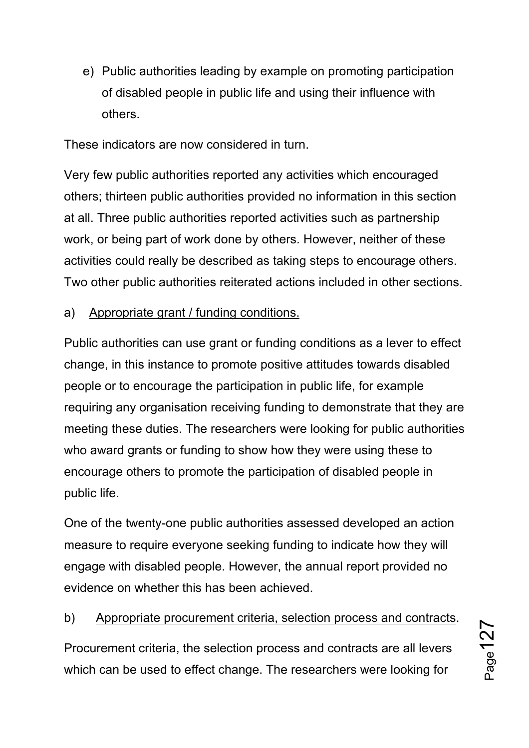e) Public authorities leading by example on promoting participation of disabled people in public life and using their influence with others.

These indicators are now considered in turn.

Very few public authorities reported any activities which encouraged others; thirteen public authorities provided no information in this section at all. Three public authorities reported activities such as partnership work, or being part of work done by others. However, neither of these activities could really be described as taking steps to encourage others. Two other public authorities reiterated actions included in other sections.

### a) Appropriate grant / funding conditions.

Public authorities can use grant or funding conditions as a lever to effect change, in this instance to promote positive attitudes towards disabled people or to encourage the participation in public life, for example requiring any organisation receiving funding to demonstrate that they are meeting these duties. The researchers were looking for public authorities who award grants or funding to show how they were using these to encourage others to promote the participation of disabled people in public life.

One of the twenty-one public authorities assessed developed an action measure to require everyone seeking funding to indicate how they will engage with disabled people. However, the annual report provided no evidence on whether this has been achieved.

### b) Appropriate procurement criteria, selection process and contracts.

Procurement criteria, the selection process and contracts are all levers which can be used to effect change. The researchers were looking for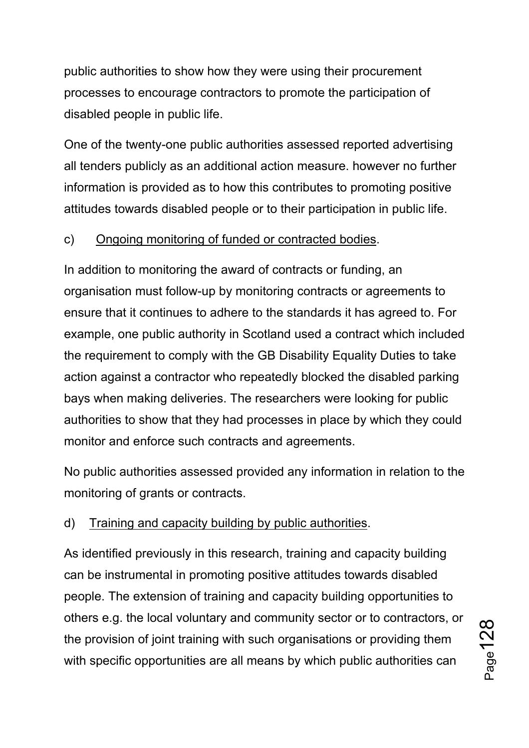public authorities to show how they were using their procurement processes to encourage contractors to promote the participation of disabled people in public life.

One of the twenty-one public authorities assessed reported advertising all tenders publicly as an additional action measure. however no further information is provided as to how this contributes to promoting positive attitudes towards disabled people or to their participation in public life.

### c) Ongoing monitoring of funded or contracted bodies.

In addition to monitoring the award of contracts or funding, an organisation must follow-up by monitoring contracts or agreements to ensure that it continues to adhere to the standards it has agreed to. For example, one public authority in Scotland used a contract which included the requirement to comply with the GB Disability Equality Duties to take action against a contractor who repeatedly blocked the disabled parking bays when making deliveries. The researchers were looking for public authorities to show that they had processes in place by which they could monitor and enforce such contracts and agreements.

No public authorities assessed provided any information in relation to the monitoring of grants or contracts.

#### d) Training and capacity building by public authorities.

As identified previously in this research, training and capacity building can be instrumental in promoting positive attitudes towards disabled people. The extension of training and capacity building opportunities to others e.g. the local voluntary and community sector or to contractors, or the provision of joint training with such organisations or providing them with specific opportunities are all means by which public authorities can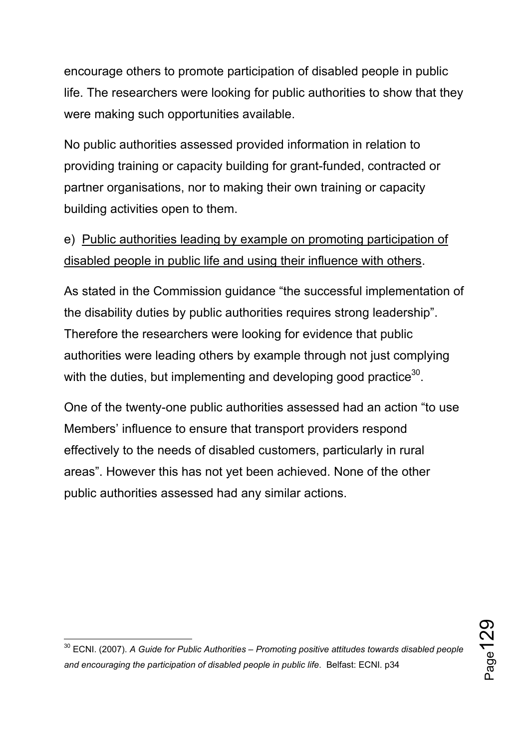encourage others to promote participation of disabled people in public life. The researchers were looking for public authorities to show that they were making such opportunities available.

No public authorities assessed provided information in relation to providing training or capacity building for grant-funded, contracted or partner organisations, nor to making their own training or capacity building activities open to them.

## e) Public authorities leading by example on promoting participation of disabled people in public life and using their influence with others.

As stated in the Commission guidance "the successful implementation of the disability duties by public authorities requires strong leadership". Therefore the researchers were looking for evidence that public authorities were leading others by example through not just complying with the duties, but implementing and developing good practice $30$ .

One of the twenty-one public authorities assessed had an action "to use Members' influence to ensure that transport providers respond effectively to the needs of disabled customers, particularly in rural areas". However this has not yet been achieved. None of the other public authorities assessed had any similar actions.



<sup>30</sup> ECNI. (2007). *A Guide for Public Authorities – Promoting positive attitudes towards disabled people and encouraging the participation of disabled people in public life*. Belfast: ECNI. p34

 $\overline{a}$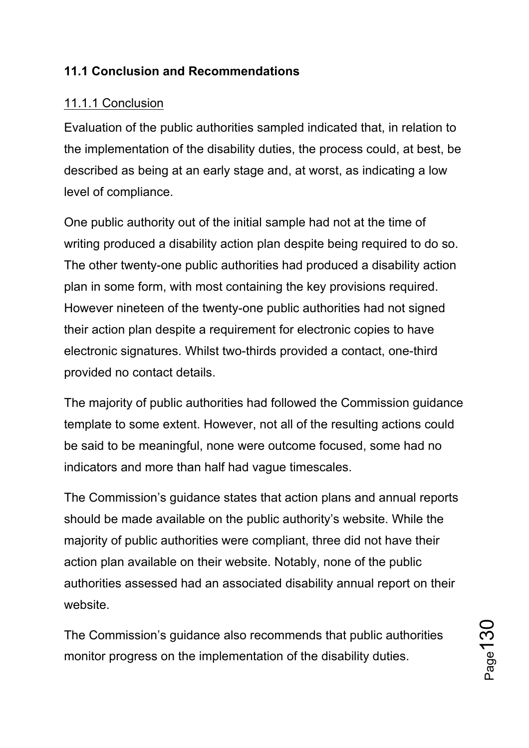## **11.1 Conclusion and Recommendations**

### 11.1.1 Conclusion

Evaluation of the public authorities sampled indicated that, in relation to the implementation of the disability duties, the process could, at best, be described as being at an early stage and, at worst, as indicating a low level of compliance.

One public authority out of the initial sample had not at the time of writing produced a disability action plan despite being required to do so. The other twenty-one public authorities had produced a disability action plan in some form, with most containing the key provisions required. However nineteen of the twenty-one public authorities had not signed their action plan despite a requirement for electronic copies to have electronic signatures. Whilst two-thirds provided a contact, one-third provided no contact details.

The majority of public authorities had followed the Commission guidance template to some extent. However, not all of the resulting actions could be said to be meaningful, none were outcome focused, some had no indicators and more than half had vague timescales.

The Commission's guidance states that action plans and annual reports should be made available on the public authority's website. While the majority of public authorities were compliant, three did not have their action plan available on their website. Notably, none of the public authorities assessed had an associated disability annual report on their website.

The Commission's guidance also recommends that public authorities monitor progress on the implementation of the disability duties.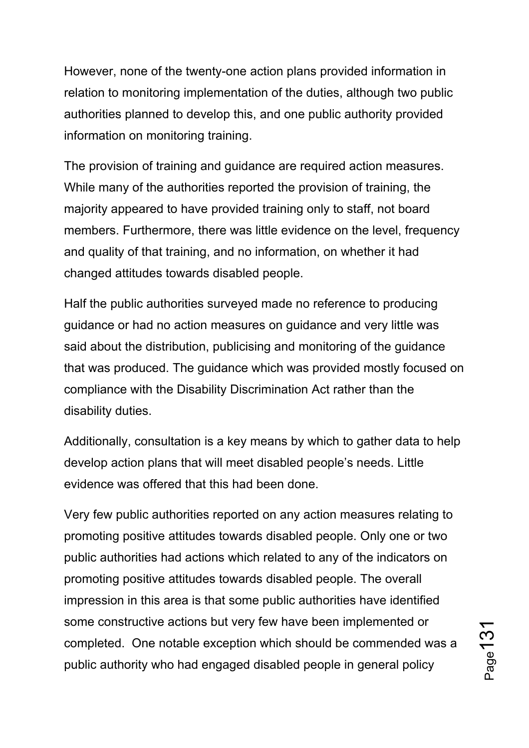However, none of the twenty-one action plans provided information in relation to monitoring implementation of the duties, although two public authorities planned to develop this, and one public authority provided information on monitoring training.

The provision of training and guidance are required action measures. While many of the authorities reported the provision of training, the majority appeared to have provided training only to staff, not board members. Furthermore, there was little evidence on the level, frequency and quality of that training, and no information, on whether it had changed attitudes towards disabled people.

Half the public authorities surveyed made no reference to producing guidance or had no action measures on guidance and very little was said about the distribution, publicising and monitoring of the guidance that was produced. The guidance which was provided mostly focused on compliance with the Disability Discrimination Act rather than the disability duties.

Additionally, consultation is a key means by which to gather data to help develop action plans that will meet disabled people's needs. Little evidence was offered that this had been done.

Very few public authorities reported on any action measures relating to promoting positive attitudes towards disabled people. Only one or two public authorities had actions which related to any of the indicators on promoting positive attitudes towards disabled people. The overall impression in this area is that some public authorities have identified some constructive actions but very few have been implemented or completed. One notable exception which should be commended was a public authority who had engaged disabled people in general policy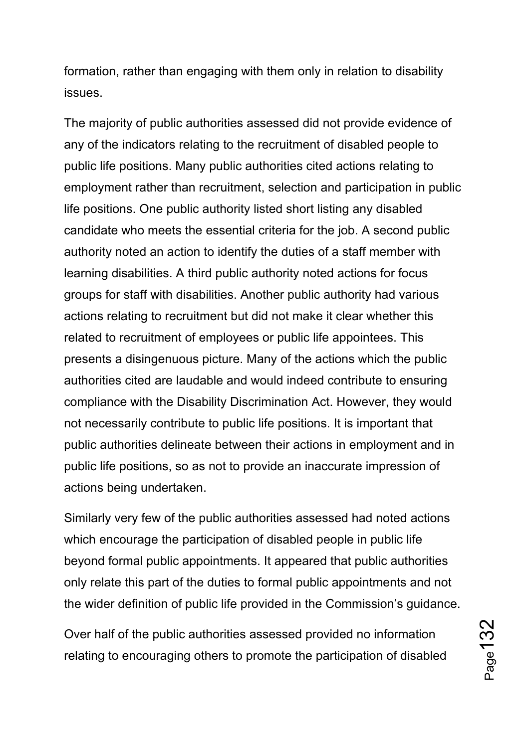formation, rather than engaging with them only in relation to disability issues.

The majority of public authorities assessed did not provide evidence of any of the indicators relating to the recruitment of disabled people to public life positions. Many public authorities cited actions relating to employment rather than recruitment, selection and participation in public life positions. One public authority listed short listing any disabled candidate who meets the essential criteria for the job. A second public authority noted an action to identify the duties of a staff member with learning disabilities. A third public authority noted actions for focus groups for staff with disabilities. Another public authority had various actions relating to recruitment but did not make it clear whether this related to recruitment of employees or public life appointees. This presents a disingenuous picture. Many of the actions which the public authorities cited are laudable and would indeed contribute to ensuring compliance with the Disability Discrimination Act. However, they would not necessarily contribute to public life positions. It is important that public authorities delineate between their actions in employment and in public life positions, so as not to provide an inaccurate impression of actions being undertaken.

Similarly very few of the public authorities assessed had noted actions which encourage the participation of disabled people in public life beyond formal public appointments. It appeared that public authorities only relate this part of the duties to formal public appointments and not the wider definition of public life provided in the Commission's guidance.

Over half of the public authorities assessed provided no information relating to encouraging others to promote the participation of disabled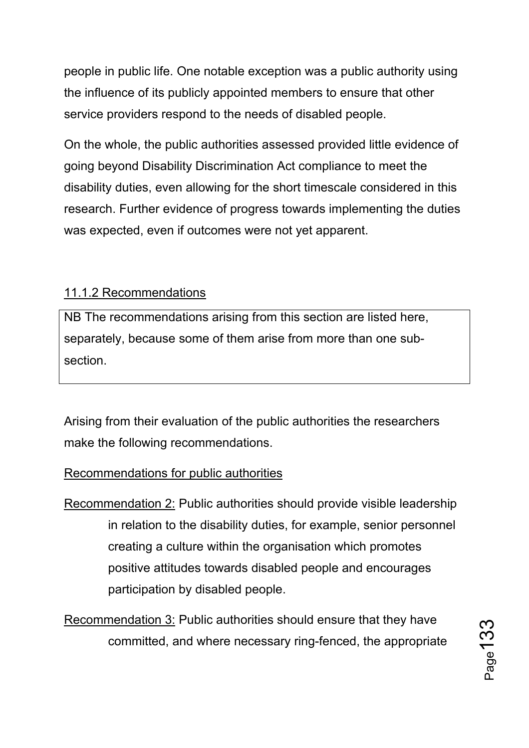people in public life. One notable exception was a public authority using the influence of its publicly appointed members to ensure that other service providers respond to the needs of disabled people.

On the whole, the public authorities assessed provided little evidence of going beyond Disability Discrimination Act compliance to meet the disability duties, even allowing for the short timescale considered in this research. Further evidence of progress towards implementing the duties was expected, even if outcomes were not yet apparent.

## 11.1.2 Recommendations

NB The recommendations arising from this section are listed here, separately, because some of them arise from more than one subsection.

Arising from their evaluation of the public authorities the researchers make the following recommendations.

### Recommendations for public authorities

Recommendation 2: Public authorities should provide visible leadership in relation to the disability duties, for example, senior personnel creating a culture within the organisation which promotes positive attitudes towards disabled people and encourages participation by disabled people.

Recommendation 3: Public authorities should ensure that they have committed, and where necessary ring-fenced, the appropriate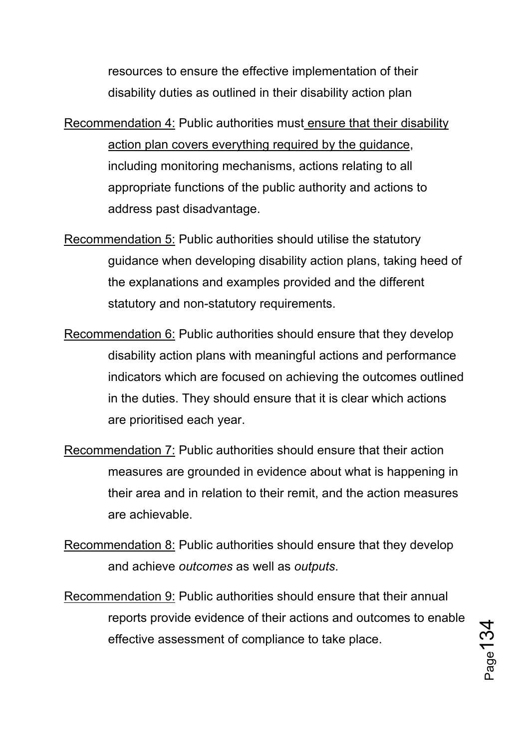resources to ensure the effective implementation of their disability duties as outlined in their disability action plan

- Recommendation 4: Public authorities must ensure that their disability action plan covers everything required by the guidance, including monitoring mechanisms, actions relating to all appropriate functions of the public authority and actions to address past disadvantage.
- Recommendation 5: Public authorities should utilise the statutory guidance when developing disability action plans, taking heed of the explanations and examples provided and the different statutory and non-statutory requirements.
- Recommendation 6: Public authorities should ensure that they develop disability action plans with meaningful actions and performance indicators which are focused on achieving the outcomes outlined in the duties. They should ensure that it is clear which actions are prioritised each year.
- Recommendation 7: Public authorities should ensure that their action measures are grounded in evidence about what is happening in their area and in relation to their remit, and the action measures are achievable.
- Recommendation 8: Public authorities should ensure that they develop and achieve *outcomes* as well as *outputs*.
- Recommendation 9: Public authorities should ensure that their annual reports provide evidence of their actions and outcomes to enable effective assessment of compliance to take place.

Page134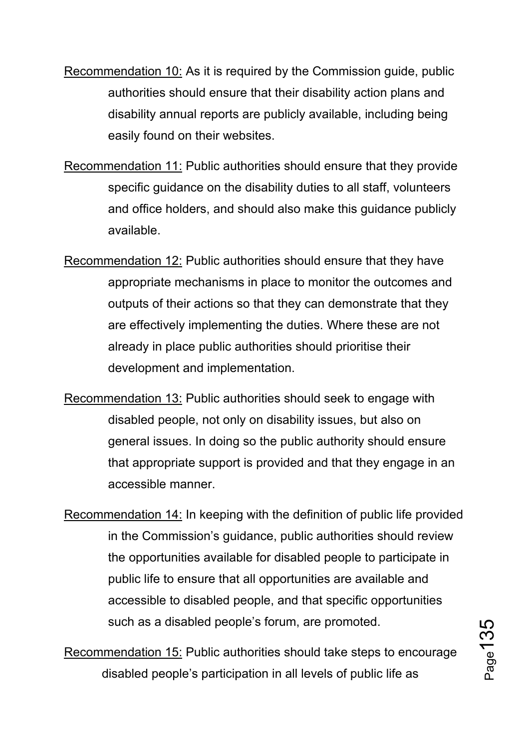- Recommendation 10: As it is required by the Commission guide, public authorities should ensure that their disability action plans and disability annual reports are publicly available, including being easily found on their websites.
- Recommendation 11: Public authorities should ensure that they provide specific guidance on the disability duties to all staff, volunteers and office holders, and should also make this guidance publicly available.
- Recommendation 12: Public authorities should ensure that they have appropriate mechanisms in place to monitor the outcomes and outputs of their actions so that they can demonstrate that they are effectively implementing the duties. Where these are not already in place public authorities should prioritise their development and implementation.
- Recommendation 13: Public authorities should seek to engage with disabled people, not only on disability issues, but also on general issues. In doing so the public authority should ensure that appropriate support is provided and that they engage in an accessible manner.
- Recommendation 14: In keeping with the definition of public life provided in the Commission's guidance, public authorities should review the opportunities available for disabled people to participate in public life to ensure that all opportunities are available and accessible to disabled people, and that specific opportunities such as a disabled people's forum, are promoted.
- Recommendation 15: Public authorities should take steps to encourage disabled people's participation in all levels of public life as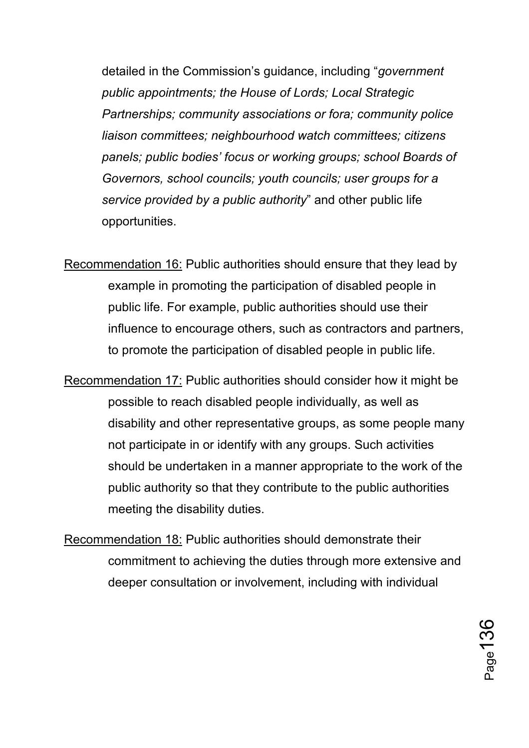detailed in the Commission's guidance, including "*government public appointments; the House of Lords; Local Strategic Partnerships; community associations or fora; community police liaison committees; neighbourhood watch committees; citizens panels; public bodies' focus or working groups; school Boards of Governors, school councils; youth councils; user groups for a service provided by a public authority*" and other public life opportunities.

Recommendation 16: Public authorities should ensure that they lead by example in promoting the participation of disabled people in public life. For example, public authorities should use their influence to encourage others, such as contractors and partners, to promote the participation of disabled people in public life.

Recommendation 17: Public authorities should consider how it might be possible to reach disabled people individually, as well as disability and other representative groups, as some people many not participate in or identify with any groups. Such activities should be undertaken in a manner appropriate to the work of the public authority so that they contribute to the public authorities meeting the disability duties.

Recommendation 18: Public authorities should demonstrate their commitment to achieving the duties through more extensive and deeper consultation or involvement, including with individual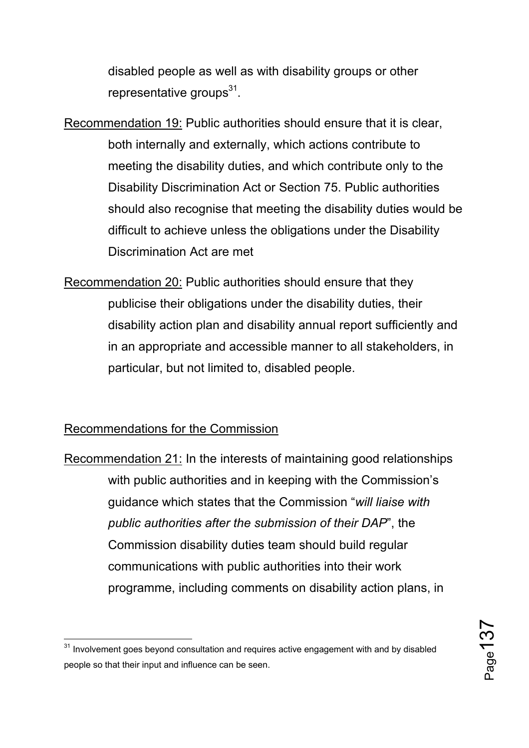disabled people as well as with disability groups or other representative groups $31$ .

- Recommendation 19: Public authorities should ensure that it is clear, both internally and externally, which actions contribute to meeting the disability duties, and which contribute only to the Disability Discrimination Act or Section 75. Public authorities should also recognise that meeting the disability duties would be difficult to achieve unless the obligations under the Disability Discrimination Act are met
- Recommendation 20: Public authorities should ensure that they publicise their obligations under the disability duties, their disability action plan and disability annual report sufficiently and in an appropriate and accessible manner to all stakeholders, in particular, but not limited to, disabled people.

#### Recommendations for the Commission

Recommendation 21: In the interests of maintaining good relationships with public authorities and in keeping with the Commission's guidance which states that the Commission "*will liaise with public authorities after the submission of their DAP*", the Commission disability duties team should build regular communications with public authorities into their work programme, including comments on disability action plans, in

 $\overline{a}$  $31$  Involvement goes beyond consultation and requires active engagement with and by disabled people so that their input and influence can be seen.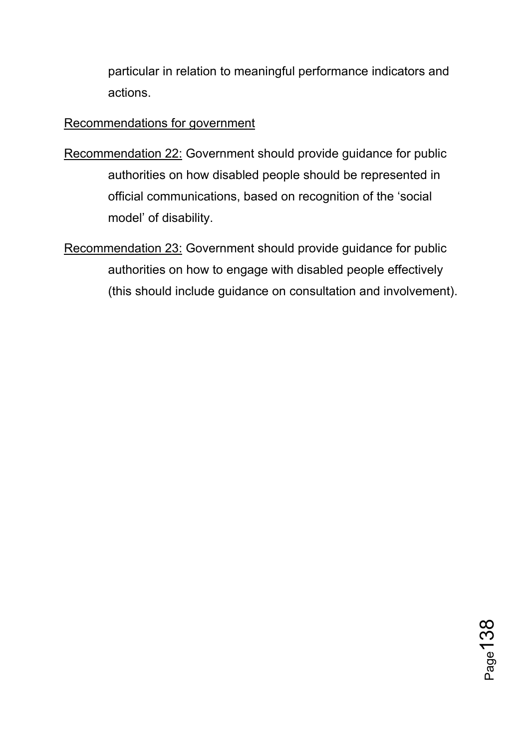particular in relation to meaningful performance indicators and actions.

### Recommendations for government

Recommendation 22: Government should provide guidance for public authorities on how disabled people should be represented in official communications, based on recognition of the 'social model' of disability.

Recommendation 23: Government should provide guidance for public authorities on how to engage with disabled people effectively (this should include guidance on consultation and involvement).

Page138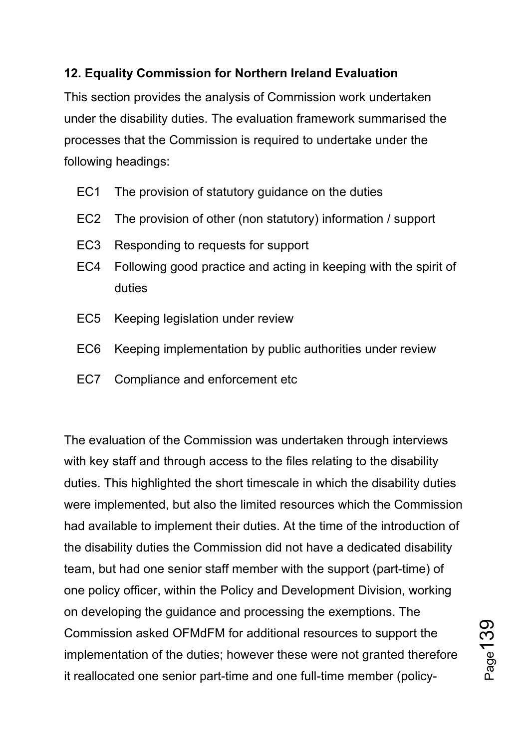### **12. Equality Commission for Northern Ireland Evaluation**

This section provides the analysis of Commission work undertaken under the disability duties. The evaluation framework summarised the processes that the Commission is required to undertake under the following headings:

- EC1 The provision of statutory guidance on the duties
- EC2 The provision of other (non statutory) information / support
- EC3 Responding to requests for support
- EC4 Following good practice and acting in keeping with the spirit of duties
- EC5 Keeping legislation under review
- EC6 Keeping implementation by public authorities under review
- EC7 Compliance and enforcement etc

The evaluation of the Commission was undertaken through interviews with key staff and through access to the files relating to the disability duties. This highlighted the short timescale in which the disability duties were implemented, but also the limited resources which the Commission had available to implement their duties. At the time of the introduction of the disability duties the Commission did not have a dedicated disability team, but had one senior staff member with the support (part-time) of one policy officer, within the Policy and Development Division, working on developing the guidance and processing the exemptions. The Commission asked OFMdFM for additional resources to support the implementation of the duties; however these were not granted therefore it reallocated one senior part-time and one full-time member (policy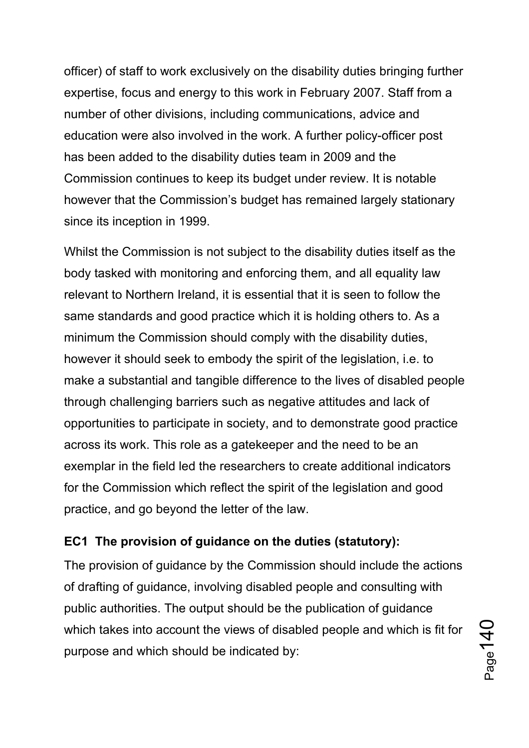officer) of staff to work exclusively on the disability duties bringing further expertise, focus and energy to this work in February 2007. Staff from a number of other divisions, including communications, advice and education were also involved in the work. A further policy-officer post has been added to the disability duties team in 2009 and the Commission continues to keep its budget under review. It is notable however that the Commission's budget has remained largely stationary since its inception in 1999.

Whilst the Commission is not subject to the disability duties itself as the body tasked with monitoring and enforcing them, and all equality law relevant to Northern Ireland, it is essential that it is seen to follow the same standards and good practice which it is holding others to. As a minimum the Commission should comply with the disability duties, however it should seek to embody the spirit of the legislation, i.e. to make a substantial and tangible difference to the lives of disabled people through challenging barriers such as negative attitudes and lack of opportunities to participate in society, and to demonstrate good practice across its work. This role as a gatekeeper and the need to be an exemplar in the field led the researchers to create additional indicators for the Commission which reflect the spirit of the legislation and good practice, and go beyond the letter of the law.

#### **EC1 The provision of guidance on the duties (statutory):**

The provision of guidance by the Commission should include the actions of drafting of guidance, involving disabled people and consulting with public authorities. The output should be the publication of guidance which takes into account the views of disabled people and which is fit for purpose and which should be indicated by:

Page140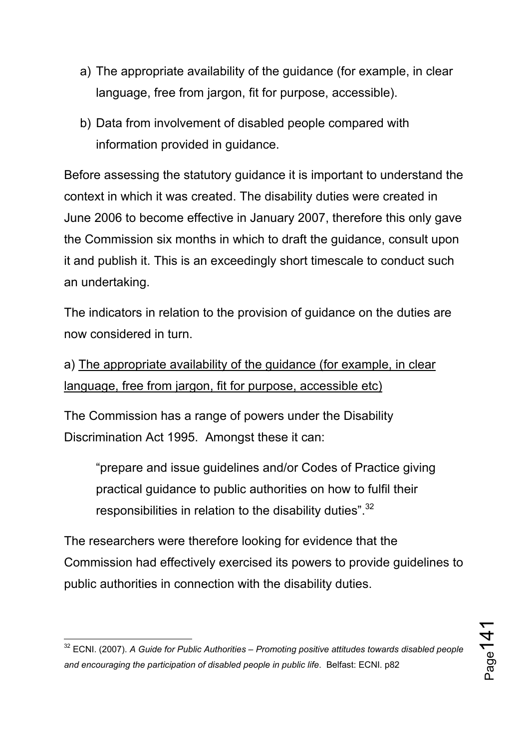- a) The appropriate availability of the guidance (for example, in clear language, free from jargon, fit for purpose, accessible).
- b) Data from involvement of disabled people compared with information provided in guidance.

Before assessing the statutory guidance it is important to understand the context in which it was created. The disability duties were created in June 2006 to become effective in January 2007, therefore this only gave the Commission six months in which to draft the guidance, consult upon it and publish it. This is an exceedingly short timescale to conduct such an undertaking.

The indicators in relation to the provision of guidance on the duties are now considered in turn.

a) The appropriate availability of the guidance (for example, in clear language, free from jargon, fit for purpose, accessible etc)

The Commission has a range of powers under the Disability Discrimination Act 1995. Amongst these it can:

"prepare and issue guidelines and/or Codes of Practice giving practical guidance to public authorities on how to fulfil their responsibilities in relation to the disability duties".<sup>32</sup>

The researchers were therefore looking for evidence that the Commission had effectively exercised its powers to provide guidelines to public authorities in connection with the disability duties.

 $\overline{a}$ 32 ECNI. (2007). *A Guide for Public Authorities – Promoting positive attitudes towards disabled people and encouraging the participation of disabled people in public life*. Belfast: ECNI. p82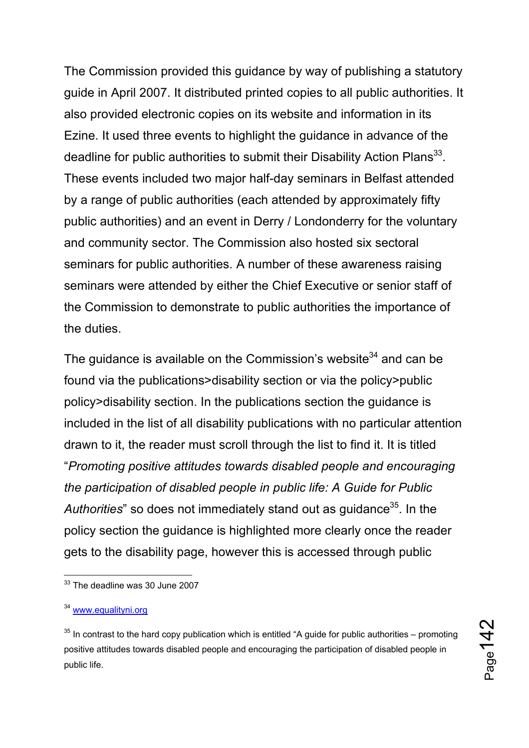The Commission provided this guidance by way of publishing a statutory guide in April 2007. It distributed printed copies to all public authorities. It also provided electronic copies on its website and information in its Ezine. It used three events to highlight the guidance in advance of the deadline for public authorities to submit their Disability Action Plans<sup>33</sup>. These events included two major half-day seminars in Belfast attended by a range of public authorities (each attended by approximately fifty public authorities) and an event in Derry / Londonderry for the voluntary and community sector. The Commission also hosted six sectoral seminars for public authorities. A number of these awareness raising seminars were attended by either the Chief Executive or senior staff of the Commission to demonstrate to public authorities the importance of the duties.

The guidance is available on the Commission's website<sup>34</sup> and can be found via the publications>disability section or via the policy>public policy>disability section. In the publications section the guidance is included in the list of all disability publications with no particular attention drawn to it, the reader must scroll through the list to find it. It is titled "*Promoting positive attitudes towards disabled people and encouraging the participation of disabled people in public life: A Guide for Public*  Authorities<sup>"</sup> so does not immediately stand out as quidance<sup>35</sup>. In the policy section the guidance is highlighted more clearly once the reader gets to the disability page, however this is accessed through public

Page142

l  $33$  The deadline was 30 June 2007

<sup>34</sup> www.equalityni.org

 $35$  In contrast to the hard copy publication which is entitled "A guide for public authorities – promoting positive attitudes towards disabled people and encouraging the participation of disabled people in public life.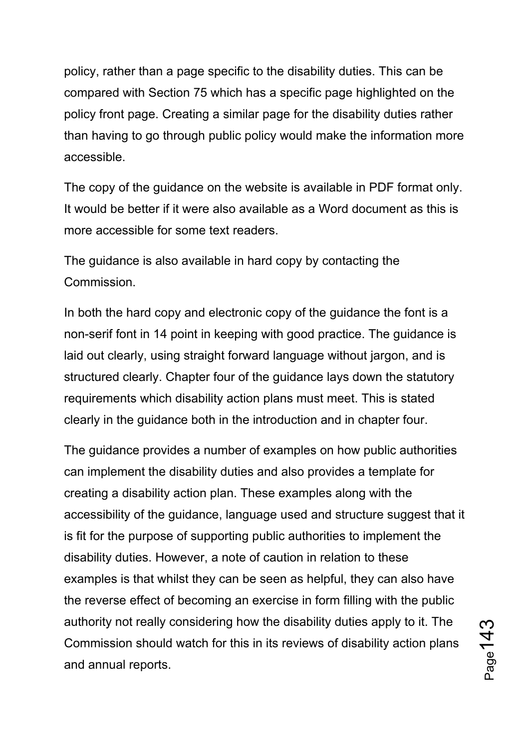policy, rather than a page specific to the disability duties. This can be compared with Section 75 which has a specific page highlighted on the policy front page. Creating a similar page for the disability duties rather than having to go through public policy would make the information more accessible.

The copy of the guidance on the website is available in PDF format only. It would be better if it were also available as a Word document as this is more accessible for some text readers.

The guidance is also available in hard copy by contacting the Commission.

In both the hard copy and electronic copy of the guidance the font is a non-serif font in 14 point in keeping with good practice. The guidance is laid out clearly, using straight forward language without jargon, and is structured clearly. Chapter four of the guidance lays down the statutory requirements which disability action plans must meet. This is stated clearly in the guidance both in the introduction and in chapter four.

The guidance provides a number of examples on how public authorities can implement the disability duties and also provides a template for creating a disability action plan. These examples along with the accessibility of the guidance, language used and structure suggest that it is fit for the purpose of supporting public authorities to implement the disability duties. However, a note of caution in relation to these examples is that whilst they can be seen as helpful, they can also have the reverse effect of becoming an exercise in form filling with the public authority not really considering how the disability duties apply to it. The Commission should watch for this in its reviews of disability action plans and annual reports.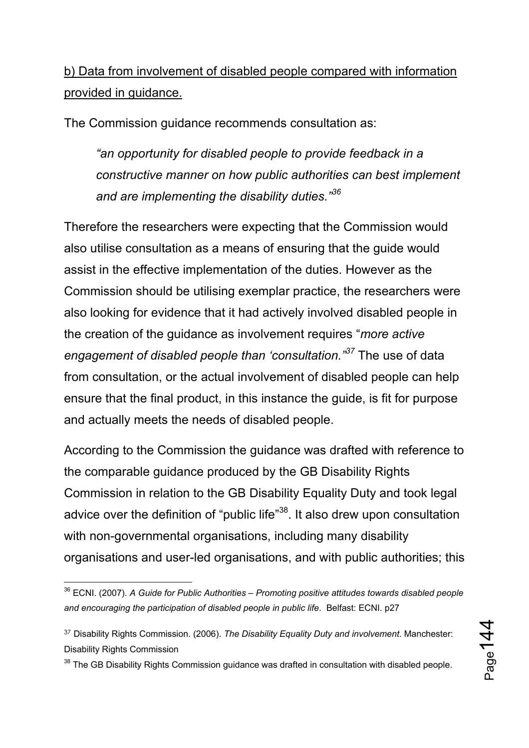# b) Data from involvement of disabled people compared with information provided in guidance.

The Commission guidance recommends consultation as:

*"an opportunity for disabled people to provide feedback in a constructive manner on how public authorities can best implement and are implementing the disability duties."36*

Therefore the researchers were expecting that the Commission would also utilise consultation as a means of ensuring that the guide would assist in the effective implementation of the duties. However as the Commission should be utilising exemplar practice, the researchers were also looking for evidence that it had actively involved disabled people in the creation of the guidance as involvement requires "*more active engagement of disabled people than 'consultation."37* The use of data from consultation, or the actual involvement of disabled people can help ensure that the final product, in this instance the guide, is fit for purpose and actually meets the needs of disabled people.

According to the Commission the guidance was drafted with reference to the comparable guidance produced by the GB Disability Rights Commission in relation to the GB Disability Equality Duty and took legal advice over the definition of "public life"<sup>38</sup>. It also drew upon consultation with non-governmental organisations, including many disability organisations and user-led organisations, and with public authorities; this

 $\overline{a}$ 36 ECNI. (2007). *A Guide for Public Authorities – Promoting positive attitudes towards disabled people and encouraging the participation of disabled people in public life*. Belfast: ECNI. p27

<sup>37</sup> Disability Rights Commission. (2006). *The Disability Equality Duty and involvement*. Manchester: Disability Rights Commission

<sup>&</sup>lt;sup>38</sup> The GB Disability Rights Commission guidance was drafted in consultation with disabled people.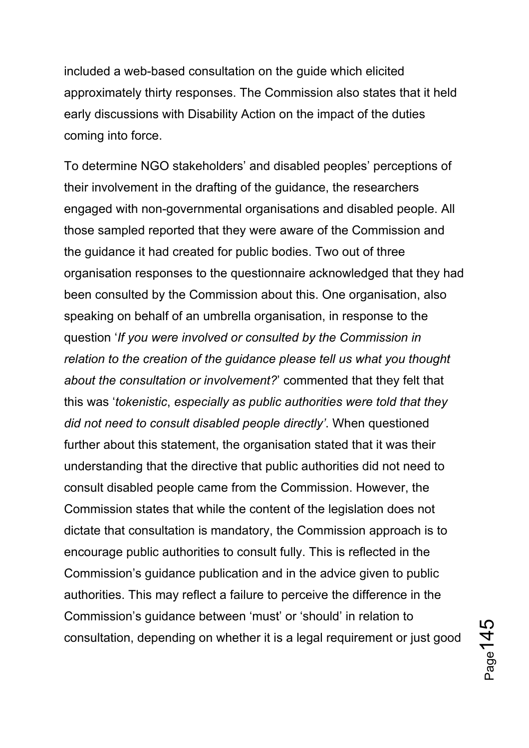included a web-based consultation on the guide which elicited approximately thirty responses. The Commission also states that it held early discussions with Disability Action on the impact of the duties coming into force.

To determine NGO stakeholders' and disabled peoples' perceptions of their involvement in the drafting of the guidance, the researchers engaged with non-governmental organisations and disabled people. All those sampled reported that they were aware of the Commission and the guidance it had created for public bodies. Two out of three organisation responses to the questionnaire acknowledged that they had been consulted by the Commission about this. One organisation, also speaking on behalf of an umbrella organisation, in response to the question '*If you were involved or consulted by the Commission in relation to the creation of the guidance please tell us what you thought about the consultation or involvement?*' commented that they felt that this was '*tokenistic*, *especially as public authorities were told that they did not need to consult disabled people directly'*. When questioned further about this statement, the organisation stated that it was their understanding that the directive that public authorities did not need to consult disabled people came from the Commission. However, the Commission states that while the content of the legislation does not dictate that consultation is mandatory, the Commission approach is to encourage public authorities to consult fully. This is reflected in the Commission's guidance publication and in the advice given to public authorities. This may reflect a failure to perceive the difference in the Commission's guidance between 'must' or 'should' in relation to consultation, depending on whether it is a legal requirement or just good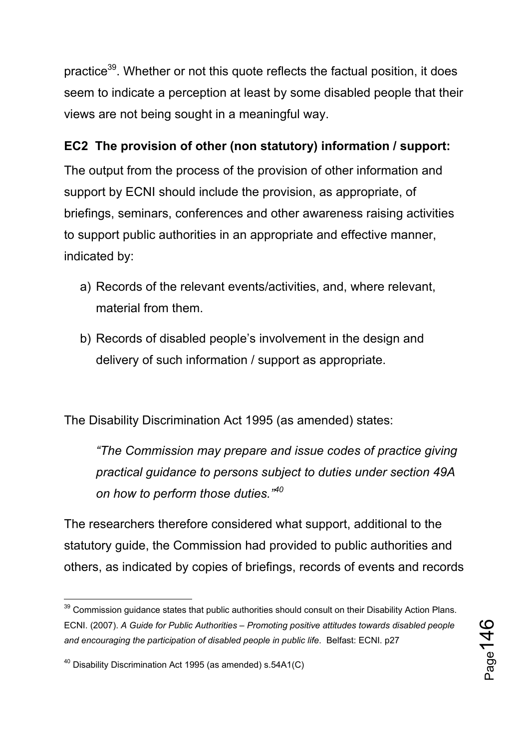practice39. Whether or not this quote reflects the factual position, it does seem to indicate a perception at least by some disabled people that their views are not being sought in a meaningful way.

### **EC2 The provision of other (non statutory) information / support:**

The output from the process of the provision of other information and support by ECNI should include the provision, as appropriate, of briefings, seminars, conferences and other awareness raising activities to support public authorities in an appropriate and effective manner, indicated by:

- a) Records of the relevant events/activities, and, where relevant, material from them.
- b) Records of disabled people's involvement in the design and delivery of such information / support as appropriate.

The Disability Discrimination Act 1995 (as amended) states:

*"The Commission may prepare and issue codes of practice giving practical guidance to persons subject to duties under section 49A on how to perform those duties."40*

The researchers therefore considered what support, additional to the statutory guide, the Commission had provided to public authorities and others, as indicated by copies of briefings, records of events and records

  $39$  Commission guidance states that public authorities should consult on their Disability Action Plans. ECNI. (2007). *A Guide for Public Authorities – Promoting positive attitudes towards disabled people and encouraging the participation of disabled people in public life*. Belfast: ECNI. p27

 $40$  Disability Discrimination Act 1995 (as amended) s.54A1(C)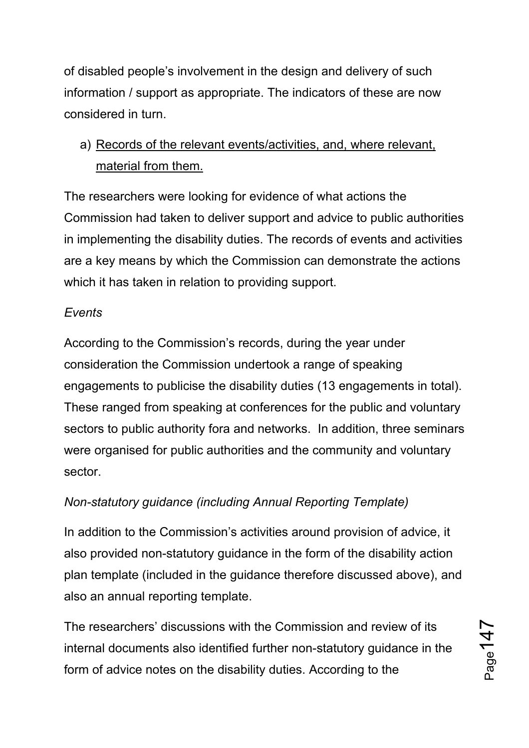of disabled people's involvement in the design and delivery of such information / support as appropriate. The indicators of these are now considered in turn.

a) Records of the relevant events/activities, and, where relevant, material from them.

The researchers were looking for evidence of what actions the Commission had taken to deliver support and advice to public authorities in implementing the disability duties. The records of events and activities are a key means by which the Commission can demonstrate the actions which it has taken in relation to providing support.

### *Events*

According to the Commission's records, during the year under consideration the Commission undertook a range of speaking engagements to publicise the disability duties (13 engagements in total). These ranged from speaking at conferences for the public and voluntary sectors to public authority fora and networks. In addition, three seminars were organised for public authorities and the community and voluntary sector.

### *Non-statutory guidance (including Annual Reporting Template)*

In addition to the Commission's activities around provision of advice, it also provided non-statutory guidance in the form of the disability action plan template (included in the guidance therefore discussed above), and also an annual reporting template.

The researchers' discussions with the Commission and review of its internal documents also identified further non-statutory guidance in the form of advice notes on the disability duties. According to the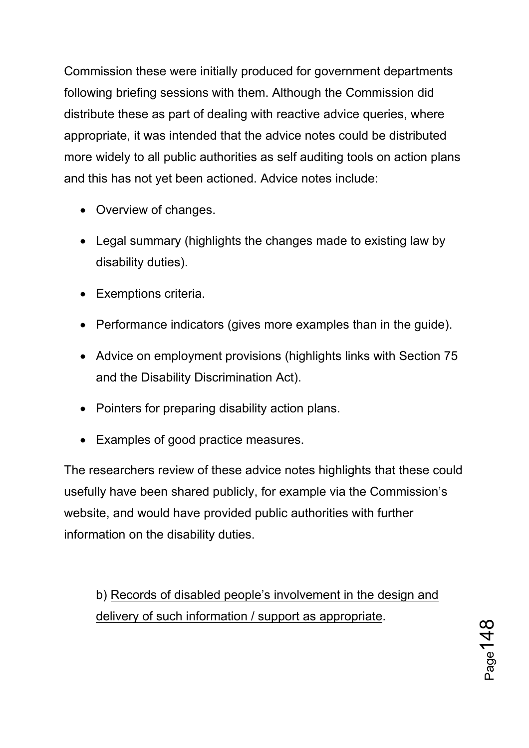Commission these were initially produced for government departments following briefing sessions with them. Although the Commission did distribute these as part of dealing with reactive advice queries, where appropriate, it was intended that the advice notes could be distributed more widely to all public authorities as self auditing tools on action plans and this has not yet been actioned. Advice notes include:

- Overview of changes.
- Legal summary (highlights the changes made to existing law by disability duties).
- Exemptions criteria.
- Performance indicators (gives more examples than in the guide).
- Advice on employment provisions (highlights links with Section 75 and the Disability Discrimination Act).
- Pointers for preparing disability action plans.
- Examples of good practice measures.

The researchers review of these advice notes highlights that these could usefully have been shared publicly, for example via the Commission's website, and would have provided public authorities with further information on the disability duties.

b) Records of disabled people's involvement in the design and delivery of such information / support as appropriate.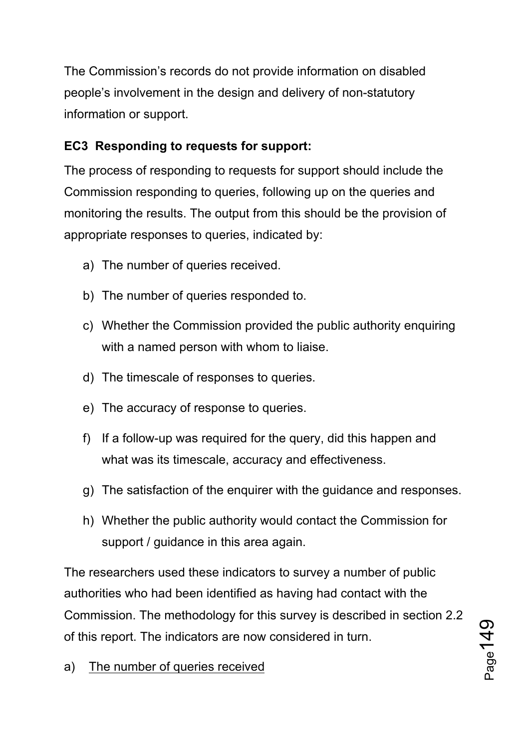The Commission's records do not provide information on disabled people's involvement in the design and delivery of non-statutory information or support.

### **EC3 Responding to requests for support:**

The process of responding to requests for support should include the Commission responding to queries, following up on the queries and monitoring the results. The output from this should be the provision of appropriate responses to queries, indicated by:

- a) The number of queries received.
- b) The number of queries responded to.
- c) Whether the Commission provided the public authority enquiring with a named person with whom to liaise.
- d) The timescale of responses to queries.
- e) The accuracy of response to queries.
- f) If a follow-up was required for the query, did this happen and what was its timescale, accuracy and effectiveness.
- g) The satisfaction of the enquirer with the guidance and responses.
- h) Whether the public authority would contact the Commission for support / guidance in this area again.

The researchers used these indicators to survey a number of public authorities who had been identified as having had contact with the Commission. The methodology for this survey is described in section 2.2 of this report. The indicators are now considered in turn.

a) The number of queries received

Page149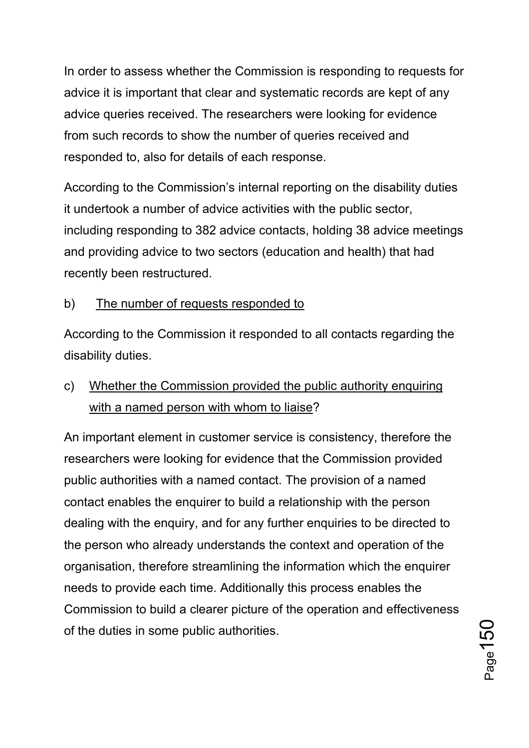In order to assess whether the Commission is responding to requests for advice it is important that clear and systematic records are kept of any advice queries received. The researchers were looking for evidence from such records to show the number of queries received and responded to, also for details of each response.

According to the Commission's internal reporting on the disability duties it undertook a number of advice activities with the public sector, including responding to 382 advice contacts, holding 38 advice meetings and providing advice to two sectors (education and health) that had recently been restructured.

#### b) The number of requests responded to

According to the Commission it responded to all contacts regarding the disability duties.

## c) Whether the Commission provided the public authority enquiring with a named person with whom to liaise?

An important element in customer service is consistency, therefore the researchers were looking for evidence that the Commission provided public authorities with a named contact. The provision of a named contact enables the enquirer to build a relationship with the person dealing with the enquiry, and for any further enquiries to be directed to the person who already understands the context and operation of the organisation, therefore streamlining the information which the enquirer needs to provide each time. Additionally this process enables the Commission to build a clearer picture of the operation and effectiveness of the duties in some public authorities.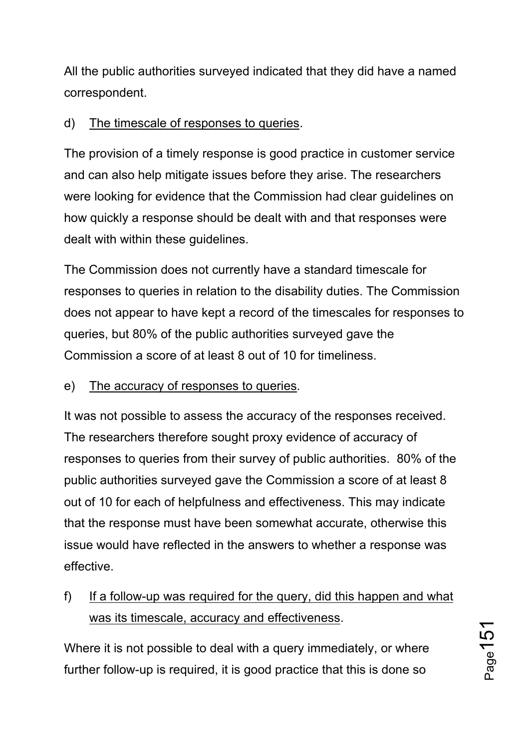All the public authorities surveyed indicated that they did have a named correspondent.

#### d) The timescale of responses to queries.

The provision of a timely response is good practice in customer service and can also help mitigate issues before they arise. The researchers were looking for evidence that the Commission had clear guidelines on how quickly a response should be dealt with and that responses were dealt with within these guidelines.

The Commission does not currently have a standard timescale for responses to queries in relation to the disability duties. The Commission does not appear to have kept a record of the timescales for responses to queries, but 80% of the public authorities surveyed gave the Commission a score of at least 8 out of 10 for timeliness.

#### e) The accuracy of responses to queries.

It was not possible to assess the accuracy of the responses received. The researchers therefore sought proxy evidence of accuracy of responses to queries from their survey of public authorities. 80% of the public authorities surveyed gave the Commission a score of at least 8 out of 10 for each of helpfulness and effectiveness. This may indicate that the response must have been somewhat accurate, otherwise this issue would have reflected in the answers to whether a response was effective.

## f) If a follow-up was required for the query, did this happen and what was its timescale, accuracy and effectiveness.

Where it is not possible to deal with a query immediately, or where further follow-up is required, it is good practice that this is done so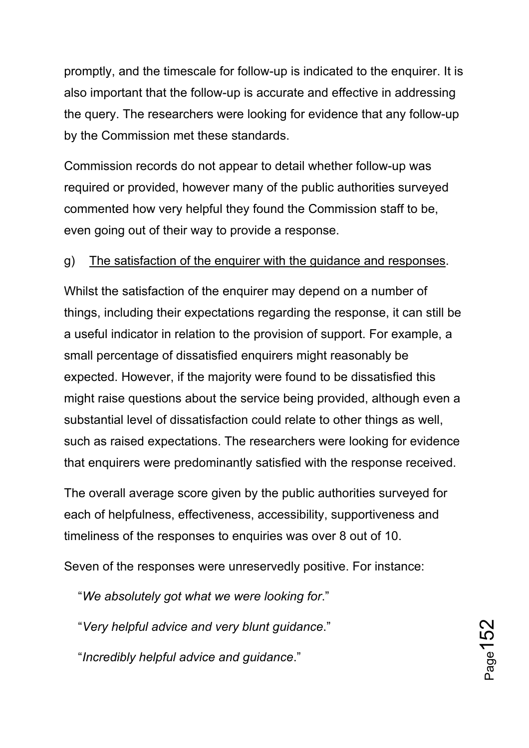promptly, and the timescale for follow-up is indicated to the enquirer. It is also important that the follow-up is accurate and effective in addressing the query. The researchers were looking for evidence that any follow-up by the Commission met these standards.

Commission records do not appear to detail whether follow-up was required or provided, however many of the public authorities surveyed commented how very helpful they found the Commission staff to be, even going out of their way to provide a response.

#### g) The satisfaction of the enquirer with the guidance and responses.

Whilst the satisfaction of the enquirer may depend on a number of things, including their expectations regarding the response, it can still be a useful indicator in relation to the provision of support. For example, a small percentage of dissatisfied enquirers might reasonably be expected. However, if the majority were found to be dissatisfied this might raise questions about the service being provided, although even a substantial level of dissatisfaction could relate to other things as well, such as raised expectations. The researchers were looking for evidence that enquirers were predominantly satisfied with the response received.

The overall average score given by the public authorities surveyed for each of helpfulness, effectiveness, accessibility, supportiveness and timeliness of the responses to enquiries was over 8 out of 10.

Seven of the responses were unreservedly positive. For instance:

"*We absolutely got what we were looking for*."

"*Very helpful advice and very blunt guidance*."

"*Incredibly helpful advice and guidance*."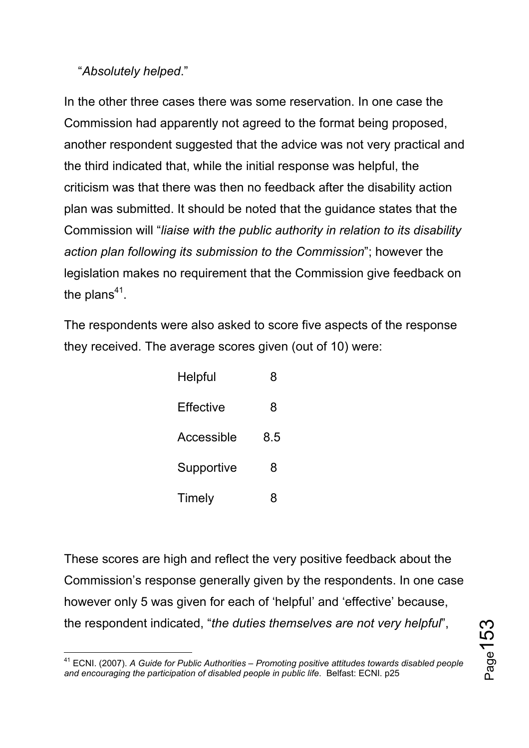#### "*Absolutely helped*."

In the other three cases there was some reservation. In one case the Commission had apparently not agreed to the format being proposed, another respondent suggested that the advice was not very practical and the third indicated that, while the initial response was helpful, the criticism was that there was then no feedback after the disability action plan was submitted. It should be noted that the guidance states that the Commission will "*liaise with the public authority in relation to its disability action plan following its submission to the Commission*"; however the legislation makes no requirement that the Commission give feedback on the plans $41$ .

The respondents were also asked to score five aspects of the response they received. The average scores given (out of 10) were:

| Helpful       | 8   |
|---------------|-----|
| Effective     | 8   |
| Accessible    | 8.5 |
| Supportive    | 8   |
| <b>Timely</b> | Ŗ   |

These scores are high and reflect the very positive feedback about the Commission's response generally given by the respondents. In one case however only 5 was given for each of 'helpful' and 'effective' because, the respondent indicated, "*the duties themselves are not very helpful*",

Page153

l 41 ECNI. (2007). *A Guide for Public Authorities – Promoting positive attitudes towards disabled people and encouraging the participation of disabled people in public life*. Belfast: ECNI. p25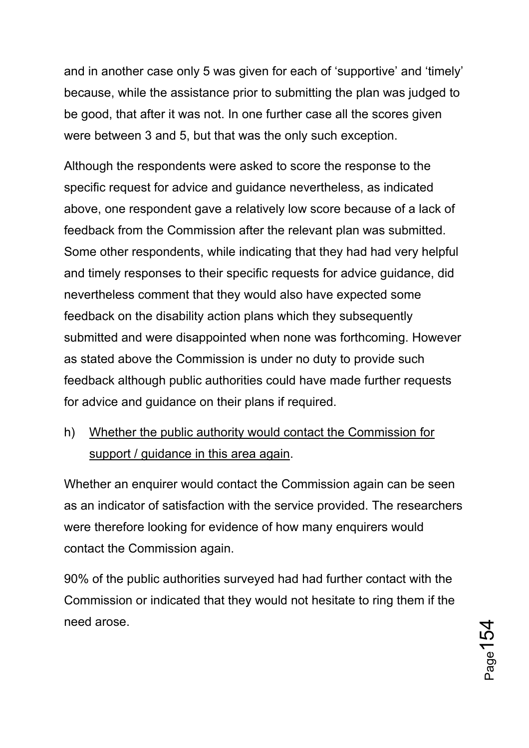and in another case only 5 was given for each of 'supportive' and 'timely' because, while the assistance prior to submitting the plan was judged to be good, that after it was not. In one further case all the scores given were between 3 and 5, but that was the only such exception.

Although the respondents were asked to score the response to the specific request for advice and guidance nevertheless, as indicated above, one respondent gave a relatively low score because of a lack of feedback from the Commission after the relevant plan was submitted. Some other respondents, while indicating that they had had very helpful and timely responses to their specific requests for advice guidance, did nevertheless comment that they would also have expected some feedback on the disability action plans which they subsequently submitted and were disappointed when none was forthcoming. However as stated above the Commission is under no duty to provide such feedback although public authorities could have made further requests for advice and guidance on their plans if required.

h) Whether the public authority would contact the Commission for support / guidance in this area again.

Whether an enquirer would contact the Commission again can be seen as an indicator of satisfaction with the service provided. The researchers were therefore looking for evidence of how many enquirers would contact the Commission again.

90% of the public authorities surveyed had had further contact with the Commission or indicated that they would not hesitate to ring them if the need arose.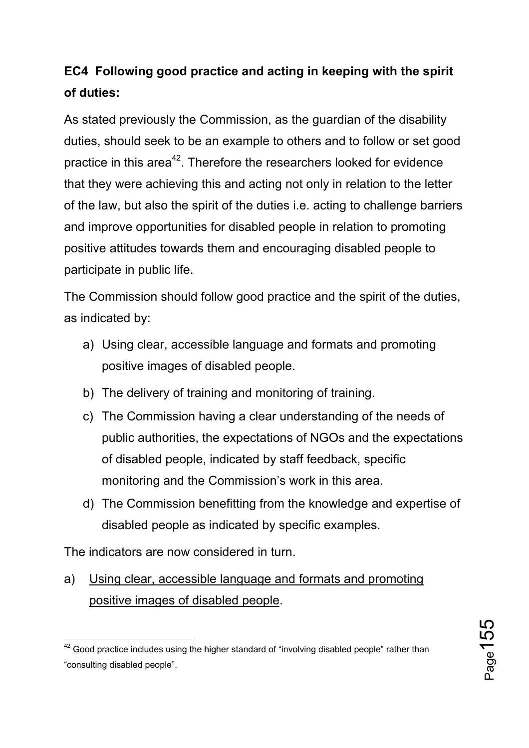# **EC4 Following good practice and acting in keeping with the spirit of duties:**

As stated previously the Commission, as the guardian of the disability duties, should seek to be an example to others and to follow or set good practice in this area<sup>42</sup>. Therefore the researchers looked for evidence that they were achieving this and acting not only in relation to the letter of the law, but also the spirit of the duties i.e. acting to challenge barriers and improve opportunities for disabled people in relation to promoting positive attitudes towards them and encouraging disabled people to participate in public life.

The Commission should follow good practice and the spirit of the duties, as indicated by:

- a) Using clear, accessible language and formats and promoting positive images of disabled people.
- b) The delivery of training and monitoring of training.
- c) The Commission having a clear understanding of the needs of public authorities, the expectations of NGOs and the expectations of disabled people, indicated by staff feedback, specific monitoring and the Commission's work in this area.
- d) The Commission benefitting from the knowledge and expertise of disabled people as indicated by specific examples.

The indicators are now considered in turn.

a) Using clear, accessible language and formats and promoting positive images of disabled people.

 $\overline{a}$  $42$  Good practice includes using the higher standard of "involving disabled people" rather than "consulting disabled people".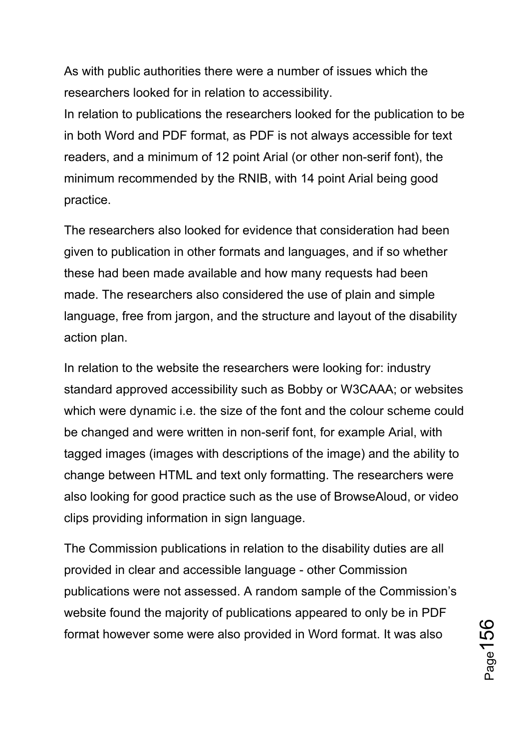As with public authorities there were a number of issues which the researchers looked for in relation to accessibility.

In relation to publications the researchers looked for the publication to be in both Word and PDF format, as PDF is not always accessible for text readers, and a minimum of 12 point Arial (or other non-serif font), the minimum recommended by the RNIB, with 14 point Arial being good practice.

The researchers also looked for evidence that consideration had been given to publication in other formats and languages, and if so whether these had been made available and how many requests had been made. The researchers also considered the use of plain and simple language, free from jargon, and the structure and layout of the disability action plan.

In relation to the website the researchers were looking for: industry standard approved accessibility such as Bobby or W3CAAA; or websites which were dynamic i.e. the size of the font and the colour scheme could be changed and were written in non-serif font, for example Arial, with tagged images (images with descriptions of the image) and the ability to change between HTML and text only formatting. The researchers were also looking for good practice such as the use of BrowseAloud, or video clips providing information in sign language.

The Commission publications in relation to the disability duties are all provided in clear and accessible language - other Commission publications were not assessed. A random sample of the Commission's website found the majority of publications appeared to only be in PDF format however some were also provided in Word format. It was also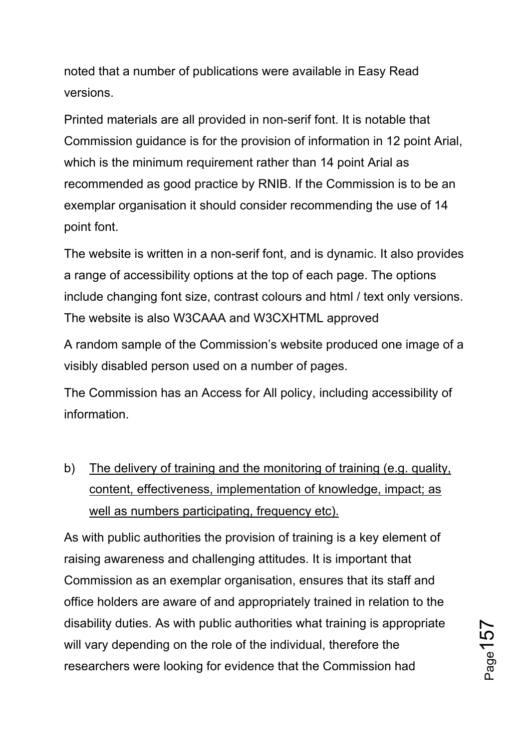noted that a number of publications were available in Easy Read versions.

Printed materials are all provided in non-serif font. It is notable that Commission guidance is for the provision of information in 12 point Arial, which is the minimum requirement rather than 14 point Arial as recommended as good practice by RNIB. If the Commission is to be an exemplar organisation it should consider recommending the use of 14 point font.

The website is written in a non-serif font, and is dynamic. It also provides a range of accessibility options at the top of each page. The options include changing font size, contrast colours and html / text only versions. The website is also W3CAAA and W3CXHTML approved

A random sample of the Commission's website produced one image of a visibly disabled person used on a number of pages.

The Commission has an Access for All policy, including accessibility of information.

b) The delivery of training and the monitoring of training (e.g. quality, content, effectiveness, implementation of knowledge, impact; as well as numbers participating, frequency etc).

As with public authorities the provision of training is a key element of raising awareness and challenging attitudes. It is important that Commission as an exemplar organisation, ensures that its staff and office holders are aware of and appropriately trained in relation to the disability duties. As with public authorities what training is appropriate will vary depending on the role of the individual, therefore the researchers were looking for evidence that the Commission had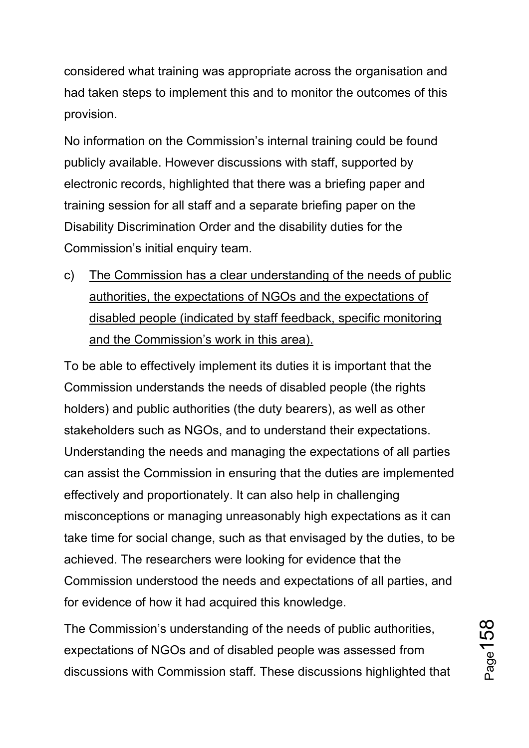considered what training was appropriate across the organisation and had taken steps to implement this and to monitor the outcomes of this provision.

No information on the Commission's internal training could be found publicly available. However discussions with staff, supported by electronic records, highlighted that there was a briefing paper and training session for all staff and a separate briefing paper on the Disability Discrimination Order and the disability duties for the Commission's initial enquiry team.

c) The Commission has a clear understanding of the needs of public authorities, the expectations of NGOs and the expectations of disabled people (indicated by staff feedback, specific monitoring and the Commission's work in this area).

To be able to effectively implement its duties it is important that the Commission understands the needs of disabled people (the rights holders) and public authorities (the duty bearers), as well as other stakeholders such as NGOs, and to understand their expectations. Understanding the needs and managing the expectations of all parties can assist the Commission in ensuring that the duties are implemented effectively and proportionately. It can also help in challenging misconceptions or managing unreasonably high expectations as it can take time for social change, such as that envisaged by the duties, to be achieved. The researchers were looking for evidence that the Commission understood the needs and expectations of all parties, and for evidence of how it had acquired this knowledge.

The Commission's understanding of the needs of public authorities, expectations of NGOs and of disabled people was assessed from discussions with Commission staff. These discussions highlighted that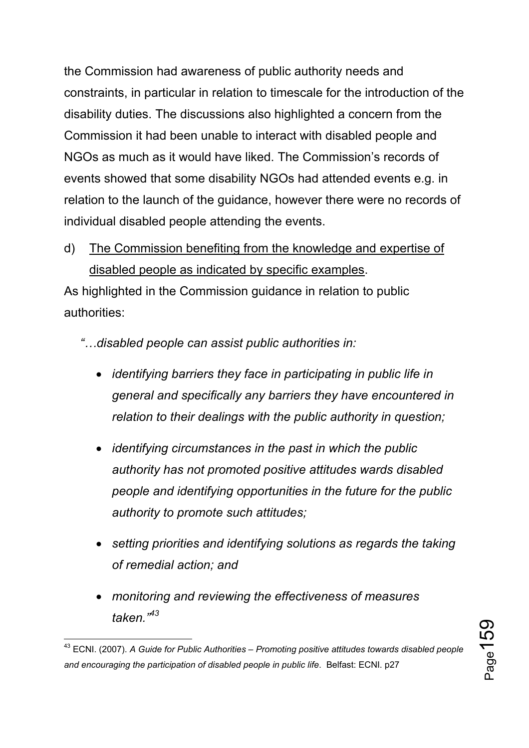the Commission had awareness of public authority needs and constraints, in particular in relation to timescale for the introduction of the disability duties. The discussions also highlighted a concern from the Commission it had been unable to interact with disabled people and NGOs as much as it would have liked. The Commission's records of events showed that some disability NGOs had attended events e.g. in relation to the launch of the guidance, however there were no records of individual disabled people attending the events.

d) The Commission benefiting from the knowledge and expertise of disabled people as indicated by specific examples.

As highlighted in the Commission guidance in relation to public authorities:

*"…disabled people can assist public authorities in:* 

- *identifying barriers they face in participating in public life in general and specifically any barriers they have encountered in relation to their dealings with the public authority in question;*
- *identifying circumstances in the past in which the public authority has not promoted positive attitudes wards disabled people and identifying opportunities in the future for the public authority to promote such attitudes;*
- *setting priorities and identifying solutions as regards the taking of remedial action; and*
- *monitoring and reviewing the effectiveness of measures taken."43*

 $\overline{a}$ 43 ECNI. (2007). *A Guide for Public Authorities – Promoting positive attitudes towards disabled people and encouraging the participation of disabled people in public life*. Belfast: ECNI. p27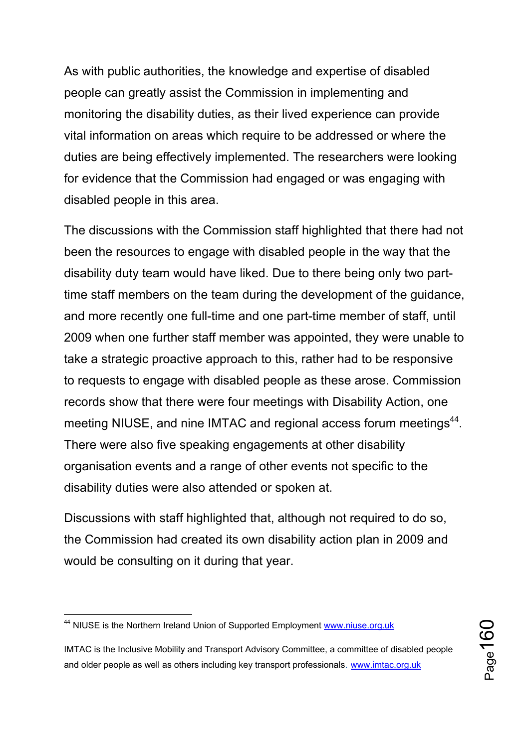As with public authorities, the knowledge and expertise of disabled people can greatly assist the Commission in implementing and monitoring the disability duties, as their lived experience can provide vital information on areas which require to be addressed or where the duties are being effectively implemented. The researchers were looking for evidence that the Commission had engaged or was engaging with disabled people in this area.

The discussions with the Commission staff highlighted that there had not been the resources to engage with disabled people in the way that the disability duty team would have liked. Due to there being only two parttime staff members on the team during the development of the guidance, and more recently one full-time and one part-time member of staff, until 2009 when one further staff member was appointed, they were unable to take a strategic proactive approach to this, rather had to be responsive to requests to engage with disabled people as these arose. Commission records show that there were four meetings with Disability Action, one meeting NIUSE, and nine IMTAC and regional access forum meetings<sup>44</sup>. There were also five speaking engagements at other disability organisation events and a range of other events not specific to the disability duties were also attended or spoken at.

Discussions with staff highlighted that, although not required to do so, the Commission had created its own disability action plan in 2009 and would be consulting on it during that year.

l <sup>44</sup> NIUSE is the Northern Ireland Union of Supported Employment www.niuse.org.uk

IMTAC is the Inclusive Mobility and Transport Advisory Committee, a committee of disabled people and older people as well as others including key transport professionals. www.imtac.org.uk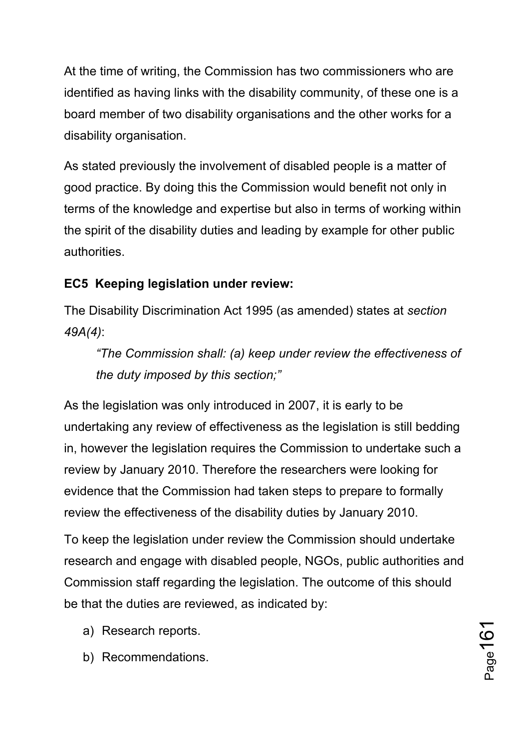At the time of writing, the Commission has two commissioners who are identified as having links with the disability community, of these one is a board member of two disability organisations and the other works for a disability organisation.

As stated previously the involvement of disabled people is a matter of good practice. By doing this the Commission would benefit not only in terms of the knowledge and expertise but also in terms of working within the spirit of the disability duties and leading by example for other public authorities.

### **EC5 Keeping legislation under review:**

The Disability Discrimination Act 1995 (as amended) states at *section 49A(4)*:

*"The Commission shall: (a) keep under review the effectiveness of the duty imposed by this section;"* 

As the legislation was only introduced in 2007, it is early to be undertaking any review of effectiveness as the legislation is still bedding in, however the legislation requires the Commission to undertake such a review by January 2010. Therefore the researchers were looking for evidence that the Commission had taken steps to prepare to formally review the effectiveness of the disability duties by January 2010.

To keep the legislation under review the Commission should undertake research and engage with disabled people, NGOs, public authorities and Commission staff regarding the legislation. The outcome of this should be that the duties are reviewed, as indicated by:

- a) Research reports.
- b) Recommendations.

Page161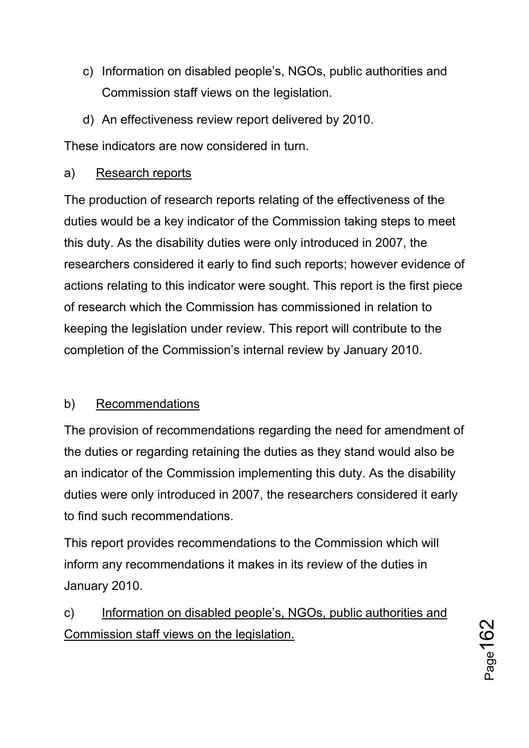- c) Information on disabled people's, NGOs, public authorities and Commission staff views on the legislation.
- d) An effectiveness review report delivered by 2010.

These indicators are now considered in turn.

### a) Research reports

The production of research reports relating of the effectiveness of the duties would be a key indicator of the Commission taking steps to meet this duty. As the disability duties were only introduced in 2007, the researchers considered it early to find such reports; however evidence of actions relating to this indicator were sought. This report is the first piece of research which the Commission has commissioned in relation to keeping the legislation under review. This report will contribute to the completion of the Commission's internal review by January 2010.

### b) Recommendations

The provision of recommendations regarding the need for amendment of the duties or regarding retaining the duties as they stand would also be an indicator of the Commission implementing this duty. As the disability duties were only introduced in 2007, the researchers considered it early to find such recommendations.

This report provides recommendations to the Commission which will inform any recommendations it makes in its review of the duties in January 2010.

c) Information on disabled people's, NGOs, public authorities and Commission staff views on the legislation.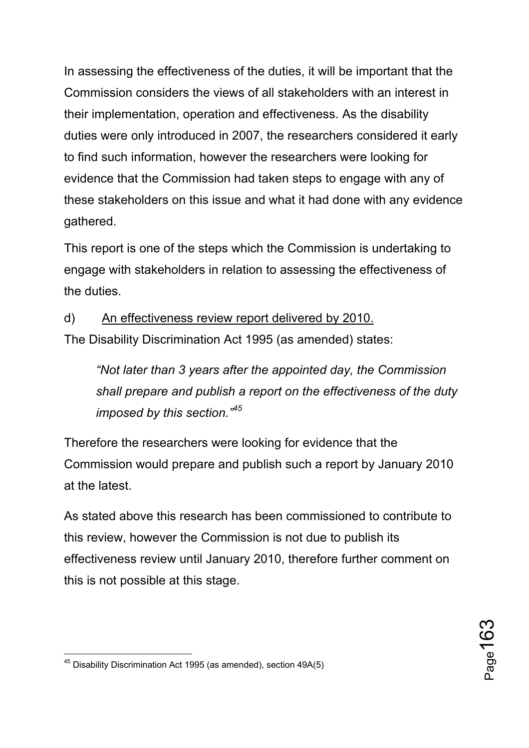In assessing the effectiveness of the duties, it will be important that the Commission considers the views of all stakeholders with an interest in their implementation, operation and effectiveness. As the disability duties were only introduced in 2007, the researchers considered it early to find such information, however the researchers were looking for evidence that the Commission had taken steps to engage with any of these stakeholders on this issue and what it had done with any evidence gathered.

This report is one of the steps which the Commission is undertaking to engage with stakeholders in relation to assessing the effectiveness of the duties.

d) An effectiveness review report delivered by 2010. The Disability Discrimination Act 1995 (as amended) states:

*"Not later than 3 years after the appointed day, the Commission shall prepare and publish a report on the effectiveness of the duty imposed by this section."45*

Therefore the researchers were looking for evidence that the Commission would prepare and publish such a report by January 2010 at the latest.

As stated above this research has been commissioned to contribute to this review, however the Commission is not due to publish its effectiveness review until January 2010, therefore further comment on this is not possible at this stage.



l  $45$  Disability Discrimination Act 1995 (as amended), section 49A(5)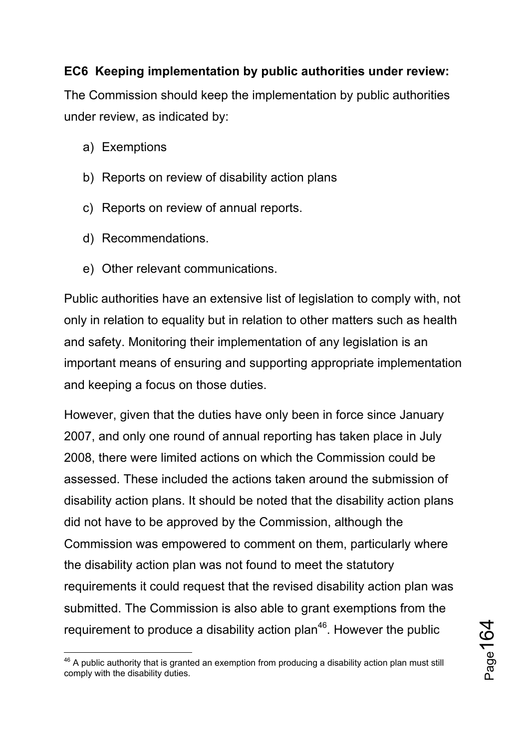#### **EC6 Keeping implementation by public authorities under review:**

The Commission should keep the implementation by public authorities under review, as indicated by:

- a) Exemptions
- b) Reports on review of disability action plans
- c) Reports on review of annual reports.
- d) Recommendations.
- e) Other relevant communications.

Public authorities have an extensive list of legislation to comply with, not only in relation to equality but in relation to other matters such as health and safety. Monitoring their implementation of any legislation is an important means of ensuring and supporting appropriate implementation and keeping a focus on those duties.

However, given that the duties have only been in force since January 2007, and only one round of annual reporting has taken place in July 2008, there were limited actions on which the Commission could be assessed. These included the actions taken around the submission of disability action plans. It should be noted that the disability action plans did not have to be approved by the Commission, although the Commission was empowered to comment on them, particularly where the disability action plan was not found to meet the statutory requirements it could request that the revised disability action plan was submitted. The Commission is also able to grant exemptions from the requirement to produce a disability action plan<sup>46</sup>. However the public

l  $^{46}$  A public authority that is granted an exemption from producing a disability action plan must still comply with the disability duties.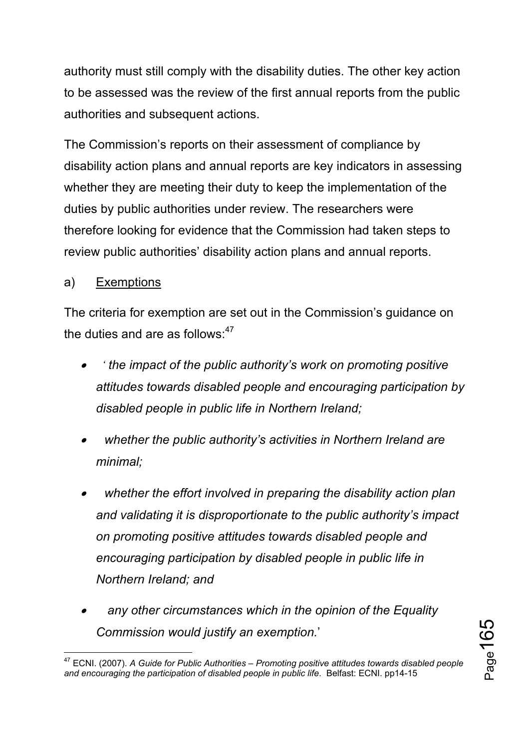authority must still comply with the disability duties. The other key action to be assessed was the review of the first annual reports from the public authorities and subsequent actions.

The Commission's reports on their assessment of compliance by disability action plans and annual reports are key indicators in assessing whether they are meeting their duty to keep the implementation of the duties by public authorities under review. The researchers were therefore looking for evidence that the Commission had taken steps to review public authorities' disability action plans and annual reports.

#### a) Exemptions

The criteria for exemption are set out in the Commission's guidance on the duties and are as follows: $47$ 

- • *' the impact of the public authority's work on promoting positive attitudes towards disabled people and encouraging participation by disabled people in public life in Northern Ireland;*
- • *whether the public authority's activities in Northern Ireland are minimal;*
- • *whether the effort involved in preparing the disability action plan and validating it is disproportionate to the public authority's impact on promoting positive attitudes towards disabled people and encouraging participation by disabled people in public life in Northern Ireland; and*
- • *any other circumstances which in the opinion of the Equality Commission would justify an exemption.*'

Page<sup>165</sup>

l 47 ECNI. (2007). *A Guide for Public Authorities – Promoting positive attitudes towards disabled people and encouraging the participation of disabled people in public life*. Belfast: ECNI. pp14-15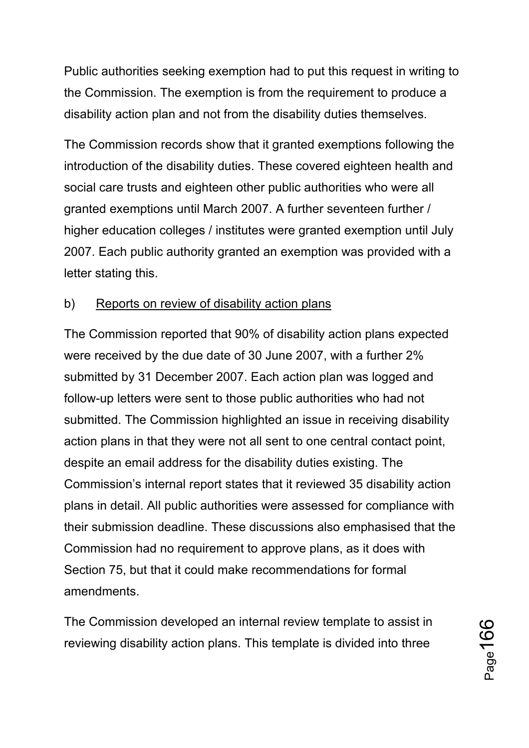Public authorities seeking exemption had to put this request in writing to the Commission. The exemption is from the requirement to produce a disability action plan and not from the disability duties themselves.

The Commission records show that it granted exemptions following the introduction of the disability duties. These covered eighteen health and social care trusts and eighteen other public authorities who were all granted exemptions until March 2007. A further seventeen further / higher education colleges / institutes were granted exemption until July 2007. Each public authority granted an exemption was provided with a letter stating this.

#### b) Reports on review of disability action plans

The Commission reported that 90% of disability action plans expected were received by the due date of 30 June 2007, with a further 2% submitted by 31 December 2007. Each action plan was logged and follow-up letters were sent to those public authorities who had not submitted. The Commission highlighted an issue in receiving disability action plans in that they were not all sent to one central contact point, despite an email address for the disability duties existing. The Commission's internal report states that it reviewed 35 disability action plans in detail. All public authorities were assessed for compliance with their submission deadline. These discussions also emphasised that the Commission had no requirement to approve plans, as it does with Section 75, but that it could make recommendations for formal amendments.

The Commission developed an internal review template to assist in reviewing disability action plans. This template is divided into three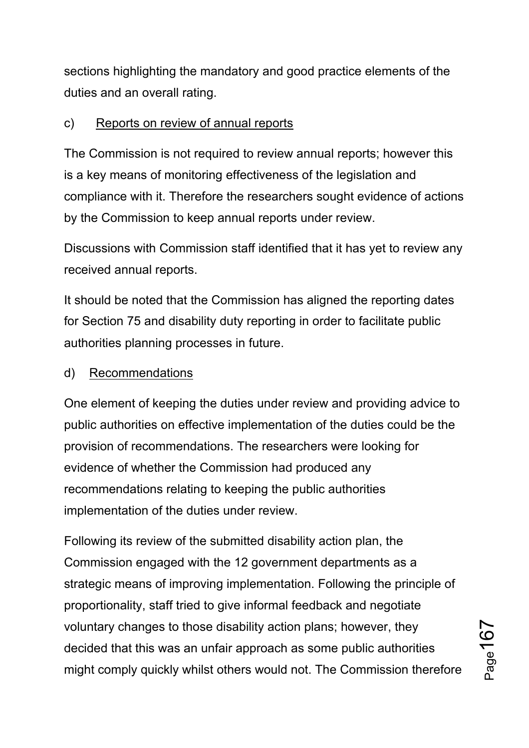sections highlighting the mandatory and good practice elements of the duties and an overall rating.

#### c) Reports on review of annual reports

The Commission is not required to review annual reports; however this is a key means of monitoring effectiveness of the legislation and compliance with it. Therefore the researchers sought evidence of actions by the Commission to keep annual reports under review.

Discussions with Commission staff identified that it has yet to review any received annual reports.

It should be noted that the Commission has aligned the reporting dates for Section 75 and disability duty reporting in order to facilitate public authorities planning processes in future.

#### d) Recommendations

One element of keeping the duties under review and providing advice to public authorities on effective implementation of the duties could be the provision of recommendations. The researchers were looking for evidence of whether the Commission had produced any recommendations relating to keeping the public authorities implementation of the duties under review.

Following its review of the submitted disability action plan, the Commission engaged with the 12 government departments as a strategic means of improving implementation. Following the principle of proportionality, staff tried to give informal feedback and negotiate voluntary changes to those disability action plans; however, they decided that this was an unfair approach as some public authorities might comply quickly whilst others would not. The Commission therefore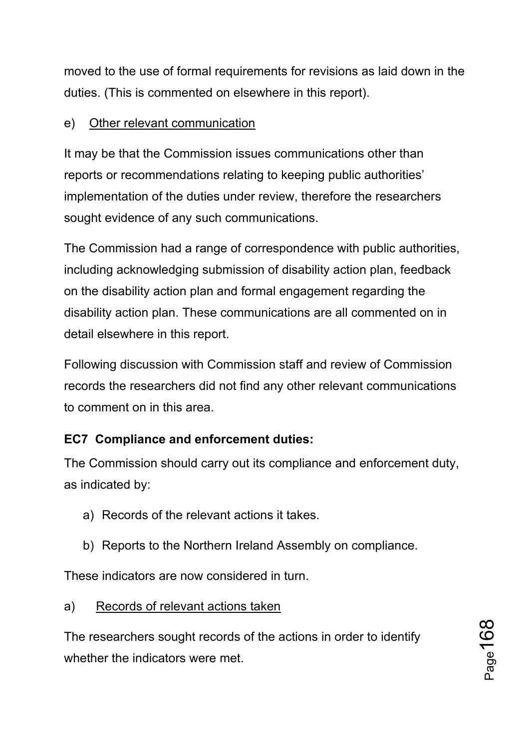moved to the use of formal requirements for revisions as laid down in the duties. (This is commented on elsewhere in this report).

### e) Other relevant communication

It may be that the Commission issues communications other than reports or recommendations relating to keeping public authorities' implementation of the duties under review, therefore the researchers sought evidence of any such communications.

The Commission had a range of correspondence with public authorities, including acknowledging submission of disability action plan, feedback on the disability action plan and formal engagement regarding the disability action plan. These communications are all commented on in detail elsewhere in this report.

Following discussion with Commission staff and review of Commission records the researchers did not find any other relevant communications to comment on in this area.

### **EC7 Compliance and enforcement duties:**

The Commission should carry out its compliance and enforcement duty, as indicated by:

- a) Records of the relevant actions it takes.
- b) Reports to the Northern Ireland Assembly on compliance.

These indicators are now considered in turn.

a) Records of relevant actions taken

The researchers sought records of the actions in order to identify whether the indicators were met.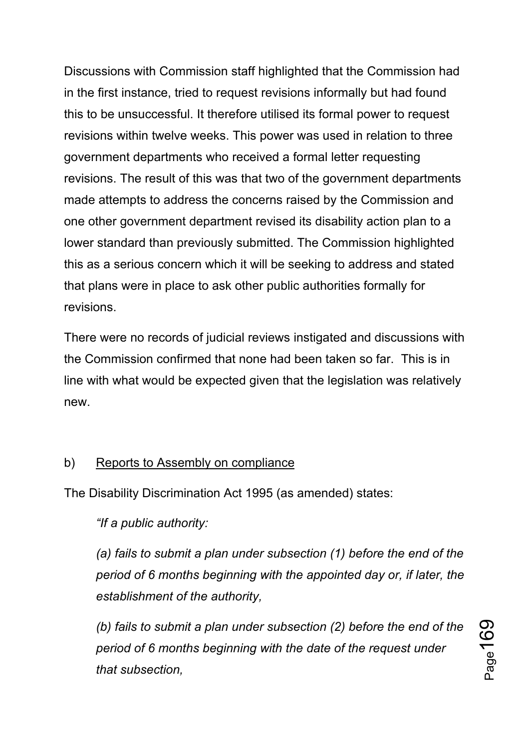Discussions with Commission staff highlighted that the Commission had in the first instance, tried to request revisions informally but had found this to be unsuccessful. It therefore utilised its formal power to request revisions within twelve weeks. This power was used in relation to three government departments who received a formal letter requesting revisions. The result of this was that two of the government departments made attempts to address the concerns raised by the Commission and one other government department revised its disability action plan to a lower standard than previously submitted. The Commission highlighted this as a serious concern which it will be seeking to address and stated that plans were in place to ask other public authorities formally for revisions.

There were no records of judicial reviews instigated and discussions with the Commission confirmed that none had been taken so far. This is in line with what would be expected given that the legislation was relatively new.

#### b) Reports to Assembly on compliance

The Disability Discrimination Act 1995 (as amended) states:

*"If a public authority:* 

*(a) fails to submit a plan under subsection (1) before the end of the period of 6 months beginning with the appointed day or, if later, the establishment of the authority,* 

*(b) fails to submit a plan under subsection (2) before the end of the period of 6 months beginning with the date of the request under that subsection,*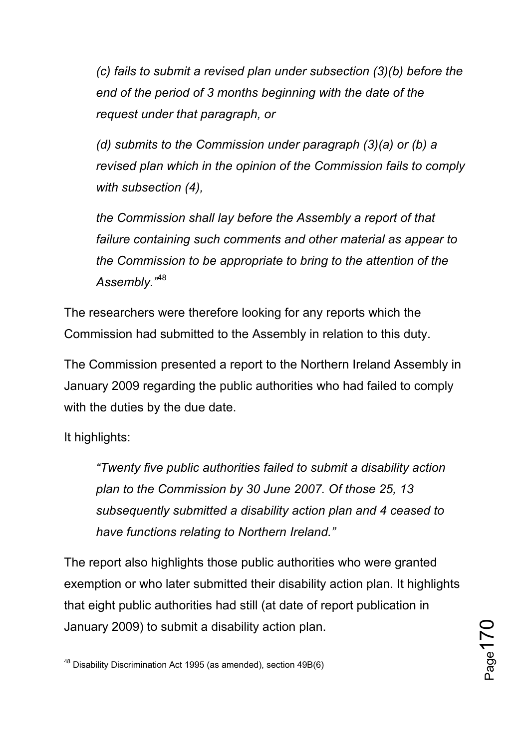*(c) fails to submit a revised plan under subsection (3)(b) before the end of the period of 3 months beginning with the date of the request under that paragraph, or* 

*(d) submits to the Commission under paragraph (3)(a) or (b) a revised plan which in the opinion of the Commission fails to comply with subsection (4),* 

*the Commission shall lay before the Assembly a report of that failure containing such comments and other material as appear to the Commission to be appropriate to bring to the attention of the Assembly."*<sup>48</sup>

The researchers were therefore looking for any reports which the Commission had submitted to the Assembly in relation to this duty.

The Commission presented a report to the Northern Ireland Assembly in January 2009 regarding the public authorities who had failed to comply with the duties by the due date.

It highlights:

*"Twenty five public authorities failed to submit a disability action plan to the Commission by 30 June 2007. Of those 25, 13 subsequently submitted a disability action plan and 4 ceased to have functions relating to Northern Ireland."* 

The report also highlights those public authorities who were granted exemption or who later submitted their disability action plan. It highlights that eight public authorities had still (at date of report publication in January 2009) to submit a disability action plan.

l  $48$  Disability Discrimination Act 1995 (as amended), section 49B(6)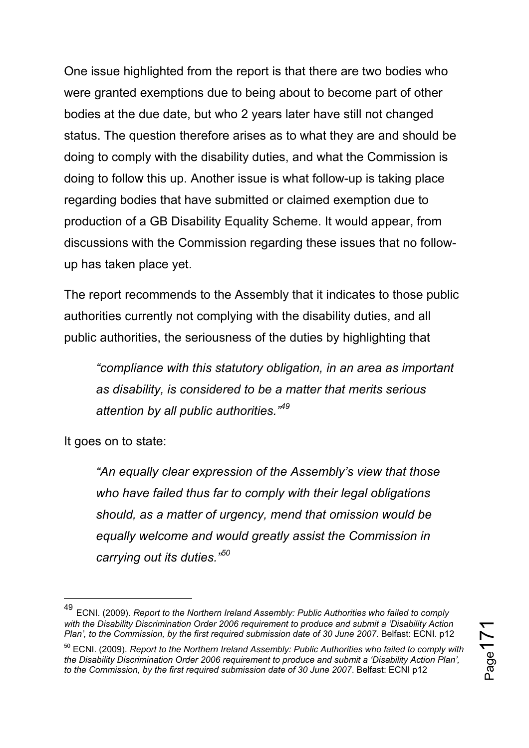One issue highlighted from the report is that there are two bodies who were granted exemptions due to being about to become part of other bodies at the due date, but who 2 years later have still not changed status. The question therefore arises as to what they are and should be doing to comply with the disability duties, and what the Commission is doing to follow this up. Another issue is what follow-up is taking place regarding bodies that have submitted or claimed exemption due to production of a GB Disability Equality Scheme. It would appear, from discussions with the Commission regarding these issues that no followup has taken place yet.

The report recommends to the Assembly that it indicates to those public authorities currently not complying with the disability duties, and all public authorities, the seriousness of the duties by highlighting that

*"compliance with this statutory obligation, in an area as important as disability, is considered to be a matter that merits serious attention by all public authorities."49*

It goes on to state:

l

*"An equally clear expression of the Assembly's view that those who have failed thus far to comply with their legal obligations should, as a matter of urgency, mend that omission would be equally welcome and would greatly assist the Commission in carrying out its duties."<sup>50</sup>*

<sup>49</sup> ECNI. (2009). *Report to the Northern Ireland Assembly: Public Authorities who failed to comply with the Disability Discrimination Order 2006 requirement to produce and submit a 'Disability Action Plan', to the Commission, by the first required submission date of 30 June 2007*. Belfast: ECNI. p12

<sup>50</sup> ECNI. (2009). *Report to the Northern Ireland Assembly: Public Authorities who failed to comply with the Disability Discrimination Order 2006 requirement to produce and submit a 'Disability Action Plan', to the Commission, by the first required submission date of 30 June 2007*. Belfast: ECNI p12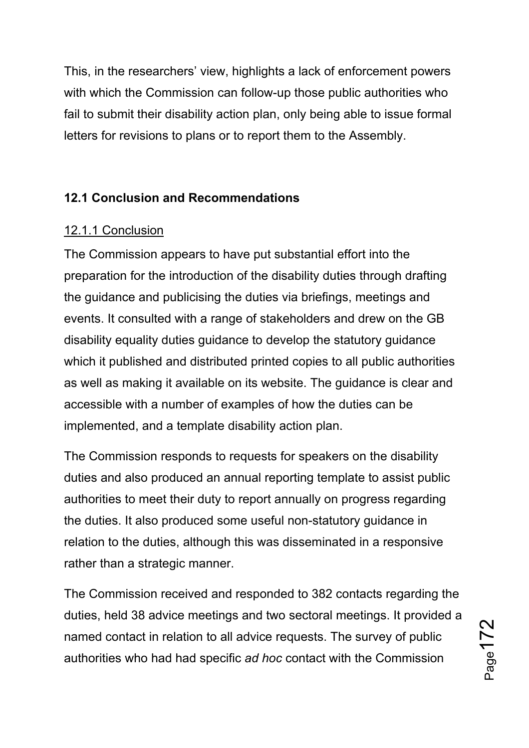This, in the researchers' view, highlights a lack of enforcement powers with which the Commission can follow-up those public authorities who fail to submit their disability action plan, only being able to issue formal letters for revisions to plans or to report them to the Assembly.

### **12.1 Conclusion and Recommendations**

### 12.1.1 Conclusion

The Commission appears to have put substantial effort into the preparation for the introduction of the disability duties through drafting the guidance and publicising the duties via briefings, meetings and events. It consulted with a range of stakeholders and drew on the GB disability equality duties guidance to develop the statutory guidance which it published and distributed printed copies to all public authorities as well as making it available on its website. The guidance is clear and accessible with a number of examples of how the duties can be implemented, and a template disability action plan.

The Commission responds to requests for speakers on the disability duties and also produced an annual reporting template to assist public authorities to meet their duty to report annually on progress regarding the duties. It also produced some useful non-statutory guidance in relation to the duties, although this was disseminated in a responsive rather than a strategic manner.

The Commission received and responded to 382 contacts regarding the duties, held 38 advice meetings and two sectoral meetings. It provided a named contact in relation to all advice requests. The survey of public authorities who had had specific *ad hoc* contact with the Commission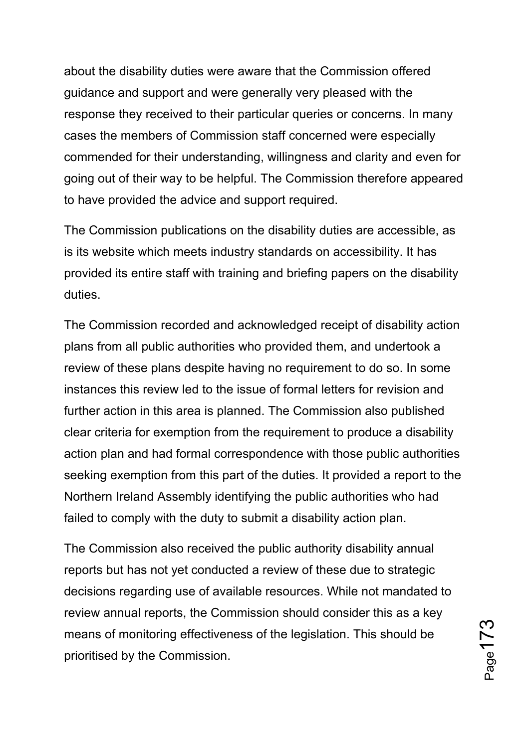about the disability duties were aware that the Commission offered guidance and support and were generally very pleased with the response they received to their particular queries or concerns. In many cases the members of Commission staff concerned were especially commended for their understanding, willingness and clarity and even for going out of their way to be helpful. The Commission therefore appeared to have provided the advice and support required.

The Commission publications on the disability duties are accessible, as is its website which meets industry standards on accessibility. It has provided its entire staff with training and briefing papers on the disability duties.

The Commission recorded and acknowledged receipt of disability action plans from all public authorities who provided them, and undertook a review of these plans despite having no requirement to do so. In some instances this review led to the issue of formal letters for revision and further action in this area is planned. The Commission also published clear criteria for exemption from the requirement to produce a disability action plan and had formal correspondence with those public authorities seeking exemption from this part of the duties. It provided a report to the Northern Ireland Assembly identifying the public authorities who had failed to comply with the duty to submit a disability action plan.

The Commission also received the public authority disability annual reports but has not yet conducted a review of these due to strategic decisions regarding use of available resources. While not mandated to review annual reports, the Commission should consider this as a key means of monitoring effectiveness of the legislation. This should be prioritised by the Commission.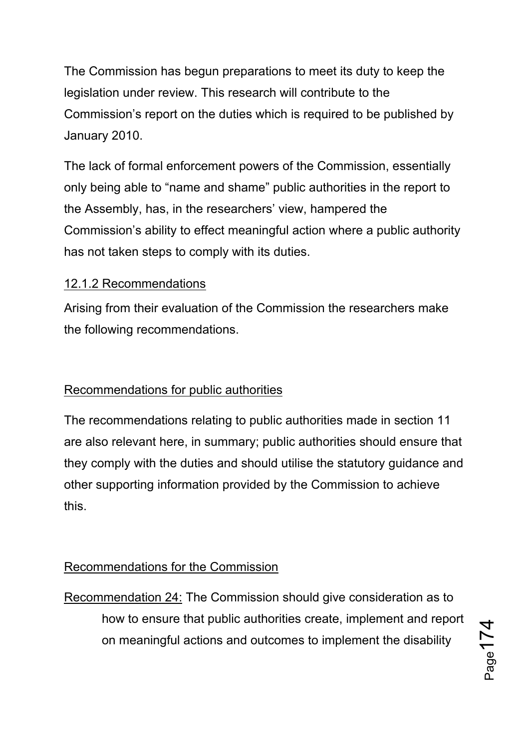The Commission has begun preparations to meet its duty to keep the legislation under review. This research will contribute to the Commission's report on the duties which is required to be published by January 2010.

The lack of formal enforcement powers of the Commission, essentially only being able to "name and shame" public authorities in the report to the Assembly, has, in the researchers' view, hampered the Commission's ability to effect meaningful action where a public authority has not taken steps to comply with its duties.

#### 12.1.2 Recommendations

Arising from their evaluation of the Commission the researchers make the following recommendations.

#### Recommendations for public authorities

The recommendations relating to public authorities made in section 11 are also relevant here, in summary; public authorities should ensure that they comply with the duties and should utilise the statutory guidance and other supporting information provided by the Commission to achieve this.

### Recommendations for the Commission

Recommendation 24: The Commission should give consideration as to how to ensure that public authorities create, implement and report on meaningful actions and outcomes to implement the disability

Page174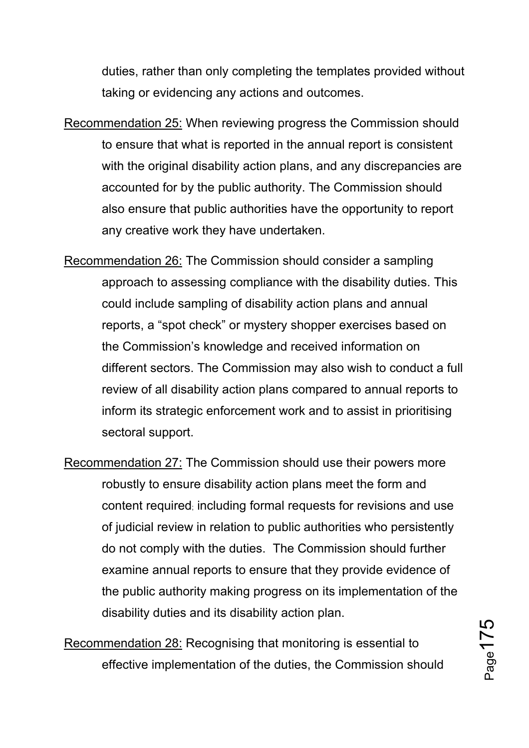duties, rather than only completing the templates provided without taking or evidencing any actions and outcomes.

- Recommendation 25: When reviewing progress the Commission should to ensure that what is reported in the annual report is consistent with the original disability action plans, and any discrepancies are accounted for by the public authority. The Commission should also ensure that public authorities have the opportunity to report any creative work they have undertaken.
- Recommendation 26: The Commission should consider a sampling approach to assessing compliance with the disability duties. This could include sampling of disability action plans and annual reports, a "spot check" or mystery shopper exercises based on the Commission's knowledge and received information on different sectors. The Commission may also wish to conduct a full review of all disability action plans compared to annual reports to inform its strategic enforcement work and to assist in prioritising sectoral support.
- Recommendation 27: The Commission should use their powers more robustly to ensure disability action plans meet the form and content required; including formal requests for revisions and use of judicial review in relation to public authorities who persistently do not comply with the duties. The Commission should further examine annual reports to ensure that they provide evidence of the public authority making progress on its implementation of the disability duties and its disability action plan.

Recommendation 28: Recognising that monitoring is essential to effective implementation of the duties, the Commission should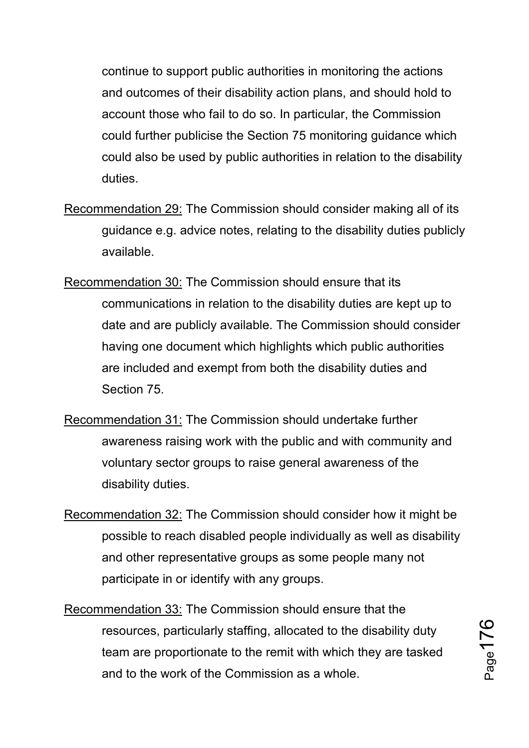continue to support public authorities in monitoring the actions and outcomes of their disability action plans, and should hold to account those who fail to do so. In particular, the Commission could further publicise the Section 75 monitoring guidance which could also be used by public authorities in relation to the disability duties.

- Recommendation 29: The Commission should consider making all of its guidance e.g. advice notes, relating to the disability duties publicly available.
- Recommendation 30: The Commission should ensure that its communications in relation to the disability duties are kept up to date and are publicly available. The Commission should consider having one document which highlights which public authorities are included and exempt from both the disability duties and Section 75.
- Recommendation 31: The Commission should undertake further awareness raising work with the public and with community and voluntary sector groups to raise general awareness of the disability duties.
- Recommendation 32: The Commission should consider how it might be possible to reach disabled people individually as well as disability and other representative groups as some people many not participate in or identify with any groups.
- Recommendation 33: The Commission should ensure that the resources, particularly staffing, allocated to the disability duty team are proportionate to the remit with which they are tasked and to the work of the Commission as a whole.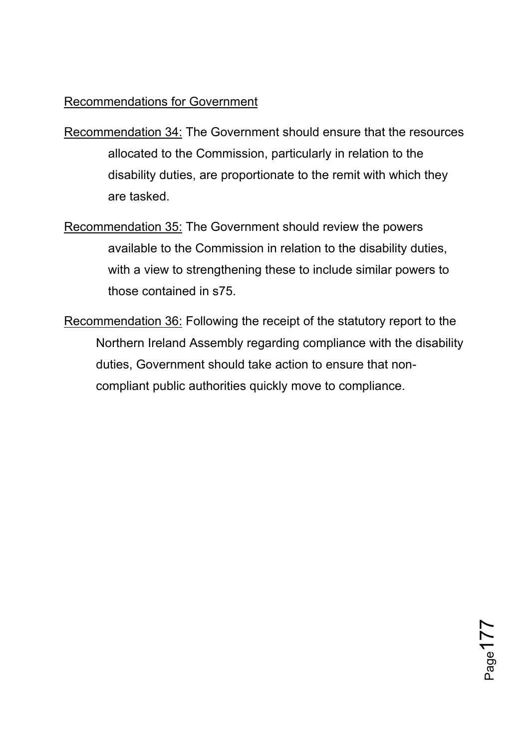#### Recommendations for Government

- Recommendation 34: The Government should ensure that the resources allocated to the Commission, particularly in relation to the disability duties, are proportionate to the remit with which they are tasked.
- Recommendation 35: The Government should review the powers available to the Commission in relation to the disability duties, with a view to strengthening these to include similar powers to those contained in s75.
- Recommendation 36: Following the receipt of the statutory report to the Northern Ireland Assembly regarding compliance with the disability duties, Government should take action to ensure that noncompliant public authorities quickly move to compliance.

Page177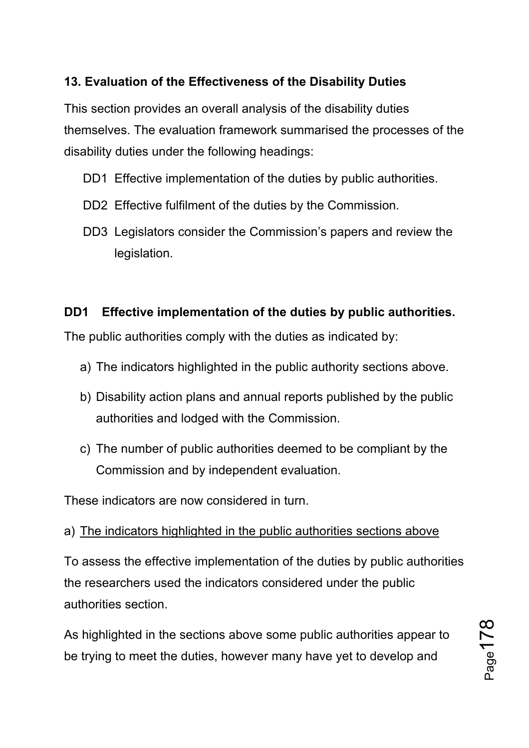### **13. Evaluation of the Effectiveness of the Disability Duties**

This section provides an overall analysis of the disability duties themselves. The evaluation framework summarised the processes of the disability duties under the following headings:

- DD1 Effective implementation of the duties by public authorities.
- DD2 Effective fulfilment of the duties by the Commission.
- DD3 Legislators consider the Commission's papers and review the legislation.

### **DD1 Effective implementation of the duties by public authorities.**

The public authorities comply with the duties as indicated by:

- a) The indicators highlighted in the public authority sections above.
- b) Disability action plans and annual reports published by the public authorities and lodged with the Commission.
- c) The number of public authorities deemed to be compliant by the Commission and by independent evaluation.

These indicators are now considered in turn.

a) The indicators highlighted in the public authorities sections above

To assess the effective implementation of the duties by public authorities the researchers used the indicators considered under the public authorities section.

As highlighted in the sections above some public authorities appear to be trying to meet the duties, however many have yet to develop and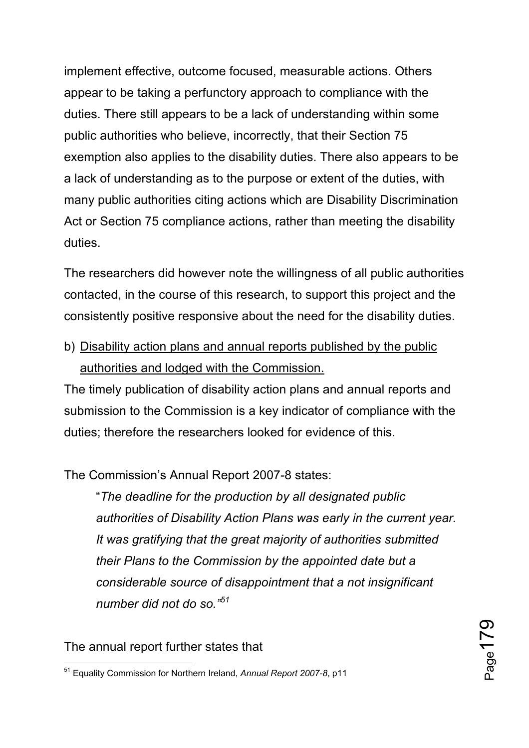implement effective, outcome focused, measurable actions. Others appear to be taking a perfunctory approach to compliance with the duties. There still appears to be a lack of understanding within some public authorities who believe, incorrectly, that their Section 75 exemption also applies to the disability duties. There also appears to be a lack of understanding as to the purpose or extent of the duties, with many public authorities citing actions which are Disability Discrimination Act or Section 75 compliance actions, rather than meeting the disability duties.

The researchers did however note the willingness of all public authorities contacted, in the course of this research, to support this project and the consistently positive responsive about the need for the disability duties.

b) Disability action plans and annual reports published by the public authorities and lodged with the Commission.

The timely publication of disability action plans and annual reports and submission to the Commission is a key indicator of compliance with the duties; therefore the researchers looked for evidence of this.

The Commission's Annual Report 2007-8 states:

"*The deadline for the production by all designated public authorities of Disability Action Plans was early in the current year. It was gratifying that the great majority of authorities submitted their Plans to the Commission by the appointed date but a considerable source of disappointment that a not insignificant number did not do so."<sup>51</sup>*

The annual report further states that

 $\overline{a}$ 51 Equality Commission for Northern Ireland, *Annual Report 2007-8*, p11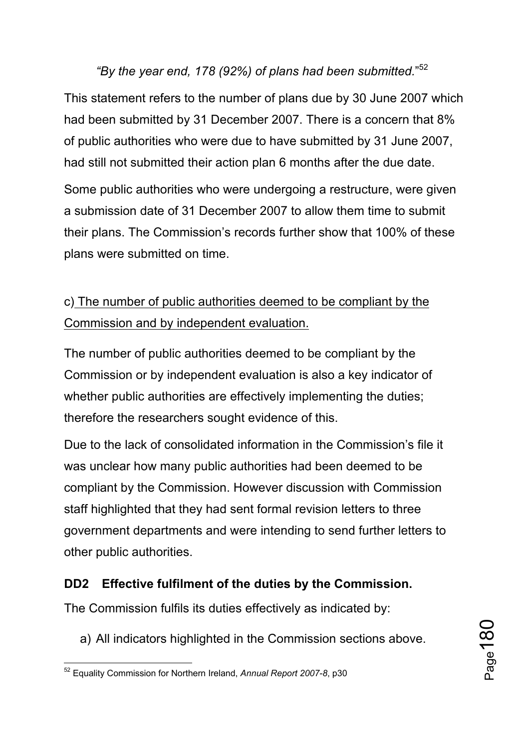#### *"By the year end, 178 (92%) of plans had been submitted.*" 52

This statement refers to the number of plans due by 30 June 2007 which had been submitted by 31 December 2007. There is a concern that 8% of public authorities who were due to have submitted by 31 June 2007, had still not submitted their action plan 6 months after the due date. Some public authorities who were undergoing a restructure, were given a submission date of 31 December 2007 to allow them time to submit their plans. The Commission's records further show that 100% of these plans were submitted on time.

# c) The number of public authorities deemed to be compliant by the Commission and by independent evaluation.

The number of public authorities deemed to be compliant by the Commission or by independent evaluation is also a key indicator of whether public authorities are effectively implementing the duties; therefore the researchers sought evidence of this.

Due to the lack of consolidated information in the Commission's file it was unclear how many public authorities had been deemed to be compliant by the Commission. However discussion with Commission staff highlighted that they had sent formal revision letters to three government departments and were intending to send further letters to other public authorities.

#### **DD2 Effective fulfilment of the duties by the Commission.**

The Commission fulfils its duties effectively as indicated by:

a) All indicators highlighted in the Commission sections above.

 $\overline{a}$ 52 Equality Commission for Northern Ireland, *Annual Report 2007-8*, p30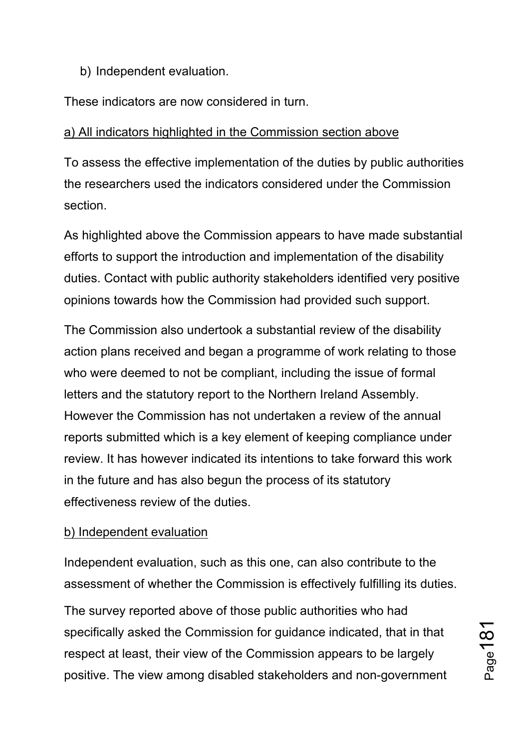b) Independent evaluation.

These indicators are now considered in turn.

#### a) All indicators highlighted in the Commission section above

To assess the effective implementation of the duties by public authorities the researchers used the indicators considered under the Commission section.

As highlighted above the Commission appears to have made substantial efforts to support the introduction and implementation of the disability duties. Contact with public authority stakeholders identified very positive opinions towards how the Commission had provided such support.

The Commission also undertook a substantial review of the disability action plans received and began a programme of work relating to those who were deemed to not be compliant, including the issue of formal letters and the statutory report to the Northern Ireland Assembly. However the Commission has not undertaken a review of the annual reports submitted which is a key element of keeping compliance under review. It has however indicated its intentions to take forward this work in the future and has also begun the process of its statutory effectiveness review of the duties.

#### b) Independent evaluation

Independent evaluation, such as this one, can also contribute to the assessment of whether the Commission is effectively fulfilling its duties.

The survey reported above of those public authorities who had specifically asked the Commission for guidance indicated, that in that respect at least, their view of the Commission appears to be largely positive. The view among disabled stakeholders and non-government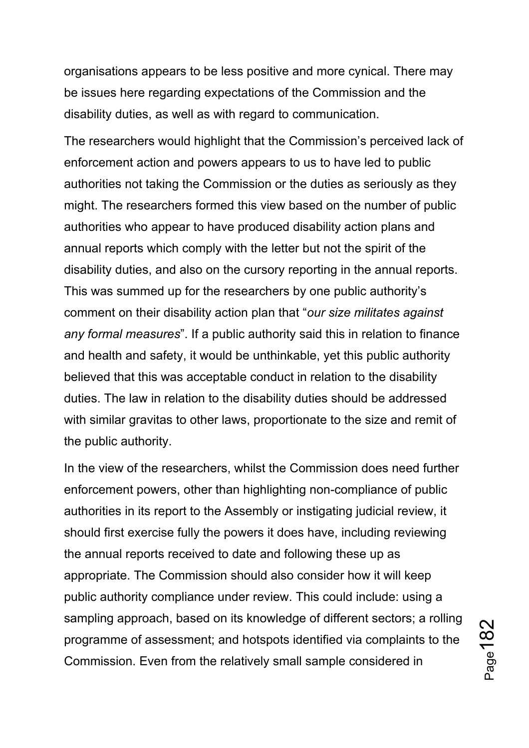organisations appears to be less positive and more cynical. There may be issues here regarding expectations of the Commission and the disability duties, as well as with regard to communication.

The researchers would highlight that the Commission's perceived lack of enforcement action and powers appears to us to have led to public authorities not taking the Commission or the duties as seriously as they might. The researchers formed this view based on the number of public authorities who appear to have produced disability action plans and annual reports which comply with the letter but not the spirit of the disability duties, and also on the cursory reporting in the annual reports. This was summed up for the researchers by one public authority's comment on their disability action plan that "*our size militates against any formal measures*". If a public authority said this in relation to finance and health and safety, it would be unthinkable, yet this public authority believed that this was acceptable conduct in relation to the disability duties. The law in relation to the disability duties should be addressed with similar gravitas to other laws, proportionate to the size and remit of the public authority.

In the view of the researchers, whilst the Commission does need further enforcement powers, other than highlighting non-compliance of public authorities in its report to the Assembly or instigating judicial review, it should first exercise fully the powers it does have, including reviewing the annual reports received to date and following these up as appropriate. The Commission should also consider how it will keep public authority compliance under review. This could include: using a sampling approach, based on its knowledge of different sectors; a rolling programme of assessment; and hotspots identified via complaints to the Commission. Even from the relatively small sample considered in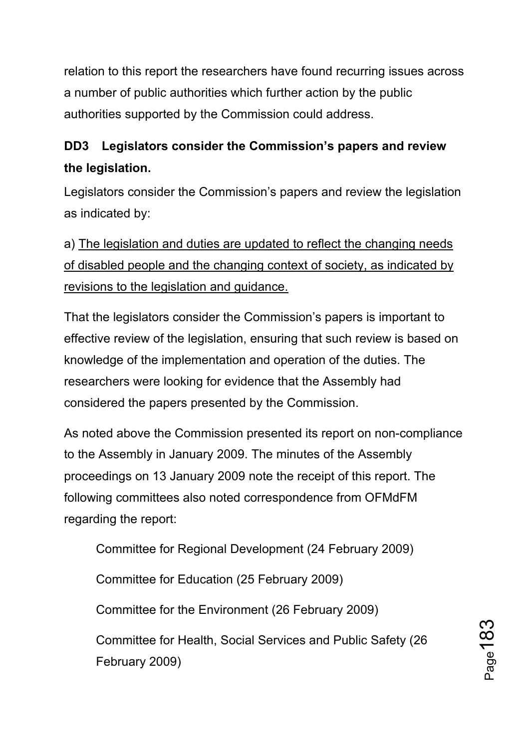relation to this report the researchers have found recurring issues across a number of public authorities which further action by the public authorities supported by the Commission could address.

# **DD3 Legislators consider the Commission's papers and review the legislation.**

Legislators consider the Commission's papers and review the legislation as indicated by:

a) The legislation and duties are updated to reflect the changing needs of disabled people and the changing context of society, as indicated by revisions to the legislation and guidance.

That the legislators consider the Commission's papers is important to effective review of the legislation, ensuring that such review is based on knowledge of the implementation and operation of the duties. The researchers were looking for evidence that the Assembly had considered the papers presented by the Commission.

As noted above the Commission presented its report on non-compliance to the Assembly in January 2009. The minutes of the Assembly proceedings on 13 January 2009 note the receipt of this report. The following committees also noted correspondence from OFMdFM regarding the report:

Committee for Regional Development (24 February 2009)

Committee for Education (25 February 2009)

Committee for the Environment (26 February 2009)

Committee for Health, Social Services and Public Safety (26 February 2009)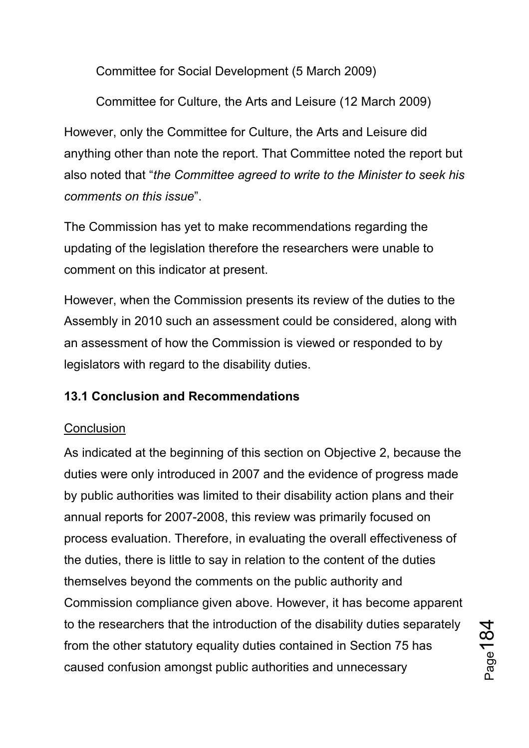Committee for Social Development (5 March 2009)

Committee for Culture, the Arts and Leisure (12 March 2009)

However, only the Committee for Culture, the Arts and Leisure did anything other than note the report. That Committee noted the report but also noted that "*the Committee agreed to write to the Minister to seek his comments on this issue*".

The Commission has yet to make recommendations regarding the updating of the legislation therefore the researchers were unable to comment on this indicator at present.

However, when the Commission presents its review of the duties to the Assembly in 2010 such an assessment could be considered, along with an assessment of how the Commission is viewed or responded to by legislators with regard to the disability duties.

### **13.1 Conclusion and Recommendations**

#### **Conclusion**

As indicated at the beginning of this section on Objective 2, because the duties were only introduced in 2007 and the evidence of progress made by public authorities was limited to their disability action plans and their annual reports for 2007-2008, this review was primarily focused on process evaluation. Therefore, in evaluating the overall effectiveness of the duties, there is little to say in relation to the content of the duties themselves beyond the comments on the public authority and Commission compliance given above. However, it has become apparent to the researchers that the introduction of the disability duties separately from the other statutory equality duties contained in Section 75 has caused confusion amongst public authorities and unnecessary

Page184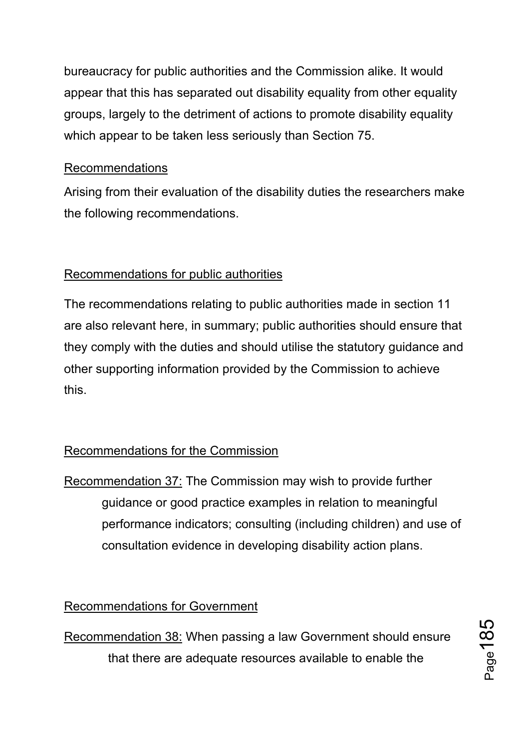bureaucracy for public authorities and the Commission alike. It would appear that this has separated out disability equality from other equality groups, largely to the detriment of actions to promote disability equality which appear to be taken less seriously than Section 75.

#### Recommendations

Arising from their evaluation of the disability duties the researchers make the following recommendations.

## Recommendations for public authorities

The recommendations relating to public authorities made in section 11 are also relevant here, in summary; public authorities should ensure that they comply with the duties and should utilise the statutory guidance and other supporting information provided by the Commission to achieve this.

# Recommendations for the Commission

Recommendation 37: The Commission may wish to provide further guidance or good practice examples in relation to meaningful performance indicators; consulting (including children) and use of consultation evidence in developing disability action plans.

### Recommendations for Government

Recommendation 38: When passing a law Government should ensure that there are adequate resources available to enable the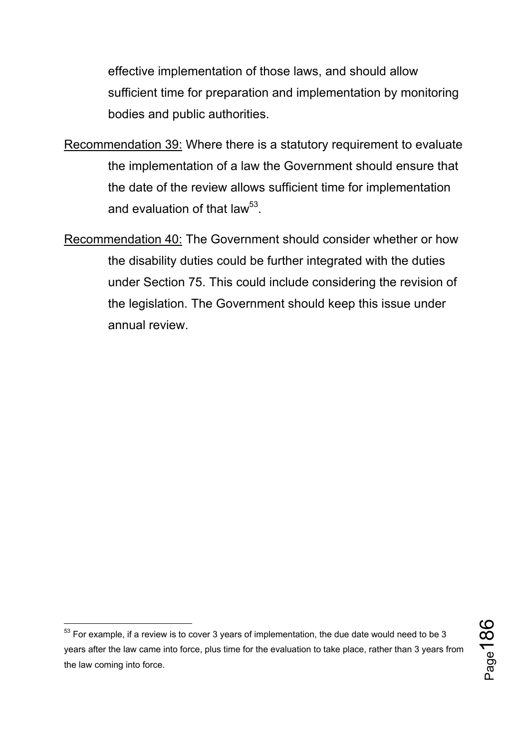effective implementation of those laws, and should allow sufficient time for preparation and implementation by monitoring bodies and public authorities.

- Recommendation 39: Where there is a statutory requirement to evaluate the implementation of a law the Government should ensure that the date of the review allows sufficient time for implementation and evaluation of that law<sup>53</sup>.
- Recommendation 40: The Government should consider whether or how the disability duties could be further integrated with the duties under Section 75. This could include considering the revision of the legislation. The Government should keep this issue under annual review.

Page186

l  $^{53}$  For example, if a review is to cover 3 years of implementation, the due date would need to be 3 years after the law came into force, plus time for the evaluation to take place, rather than 3 years from the law coming into force.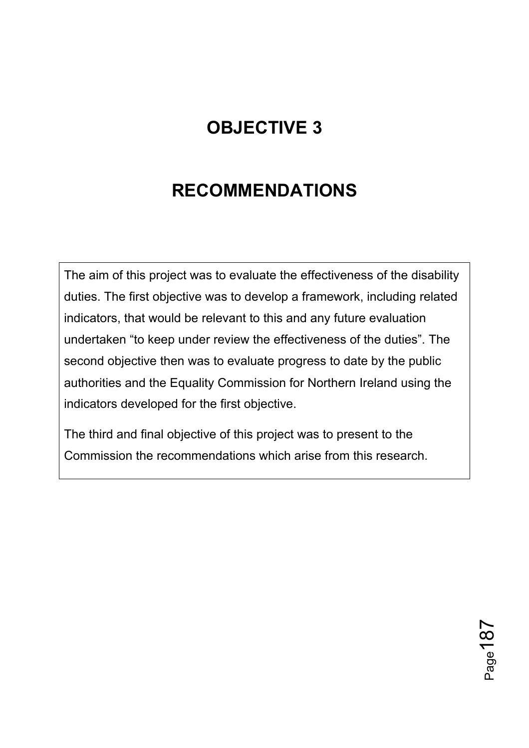# **OBJECTIVE 3**

# **RECOMMENDATIONS**

The aim of this project was to evaluate the effectiveness of the disability duties. The first objective was to develop a framework, including related indicators, that would be relevant to this and any future evaluation undertaken "to keep under review the effectiveness of the duties". The second objective then was to evaluate progress to date by the public authorities and the Equality Commission for Northern Ireland using the indicators developed for the first objective.

The third and final objective of this project was to present to the Commission the recommendations which arise from this research.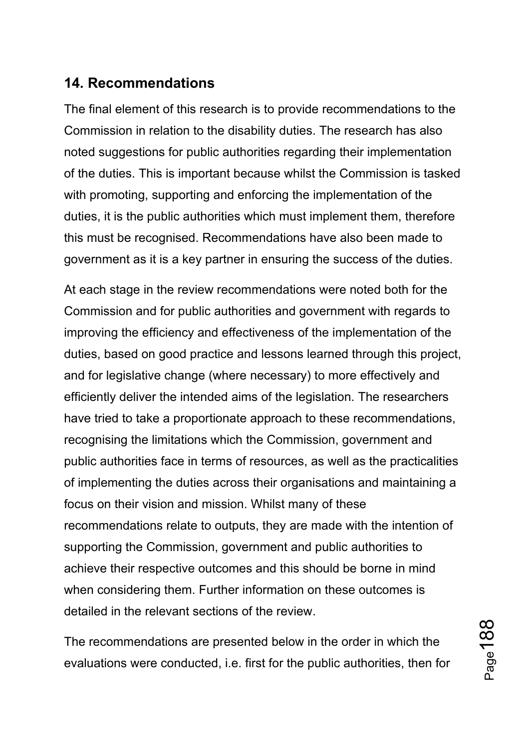# **14. Recommendations**

The final element of this research is to provide recommendations to the Commission in relation to the disability duties. The research has also noted suggestions for public authorities regarding their implementation of the duties. This is important because whilst the Commission is tasked with promoting, supporting and enforcing the implementation of the duties, it is the public authorities which must implement them, therefore this must be recognised. Recommendations have also been made to government as it is a key partner in ensuring the success of the duties.

At each stage in the review recommendations were noted both for the Commission and for public authorities and government with regards to improving the efficiency and effectiveness of the implementation of the duties, based on good practice and lessons learned through this project, and for legislative change (where necessary) to more effectively and efficiently deliver the intended aims of the legislation. The researchers have tried to take a proportionate approach to these recommendations, recognising the limitations which the Commission, government and public authorities face in terms of resources, as well as the practicalities of implementing the duties across their organisations and maintaining a focus on their vision and mission. Whilst many of these recommendations relate to outputs, they are made with the intention of supporting the Commission, government and public authorities to achieve their respective outcomes and this should be borne in mind when considering them. Further information on these outcomes is detailed in the relevant sections of the review.

The recommendations are presented below in the order in which the evaluations were conducted, i.e. first for the public authorities, then for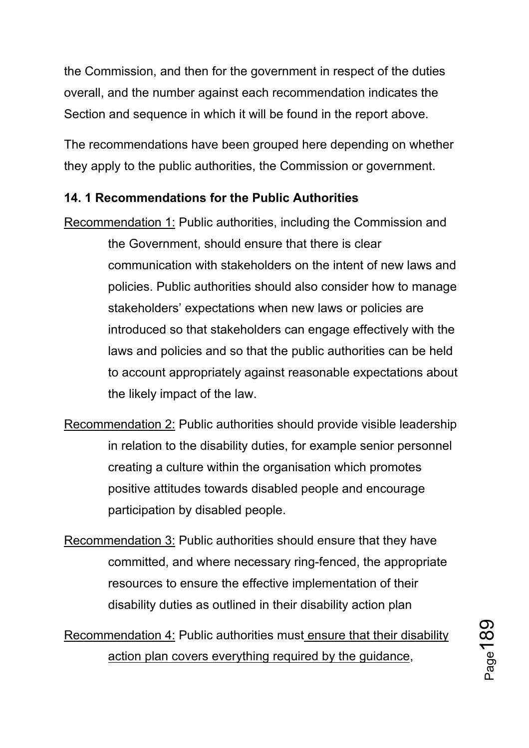the Commission, and then for the government in respect of the duties overall, and the number against each recommendation indicates the Section and sequence in which it will be found in the report above.

The recommendations have been grouped here depending on whether they apply to the public authorities, the Commission or government.

### **14. 1 Recommendations for the Public Authorities**

Recommendation 1: Public authorities, including the Commission and the Government, should ensure that there is clear communication with stakeholders on the intent of new laws and policies. Public authorities should also consider how to manage stakeholders' expectations when new laws or policies are introduced so that stakeholders can engage effectively with the laws and policies and so that the public authorities can be held to account appropriately against reasonable expectations about the likely impact of the law.

Recommendation 2: Public authorities should provide visible leadership in relation to the disability duties, for example senior personnel creating a culture within the organisation which promotes positive attitudes towards disabled people and encourage participation by disabled people.

Recommendation 3: Public authorities should ensure that they have committed, and where necessary ring-fenced, the appropriate resources to ensure the effective implementation of their disability duties as outlined in their disability action plan

Recommendation 4: Public authorities must ensure that their disability action plan covers everything required by the guidance,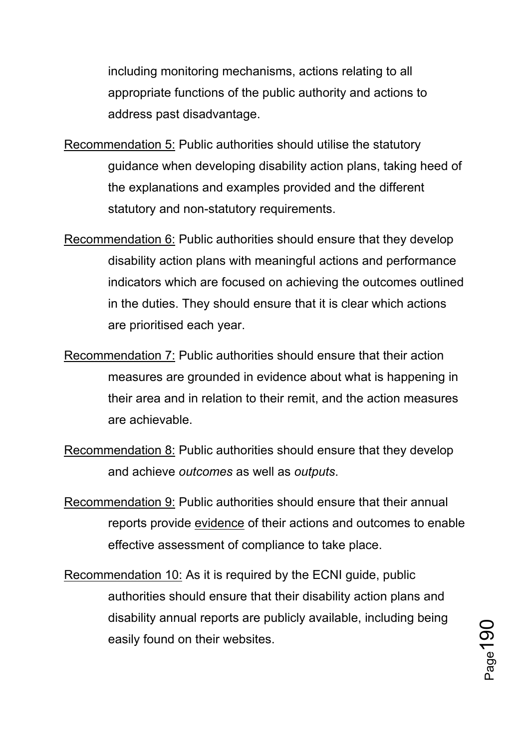including monitoring mechanisms, actions relating to all appropriate functions of the public authority and actions to address past disadvantage.

- Recommendation 5: Public authorities should utilise the statutory guidance when developing disability action plans, taking heed of the explanations and examples provided and the different statutory and non-statutory requirements.
- Recommendation 6: Public authorities should ensure that they develop disability action plans with meaningful actions and performance indicators which are focused on achieving the outcomes outlined in the duties. They should ensure that it is clear which actions are prioritised each year.
- Recommendation 7: Public authorities should ensure that their action measures are grounded in evidence about what is happening in their area and in relation to their remit, and the action measures are achievable.
- Recommendation 8: Public authorities should ensure that they develop and achieve *outcomes* as well as *outputs*.
- Recommendation 9: Public authorities should ensure that their annual reports provide evidence of their actions and outcomes to enable effective assessment of compliance to take place.
- Recommendation 10: As it is required by the ECNI guide, public authorities should ensure that their disability action plans and disability annual reports are publicly available, including being easily found on their websites.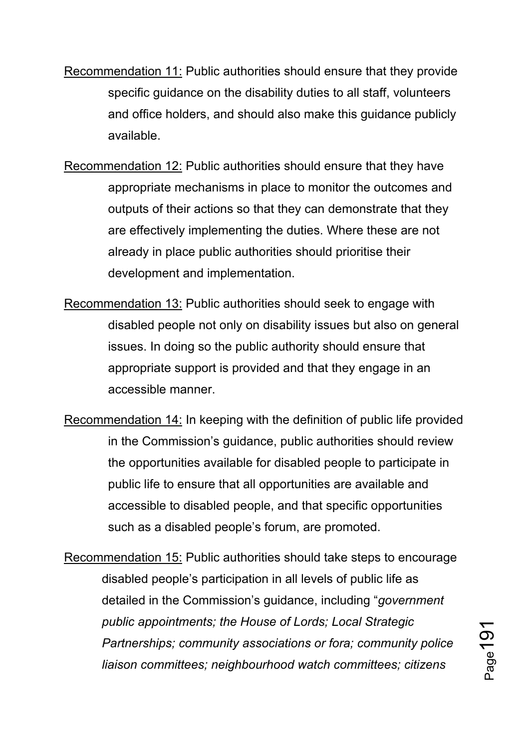- Recommendation 11: Public authorities should ensure that they provide specific guidance on the disability duties to all staff, volunteers and office holders, and should also make this guidance publicly available.
- Recommendation 12: Public authorities should ensure that they have appropriate mechanisms in place to monitor the outcomes and outputs of their actions so that they can demonstrate that they are effectively implementing the duties. Where these are not already in place public authorities should prioritise their development and implementation.
- Recommendation 13: Public authorities should seek to engage with disabled people not only on disability issues but also on general issues. In doing so the public authority should ensure that appropriate support is provided and that they engage in an accessible manner.
- Recommendation 14: In keeping with the definition of public life provided in the Commission's guidance, public authorities should review the opportunities available for disabled people to participate in public life to ensure that all opportunities are available and accessible to disabled people, and that specific opportunities such as a disabled people's forum, are promoted.
- Recommendation 15: Public authorities should take steps to encourage disabled people's participation in all levels of public life as detailed in the Commission's guidance, including "*government public appointments; the House of Lords; Local Strategic Partnerships; community associations or fora; community police liaison committees; neighbourhood watch committees; citizens*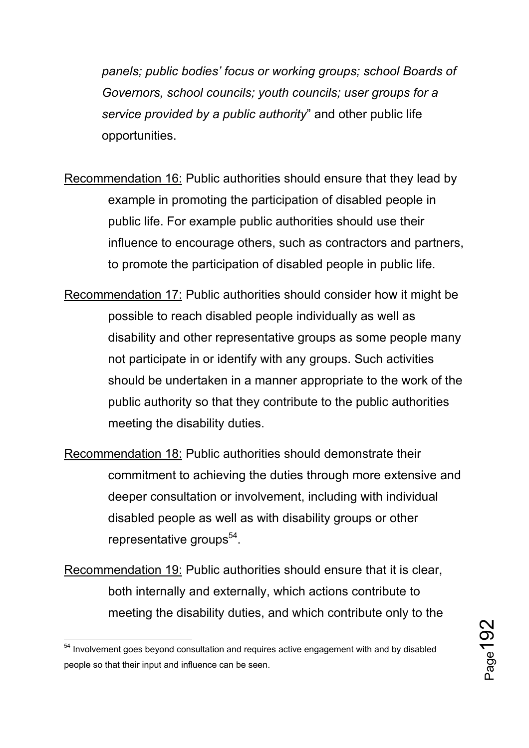*panels; public bodies' focus or working groups; school Boards of Governors, school councils; youth councils; user groups for a service provided by a public authority*" and other public life opportunities.

- Recommendation 16: Public authorities should ensure that they lead by example in promoting the participation of disabled people in public life. For example public authorities should use their influence to encourage others, such as contractors and partners, to promote the participation of disabled people in public life.
- Recommendation 17: Public authorities should consider how it might be possible to reach disabled people individually as well as disability and other representative groups as some people many not participate in or identify with any groups. Such activities should be undertaken in a manner appropriate to the work of the public authority so that they contribute to the public authorities meeting the disability duties.
- Recommendation 18: Public authorities should demonstrate their commitment to achieving the duties through more extensive and deeper consultation or involvement, including with individual disabled people as well as with disability groups or other representative groups<sup>54</sup>.
- Recommendation 19: Public authorities should ensure that it is clear, both internally and externally, which actions contribute to meeting the disability duties, and which contribute only to the

 $\overline{a}$ 

 $54$  Involvement goes beyond consultation and requires active engagement with and by disabled people so that their input and influence can be seen.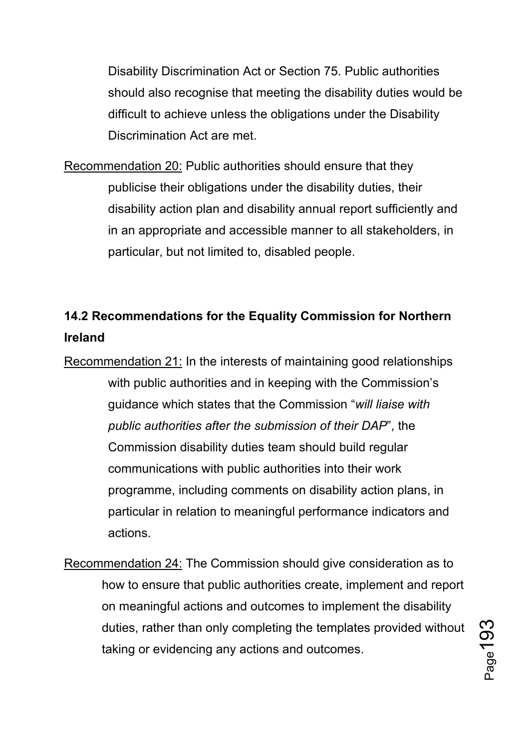Disability Discrimination Act or Section 75. Public authorities should also recognise that meeting the disability duties would be difficult to achieve unless the obligations under the Disability Discrimination Act are met.

Recommendation 20: Public authorities should ensure that they publicise their obligations under the disability duties, their disability action plan and disability annual report sufficiently and in an appropriate and accessible manner to all stakeholders, in particular, but not limited to, disabled people.

# **14.2 Recommendations for the Equality Commission for Northern Ireland**

Recommendation 21: In the interests of maintaining good relationships with public authorities and in keeping with the Commission's guidance which states that the Commission "*will liaise with public authorities after the submission of their DAP*", the Commission disability duties team should build regular communications with public authorities into their work programme, including comments on disability action plans, in particular in relation to meaningful performance indicators and actions.

Recommendation 24: The Commission should give consideration as to how to ensure that public authorities create, implement and report on meaningful actions and outcomes to implement the disability duties, rather than only completing the templates provided without taking or evidencing any actions and outcomes.

Page193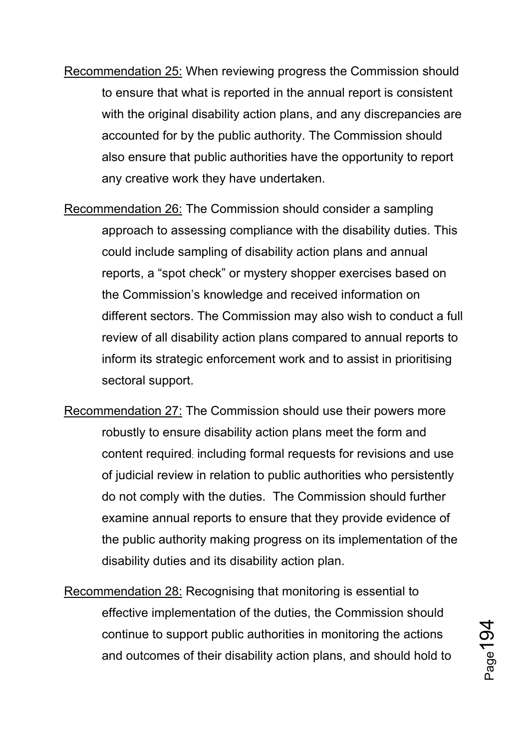- Recommendation 25: When reviewing progress the Commission should to ensure that what is reported in the annual report is consistent with the original disability action plans, and any discrepancies are accounted for by the public authority. The Commission should also ensure that public authorities have the opportunity to report any creative work they have undertaken.
- Recommendation 26: The Commission should consider a sampling approach to assessing compliance with the disability duties. This could include sampling of disability action plans and annual reports, a "spot check" or mystery shopper exercises based on the Commission's knowledge and received information on different sectors. The Commission may also wish to conduct a full review of all disability action plans compared to annual reports to inform its strategic enforcement work and to assist in prioritising sectoral support.
- Recommendation 27: The Commission should use their powers more robustly to ensure disability action plans meet the form and content required; including formal requests for revisions and use of judicial review in relation to public authorities who persistently do not comply with the duties. The Commission should further examine annual reports to ensure that they provide evidence of the public authority making progress on its implementation of the disability duties and its disability action plan.
- Recommendation 28: Recognising that monitoring is essential to effective implementation of the duties, the Commission should continue to support public authorities in monitoring the actions and outcomes of their disability action plans, and should hold to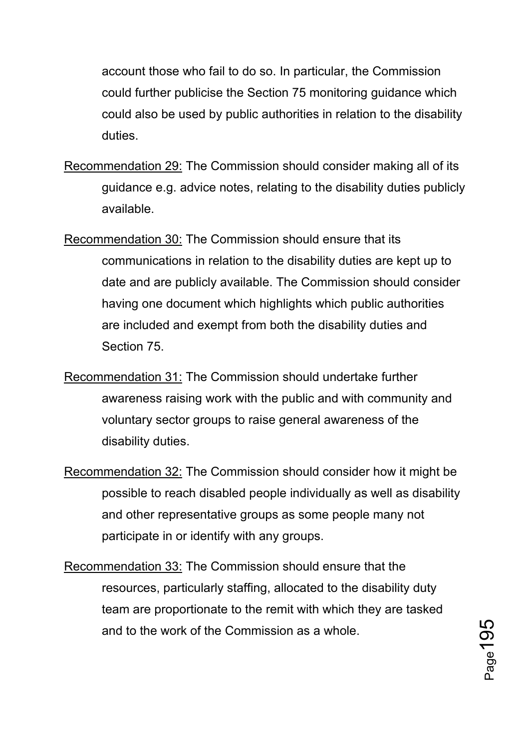account those who fail to do so. In particular, the Commission could further publicise the Section 75 monitoring guidance which could also be used by public authorities in relation to the disability duties.

- Recommendation 29: The Commission should consider making all of its guidance e.g. advice notes, relating to the disability duties publicly available.
- Recommendation 30: The Commission should ensure that its communications in relation to the disability duties are kept up to date and are publicly available. The Commission should consider having one document which highlights which public authorities are included and exempt from both the disability duties and Section 75.
- Recommendation 31: The Commission should undertake further awareness raising work with the public and with community and voluntary sector groups to raise general awareness of the disability duties.
- Recommendation 32: The Commission should consider how it might be possible to reach disabled people individually as well as disability and other representative groups as some people many not participate in or identify with any groups.
- Recommendation 33: The Commission should ensure that the resources, particularly staffing, allocated to the disability duty team are proportionate to the remit with which they are tasked and to the work of the Commission as a whole.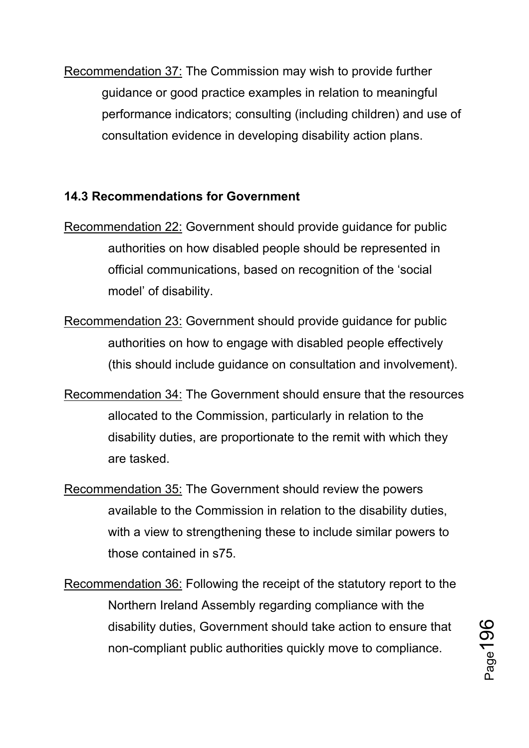Recommendation 37: The Commission may wish to provide further guidance or good practice examples in relation to meaningful performance indicators; consulting (including children) and use of consultation evidence in developing disability action plans.

#### **14.3 Recommendations for Government**

- Recommendation 22: Government should provide guidance for public authorities on how disabled people should be represented in official communications, based on recognition of the 'social model' of disability.
- Recommendation 23: Government should provide guidance for public authorities on how to engage with disabled people effectively (this should include guidance on consultation and involvement).
- Recommendation 34: The Government should ensure that the resources allocated to the Commission, particularly in relation to the disability duties, are proportionate to the remit with which they are tasked.
- Recommendation 35: The Government should review the powers available to the Commission in relation to the disability duties, with a view to strengthening these to include similar powers to those contained in s75.
- Recommendation 36: Following the receipt of the statutory report to the Northern Ireland Assembly regarding compliance with the disability duties, Government should take action to ensure that non-compliant public authorities quickly move to compliance.

Page196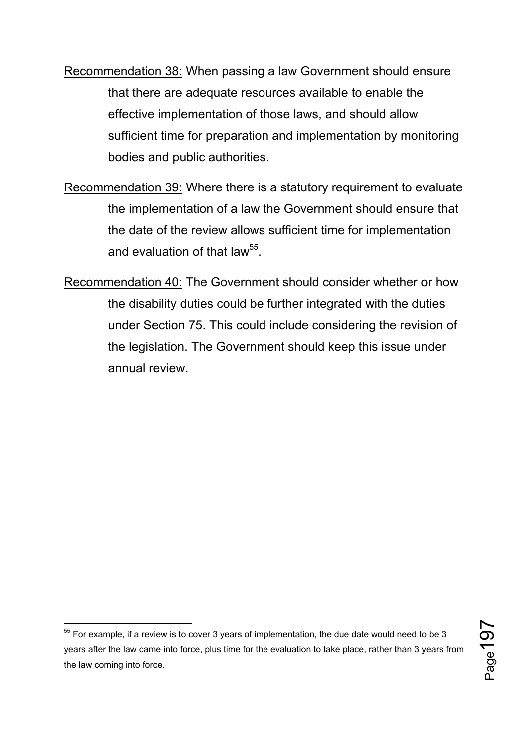Recommendation 38: When passing a law Government should ensure that there are adequate resources available to enable the effective implementation of those laws, and should allow sufficient time for preparation and implementation by monitoring bodies and public authorities.

Recommendation 39: Where there is a statutory requirement to evaluate the implementation of a law the Government should ensure that the date of the review allows sufficient time for implementation and evaluation of that  $law^{55}$ .

Recommendation 40: The Government should consider whether or how the disability duties could be further integrated with the duties under Section 75. This could include considering the revision of the legislation. The Government should keep this issue under annual review.

Page<sup>197</sup>

l  $55$  For example, if a review is to cover 3 years of implementation, the due date would need to be 3 years after the law came into force, plus time for the evaluation to take place, rather than 3 years from the law coming into force.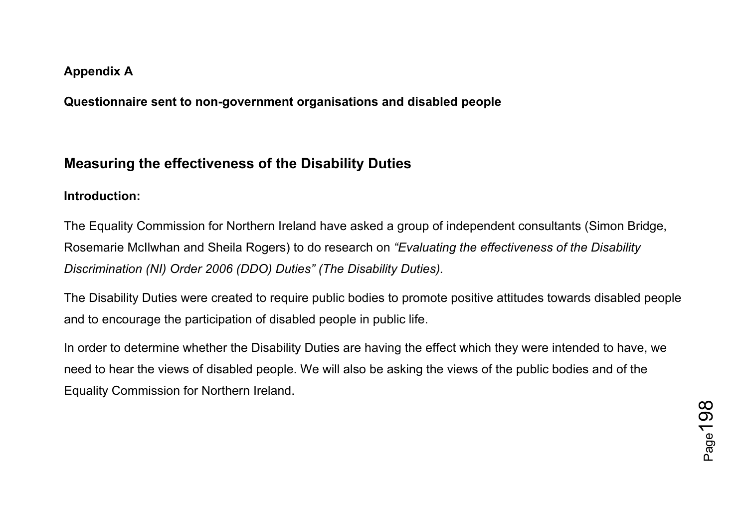#### **Appendix A**

**Questionnaire sent to non-government organisations and disabled people** 

# **Measuring the effectiveness of the Disability Duties**

#### **Introduction:**

The Equality Commission for Northern Ireland have asked a group of independent consultants (Simon Bridge, Rosemarie McIlwhan and Sheila Rogers) to do research on *"Evaluating the effectiveness of the Disability Discrimination (NI) Order 2006 (DDO) Duties" (The Disability Duties).*

The Disability Duties were created to require public bodies to promote positive attitudes towards disabled people and to encourage the participation of disabled people in public life.

In order to determine whether the Disability Duties are having the effect which they were intended to have, we need to hear the views of disabled people. We will also be asking the views of the public bodies and of the Equality Commission for Northern Ireland.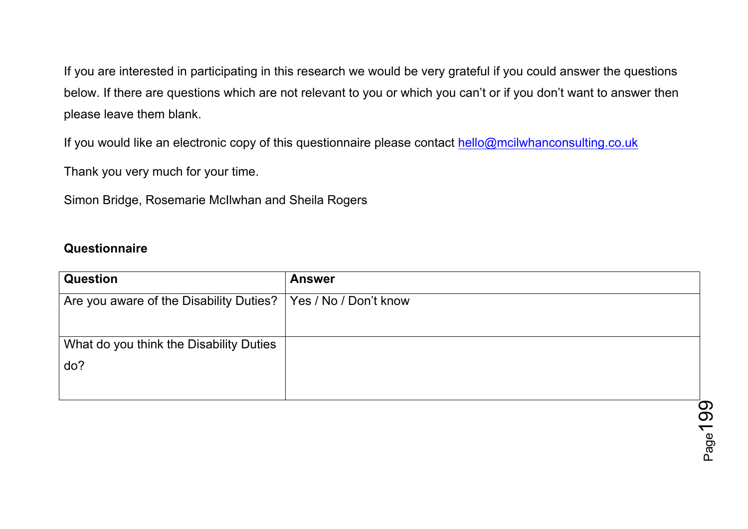If you are interested in participating in this research we would be very grateful if you could answer the questions below. If there are questions which are not relevant to you or which you can't or if you don't want to answer then please leave them blank.

If you would like an electronic copy of this questionnaire please contact hello@mcilwhanconsulting.co.uk

Thank you very much for your time.

Simon Bridge, Rosemarie McIlwhan and Sheila Rogers

#### **Questionnaire**

| <b>Question</b>                                                 | <b>Answer</b> |
|-----------------------------------------------------------------|---------------|
| Are you aware of the Disability Duties?   Yes / No / Don't know |               |
|                                                                 |               |
| What do you think the Disability Duties                         |               |
| do?                                                             |               |
|                                                                 |               |
|                                                                 |               |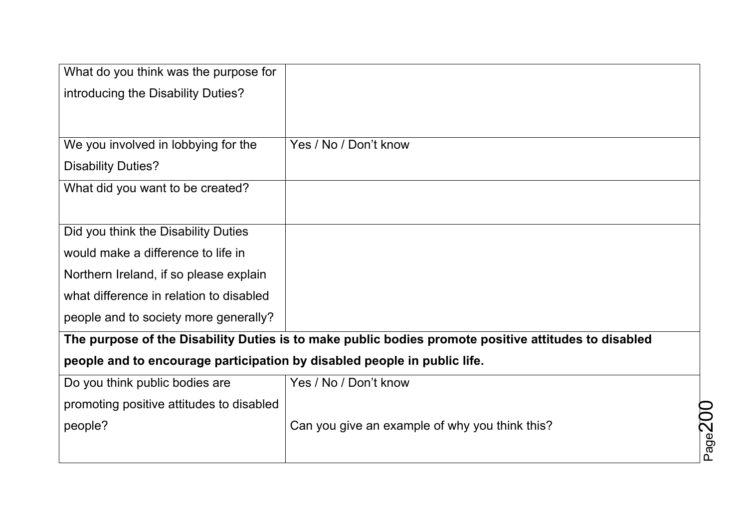| What do you think was the purpose for                                    |                                                                                                      |          |
|--------------------------------------------------------------------------|------------------------------------------------------------------------------------------------------|----------|
| introducing the Disability Duties?                                       |                                                                                                      |          |
|                                                                          |                                                                                                      |          |
|                                                                          |                                                                                                      |          |
| We you involved in lobbying for the                                      | Yes / No / Don't know                                                                                |          |
| <b>Disability Duties?</b>                                                |                                                                                                      |          |
| What did you want to be created?                                         |                                                                                                      |          |
|                                                                          |                                                                                                      |          |
| Did you think the Disability Duties                                      |                                                                                                      |          |
| would make a difference to life in                                       |                                                                                                      |          |
| Northern Ireland, if so please explain                                   |                                                                                                      |          |
| what difference in relation to disabled                                  |                                                                                                      |          |
| people and to society more generally?                                    |                                                                                                      |          |
|                                                                          | The purpose of the Disability Duties is to make public bodies promote positive attitudes to disabled |          |
| people and to encourage participation by disabled people in public life. |                                                                                                      |          |
| Do you think public bodies are                                           | Yes / No / Don't know                                                                                |          |
| promoting positive attitudes to disabled                                 |                                                                                                      |          |
| people?                                                                  | Can you give an example of why you think this?                                                       |          |
|                                                                          |                                                                                                      | Page $2$ |
|                                                                          |                                                                                                      |          |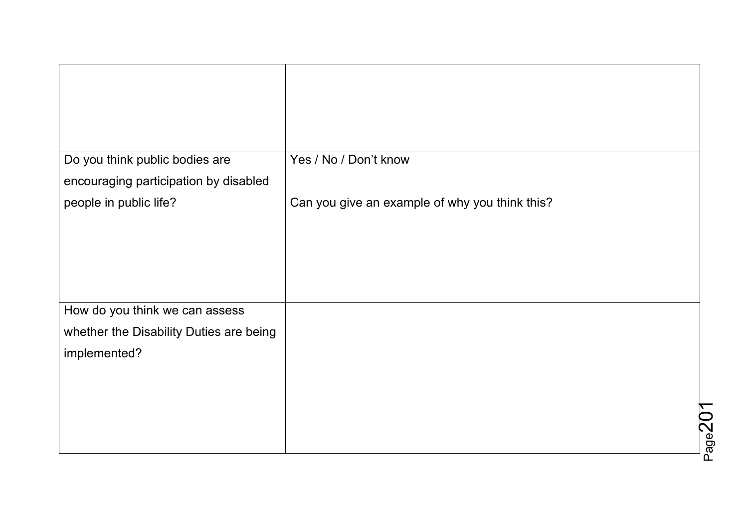| Do you think public bodies are          | Yes / No / Don't know                          |            |
|-----------------------------------------|------------------------------------------------|------------|
| encouraging participation by disabled   |                                                |            |
| people in public life?                  | Can you give an example of why you think this? |            |
|                                         |                                                |            |
|                                         |                                                |            |
| How do you think we can assess          |                                                |            |
| whether the Disability Duties are being |                                                |            |
| implemented?                            |                                                |            |
|                                         |                                                |            |
|                                         |                                                |            |
|                                         |                                                | Page $2$ ( |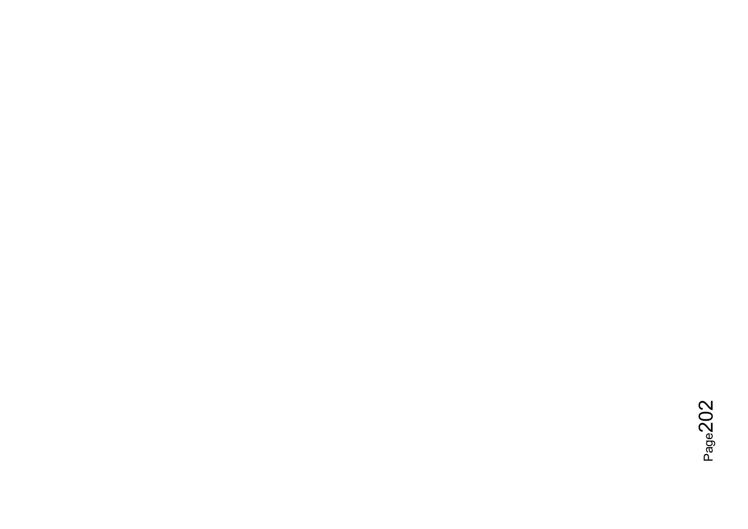Page202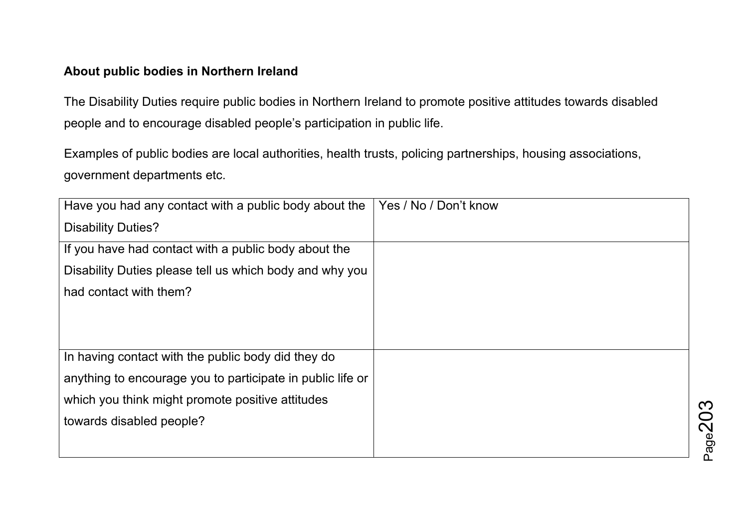#### **About public bodies in Northern Ireland**

The Disability Duties require public bodies in Northern Ireland to promote positive attitudes towards disabled people and to encourage disabled people's participation in public life.

Examples of public bodies are local authorities, health trusts, policing partnerships, housing associations, government departments etc.

| Have you had any contact with a public body about the      | Yes / No / Don't know |
|------------------------------------------------------------|-----------------------|
| <b>Disability Duties?</b>                                  |                       |
| If you have had contact with a public body about the       |                       |
| Disability Duties please tell us which body and why you    |                       |
| had contact with them?                                     |                       |
|                                                            |                       |
|                                                            |                       |
| In having contact with the public body did they do         |                       |
| anything to encourage you to participate in public life or |                       |
| which you think might promote positive attitudes           |                       |
| towards disabled people?                                   |                       |
|                                                            |                       |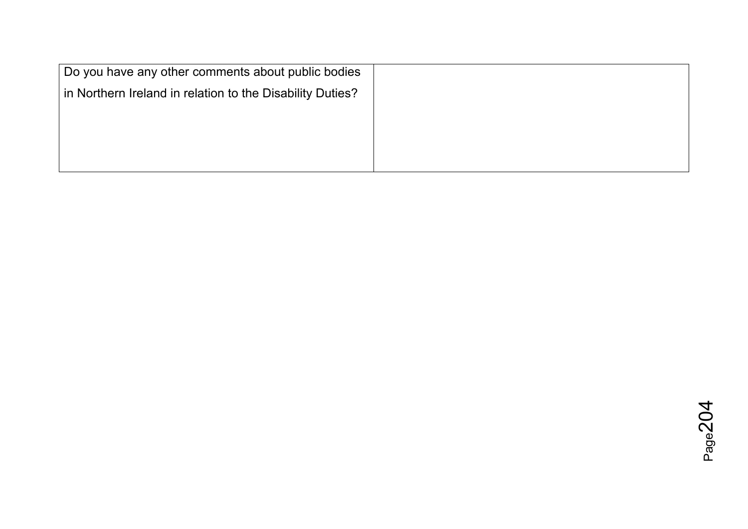| Do you have any other comments about public bodies        |  |
|-----------------------------------------------------------|--|
| in Northern Ireland in relation to the Disability Duties? |  |
|                                                           |  |
|                                                           |  |
|                                                           |  |
|                                                           |  |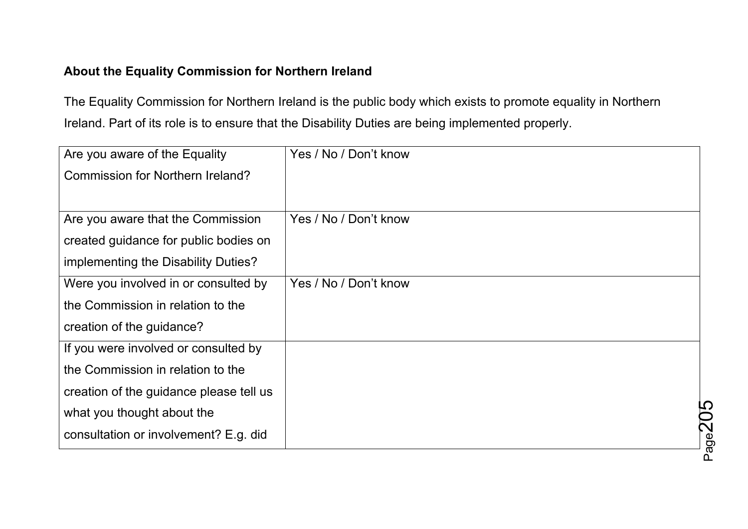# **About the Equality Commission for Northern Ireland**

The Equality Commission for Northern Ireland is the public body which exists to promote equality in Northern Ireland. Part of its role is to ensure that the Disability Duties are being implemented properly.

| Are you aware of the Equality           | Yes / No / Don't know |
|-----------------------------------------|-----------------------|
| Commission for Northern Ireland?        |                       |
|                                         |                       |
| Are you aware that the Commission       | Yes / No / Don't know |
| created guidance for public bodies on   |                       |
| implementing the Disability Duties?     |                       |
| Were you involved in or consulted by    | Yes / No / Don't know |
| the Commission in relation to the       |                       |
| creation of the guidance?               |                       |
| If you were involved or consulted by    |                       |
| the Commission in relation to the       |                       |
| creation of the guidance please tell us |                       |
| what you thought about the              |                       |
| consultation or involvement? E.g. did   | $2$ age $2$           |
|                                         | ൨                     |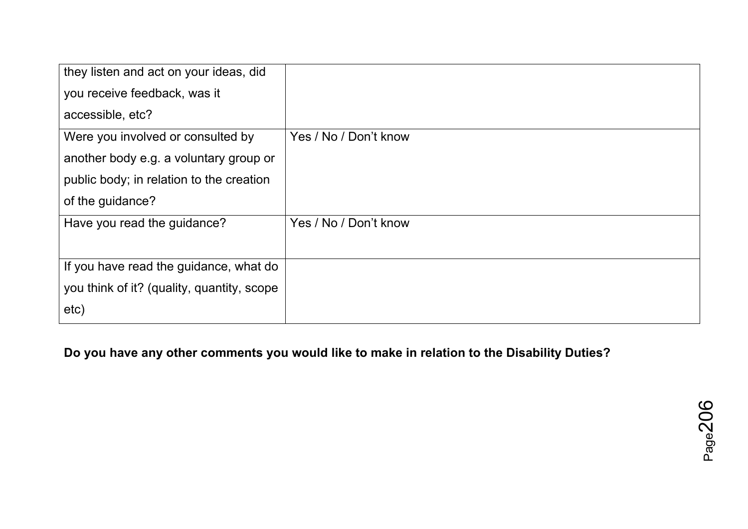| they listen and act on your ideas, did     |                       |
|--------------------------------------------|-----------------------|
| you receive feedback, was it               |                       |
| accessible, etc?                           |                       |
| Were you involved or consulted by          | Yes / No / Don't know |
| another body e.g. a voluntary group or     |                       |
| public body; in relation to the creation   |                       |
| of the guidance?                           |                       |
| Have you read the guidance?                | Yes / No / Don't know |
|                                            |                       |
| If you have read the guidance, what do     |                       |
| you think of it? (quality, quantity, scope |                       |
| etc)                                       |                       |

**Do you have any other comments you would like to make in relation to the Disability Duties?**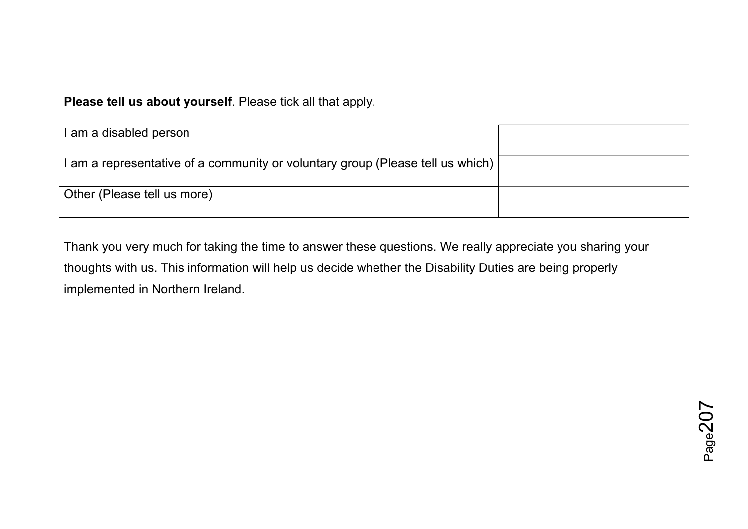#### **Please tell us about yourself**. Please tick all that apply.

| I am a disabled person                                                         |  |
|--------------------------------------------------------------------------------|--|
| I am a representative of a community or voluntary group (Please tell us which) |  |
| Other (Please tell us more)                                                    |  |

Thank you very much for taking the time to answer these questions. We really appreciate you sharing your thoughts with us. This information will help us decide whether the Disability Duties are being properly implemented in Northern Ireland.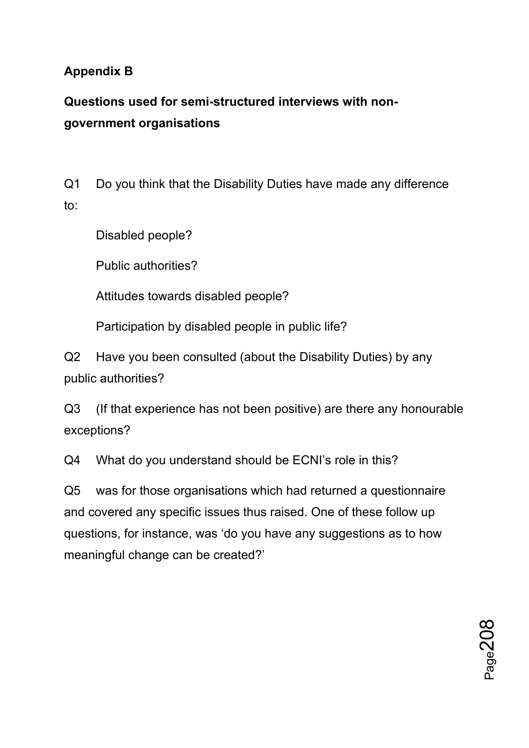# **Appendix B**

**Questions used for semi-structured interviews with nongovernment organisations** 

Q1 Do you think that the Disability Duties have made any difference to:

Disabled people?

Public authorities?

Attitudes towards disabled people?

Participation by disabled people in public life?

Q2 Have you been consulted (about the Disability Duties) by any public authorities?

Q3 (If that experience has not been positive) are there any honourable exceptions?

Q4 What do you understand should be ECNI's role in this?

Q5 was for those organisations which had returned a questionnaire and covered any specific issues thus raised. One of these follow up questions, for instance, was 'do you have any suggestions as to how meaningful change can be created?'

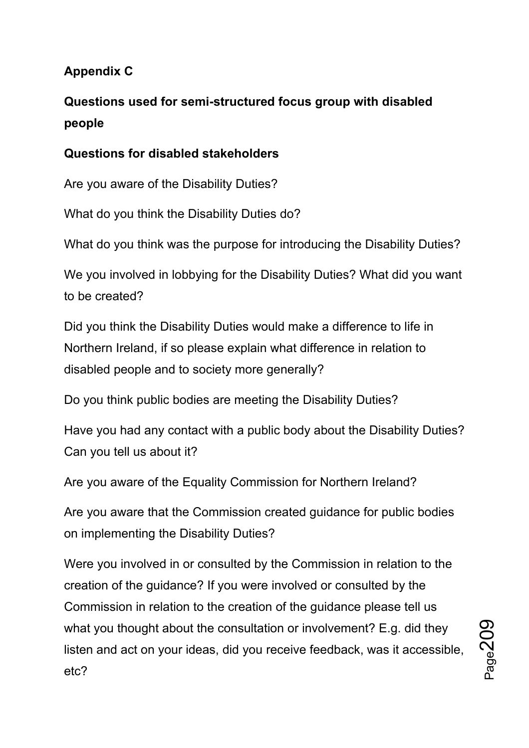# **Appendix C**

# **Questions used for semi-structured focus group with disabled people**

# **Questions for disabled stakeholders**

Are you aware of the Disability Duties?

What do you think the Disability Duties do?

What do you think was the purpose for introducing the Disability Duties?

We you involved in lobbying for the Disability Duties? What did you want to be created?

Did you think the Disability Duties would make a difference to life in Northern Ireland, if so please explain what difference in relation to disabled people and to society more generally?

Do you think public bodies are meeting the Disability Duties?

Have you had any contact with a public body about the Disability Duties? Can you tell us about it?

Are you aware of the Equality Commission for Northern Ireland?

Are you aware that the Commission created guidance for public bodies on implementing the Disability Duties?

Were you involved in or consulted by the Commission in relation to the creation of the guidance? If you were involved or consulted by the Commission in relation to the creation of the guidance please tell us what you thought about the consultation or involvement? E.g. did they listen and act on your ideas, did you receive feedback, was it accessible, etc?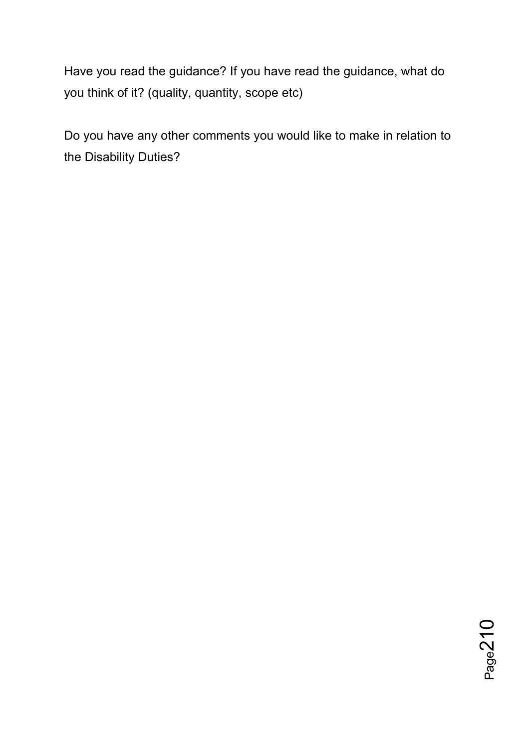Have you read the guidance? If you have read the guidance, what do you think of it? (quality, quantity, scope etc)

Do you have any other comments you would like to make in relation to the Disability Duties?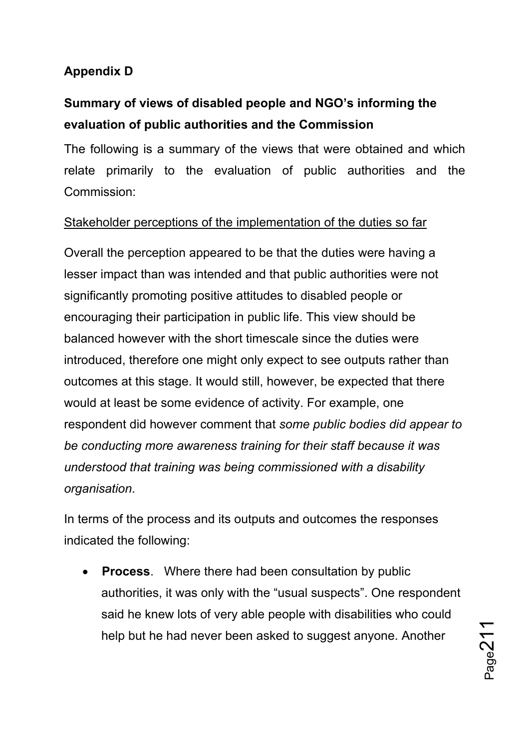# **Appendix D**

# **Summary of views of disabled people and NGO's informing the evaluation of public authorities and the Commission**

The following is a summary of the views that were obtained and which relate primarily to the evaluation of public authorities and the Commission:

#### Stakeholder perceptions of the implementation of the duties so far

Overall the perception appeared to be that the duties were having a lesser impact than was intended and that public authorities were not significantly promoting positive attitudes to disabled people or encouraging their participation in public life. This view should be balanced however with the short timescale since the duties were introduced, therefore one might only expect to see outputs rather than outcomes at this stage. It would still, however, be expected that there would at least be some evidence of activity. For example, one respondent did however comment that *some public bodies did appear to be conducting more awareness training for their staff because it was understood that training was being commissioned with a disability organisation*.

In terms of the process and its outputs and outcomes the responses indicated the following:

• **Process**. Where there had been consultation by public authorities, it was only with the "usual suspects". One respondent said he knew lots of very able people with disabilities who could help but he had never been asked to suggest anyone. Another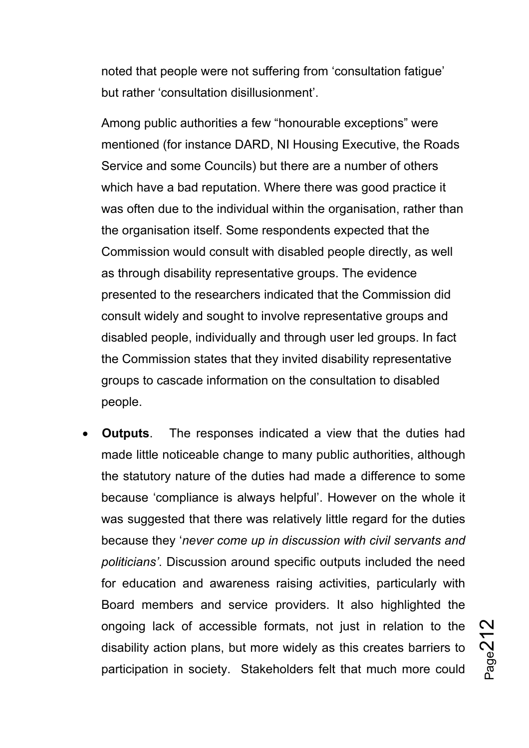noted that people were not suffering from 'consultation fatigue' but rather 'consultation disillusionment'.

Among public authorities a few "honourable exceptions" were mentioned (for instance DARD, NI Housing Executive, the Roads Service and some Councils) but there are a number of others which have a bad reputation. Where there was good practice it was often due to the individual within the organisation, rather than the organisation itself. Some respondents expected that the Commission would consult with disabled people directly, as well as through disability representative groups. The evidence presented to the researchers indicated that the Commission did consult widely and sought to involve representative groups and disabled people, individually and through user led groups. In fact the Commission states that they invited disability representative groups to cascade information on the consultation to disabled people.

• **Outputs**. The responses indicated a view that the duties had made little noticeable change to many public authorities, although the statutory nature of the duties had made a difference to some because 'compliance is always helpful'. However on the whole it was suggested that there was relatively little regard for the duties because they '*never come up in discussion with civil servants and politicians'*. Discussion around specific outputs included the need for education and awareness raising activities, particularly with Board members and service providers. It also highlighted the ongoing lack of accessible formats, not just in relation to the disability action plans, but more widely as this creates barriers to participation in society. Stakeholders felt that much more could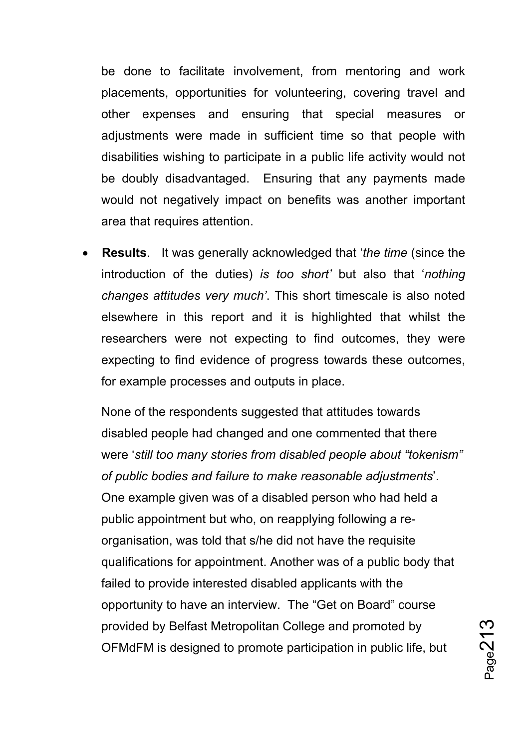be done to facilitate involvement, from mentoring and work placements, opportunities for volunteering, covering travel and other expenses and ensuring that special measures or adjustments were made in sufficient time so that people with disabilities wishing to participate in a public life activity would not be doubly disadvantaged. Ensuring that any payments made would not negatively impact on benefits was another important area that requires attention.

• **Results**. It was generally acknowledged that '*the time* (since the introduction of the duties) *is too short'* but also that '*nothing changes attitudes very much'*. This short timescale is also noted elsewhere in this report and it is highlighted that whilst the researchers were not expecting to find outcomes, they were expecting to find evidence of progress towards these outcomes, for example processes and outputs in place.

None of the respondents suggested that attitudes towards disabled people had changed and one commented that there were '*still too many stories from disabled people about "tokenism" of public bodies and failure to make reasonable adjustments*'. One example given was of a disabled person who had held a public appointment but who, on reapplying following a reorganisation, was told that s/he did not have the requisite qualifications for appointment. Another was of a public body that failed to provide interested disabled applicants with the opportunity to have an interview. The "Get on Board" course provided by Belfast Metropolitan College and promoted by OFMdFM is designed to promote participation in public life, but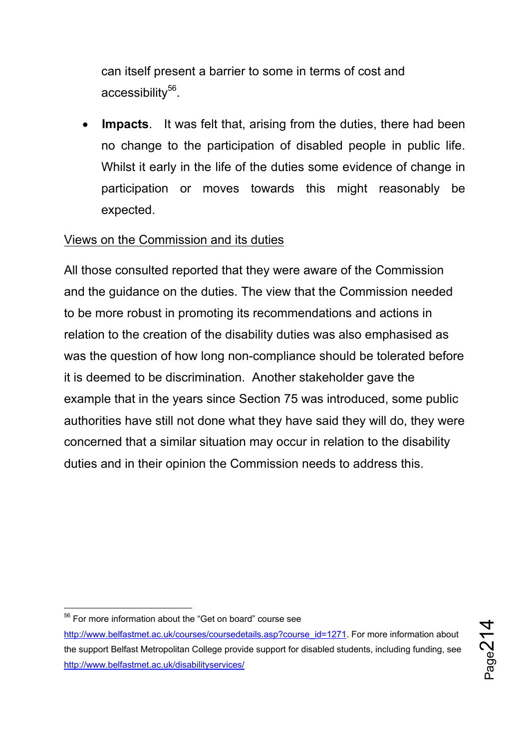can itself present a barrier to some in terms of cost and  $accessibility<sup>56</sup>$ .

**Impacts**. It was felt that, arising from the duties, there had been no change to the participation of disabled people in public life. Whilst it early in the life of the duties some evidence of change in participation or moves towards this might reasonably be expected.

#### Views on the Commission and its duties

All those consulted reported that they were aware of the Commission and the guidance on the duties. The view that the Commission needed to be more robust in promoting its recommendations and actions in relation to the creation of the disability duties was also emphasised as was the question of how long non-compliance should be tolerated before it is deemed to be discrimination. Another stakeholder gave the example that in the years since Section 75 was introduced, some public authorities have still not done what they have said they will do, they were concerned that a similar situation may occur in relation to the disability duties and in their opinion the Commission needs to address this.

 $_{\rm Page}$ 214

l <sup>56</sup> For more information about the "Get on board" course see

http://www.belfastmet.ac.uk/courses/coursedetails.asp?course\_id=1271. For more information about the support Belfast Metropolitan College provide support for disabled students, including funding, see http://www.belfastmet.ac.uk/disabilityservices/